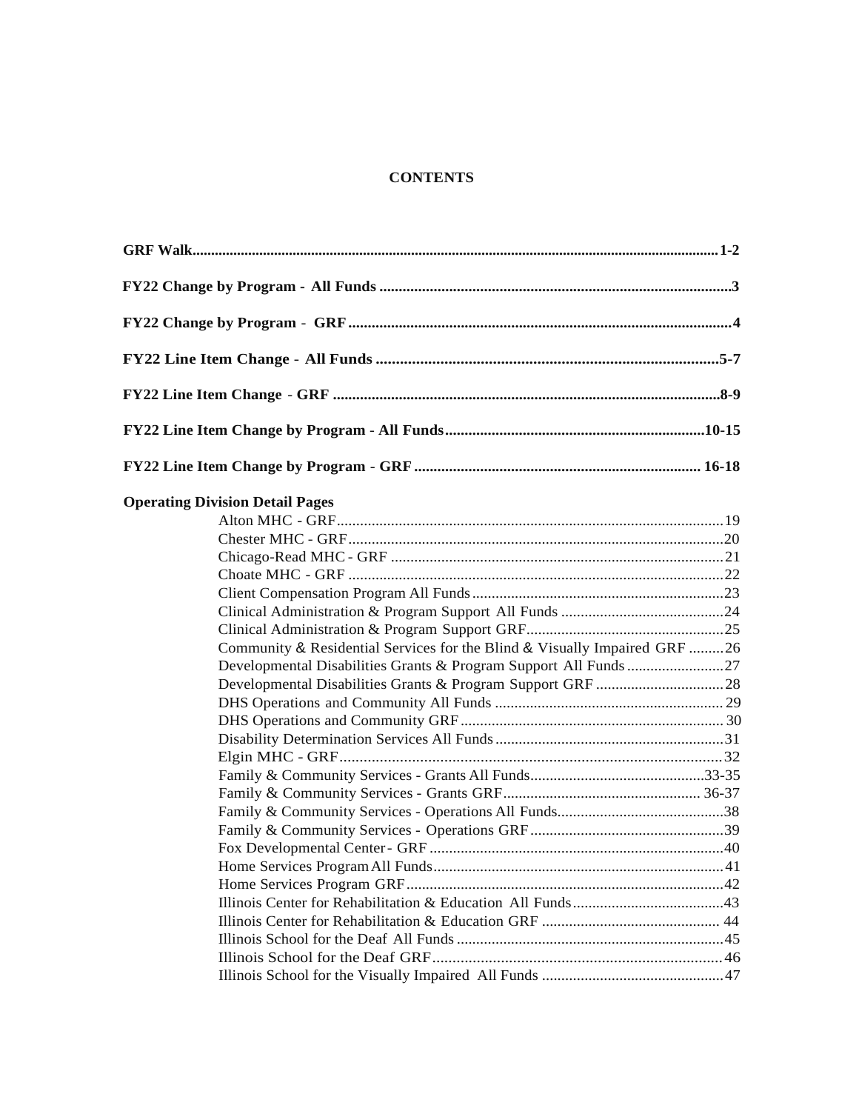# **CONTENTS**

| <b>Operating Division Detail Pages</b>                                    |  |
|---------------------------------------------------------------------------|--|
|                                                                           |  |
|                                                                           |  |
|                                                                           |  |
|                                                                           |  |
|                                                                           |  |
|                                                                           |  |
|                                                                           |  |
| Community & Residential Services for the Blind & Visually Impaired GRF 26 |  |
|                                                                           |  |
|                                                                           |  |
|                                                                           |  |
|                                                                           |  |
|                                                                           |  |
|                                                                           |  |
|                                                                           |  |
|                                                                           |  |
|                                                                           |  |
|                                                                           |  |
|                                                                           |  |
|                                                                           |  |
|                                                                           |  |
|                                                                           |  |
|                                                                           |  |
|                                                                           |  |
|                                                                           |  |
|                                                                           |  |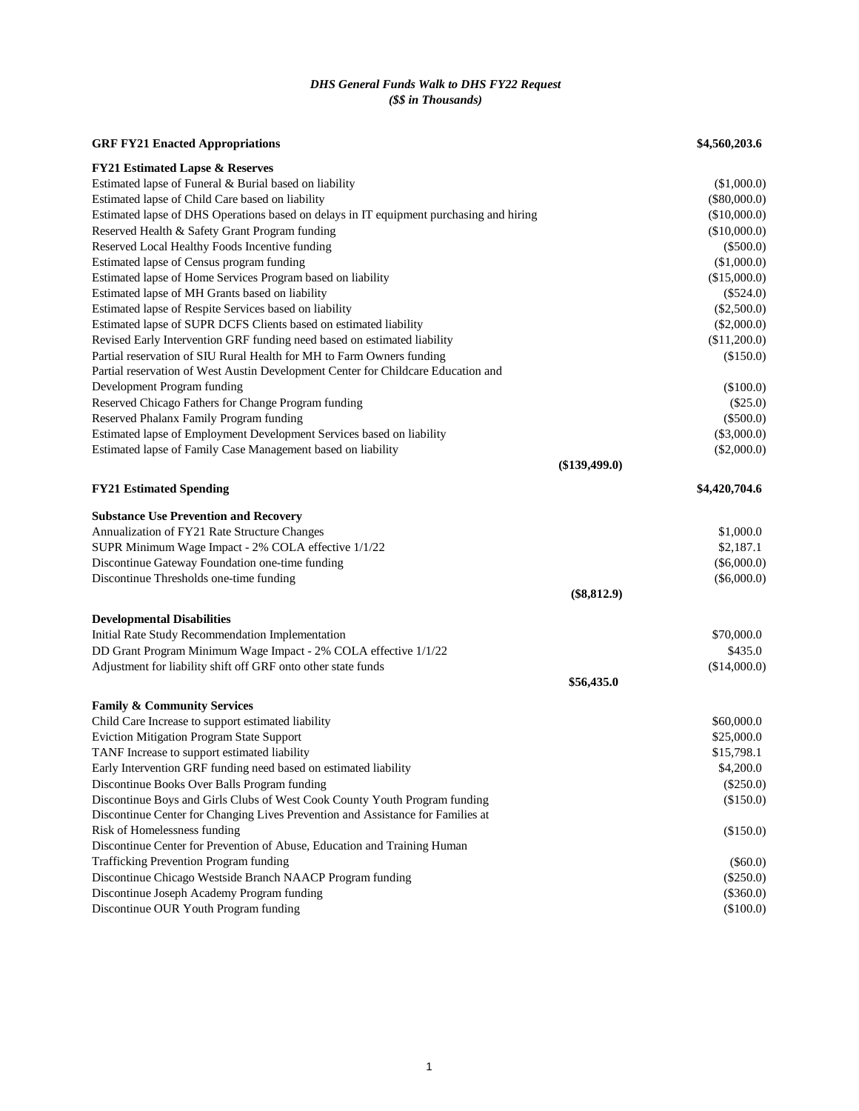# *DHS General Funds Walk to DHS FY22 Request (\$\$ in Thousands)*

| <b>GRF FY21 Enacted Appropriations</b>                                                  | \$4,560,203.6   |
|-----------------------------------------------------------------------------------------|-----------------|
| <b>FY21 Estimated Lapse &amp; Reserves</b>                                              |                 |
| Estimated lapse of Funeral & Burial based on liability                                  | (\$1,000.0)     |
| Estimated lapse of Child Care based on liability                                        | $(\$80,000.0)$  |
| Estimated lapse of DHS Operations based on delays in IT equipment purchasing and hiring | (\$10,000.0)    |
| Reserved Health & Safety Grant Program funding                                          | (\$10,000.0)    |
| Reserved Local Healthy Foods Incentive funding                                          | $(\$500.0)$     |
| Estimated lapse of Census program funding                                               | (\$1,000.0)     |
| Estimated lapse of Home Services Program based on liability                             | (\$15,000.0)    |
| Estimated lapse of MH Grants based on liability                                         | $(\$524.0)$     |
| Estimated lapse of Respite Services based on liability                                  | $(\$2,500.0)$   |
| Estimated lapse of SUPR DCFS Clients based on estimated liability                       | $(\$2,000.0)$   |
| Revised Early Intervention GRF funding need based on estimated liability                | (\$11,200.0)    |
| Partial reservation of SIU Rural Health for MH to Farm Owners funding                   | (\$150.0)       |
| Partial reservation of West Austin Development Center for Childcare Education and       |                 |
| Development Program funding                                                             | (\$100.0)       |
| Reserved Chicago Fathers for Change Program funding                                     | $(\$25.0)$      |
| Reserved Phalanx Family Program funding                                                 | $(\$500.0)$     |
| Estimated lapse of Employment Development Services based on liability                   | $(\$3,000.0)$   |
| Estimated lapse of Family Case Management based on liability                            | $(\$2,000.0)$   |
|                                                                                         | $(\$139,499.0)$ |
| <b>FY21 Estimated Spending</b>                                                          | \$4,420,704.6   |
| <b>Substance Use Prevention and Recovery</b>                                            |                 |
| Annualization of FY21 Rate Structure Changes                                            | \$1,000.0       |
| SUPR Minimum Wage Impact - 2% COLA effective 1/1/22                                     | \$2,187.1       |
| Discontinue Gateway Foundation one-time funding                                         | $(\$6,000.0)$   |
| Discontinue Thresholds one-time funding                                                 | $(\$6,000.0)$   |
|                                                                                         | $(\$8,812.9)$   |
| <b>Developmental Disabilities</b>                                                       |                 |
| Initial Rate Study Recommendation Implementation                                        | \$70,000.0      |
| DD Grant Program Minimum Wage Impact - 2% COLA effective 1/1/22                         | \$435.0         |
| Adjustment for liability shift off GRF onto other state funds                           | (\$14,000.0)    |
|                                                                                         | \$56,435.0      |
| <b>Family &amp; Community Services</b>                                                  |                 |
| Child Care Increase to support estimated liability                                      | \$60,000.0      |
| Eviction Mitigation Program State Support                                               | \$25,000.0      |
| TANF Increase to support estimated liability                                            | \$15,798.1      |
| Early Intervention GRF funding need based on estimated liability                        | \$4,200.0       |
| Discontinue Books Over Balls Program funding                                            | $(\$250.0)$     |
| Discontinue Boys and Girls Clubs of West Cook County Youth Program funding              | (\$150.0)       |
| Discontinue Center for Changing Lives Prevention and Assistance for Families at         |                 |
| Risk of Homelessness funding                                                            | (\$150.0)       |
| Discontinue Center for Prevention of Abuse, Education and Training Human                |                 |
| Trafficking Prevention Program funding                                                  | $(\$60.0)$      |
| Discontinue Chicago Westside Branch NAACP Program funding                               | $(\$250.0)$     |
| Discontinue Joseph Academy Program funding                                              | $(\$360.0)$     |
| Discontinue OUR Youth Program funding                                                   | (\$100.0)       |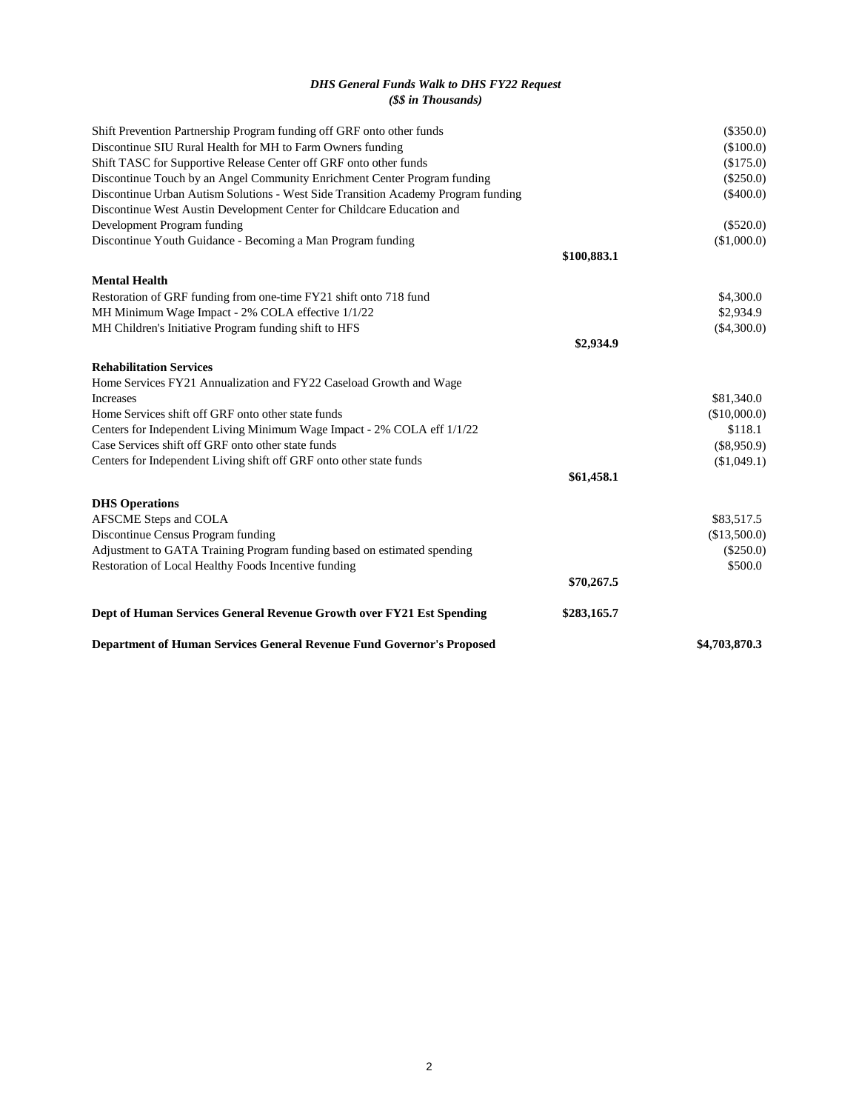# *DHS General Funds Walk to DHS FY22 Request (\$\$ in Thousands)*

| Restoration of Local Healthy Foods Incentive funding                                                                          | \$70,267.5  | \$500.0       |
|-------------------------------------------------------------------------------------------------------------------------------|-------------|---------------|
| Adjustment to GATA Training Program funding based on estimated spending                                                       |             | $(\$250.0)$   |
| Discontinue Census Program funding                                                                                            |             | (\$13,500.0)  |
| <b>DHS Operations</b><br>AFSCME Steps and COLA                                                                                |             | \$83,517.5    |
|                                                                                                                               |             |               |
| Centers for Independent Living shift off GRF onto other state funds                                                           | \$61,458.1  | (\$1,049.1)   |
|                                                                                                                               |             | $(\$8,950.9)$ |
| Centers for Independent Living Minimum Wage Impact - 2% COLA eff 1/1/22<br>Case Services shift off GRF onto other state funds |             | \$118.1       |
| Home Services shift off GRF onto other state funds                                                                            |             | (\$10,000.0)  |
| Increases                                                                                                                     |             | \$81,340.0    |
| Home Services FY21 Annualization and FY22 Caseload Growth and Wage                                                            |             |               |
| <b>Rehabilitation Services</b>                                                                                                |             |               |
|                                                                                                                               | \$2,934.9   |               |
| MH Children's Initiative Program funding shift to HFS                                                                         |             | $(\$4,300.0)$ |
| MH Minimum Wage Impact - 2% COLA effective 1/1/22                                                                             |             | \$2,934.9     |
| Restoration of GRF funding from one-time FY21 shift onto 718 fund                                                             |             | \$4,300.0     |
| <b>Mental Health</b>                                                                                                          |             |               |
|                                                                                                                               | \$100,883.1 |               |
| Discontinue Youth Guidance - Becoming a Man Program funding                                                                   |             | (\$1,000.0)   |
| Development Program funding                                                                                                   |             | $(\$520.0)$   |
| Discontinue West Austin Development Center for Childcare Education and                                                        |             |               |
| Discontinue Urban Autism Solutions - West Side Transition Academy Program funding                                             |             | $(\$400.0)$   |
| Discontinue Touch by an Angel Community Enrichment Center Program funding                                                     |             | $(\$250.0)$   |
| Shift TASC for Supportive Release Center off GRF onto other funds                                                             |             | (\$175.0)     |
| Discontinue SIU Rural Health for MH to Farm Owners funding                                                                    |             | $(\$100.0)$   |
| Shift Prevention Partnership Program funding off GRF onto other funds                                                         |             | $(\$350.0)$   |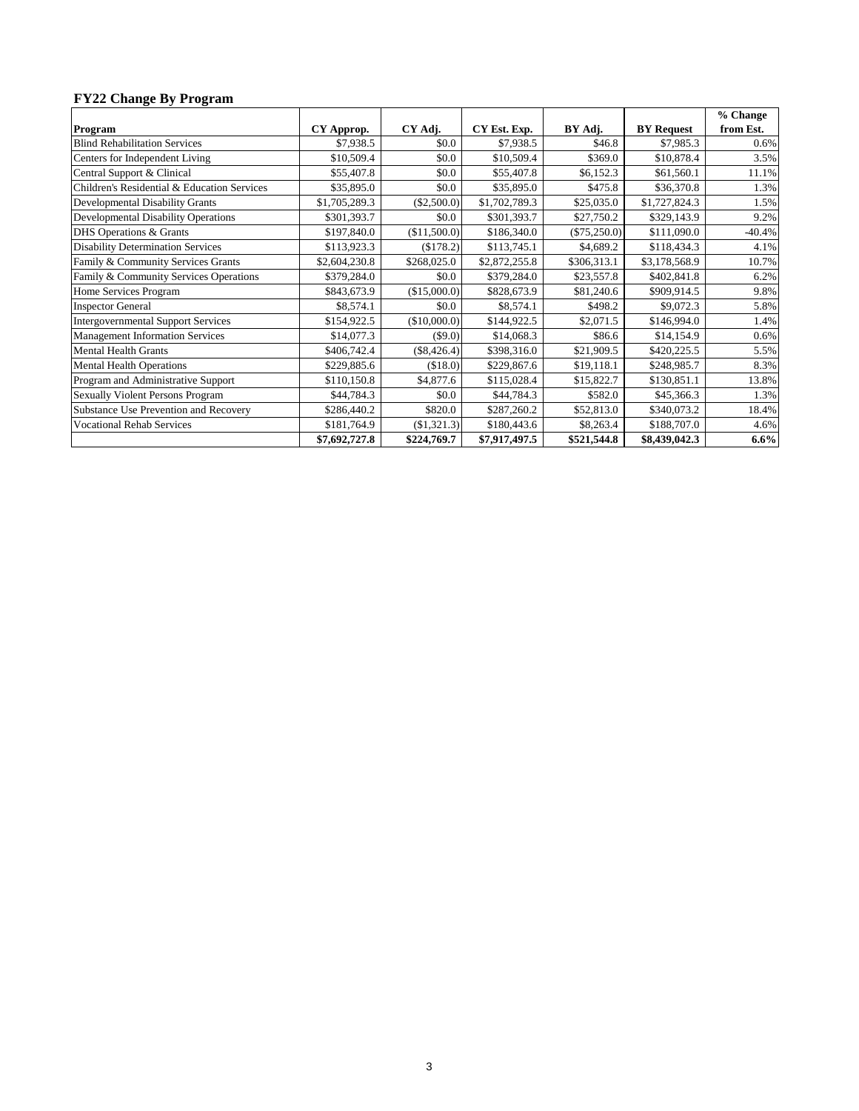# **FY22 Change By Program**

|                                             |               |               |               |                |                   | % Change  |
|---------------------------------------------|---------------|---------------|---------------|----------------|-------------------|-----------|
| Program                                     | CY Approp.    | CY Adj.       | CY Est. Exp.  | BY Adj.        | <b>BY Request</b> | from Est. |
| <b>Blind Rehabilitation Services</b>        | \$7,938.5     | \$0.0         | \$7,938.5     | \$46.8         | \$7,985.3         | 0.6%      |
| Centers for Independent Living              | \$10,509.4    | \$0.0         | \$10,509.4    | \$369.0        | \$10,878.4        | 3.5%      |
| Central Support & Clinical                  | \$55,407.8    | \$0.0         | \$55,407.8    | \$6,152.3      | \$61,560.1        | 11.1%     |
| Children's Residential & Education Services | \$35,895.0    | \$0.0         | \$35,895.0    | \$475.8        | \$36,370.8        | 1.3%      |
| Developmental Disability Grants             | \$1,705,289.3 | $(\$2,500.0)$ | \$1,702,789.3 | \$25,035.0     | \$1,727,824.3     | 1.5%      |
| <b>Developmental Disability Operations</b>  | \$301,393.7   | \$0.0         | \$301,393.7   | \$27,750.2     | \$329,143.9       | 9.2%      |
| DHS Operations & Grants                     | \$197,840.0   | (\$11,500.0)  | \$186,340.0   | $(\$75,250.0)$ | \$111,090.0       | $-40.4%$  |
| <b>Disability Determination Services</b>    | \$113,923.3   | (\$178.2)     | \$113,745.1   | \$4,689.2      | \$118,434.3       | 4.1%      |
| Family & Community Services Grants          | \$2,604,230.8 | \$268,025.0   | \$2,872,255.8 | \$306,313.1    | \$3,178,568.9     | 10.7%     |
| Family & Community Services Operations      | \$379,284.0   | \$0.0         | \$379,284.0   | \$23,557.8     | \$402,841.8       | 6.2%      |
| Home Services Program                       | \$843,673.9   | (\$15,000.0)  | \$828,673.9   | \$81,240.6     | \$909,914.5       | 9.8%      |
| <b>Inspector General</b>                    | \$8,574.1     | \$0.0         | \$8,574.1     | \$498.2        | \$9,072.3         | 5.8%      |
| <b>Intergovernmental Support Services</b>   | \$154,922.5   | (\$10,000.0)  | \$144,922.5   | \$2,071.5      | \$146,994.0       | 1.4%      |
| <b>Management Information Services</b>      | \$14,077.3    | $(\$9.0)$     | \$14,068.3    | \$86.6         | \$14,154.9        | 0.6%      |
| <b>Mental Health Grants</b>                 | \$406,742.4   | $(\$8,426.4)$ | \$398,316.0   | \$21,909.5     | \$420,225.5       | 5.5%      |
| <b>Mental Health Operations</b>             | \$229,885.6   | (\$18.0)      | \$229,867.6   | \$19,118.1     | \$248,985.7       | 8.3%      |
| Program and Administrative Support          | \$110,150.8   | \$4,877.6     | \$115,028.4   | \$15,822.7     | \$130,851.1       | 13.8%     |
| <b>Sexually Violent Persons Program</b>     | \$44,784.3    | \$0.0         | \$44,784.3    | \$582.0        | \$45,366.3        | 1.3%      |
| Substance Use Prevention and Recovery       | \$286,440.2   | \$820.0       | \$287,260.2   | \$52,813.0     | \$340,073.2       | 18.4%     |
| <b>Vocational Rehab Services</b>            | \$181,764.9   | (\$1,321.3)   | \$180,443.6   | \$8,263.4      | \$188,707.0       | 4.6%      |
|                                             | \$7,692,727.8 | \$224,769.7   | \$7,917,497.5 | \$521,544.8    | \$8,439,042.3     | $6.6\%$   |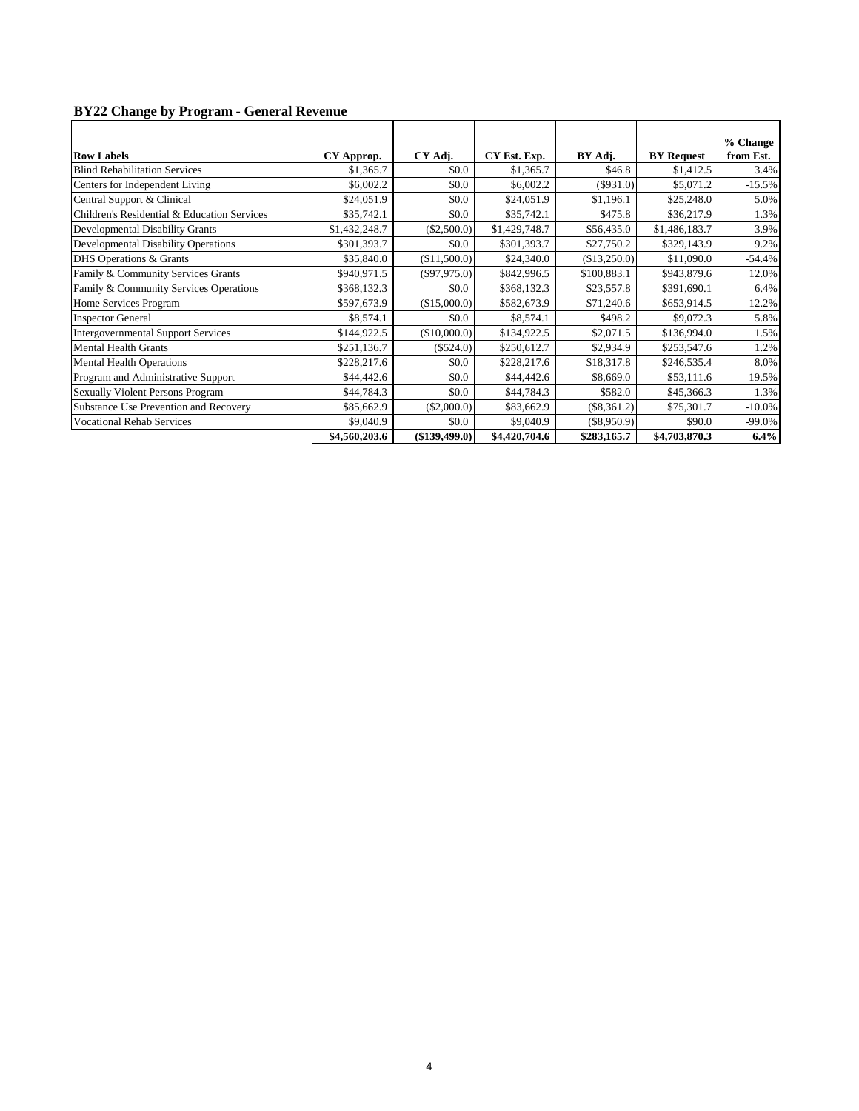# **BY22 Change by Program - General Revenue**

|                                             |               |                |               |               |                   | % Change  |
|---------------------------------------------|---------------|----------------|---------------|---------------|-------------------|-----------|
| <b>Row Labels</b>                           | CY Approp.    | CY Adj.        | CY Est. Exp.  | BY Adj.       | <b>BY Request</b> | from Est. |
| <b>Blind Rehabilitation Services</b>        | \$1,365.7     | \$0.0          | \$1,365.7     | \$46.8        | \$1,412.5         | 3.4%      |
| Centers for Independent Living              | \$6,002.2     | \$0.0          | \$6,002.2     | $(\$931.0)$   | \$5,071.2         | $-15.5%$  |
| Central Support & Clinical                  | \$24,051.9    | \$0.0          | \$24,051.9    | \$1,196.1     | \$25,248.0        | 5.0%      |
| Children's Residential & Education Services | \$35,742.1    | \$0.0          | \$35,742.1    | \$475.8       | \$36,217.9        | 1.3%      |
| Developmental Disability Grants             | \$1,432,248.7 | $(\$2,500.0)$  | \$1,429,748.7 | \$56,435.0    | \$1,486,183.7     | 3.9%      |
| <b>Developmental Disability Operations</b>  | \$301,393.7   | \$0.0          | \$301,393.7   | \$27,750.2    | \$329,143.9       | 9.2%      |
| DHS Operations & Grants                     | \$35,840.0    | (\$11,500.0)   | \$24,340.0    | (\$13,250.0)  | \$11,090.0        | $-54.4%$  |
| Family & Community Services Grants          | \$940,971.5   | $(\$97,975.0)$ | \$842,996.5   | \$100,883.1   | \$943,879.6       | 12.0%     |
| Family & Community Services Operations      | \$368,132.3   | \$0.0          | \$368,132.3   | \$23,557.8    | \$391,690.1       | 6.4%      |
| Home Services Program                       | \$597,673.9   | (\$15,000.0)   | \$582,673.9   | \$71,240.6    | \$653,914.5       | 12.2%     |
| <b>Inspector General</b>                    | \$8,574.1     | \$0.0          | \$8,574.1     | \$498.2       | \$9,072.3         | 5.8%      |
| <b>Intergovernmental Support Services</b>   | \$144,922.5   | (\$10,000.0)   | \$134,922.5   | \$2,071.5     | \$136,994.0       | 1.5%      |
| <b>Mental Health Grants</b>                 | \$251,136.7   | $(\$524.0)$    | \$250,612.7   | \$2,934.9     | \$253,547.6       | 1.2%      |
| <b>Mental Health Operations</b>             | \$228,217.6   | \$0.0          | \$228,217.6   | \$18,317.8    | \$246,535.4       | 8.0%      |
| Program and Administrative Support          | \$44,442.6    | \$0.0          | \$44,442.6    | \$8,669.0     | \$53,111.6        | 19.5%     |
| <b>Sexually Violent Persons Program</b>     | \$44,784.3    | \$0.0          | \$44,784.3    | \$582.0       | \$45,366.3        | 1.3%      |
| Substance Use Prevention and Recovery       | \$85,662.9    | $(\$2,000.0)$  | \$83,662.9    | $(\$8,361.2)$ | \$75,301.7        | $-10.0%$  |
| <b>Vocational Rehab Services</b>            | \$9,040.9     | \$0.0          | \$9,040.9     | $(\$8.950.9)$ | \$90.0            | $-99.0%$  |
|                                             | \$4,560,203.6 | (\$139,499.0)  | \$4,420,704.6 | \$283,165.7   | \$4,703,870.3     | 6.4%      |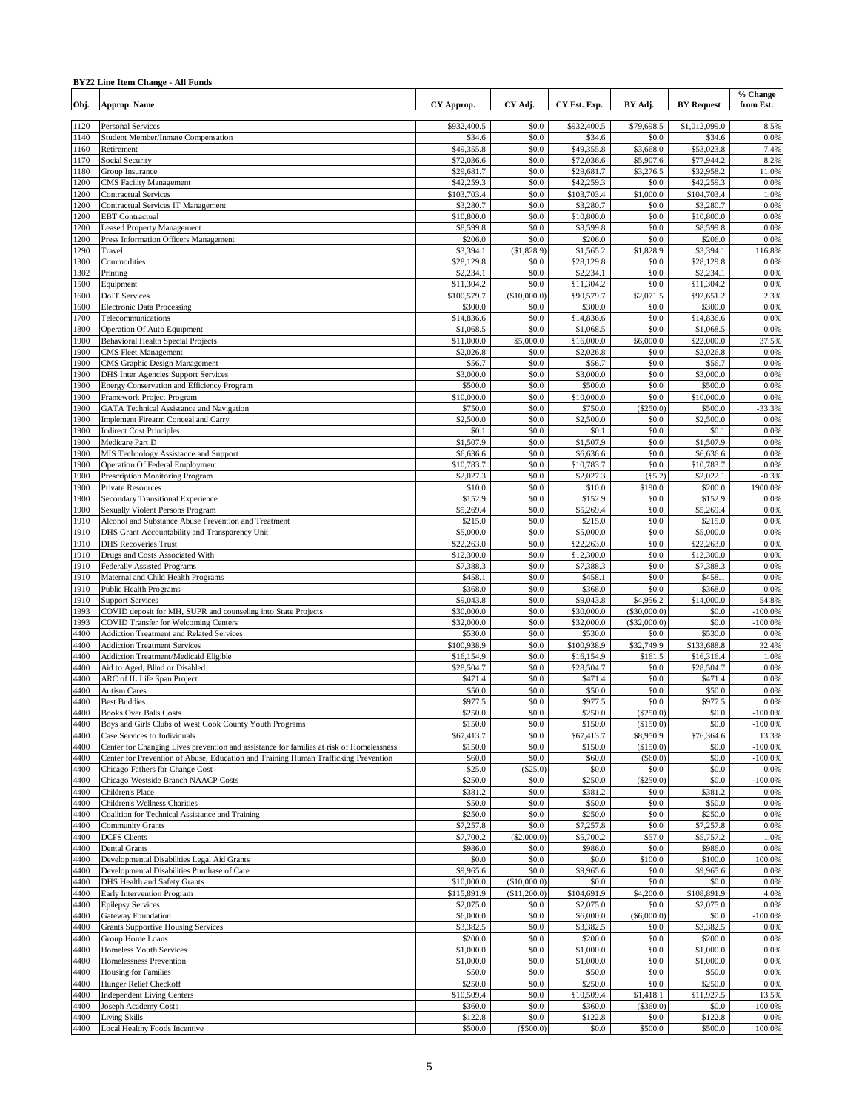### **BY22 Line Item Change - All Funds**

| Obj.         | <b>Approp. Name</b>                                                                                                      | CY Approp.               | CY Adj.               | CY Est. Exp.             | BY Adj.                | <b>BY</b> Request        | % Change<br>from Est. |
|--------------|--------------------------------------------------------------------------------------------------------------------------|--------------------------|-----------------------|--------------------------|------------------------|--------------------------|-----------------------|
| 1120         | <b>Personal Services</b>                                                                                                 | \$932,400.5              | \$0.0                 | \$932,400.5              | \$79,698.5             | \$1,012,099.0            | 8.5%                  |
| 1140         | Student Member/Inmate Compensation                                                                                       | \$34.6                   | \$0.0                 | \$34.6                   | \$0.0                  | \$34.6                   | 0.0%                  |
| 1160         | Retirement                                                                                                               | \$49,355.8               | \$0.0                 | \$49,355.8               | \$3,668.0              | \$53,023.8               | 7.4%                  |
| 1170<br>1180 | Social Security<br>Group Insurance                                                                                       | \$72,036.6<br>\$29,681.7 | \$0.0<br>\$0.0        | \$72,036.6<br>\$29,681.7 | \$5,907.6<br>\$3,276.5 | \$77,944.2<br>\$32,958.2 | 8.2%<br>11.0%         |
| 1200         | <b>CMS</b> Facility Management                                                                                           | \$42,259.3               | \$0.0                 | \$42,259.3               | \$0.0                  | \$42,259.3               | 0.0%                  |
| 1200         | <b>Contractual Services</b>                                                                                              | \$103,703.4              | \$0.0                 | \$103,703.4              | \$1,000.0              | \$104,703.4              | 1.0%                  |
| 1200         | <b>Contractual Services IT Management</b>                                                                                | \$3,280.7                | \$0.0                 | \$3,280.7                | \$0.0                  | \$3,280.7                | 0.0%                  |
| 1200<br>1200 | <b>EBT</b> Contractual                                                                                                   | \$10,800.0<br>\$8,599.8  | \$0.0<br>\$0.0        | \$10,800.0<br>\$8,599.8  | \$0.0<br>\$0.0         | \$10,800.0<br>\$8,599.8  | 0.0%<br>0.0%          |
| 1200         | <b>Leased Property Management</b><br>Press Information Officers Management                                               | \$206.0                  | \$0.0                 | \$206.0                  | \$0.0                  | \$206.0                  | 0.0%                  |
| 1290         | Travel                                                                                                                   | \$3,394.1                | (\$1,828.9)           | \$1,565.2                | \$1,828.9              | \$3,394.1                | 116.8%                |
| 1300         | Commodities                                                                                                              | \$28,129.8               | \$0.0                 | \$28,129.8               | \$0.0                  | \$28,129.8               | 0.0%                  |
| 1302         | Printing                                                                                                                 | \$2,234.1                | \$0.0                 | \$2,234.1                | \$0.0                  | \$2,234.1                | 0.0%                  |
| 1500         | Equipment                                                                                                                | \$11,304.2               | \$0.0                 | \$11,304.2               | \$0.0                  | \$11,304.2               | 0.0%                  |
| 1600<br>1600 | <b>DoIT</b> Services<br><b>Electronic Data Processing</b>                                                                | \$100,579.7<br>\$300.0   | (\$10,000.0)<br>\$0.0 | \$90,579.7<br>\$300.0    | \$2,071.5<br>\$0.0     | \$92,651.2<br>\$300.0    | 2.3%<br>0.0%          |
| 1700         | Telecommunications                                                                                                       | \$14,836.6               | \$0.0                 | \$14,836.6               | \$0.0                  | \$14,836.6               | 0.0%                  |
| 1800         | Operation Of Auto Equipment                                                                                              | \$1,068.5                | \$0.0                 | \$1,068.5                | \$0.0                  | \$1,068.5                | 0.0%                  |
| 1900         | <b>Behavioral Health Special Projects</b>                                                                                | \$11,000.0               | \$5,000.0             | \$16,000.0               | \$6,000.0              | \$22,000.0               | 37.5%                 |
| 1900         | <b>CMS</b> Fleet Management                                                                                              | \$2,026.8                | \$0.0                 | \$2,026.8                | \$0.0                  | \$2,026.8                | 0.0%                  |
| 1900<br>1900 | CMS Graphic Design Management<br><b>DHS</b> Inter Agencies Support Services                                              | \$56.7<br>\$3,000.0      | \$0.0<br>\$0.0        | \$56.7<br>\$3,000.0      | \$0.0<br>\$0.0         | \$56.7<br>\$3,000.0      | 0.0%<br>0.0%          |
| 1900         | Energy Conservation and Efficiency Program                                                                               | \$500.0                  | \$0.0                 | \$500.0                  | \$0.0                  | \$500.0                  | 0.0%                  |
| 1900         | Framework Project Program                                                                                                | \$10,000.0               | \$0.0                 | \$10,000.0               | \$0.0                  | \$10,000.0               | 0.0%                  |
| 1900         | <b>GATA Technical Assistance and Navigation</b>                                                                          | \$750.0                  | \$0.0                 | \$750.0                  | (S250.0)               | \$500.0                  | -33.3%                |
| 1900         | Implement Firearm Conceal and Carry                                                                                      | \$2,500.0                | \$0.0                 | \$2,500.0                | \$0.0                  | \$2,500.0                | 0.0%                  |
| 1900         | <b>Indirect Cost Principles</b>                                                                                          | \$0.1                    | \$0.0                 | \$0.1                    | \$0.0                  | \$0.1                    | 0.0%                  |
| 1900<br>1900 | Medicare Part D<br>MIS Technology Assistance and Support                                                                 | \$1,507.9<br>\$6,636.6   | \$0.0<br>\$0.0        | \$1,507.9<br>\$6,636.6   | \$0.0<br>\$0.0         | \$1,507.9<br>\$6,636.6   | 0.0%<br>0.0%          |
| 1900         | <b>Operation Of Federal Employment</b>                                                                                   | \$10,783.7               | \$0.0                 | \$10,783.7               | \$0.0                  | \$10,783.7               | 0.0%                  |
| 1900         | <b>Prescription Monitoring Program</b>                                                                                   | \$2,027.3                | \$0.0                 | \$2,027.3                | (S5.2)                 | \$2,022.1                | $-0.3%$               |
| 1900         | <b>Private Resources</b>                                                                                                 | \$10.0                   | \$0.0                 | \$10.0                   | \$190.0                | \$200.0                  | 1900.0%               |
| 1900         | Secondary Transitional Experience                                                                                        | \$152.9                  | \$0.0                 | \$152.9                  | \$0.0                  | \$152.9                  | 0.0%                  |
| 1900         | Sexually Violent Persons Program                                                                                         | \$5,269.4<br>\$215.0     | \$0.0<br>\$0.0        | \$5,269.4                | \$0.0<br>\$0.0         | \$5,269.4                | 0.0%<br>0.0%          |
| 1910<br>1910 | Alcohol and Substance Abuse Prevention and Treatment<br>DHS Grant Accountability and Transparency Unit                   | \$5,000.0                | \$0.0                 | \$215.0<br>\$5,000.0     | \$0.0                  | \$215.0<br>\$5,000.0     | 0.0%                  |
| 1910         | <b>DHS</b> Recoveries Trust                                                                                              | \$22,263.0               | \$0.0                 | \$22,263.0               | \$0.0                  | \$22,263.0               | 0.0%                  |
| 1910         | Drugs and Costs Associated With                                                                                          | \$12,300.0               | \$0.0                 | \$12,300.0               | \$0.0                  | \$12,300.0               | 0.0%                  |
| 1910         | <b>Federally Assisted Programs</b>                                                                                       | \$7,388.3                | \$0.0                 | \$7,388.3                | \$0.0                  | \$7,388.3                | 0.0%                  |
| 1910         | Maternal and Child Health Programs                                                                                       | \$458.1                  | \$0.0                 | \$458.1                  | \$0.0                  | \$458.1                  | 0.0%                  |
| 1910<br>1910 | <b>Public Health Programs</b><br><b>Support Services</b>                                                                 | \$368.0<br>\$9,043.8     | \$0.0<br>\$0.0        | \$368.0<br>\$9,043.8     | \$0.0<br>\$4,956.2     | \$368.0<br>\$14,000.0    | 0.0%<br>54.8%         |
| 1993         | COVID deposit for MH, SUPR and counseling into State Projects                                                            | \$30,000.0               | \$0.0                 | \$30,000.0               | (\$30,000.0)           | \$0.0                    | $-100.0%$             |
| 1993         | <b>COVID Transfer for Welcoming Centers</b>                                                                              | \$32,000.0               | \$0.0                 | \$32,000.0               | (\$32,000.0)           | \$0.0                    | $-100.0%$             |
| 4400         | <b>Addiction Treatment and Related Services</b>                                                                          | \$530.0                  | \$0.0                 | \$530.0                  | \$0.0                  | \$530.0                  | 0.0%                  |
| 4400         | <b>Addiction Treatment Services</b>                                                                                      | \$100,938.9              | \$0.0                 | \$100,938.9              | \$32,749.9             | \$133,688.8              | 32.4%                 |
| 4400<br>4400 | Addiction Treatment/Medicaid Eligible<br>Aid to Aged, Blind or Disabled                                                  | \$16,154.9<br>\$28,504.7 | \$0.0<br>\$0.0        | \$16,154.9<br>\$28,504.7 | \$161.5<br>\$0.0       | \$16,316.4<br>\$28,504.7 | 1.0%<br>0.0%          |
| 4400         | ARC of IL Life Span Project                                                                                              | \$471.4                  | \$0.0                 | \$471.4                  | \$0.0                  | \$471.4                  | 0.0%                  |
| 4400         | <b>Autism Cares</b>                                                                                                      | \$50.0                   | \$0.0                 | \$50.0                   | \$0.0                  | \$50.0                   | 0.0%                  |
| 4400         | <b>Best Buddies</b>                                                                                                      | \$977.5                  | \$0.0                 | \$977.5                  | \$0.0                  | \$977.5                  | 0.0%                  |
| 4400         | <b>Books Over Balls Costs</b>                                                                                            | \$250.0                  | \$0.0                 | \$250.0                  | (\$250.0)              | \$0.0                    | $-100.0\%$            |
| 4400         | Boys and Girls Clubs of West Cook County Youth Programs                                                                  | \$150.0<br>\$67,413.7    | \$0.0<br>\$0.0        | \$150.0<br>\$67,413.7    | (\$150.0)<br>\$8,950.9 | \$0.0<br>\$76,364.6      | $-100.0%$<br>13.3%    |
| 4400<br>4400 | Case Services to Individuals<br>Center for Changing Lives prevention and assistance for families at risk of Homelessness | \$150.0                  | \$0.0                 | \$150.0                  | (\$150.0)              | \$0.0                    | $-100.0%$             |
| 4400         | Center for Prevention of Abuse, Education and Training Human Trafficking Prevention                                      | \$60.0                   | \$0.0                 | \$60.0                   | (S60.0)                | \$0.0                    | $-100.0%$             |
| 4400         | Chicago Fathers for Change Cost                                                                                          | \$25.0                   | $(\$25.0)$            | \$0.0                    | \$0.0                  | \$0.0                    | 0.0%                  |
| 4400         | Chicago Westside Branch NAACP Costs                                                                                      | \$250.0                  | \$0.0                 | \$250.0                  | (\$250.0)              | \$0.0                    | $-100.0%$             |
| 4400         | Children's Place                                                                                                         | \$381.2                  | \$0.0                 | \$381.2                  | \$0.0                  | \$381.2                  | 0.0%                  |
| 4400<br>4400 | Children's Wellness Charities<br>Coalition for Technical Assistance and Training                                         | \$50.0<br>\$250.0        | \$0.0<br>\$0.0        | \$50.0<br>\$250.0        | \$0.0<br>\$0.0         | \$50.0<br>\$250.0        | 0.0%<br>0.0%          |
| 4400         | <b>Community Grants</b>                                                                                                  | \$7,257.8                | \$0.0                 | \$7,257.8                | \$0.0                  | \$7,257.8                | 0.0%                  |
| 4400         | <b>DCFS</b> Clients                                                                                                      | \$7,700.2                | (\$2,000.0)           | \$5,700.2                | \$57.0                 | \$5,757.2                | 1.0%                  |
| 4400         | <b>Dental Grants</b>                                                                                                     | \$986.0                  | \$0.0                 | \$986.0                  | \$0.0                  | \$986.0                  | 0.0%                  |
| 4400         | Developmental Disabilities Legal Aid Grants                                                                              | \$0.0                    | \$0.0                 | \$0.0                    | \$100.0                | \$100.0                  | 100.0%                |
| 4400<br>4400 | Developmental Disabilities Purchase of Care<br>DHS Health and Safety Grants                                              | \$9,965.6<br>\$10,000.0  | \$0.0<br>(\$10,000.0) | \$9,965.6<br>\$0.0       | \$0.0<br>\$0.0         | \$9,965.6<br>\$0.0       | 0.0%<br>0.0%          |
| 4400         | Early Intervention Program                                                                                               | \$115,891.9              | (\$11,200.0)          | \$104,691.9              | \$4,200.0              | \$108,891.9              | 4.0%                  |
| 4400         | <b>Epilepsy Services</b>                                                                                                 | \$2,075.0                | \$0.0                 | \$2,075.0                | \$0.0                  | \$2,075.0                | 0.0%                  |
| 4400         | <b>Gateway Foundation</b>                                                                                                | \$6,000.0                | \$0.0                 | \$6,000.0                | (\$6,000.0)            | \$0.0                    | $-100.0\%$            |
| 4400         | <b>Grants Supportive Housing Services</b>                                                                                | \$3,382.5                | \$0.0                 | \$3,382.5                | \$0.0                  | \$3,382.5                | 0.0%                  |
| 4400         | Group Home Loans                                                                                                         | \$200.0                  | \$0.0                 | \$200.0                  | \$0.0                  | \$200.0                  | 0.0%                  |
| 4400<br>4400 | Homeless Youth Services<br>Homelessness Prevention                                                                       | \$1,000.0<br>\$1,000.0   | \$0.0<br>\$0.0        | \$1,000.0<br>\$1,000.0   | \$0.0<br>\$0.0         | \$1,000.0<br>\$1,000.0   | 0.0%<br>0.0%          |
| 4400         | <b>Housing for Families</b>                                                                                              | \$50.0                   | \$0.0                 | \$50.0                   | \$0.0                  | \$50.0                   | 0.0%                  |
| 4400         | Hunger Relief Checkoff                                                                                                   | \$250.0                  | \$0.0                 | \$250.0                  | \$0.0                  | \$250.0                  | 0.0%                  |
| 4400         | <b>Independent Living Centers</b>                                                                                        | \$10,509.4               | \$0.0                 | \$10,509.4               | \$1,418.1              | \$11,927.5               | 13.5%                 |
| 4400         | Joseph Academy Costs                                                                                                     | \$360.0                  | \$0.0                 | \$360.0                  | (\$360.0)              | \$0.0                    | $-100.0\%$            |
| 4400<br>4400 | <b>Living Skills</b><br>Local Healthy Foods Incentive                                                                    | \$122.8<br>\$500.0       | \$0.0<br>(\$500.0)    | \$122.8<br>\$0.0         | \$0.0<br>\$500.0       | \$122.8<br>\$500.0       | 0.0%<br>100.0%        |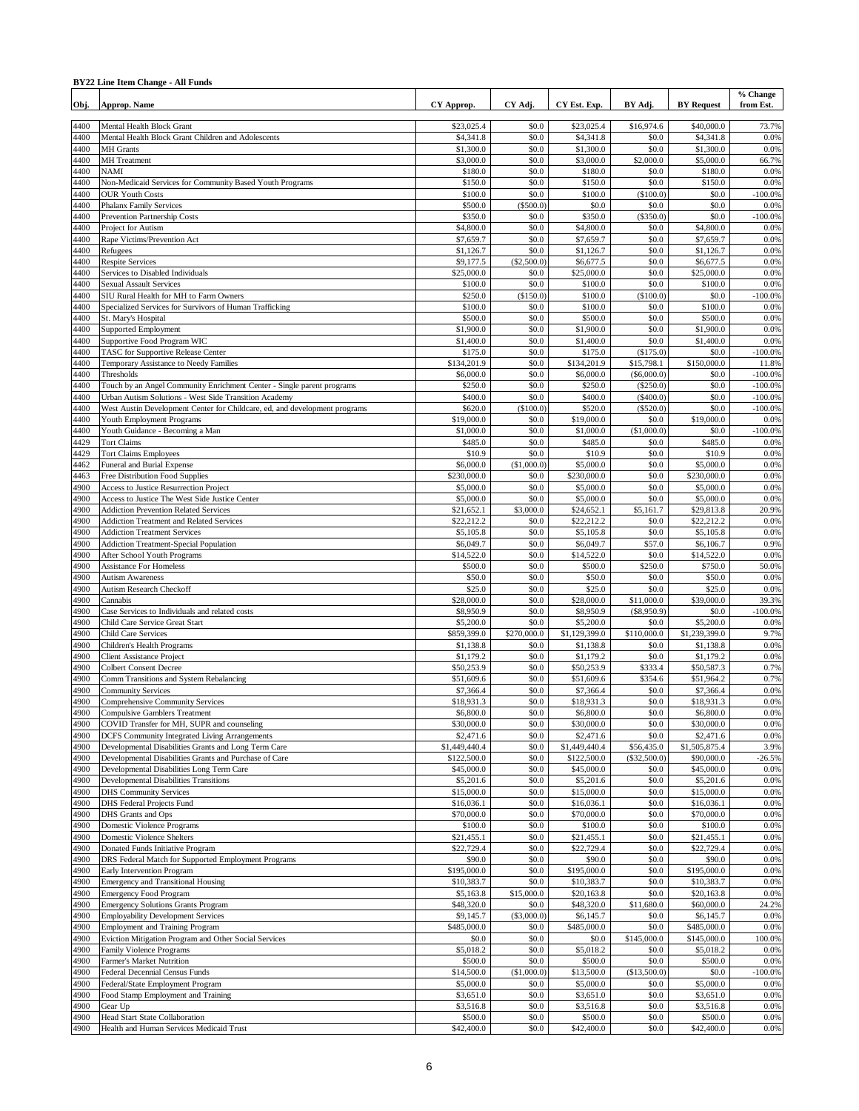### **BY22 Line Item Change - All Funds**

| Obj.         | Approp. Name                                                                                        | CY Approp.                | CY Adj.              | CY Est. Exp.               | BY Adj.                 | <b>BY</b> Request          | % Change<br>from Est. |
|--------------|-----------------------------------------------------------------------------------------------------|---------------------------|----------------------|----------------------------|-------------------------|----------------------------|-----------------------|
| 4400         | Mental Health Block Grant                                                                           | \$23,025.4                | \$0.0                | \$23,025.4                 | \$16,974.6              | \$40,000.0                 | 73.7%                 |
| 4400         | Mental Health Block Grant Children and Adolescents                                                  | \$4,341.8                 | \$0.0                | \$4,341.8                  | \$0.0                   | \$4,341.8                  | 0.0%                  |
| 4400         | <b>MH</b> Grants                                                                                    | \$1,300.0                 | \$0.0                | \$1,300.0                  | \$0.0                   | \$1,300.0                  | 0.0%                  |
| 4400<br>4400 | <b>MH</b> Treatment<br><b>NAMI</b>                                                                  | \$3,000.0<br>\$180.0      | \$0.0<br>\$0.0       | \$3,000.0<br>\$180.0       | \$2,000.0<br>\$0.0      | \$5,000.0<br>\$180.0       | 66.7%<br>0.0%         |
| 4400         | Non-Medicaid Services for Community Based Youth Programs                                            | \$150.0                   | \$0.0                | \$150.0                    | \$0.0                   | \$150.0                    | 0.0%                  |
| 4400         | <b>OUR Youth Costs</b>                                                                              | \$100.0                   | \$0.0                | \$100.0                    | (\$100.0)               | \$0.0                      | $-100.0\%$            |
| 4400         | <b>Phalanx Family Services</b>                                                                      | \$500.0                   | (\$500.0)            | \$0.0                      | \$0.0                   | \$0.0                      | 0.0%                  |
| 4400<br>4400 | Prevention Partnership Costs                                                                        | \$350.0                   | \$0.0<br>\$0.0       | \$350.0                    | (\$350.0)<br>\$0.0      | \$0.0                      | $-100.0%$<br>0.0%     |
| 4400         | Project for Autism<br>Rape Victims/Prevention Act                                                   | \$4,800.0<br>\$7,659.7    | \$0.0                | \$4,800.0<br>\$7,659.7     | \$0.0                   | \$4,800.0<br>\$7,659.7     | 0.0%                  |
| 4400         | Refugees                                                                                            | \$1,126.7                 | \$0.0                | \$1,126.7                  | \$0.0                   | \$1,126.7                  | 0.0%                  |
| 4400         | <b>Respite Services</b>                                                                             | \$9,177.5                 | (\$2,500.0)          | \$6,677.5                  | \$0.0                   | \$6,677.5                  | 0.0%                  |
| 4400         | Services to Disabled Individuals                                                                    | \$25,000.0                | \$0.0                | \$25,000.0                 | \$0.0                   | \$25,000.0                 | 0.0%                  |
| 4400<br>4400 | <b>Sexual Assault Services</b><br>SIU Rural Health for MH to Farm Owners                            | \$100.0<br>\$250.0        | \$0.0<br>(\$150.0)   | \$100.0<br>\$100.0         | \$0.0<br>(\$100.0)      | \$100.0<br>\$0.0           | 0.0%<br>$-100.0%$     |
| 4400         | Specialized Services for Survivors of Human Trafficking                                             | \$100.0                   | \$0.0                | \$100.0                    | \$0.0                   | \$100.0                    | 0.0%                  |
| 4400         | St. Mary's Hospital                                                                                 | \$500.0                   | \$0.0                | \$500.0                    | \$0.0                   | \$500.0                    | 0.0%                  |
| 4400         | <b>Supported Employment</b>                                                                         | \$1,900.0                 | \$0.0                | \$1,900.0                  | \$0.0                   | \$1,900.0                  | 0.0%                  |
| 4400         | Supportive Food Program WIC                                                                         | \$1,400.0                 | \$0.0                | \$1,400.0                  | \$0.0                   | \$1,400.0                  | 0.0%                  |
| 4400<br>4400 | TASC for Supportive Release Center                                                                  | \$175.0<br>\$134,201.9    | \$0.0<br>\$0.0       | \$175.0<br>\$134,201.9     | (\$175.0)<br>\$15,798.1 | \$0.0<br>\$150,000.0       | $-100.0%$<br>11.8%    |
| 4400         | Temporary Assistance to Needy Families<br>Thresholds                                                | \$6,000.0                 | \$0.0                | \$6,000.0                  | (S6,000,0)              | \$0.0                      | $-100.0%$             |
| 4400         | Touch by an Angel Community Enrichment Center - Single parent programs                              | \$250.0                   | \$0.0                | \$250.0                    | (\$250.0)               | \$0.0                      | $-100.0%$             |
| 4400         | Urban Autism Solutions - West Side Transition Academy                                               | \$400.0                   | \$0.0                | \$400.0                    | (\$400.0)               | \$0.0                      | $-100.0%$             |
| 4400         | West Austin Development Center for Childcare, ed, and development programs                          | \$620.0                   | (\$100.0)            | \$520.0                    | (\$520.0)               | \$0.0                      | $-100.0%$             |
| 4400         | Youth Employment Programs                                                                           | \$19,000.0                | \$0.0                | \$19,000.0                 | \$0.0                   | \$19,000.0                 | 0.0%<br>$-100.0%$     |
| 4400<br>4429 | Youth Guidance - Becoming a Man<br><b>Tort Claims</b>                                               | \$1,000.0<br>\$485.0      | \$0.0<br>\$0.0       | \$1,000.0<br>\$485.0       | (S1,000.0)<br>\$0.0     | \$0.0<br>\$485.0           | 0.0%                  |
| 4429         | <b>Tort Claims Employees</b>                                                                        | \$10.9                    | \$0.0                | \$10.9                     | \$0.0                   | \$10.9                     | 0.0%                  |
| 4462         | Funeral and Burial Expense                                                                          | \$6,000.0                 | (\$1,000.0)          | \$5,000.0                  | \$0.0                   | \$5,000.0                  | 0.0%                  |
| 4463         | Free Distribution Food Supplies                                                                     | \$230,000.0               | \$0.0                | \$230,000.0                | \$0.0                   | \$230,000.0                | 0.0%                  |
| 4900         | Access to Justice Resurrection Project                                                              | \$5,000.0                 | \$0.0                | \$5,000.0                  | \$0.0                   | \$5,000.0                  | 0.0%                  |
| 4900<br>4900 | Access to Justice The West Side Justice Center<br><b>Addiction Prevention Related Services</b>      | \$5,000.0<br>\$21,652.1   | \$0.0<br>\$3,000.0   | \$5,000.0<br>\$24,652.1    | \$0.0<br>\$5,161.7      | \$5,000.0<br>\$29,813.8    | 0.0%<br>20.9%         |
| 4900         | <b>Addiction Treatment and Related Services</b>                                                     | \$22,212.2                | \$0.0                | \$22,212.2                 | \$0.0                   | \$22,212.2                 | 0.0%                  |
| 4900         | <b>Addiction Treatment Services</b>                                                                 | \$5,105.8                 | \$0.0                | \$5,105.8                  | \$0.0                   | \$5,105.8                  | 0.0%                  |
| 4900         | <b>Addiction Treatment-Special Population</b>                                                       | \$6,049.7                 | \$0.0                | \$6,049.7                  | \$57.0                  | \$6,106.7                  | 0.9%                  |
| 4900         | After School Youth Programs                                                                         | \$14,522.0                | \$0.0                | \$14,522.0                 | \$0.0                   | \$14,522.0                 | 0.0%                  |
| 4900<br>4900 | <b>Assistance For Homeless</b><br><b>Autism Awareness</b>                                           | \$500.0<br>\$50.0         | \$0.0<br>\$0.0       | \$500.0<br>\$50.0          | \$250.0<br>\$0.0        | \$750.0<br>\$50.0          | 50.0%<br>0.0%         |
| 4900         | <b>Autism Research Checkoff</b>                                                                     | \$25.0                    | \$0.0                | \$25.0                     | \$0.0                   | \$25.0                     | 0.0%                  |
| 4900         | Cannabis                                                                                            | \$28,000.0                | \$0.0                | \$28,000.0                 | \$11,000.0              | \$39,000.0                 | 39.3%                 |
| 4900         | Case Services to Individuals and related costs                                                      | \$8,950.9                 | \$0.0                | \$8,950.9                  | (\$8,950.9)             | \$0.0                      | 100.0%                |
| 4900         | Child Care Service Great Start                                                                      | \$5,200.0                 | \$0.0                | \$5,200.0                  | \$0.0                   | \$5,200.0                  | 0.0%                  |
| 4900<br>4900 | Child Care Services<br>Children's Health Programs                                                   | \$859,399.0<br>\$1,138.8  | \$270,000.0<br>\$0.0 | \$1,129,399.0<br>\$1,138.8 | \$110,000.0<br>\$0.0    | \$1,239,399.0<br>\$1,138.8 | 9.7%<br>0.0%          |
| 4900         | <b>Client Assistance Project</b>                                                                    | \$1,179.2                 | \$0.0                | \$1,179.2                  | \$0.0                   | \$1,179.2                  | 0.0%                  |
| 4900         | <b>Colbert Consent Decree</b>                                                                       | \$50,253.9                | \$0.0                | \$50,253.9                 | \$333.4                 | \$50,587.3                 | 0.7%                  |
| 4900         | Comm Transitions and System Rebalancing                                                             | \$51,609.6                | \$0.0                | \$51,609.6                 | \$354.6                 | \$51,964.2                 | 0.7%                  |
| 4900         | <b>Community Services</b>                                                                           | \$7,366.4                 | \$0.0                | \$7,366.4                  | \$0.0                   | \$7,366.4                  | 0.0%                  |
| 4900<br>4900 | Comprehensive Community Services<br><b>Compulsive Gamblers Treatment</b>                            | \$18,931.3<br>\$6,800.0   | \$0.0<br>\$0.0       | \$18,931.3<br>\$6,800.0    | \$0.0<br>\$0.0          | \$18,931.3<br>\$6,800.0    | 0.0%<br>0.0%          |
| 4900         | COVID Transfer for MH, SUPR and counseling                                                          | \$30,000.0                | \$0.0                | \$30,000.0                 | \$0.0                   | \$30,000.0                 | 0.0%                  |
| 4900         | <b>DCFS</b> Community Integrated Living Arrangements                                                | \$2,471.6                 | \$0.0                | \$2,471.6                  | \$0.0                   | \$2,471.6                  | 0.0%                  |
| 4900         | Developmental Disabilities Grants and Long Term Care                                                | \$1,449,440.4             | \$0.0                | \$1,449,440.4              | \$56,435.0              | \$1,505,875.4              | 3.9%                  |
| 4900         | Developmental Disabilities Grants and Purchase of Care<br>Developmental Disabilities Long Term Care | \$122,500.0<br>\$45,000.0 | \$0.0<br>\$0.0       | \$122,500.0<br>\$45,000.0  | (\$32,500.0)            | \$90,000.0<br>\$45,000.0   | $-26.5%$<br>0.0%      |
| 4900<br>4900 | Developmental Disabilities Transitions                                                              | \$5,201.6                 | \$0.0                | \$5,201.6                  | \$0.0<br>\$0.0          | \$5,201.6                  | 0.0%                  |
| 4900         | <b>DHS Community Services</b>                                                                       | \$15,000.0                | \$0.0                | \$15,000.0                 | \$0.0                   | \$15,000.0                 | 0.0%                  |
| 4900         | <b>DHS</b> Federal Projects Fund                                                                    | \$16,036.1                | \$0.0                | \$16,036.1                 | \$0.0                   | \$16,036.1                 | 0.0%                  |
| 4900         | DHS Grants and Ops                                                                                  | \$70,000.0                | \$0.0                | \$70,000.0                 | \$0.0                   | \$70,000.0                 | 0.0%                  |
| 4900<br>4900 | Domestic Violence Programs<br><b>Domestic Violence Shelters</b>                                     | \$100.0<br>\$21,455.1     | \$0.0<br>\$0.0       | \$100.0<br>\$21,455.1      | \$0.0<br>\$0.0          | \$100.0<br>\$21,455.1      | 0.0%<br>0.0%          |
| 4900         | Donated Funds Initiative Program                                                                    | \$22,729.4                | \$0.0                | \$22,729.4                 | \$0.0                   | \$22,729.4                 | 0.0%                  |
| 4900         | DRS Federal Match for Supported Employment Programs                                                 | \$90.0                    | \$0.0                | \$90.0                     | \$0.0                   | \$90.0                     | 0.0%                  |
| 4900         | Early Intervention Program                                                                          | \$195,000.0               | \$0.0                | \$195,000.0                | \$0.0                   | \$195,000.0                | 0.0%                  |
| 4900         | <b>Emergency and Transitional Housing</b>                                                           | \$10,383.7                | \$0.0                | \$10,383.7                 | \$0.0                   | \$10,383.7                 | 0.0%                  |
| 4900<br>4900 | <b>Emergency Food Program</b><br><b>Emergency Solutions Grants Program</b>                          | \$5,163.8<br>\$48,320.0   | \$15,000.0<br>\$0.0  | \$20,163.8<br>\$48,320.0   | \$0.0<br>\$11,680.0     | \$20,163.8<br>\$60,000.0   | 0.0%<br>24.2%         |
| 4900         | <b>Employability Development Services</b>                                                           | \$9,145.7                 | (\$3,000.0)          | \$6,145.7                  | \$0.0                   | \$6,145.7                  | 0.0%                  |
| 4900         | <b>Employment and Training Program</b>                                                              | \$485,000.0               | \$0.0                | \$485,000.0                | \$0.0                   | \$485,000.0                | 0.0%                  |
| 4900         | Eviction Mitigation Program and Other Social Services                                               | \$0.0                     | \$0.0                | \$0.0                      | \$145,000.0             | \$145,000.0                | 100.0%                |
| 4900         | <b>Family Violence Programs</b>                                                                     | \$5,018.2                 | \$0.0                | \$5,018.2                  | \$0.0                   | \$5,018.2                  | 0.0%                  |
| 4900         | Farmer's Market Nutrition                                                                           | \$500.0                   | \$0.0                | \$500.0                    | \$0.0                   | \$500.0                    | 0.0%                  |
| 4900<br>4900 | Federal Decennial Census Funds<br>Federal/State Employment Program                                  | \$14,500.0<br>\$5,000.0   | (\$1,000.0)<br>\$0.0 | \$13,500.0<br>\$5,000.0    | (\$13,500.0)<br>\$0.0   | \$0.0<br>\$5,000.0         | $-100.0%$<br>0.0%     |
| 4900         | Food Stamp Employment and Training                                                                  | \$3,651.0                 | \$0.0                | \$3,651.0                  | \$0.0                   | \$3,651.0                  | 0.0%                  |
| 4900         | Gear Up                                                                                             | \$3,516.8                 | \$0.0                | \$3,516.8                  | \$0.0                   | \$3,516.8                  | 0.0%                  |
| 4900         | <b>Head Start State Collaboration</b>                                                               | \$500.0                   | \$0.0                | \$500.0                    | \$0.0                   | \$500.0                    | 0.0%                  |
| 4900         | Health and Human Services Medicaid Trust                                                            | \$42,400.0                | \$0.0                | \$42,400.0                 | \$0.0                   | \$42,400.0                 | 0.0%                  |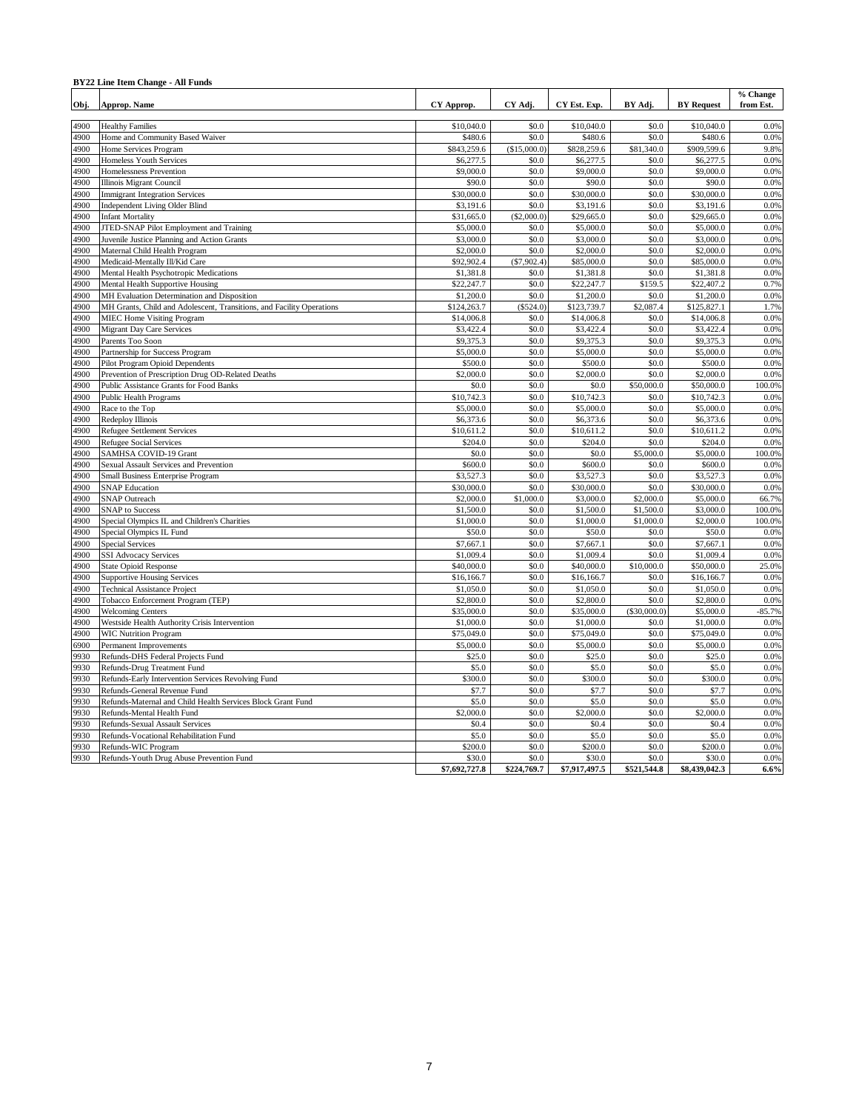#### **BY22 Line Item Change - All Funds**

| Obj. | Approp. Name                                                          | CY Approp.    | CY Adj.       | CY Est. Exp.  | BY Adj.      | <b>BY Request</b> | % Change<br>from Est. |
|------|-----------------------------------------------------------------------|---------------|---------------|---------------|--------------|-------------------|-----------------------|
| 4900 | <b>Healthy Families</b>                                               | \$10,040.0    | \$0.0         | \$10,040.0    | \$0.0        | \$10,040.0        | 0.0%                  |
| 4900 | Home and Community Based Waiver                                       | \$480.6       | \$0.0         | \$480.6       | \$0.0        | \$480.6           | 0.0%                  |
| 4900 | Home Services Program                                                 | \$843,259.6   | (\$15,000.0)  | \$828,259.6   | \$81,340.0   | \$909,599.6       | 9.8%                  |
| 4900 | Homeless Youth Services                                               | \$6,277.5     | \$0.0         | \$6,277.5     | \$0.0        | \$6,277.5         | 0.0%                  |
| 4900 | Homelessness Prevention                                               | \$9,000.0     | \$0.0         | \$9,000.0     | \$0.0        | \$9,000.0         | 0.0%                  |
| 4900 | <b>Illinois Migrant Council</b>                                       | \$90.0        | \$0.0         | \$90.0        | \$0.0        | \$90.0            | 0.0%                  |
| 4900 | <b>Immigrant Integration Services</b>                                 | \$30,000.0    | \$0.0         | \$30,000.0    | \$0.0        | \$30,000.0        | 0.0%                  |
| 4900 | <b>Independent Living Older Blind</b>                                 | \$3,191.6     | \$0.0         | \$3,191.6     | \$0.0        | \$3,191.6         | 0.0%                  |
| 4900 | <b>Infant Mortality</b>                                               | \$31,665.0    | (\$2,000.0)   | \$29,665.0    | \$0.0        | \$29,665.0        | 0.0%                  |
| 4900 | JTED-SNAP Pilot Employment and Training                               | \$5,000.0     | \$0.0         | \$5,000.0     | \$0.0        | \$5,000.0         | 0.0%                  |
| 4900 | Juvenile Justice Planning and Action Grants                           | \$3,000.0     | \$0.0         | \$3,000.0     | \$0.0        | \$3,000.0         | 0.0%                  |
| 4900 | Maternal Child Health Program                                         | \$2,000.0     | \$0.0         | \$2,000.0     | \$0.0        | \$2,000.0         | 0.0%                  |
| 4900 | Medicaid-Mentally Ill/Kid Care                                        | \$92,902.4    | $(\$7,902.4)$ | \$85,000.0    | \$0.0        | \$85,000.0        | 0.0%                  |
| 4900 | Mental Health Psychotropic Medications                                | \$1,381.8     | \$0.0         | \$1,381.8     | \$0.0        | \$1,381.8         | 0.0%                  |
| 4900 | Mental Health Supportive Housing                                      | \$22,247.7    | \$0.0         | \$22,247.7    | \$159.5      | \$22,407.2        | 0.7%                  |
| 4900 | MH Evaluation Determination and Disposition                           | \$1,200.0     | \$0.0         | \$1,200.0     | \$0.0        | \$1,200.0         | 0.0%                  |
| 4900 | MH Grants, Child and Adolescent, Transitions, and Facility Operations | \$124,263.7   | (S524.0)      | \$123,739.7   | \$2,087.4    | \$125,827.1       | 1.7%                  |
| 4900 | <b>MIEC Home Visiting Program</b>                                     | \$14,006.8    | \$0.0         | \$14,006.8    | \$0.0        | \$14,006.8        | 0.0%                  |
| 4900 | <b>Migrant Day Care Services</b>                                      | \$3,422.4     | \$0.0         | \$3,422.4     | \$0.0        | \$3,422.4         | 0.0%                  |
| 4900 | Parents Too Soon                                                      | \$9,375.3     | \$0.0         | \$9,375.3     | \$0.0        | \$9,375.3         | 0.0%                  |
| 4900 | Partnership for Success Program                                       | \$5,000.0     | \$0.0         | \$5,000.0     | \$0.0        | \$5,000.0         | 0.0%                  |
| 4900 | Pilot Program Opioid Dependents                                       | \$500.0       | \$0.0         | \$500.0       | \$0.0        | \$500.0           | 0.0%                  |
| 4900 | Prevention of Prescription Drug OD-Related Deaths                     | \$2,000.0     | \$0.0         | \$2,000.0     | \$0.0        | \$2,000.0         | 0.0%                  |
| 4900 | Public Assistance Grants for Food Banks                               | \$0.0         | \$0.0         | \$0.0         | \$50,000.0   | \$50,000.0        | 100.0%                |
| 4900 | Public Health Programs                                                | \$10,742.3    | \$0.0         | \$10,742.3    | \$0.0        | \$10,742.3        | 0.0%                  |
| 4900 | Race to the Top                                                       | \$5,000.0     | \$0.0         | \$5,000.0     | \$0.0        | \$5,000.0         | 0.0%                  |
| 4900 | Redeploy Illinois                                                     | \$6,373.6     | \$0.0         | \$6,373.6     | \$0.0        | \$6,373.6         | 0.0%                  |
| 4900 | <b>Refugee Settlement Services</b>                                    | \$10,611.2    | \$0.0         | \$10,611.2    | \$0.0        | \$10,611.2        | 0.0%                  |
| 4900 | <b>Refugee Social Services</b>                                        | \$204.0       | \$0.0         | \$204.0       | \$0.0        | \$204.0           | 0.0%                  |
| 4900 | SAMHSA COVID-19 Grant                                                 | \$0.0         | \$0.0         | \$0.0         | \$5,000.0    | \$5,000.0         | 100.0%                |
| 4900 | Sexual Assault Services and Prevention                                | \$600.0       | \$0.0         | \$600.0       | \$0.0        | \$600.0           | 0.0%                  |
| 4900 | Small Business Enterprise Program                                     | \$3,527.3     | \$0.0         | \$3,527.3     | \$0.0        | \$3,527.3         | 0.0%                  |
| 4900 | <b>SNAP Education</b>                                                 | \$30,000.0    | \$0.0         | \$30,000.0    | \$0.0        | \$30,000.0        | 0.0%                  |
| 4900 | <b>SNAP Outreach</b>                                                  | \$2,000.0     | \$1,000.0     | \$3,000.0     | \$2,000.0    | \$5,000.0         | 66.7%                 |
| 4900 | <b>SNAP</b> to Success                                                | \$1,500.0     | \$0.0         | \$1,500.0     | \$1,500.0    | \$3,000.0         | 100.0%                |
| 4900 | Special Olympics IL and Children's Charities                          | \$1,000.0     | \$0.0         | \$1,000.0     | \$1,000.0    | \$2,000.0         | 100.0%                |
| 4900 | Special Olympics IL Fund                                              | \$50.0        | \$0.0         | \$50.0        | \$0.0        | \$50.0            | 0.0%                  |
| 4900 | <b>Special Services</b>                                               | \$7,667.1     | \$0.0         | \$7,667.1     | \$0.0        | \$7,667.1         | 0.0%                  |
| 4900 | <b>SSI Advocacy Services</b>                                          | \$1,009.4     | \$0.0         | \$1,009.4     | \$0.0        | \$1,009.4         | 0.0%                  |
| 4900 | <b>State Opioid Response</b>                                          | \$40,000.0    | \$0.0         | \$40,000.0    | \$10,000.0   | \$50,000.0        | 25.0%                 |
| 4900 | <b>Supportive Housing Services</b>                                    | \$16,166.7    | \$0.0         | \$16,166.7    | \$0.0        | \$16,166.7        | 0.0%                  |
| 4900 | <b>Technical Assistance Project</b>                                   | \$1,050.0     | \$0.0         | \$1,050.0     | \$0.0        | \$1,050.0         | 0.0%                  |
| 4900 | Tobacco Enforcement Program (TEP)                                     | \$2,800.0     | \$0.0         | \$2,800.0     | \$0.0        | \$2,800.0         | 0.0%                  |
| 4900 | <b>Welcoming Centers</b>                                              | \$35,000.0    | \$0.0         | \$35,000.0    | (\$30,000.0) | \$5,000.0         | 85.7%                 |
| 4900 | Westside Health Authority Crisis Intervention                         | \$1,000.0     | \$0.0         | \$1,000.0     | \$0.0        | \$1,000.0         | 0.0%                  |
| 4900 | <b>WIC Nutrition Program</b>                                          | \$75,049.0    | \$0.0         | \$75,049.0    | \$0.0        | \$75,049.0        | 0.0%                  |
| 6900 | Permanent Improvements                                                | \$5,000.0     | \$0.0         | \$5,000.0     | \$0.0        | \$5,000.0         | 0.0%                  |
| 9930 | Refunds-DHS Federal Projects Fund                                     | \$25.0        | \$0.0         | \$25.0        | \$0.0        | \$25.0            | 0.0%                  |
| 9930 | Refunds-Drug Treatment Fund                                           | \$5.0         | \$0.0         | \$5.0         | \$0.0        | \$5.0             | 0.0%                  |
| 9930 | Refunds-Early Intervention Services Revolving Fund                    | \$300.0       | \$0.0         | \$300.0       | \$0.0        | \$300.0           | 0.0%                  |
| 9930 | Refunds-General Revenue Fund                                          | \$7.7         | \$0.0         | \$7.7         | \$0.0        | \$7.7             | 0.0%                  |
| 9930 | Refunds-Maternal and Child Health Services Block Grant Fund           | \$5.0         | \$0.0         | \$5.0         | \$0.0        | \$5.0             | 0.0%                  |
| 9930 | Refunds-Mental Health Fund                                            | \$2,000.0     | \$0.0         | \$2,000.0     | \$0.0        | \$2,000.0         | 0.0%                  |
| 9930 | Refunds-Sexual Assault Services                                       | \$0.4         | \$0.0         | \$0.4         | \$0.0        | \$0.4             | 0.0%                  |
| 9930 | Refunds-Vocational Rehabilitation Fund                                | \$5.0         | \$0.0         | \$5.0         | \$0.0        | \$5.0             | 0.0%                  |
| 9930 | Refunds-WIC Program                                                   | \$200.0       | \$0.0         | \$200.0       | \$0.0        | \$200.0           | 0.0%                  |
| 9930 | Refunds-Youth Drug Abuse Prevention Fund                              | \$30.0        | \$0.0         | \$30.0        | \$0.0        | \$30.0            | 0.0%                  |
|      |                                                                       | \$7,692,727.8 | \$224,769.7   | \$7,917,497.5 | \$521,544.8  | \$8,439,042.3     | 6.6%                  |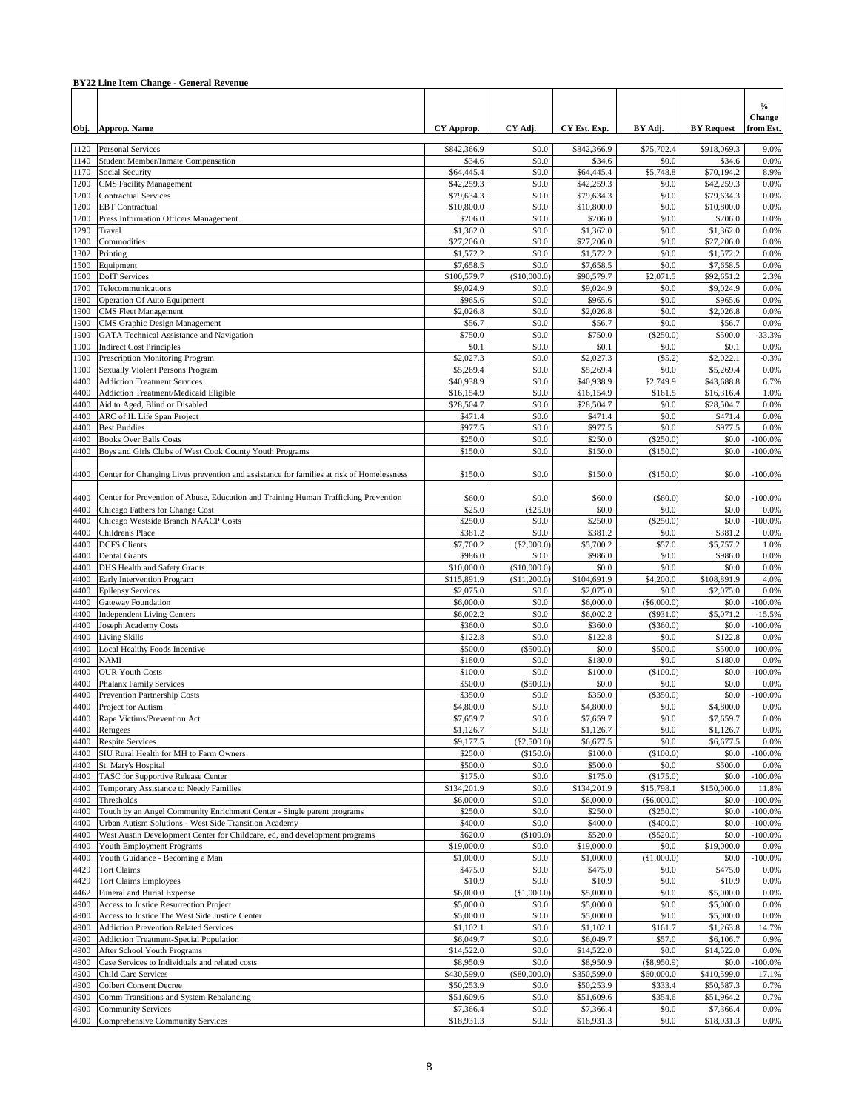|              | <b>BY22 Line Item Change - General Revenue</b>                                                                                  |                           |                       |                           |                            |                           |                                      |
|--------------|---------------------------------------------------------------------------------------------------------------------------------|---------------------------|-----------------------|---------------------------|----------------------------|---------------------------|--------------------------------------|
|              | Obj. Approp. Name                                                                                                               | CY Approp.                | CY Adj.               | CY Est. Exp.              | BY Adj.                    | <b>BY</b> Request         | $\frac{0}{0}$<br>Change<br>from Est. |
|              |                                                                                                                                 |                           |                       |                           |                            |                           |                                      |
| 1120<br>1140 | <b>Personal Services</b><br>Student Member/Inmate Compensation                                                                  | \$842,366.9<br>\$34.6     | \$0.0<br>\$0.0        | \$842,366.9<br>\$34.6     | \$75,702.4<br>\$0.0        | \$918,069.3<br>\$34.6     | 9.0%<br>0.0%                         |
| 1170         | Social Security                                                                                                                 | \$64,445.4                | \$0.0                 | \$64,445.4                | \$5,748.8                  | \$70,194.2                | 8.9%                                 |
| 1200         | <b>CMS</b> Facility Management                                                                                                  | \$42,259.3                | \$0.0                 | \$42,259.3                | \$0.0                      | \$42,259.3                | 0.0%                                 |
| 1200         | <b>Contractual Services</b>                                                                                                     | \$79,634.3                | \$0.0                 | \$79,634.3                | \$0.0                      | \$79,634.3                | 0.0%                                 |
| 1200         | <b>EBT</b> Contractual                                                                                                          | \$10,800.0                | \$0.0                 | \$10,800.0                | \$0.0                      | \$10,800.0                | 0.0%                                 |
| 1200<br>1290 | Press Information Officers Management<br>Travel                                                                                 | \$206.0<br>\$1,362.0      | \$0.0<br>\$0.0        | \$206.0<br>\$1,362.0      | \$0.0<br>\$0.0             | \$206.0<br>\$1,362.0      | 0.0%<br>0.0%                         |
| 1300         | Commodities                                                                                                                     | \$27,206.0                | \$0.0                 | \$27,206.0                | \$0.0                      | \$27,206.0                | 0.0%                                 |
| 1302         | Printing                                                                                                                        | \$1,572.2                 | \$0.0                 | \$1,572.2                 | \$0.0                      | \$1,572.2                 | 0.0%                                 |
| 1500         | Equipment                                                                                                                       | \$7,658.5                 | \$0.0                 | \$7,658.5                 | \$0.0                      | \$7,658.5                 | 0.0%                                 |
| 1600         | <b>DoIT</b> Services                                                                                                            | \$100,579.7               | (\$10,000.0]          | \$90,579.7                | \$2,071.5                  | \$92,651.2                | 2.3%                                 |
| 1700         | Telecommunications                                                                                                              | \$9,024.9                 | \$0.0                 | \$9,024.9                 | \$0.0                      | \$9,024.9                 | 0.0%                                 |
| 1800         | Operation Of Auto Equipment                                                                                                     | \$965.6                   | \$0.0                 | \$965.6                   | \$0.0                      | \$965.6                   | 0.0%                                 |
| 1900<br>1900 | <b>CMS</b> Fleet Management<br>CMS Graphic Design Management                                                                    | \$2,026.8<br>\$56.7       | \$0.0<br>\$0.0        | \$2,026.8<br>\$56.7       | \$0.0<br>\$0.0             | \$2,026.8<br>\$56.7       | 0.0%<br>0.0%                         |
| 1900         | GATA Technical Assistance and Navigation                                                                                        | \$750.0                   | \$0.0                 | \$750.0                   | $(\$250.0)$                | \$500.0                   | $-33.3%$                             |
| 1900         | <b>Indirect Cost Principles</b>                                                                                                 | \$0.1                     | \$0.0                 | \$0.1                     | \$0.0                      | \$0.1                     | 0.0%                                 |
| 1900         | Prescription Monitoring Program                                                                                                 | \$2,027.3                 | \$0.0                 | \$2,027.3                 | (S5.2)                     | \$2,022.1                 | $-0.3%$                              |
| 1900         | Sexually Violent Persons Program                                                                                                | \$5,269.4                 | \$0.0                 | \$5,269.4                 | \$0.0                      | \$5,269.4                 | 0.0%                                 |
| 4400         | <b>Addiction Treatment Services</b>                                                                                             | \$40,938.9                | \$0.0                 | \$40,938.9                | \$2,749.9                  | \$43,688.8                | 6.7%                                 |
| 4400<br>4400 | Addiction Treatment/Medicaid Eligible<br>Aid to Aged, Blind or Disabled                                                         | \$16,154.9<br>\$28,504.7  | \$0.0<br>\$0.0        | \$16,154.9<br>\$28,504.7  | \$161.5<br>\$0.0           | \$16,316.4<br>\$28,504.7  | 1.0%<br>0.0%                         |
| 4400         | ARC of IL Life Span Project                                                                                                     | \$471.4                   | \$0.0                 | \$471.4                   | \$0.0                      | \$471.4                   | 0.0%                                 |
| 4400         | <b>Best Buddies</b>                                                                                                             | \$977.5                   | \$0.0                 | \$977.5                   | \$0.0                      | \$977.5                   | 0.0%                                 |
| 4400         | <b>Books Over Balls Costs</b>                                                                                                   | \$250.0                   | \$0.0                 | \$250.0                   | $(\$250.0)$                | \$0.0                     | $-100.0%$                            |
| 4400         | Boys and Girls Clubs of West Cook County Youth Programs                                                                         | \$150.0                   | \$0.0                 | \$150.0                   | (\$150.0)                  | \$0.0                     | $-100.0%$                            |
| 4400         | Center for Changing Lives prevention and assistance for families at risk of Homelessness                                        | \$150.0                   | \$0.0                 | \$150.0                   | (\$150.0)                  | \$0.0                     | $-100.0\%$                           |
| 4400<br>4400 | Center for Prevention of Abuse, Education and Training Human Trafficking Prevention<br>Chicago Fathers for Change Cost          | \$60.0<br>\$25.0          | \$0.0<br>(\$25.0)     | \$60.0<br>\$0.0           | $($ \$60.0)<br>\$0.0       | \$0.0<br>\$0.0            | $-100.0\%$<br>0.0%                   |
| 4400         | Chicago Westside Branch NAACP Costs                                                                                             | \$250.0                   | \$0.0                 | \$250.0                   | $(\$250.0)$                | \$0.0                     | $-100.0%$                            |
| 4400         | Children's Place                                                                                                                | \$381.2                   | \$0.0                 | \$381.2                   | \$0.0                      | \$381.2                   | 0.0%                                 |
| 4400         | <b>DCFS</b> Clients                                                                                                             | \$7,700.2                 | (\$2,000.0)           | \$5,700.2                 | \$57.0                     | \$5,757.2                 | 1.0%                                 |
| 4400<br>4400 | <b>Dental Grants</b>                                                                                                            | \$986.0<br>\$10,000.0     | \$0.0<br>(\$10,000.0) | \$986.0<br>\$0.0          | \$0.0<br>\$0.0             | \$986.0<br>\$0.0          | 0.0%<br>0.0%                         |
| 4400         | DHS Health and Safety Grants<br>Early Intervention Program                                                                      | \$115,891.9               | (\$11,200.0)          | \$104,691.9               | \$4,200.0                  | \$108,891.9               | 4.0%                                 |
| 4400         | <b>Epilepsy Services</b>                                                                                                        | \$2,075.0                 | \$0.0                 | \$2,075.0                 | \$0.0                      | \$2,075.0                 | 0.0%                                 |
| 4400         | Gateway Foundation                                                                                                              | \$6,000.0                 | \$0.0                 | \$6,000.0                 | (\$6,000.0)                | \$0.0                     | $-100.0%$                            |
| 4400         | <b>Independent Living Centers</b>                                                                                               | \$6,002.2                 | \$0.0                 | \$6,002.2                 | $(\$931.0)$                | \$5,071.2                 | $-15.5%$                             |
| 4400         | Joseph Academy Costs                                                                                                            | \$360.0                   | \$0.0                 | \$360.0                   | $(\$360.0)$                | \$0.0                     | $-100.0%$                            |
| 4400<br>4400 | <b>Living Skills</b><br>Local Healthy Foods Incentive                                                                           | \$122.8<br>\$500.0        | \$0.0<br>(\$500.0)    | \$122.8<br>\$0.0          | \$0.0<br>\$500.0           | \$122.8<br>\$500.0        | 0.0%<br>100.0%                       |
| 4400         | <b>NAMI</b>                                                                                                                     | \$180.0                   | \$0.0                 | \$180.0                   | \$0.0                      | \$180.0                   | 0.0%                                 |
| 4400         | <b>OUR Youth Costs</b>                                                                                                          | \$100.0                   | \$0.0                 | \$100.0                   | (\$100.0)                  | \$0.0                     | $-100.0%$                            |
| 4400         | <b>Phalanx Family Services</b>                                                                                                  | \$500.0                   | (S500.0)              | \$0.0                     | \$0.0                      | \$0.0                     | 0.0%                                 |
| 4400         | Prevention Partnership Costs                                                                                                    | \$350.0                   | \$0.0                 | \$350.0                   | $(\$350.0)$                | \$0.0                     | $-100.0\%$                           |
|              | 4400 Project for Autism                                                                                                         | \$4,800.0                 | \$0.0                 | \$4,800.0                 | \$0.0                      | \$4,800.0                 | $0.0\%$                              |
| 4400<br>4400 | Rape Victims/Prevention Act                                                                                                     | \$7,659.7                 | \$0.0                 | \$7,659.7                 | \$0.0                      | \$7,659.7                 | 0.0%                                 |
| 4400         | Refugees<br><b>Respite Services</b>                                                                                             | \$1,126.7<br>\$9,177.5    | \$0.0<br>(\$2,500.0)  | \$1,126.7<br>\$6,677.5    | \$0.0<br>\$0.0             | \$1,126.7<br>\$6,677.5    | 0.0%<br>0.0%                         |
| 4400         | SIU Rural Health for MH to Farm Owners                                                                                          | \$250.0                   | (\$150.0)             | \$100.0                   | (\$100.0)                  | \$0.0                     | $-100.0%$                            |
| 4400         | St. Mary's Hospital                                                                                                             | \$500.0                   | \$0.0                 | \$500.0                   | \$0.0                      | \$500.0                   | 0.0%                                 |
| 4400         | TASC for Supportive Release Center                                                                                              | \$175.0                   | \$0.0                 | \$175.0                   | (\$175.0)                  | \$0.0                     | $-100.0%$                            |
| 4400         | Temporary Assistance to Needy Families                                                                                          | \$134,201.9               | \$0.0                 | \$134,201.9               | \$15,798.1                 | \$150,000.0               | 11.8%                                |
| 4400         | Thresholds                                                                                                                      | \$6,000.0                 | \$0.0                 | \$6,000.0                 | (\$6,000.0)                | \$0.0                     | $-100.0\%$<br>$-100.0\%$             |
| 4400<br>4400 | Touch by an Angel Community Enrichment Center - Single parent programs<br>Urban Autism Solutions - West Side Transition Academy | \$250.0<br>\$400.0        | \$0.0<br>\$0.0        | \$250.0<br>\$400.0        | $(\$250.0)$<br>$(\$400.0)$ | \$0.0<br>\$0.0            | $-100.0%$                            |
| 4400         | West Austin Development Center for Childcare, ed, and development programs                                                      | \$620.0                   | (\$100.0)             | \$520.0                   | $(\$520.0)$                | \$0.0                     | $-100.0\%$                           |
| 4400         | Youth Employment Programs                                                                                                       | \$19,000.0                | \$0.0                 | \$19,000.0                | \$0.0                      | \$19,000.0                | 0.0%                                 |
| 4400         | Youth Guidance - Becoming a Man                                                                                                 | \$1,000.0                 | \$0.0                 | \$1,000.0                 | (\$1,000.0)                | \$0.0                     | $-100.0%$                            |
| 4429         | <b>Tort Claims</b>                                                                                                              | \$475.0                   | \$0.0                 | \$475.0                   | \$0.0                      | \$475.0                   | 0.0%                                 |
| 4429         | <b>Tort Claims Employees</b>                                                                                                    | \$10.9                    | \$0.0                 | \$10.9                    | \$0.0                      | \$10.9                    | 0.0%                                 |
| 4462<br>4900 | Funeral and Burial Expense<br>Access to Justice Resurrection Project                                                            | \$6,000.0<br>\$5,000.0    | (\$1,000.0)<br>\$0.0  | \$5,000.0<br>\$5,000.0    | \$0.0<br>\$0.0             | \$5,000.0<br>\$5,000.0    | 0.0%<br>0.0%                         |
| 4900         | Access to Justice The West Side Justice Center                                                                                  | \$5,000.0                 | \$0.0                 | \$5,000.0                 | \$0.0                      | \$5,000.0                 | 0.0%                                 |
| 4900         | <b>Addiction Prevention Related Services</b>                                                                                    | \$1,102.1                 | \$0.0                 | \$1,102.1                 | \$161.7                    | \$1,263.8                 | 14.7%                                |
| 4900         | Addiction Treatment-Special Population                                                                                          | \$6,049.7                 | \$0.0                 | \$6,049.7                 | \$57.0                     | \$6,106.7                 | 0.9%                                 |
| 4900         | After School Youth Programs                                                                                                     | \$14,522.0                | \$0.0                 | \$14,522.0                | \$0.0                      | \$14,522.0                | 0.0%                                 |
| 4900         | Case Services to Individuals and related costs                                                                                  | \$8,950.9                 | \$0.0                 | \$8,950.9                 | $(\$8,950.9)$              | \$0.0                     | 100.0%                               |
| 4900<br>4900 | <b>Child Care Services</b><br><b>Colbert Consent Decree</b>                                                                     | \$430,599.0<br>\$50,253.9 | (\$80,000.0)<br>\$0.0 | \$350,599.0<br>\$50,253.9 | \$60,000.0<br>\$333.4      | \$410,599.0<br>\$50,587.3 | 17.1%<br>0.7%                        |
| 4900         | Comm Transitions and System Rebalancing                                                                                         | \$51,609.6                | \$0.0                 | \$51,609.6                | \$354.6                    | \$51,964.2                | 0.7%                                 |
| 4900         | <b>Community Services</b>                                                                                                       | \$7,366.4                 | \$0.0                 | \$7,366.4                 | \$0.0                      | \$7,366.4                 | 0.0%                                 |
| 4900         | <b>Comprehensive Community Services</b>                                                                                         | \$18,931.3                | \$0.0                 | \$18,931.3                | \$0.0                      | \$18,931.3                | $0.0\%$                              |

#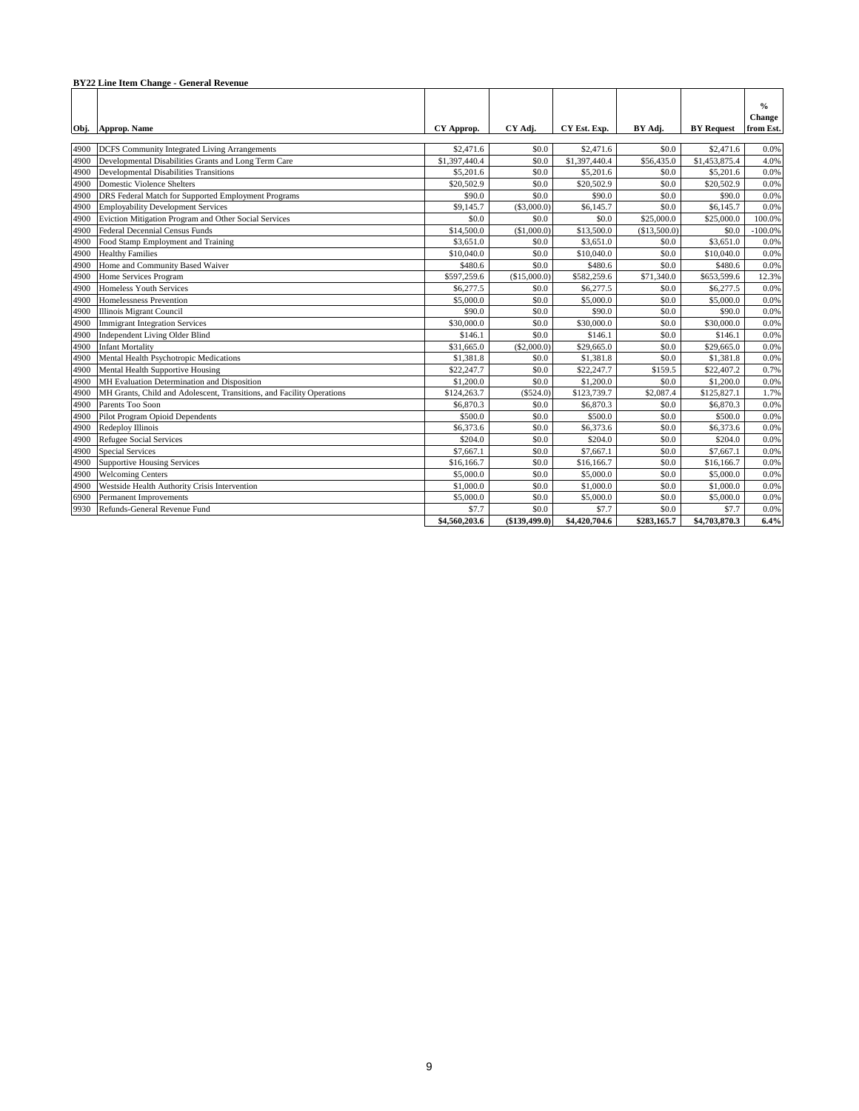|      | <b>BY22 Line Item Change - General Revenue</b>                        |               |               |               |              |                   |                                      |  |  |
|------|-----------------------------------------------------------------------|---------------|---------------|---------------|--------------|-------------------|--------------------------------------|--|--|
|      | Obj. Approp. Name                                                     | CY Approp.    | CY Adi.       | CY Est. Exp.  | BY Adi.      | <b>BY Request</b> | $\frac{0}{0}$<br>Change<br>from Est. |  |  |
| 4900 | DCFS Community Integrated Living Arrangements                         | \$2,471.6     | \$0.0         | \$2,471.6     | \$0.0        | \$2,471.6         | 0.0%                                 |  |  |
| 4900 | Developmental Disabilities Grants and Long Term Care                  | \$1,397,440.4 | \$0.0         | \$1,397,440.4 | \$56,435.0   | \$1,453,875.4     | 4.0%                                 |  |  |
| 4900 | <b>Developmental Disabilities Transitions</b>                         | \$5,201.6     | \$0.0         | \$5,201.6     | \$0.0        | \$5,201.6         | 0.0%                                 |  |  |
| 4900 | <b>Domestic Violence Shelters</b>                                     | \$20,502.9    | \$0.0         | \$20,502.9    | \$0.0        | \$20,502.9        | 0.0%                                 |  |  |
| 4900 | DRS Federal Match for Supported Employment Programs                   | \$90.0        | \$0.0         | \$90.0        | \$0.0        | \$90.0            | 0.0%                                 |  |  |
| 4900 | <b>Employability Development Services</b>                             | \$9,145.7     | ( \$3,000.0)  | \$6,145.7     | \$0.0        | \$6,145.7         | 0.0%                                 |  |  |
| 4900 | Eviction Mitigation Program and Other Social Services                 | \$0.0         | \$0.0         | \$0.0         | \$25,000.0   | \$25,000.0        | 100.0%                               |  |  |
| 4900 | Federal Decennial Census Funds                                        | \$14,500.0    | (\$1,000.0)   | \$13,500.0    | (\$13,500.0) | \$0.0             | $-100.0%$                            |  |  |
| 4900 | Food Stamp Employment and Training                                    | \$3,651.0     | \$0.0         | \$3,651.0     | \$0.0        | \$3,651.0         | 0.0%                                 |  |  |
| 4900 | <b>Healthy Families</b>                                               | \$10,040.0    | \$0.0         | \$10,040.0    | \$0.0        | \$10,040.0        | 0.0%                                 |  |  |
| 4900 | Home and Community Based Waiver                                       | \$480.6       | \$0.0         | \$480.6       | \$0.0        | \$480.6           | 0.0%                                 |  |  |
| 4900 | Home Services Program                                                 | \$597,259.6   | (\$15,000.0)  | \$582,259.6   | \$71,340.0   | \$653,599.6       | 12.3%                                |  |  |
| 4900 | Homeless Youth Services                                               | \$6,277.5     | \$0.0         | \$6,277.5     | \$0.0        | \$6,277.5         | 0.0%                                 |  |  |
| 4900 | Homelessness Prevention                                               | \$5,000.0     | \$0.0         | \$5,000.0     | \$0.0        | \$5,000.0         | 0.0%                                 |  |  |
| 4900 | <b>Illinois Migrant Council</b>                                       | \$90.0        | \$0.0         | \$90.0        | \$0.0        | \$90.0            | 0.0%                                 |  |  |
| 4900 | <b>Immigrant Integration Services</b>                                 | \$30,000.0    | \$0.0         | \$30,000.0    | \$0.0        | \$30,000.0        | 0.0%                                 |  |  |
| 4900 | Independent Living Older Blind                                        | \$146.1       | \$0.0         | \$146.1       | \$0.0        | \$146.1           | 0.0%                                 |  |  |
| 4900 | <b>Infant Mortality</b>                                               | \$31,665.0    | (\$2,000.0)   | \$29,665.0    | \$0.0        | \$29,665.0        | 0.0%                                 |  |  |
| 4900 | Mental Health Psychotropic Medications                                | \$1,381.8     | \$0.0         | \$1,381.8     | \$0.0        | \$1,381.8         | 0.0%                                 |  |  |
| 4900 | Mental Health Supportive Housing                                      | \$22,247.7    | \$0.0         | \$22,247.7    | \$159.5      | \$22,407.2        | 0.7%                                 |  |  |
| 4900 | MH Evaluation Determination and Disposition                           | \$1,200.0     | \$0.0         | \$1,200.0     | \$0.0        | \$1,200.0         | 0.0%                                 |  |  |
| 4900 | MH Grants, Child and Adolescent, Transitions, and Facility Operations | \$124,263.7   | (\$524.0)     | \$123,739.7   | \$2,087.4    | \$125,827.1       | 1.7%                                 |  |  |
| 4900 | Parents Too Soon                                                      | \$6,870.3     | \$0.0         | \$6,870.3     | \$0.0        | \$6,870.3         | 0.0%                                 |  |  |
| 4900 | Pilot Program Opioid Dependents                                       | \$500.0       | \$0.0         | \$500.0       | \$0.0        | \$500.0           | 0.0%                                 |  |  |
| 4900 | Redeploy Illinois                                                     | \$6,373.6     | \$0.0         | \$6,373.6     | \$0.0        | \$6,373.6         | 0.0%                                 |  |  |
| 4900 | <b>Refugee Social Services</b>                                        | \$204.0       | \$0.0         | \$204.0       | \$0.0        | \$204.0           | 0.0%                                 |  |  |
| 4900 | <b>Special Services</b>                                               | \$7,667.1     | \$0.0         | \$7,667.1     | \$0.0        | \$7,667.1         | 0.0%                                 |  |  |
| 4900 | <b>Supportive Housing Services</b>                                    | \$16,166.7    | \$0.0         | \$16,166.7    | \$0.0        | \$16,166.7        | 0.0%                                 |  |  |
| 4900 | <b>Welcoming Centers</b>                                              | \$5,000.0     | \$0.0         | \$5,000.0     | \$0.0        | \$5,000.0         | 0.0%                                 |  |  |
| 4900 | Westside Health Authority Crisis Intervention                         | \$1,000.0     | \$0.0         | \$1,000.0     | \$0.0        | \$1,000.0         | 0.0%                                 |  |  |
| 6900 | <b>Permanent Improvements</b>                                         | \$5,000.0     | \$0.0         | \$5,000.0     | \$0.0        | \$5,000.0         | 0.0%                                 |  |  |
| 9930 | Refunds-General Revenue Fund                                          | \$7.7         | \$0.0         | \$7.7         | \$0.0        | \$7.7             | 0.0%                                 |  |  |
|      |                                                                       | \$4,560,203.6 | (\$139,499.0) | \$4,420,704.6 | \$283,165.7  | \$4,703,870.3     | 6.4%                                 |  |  |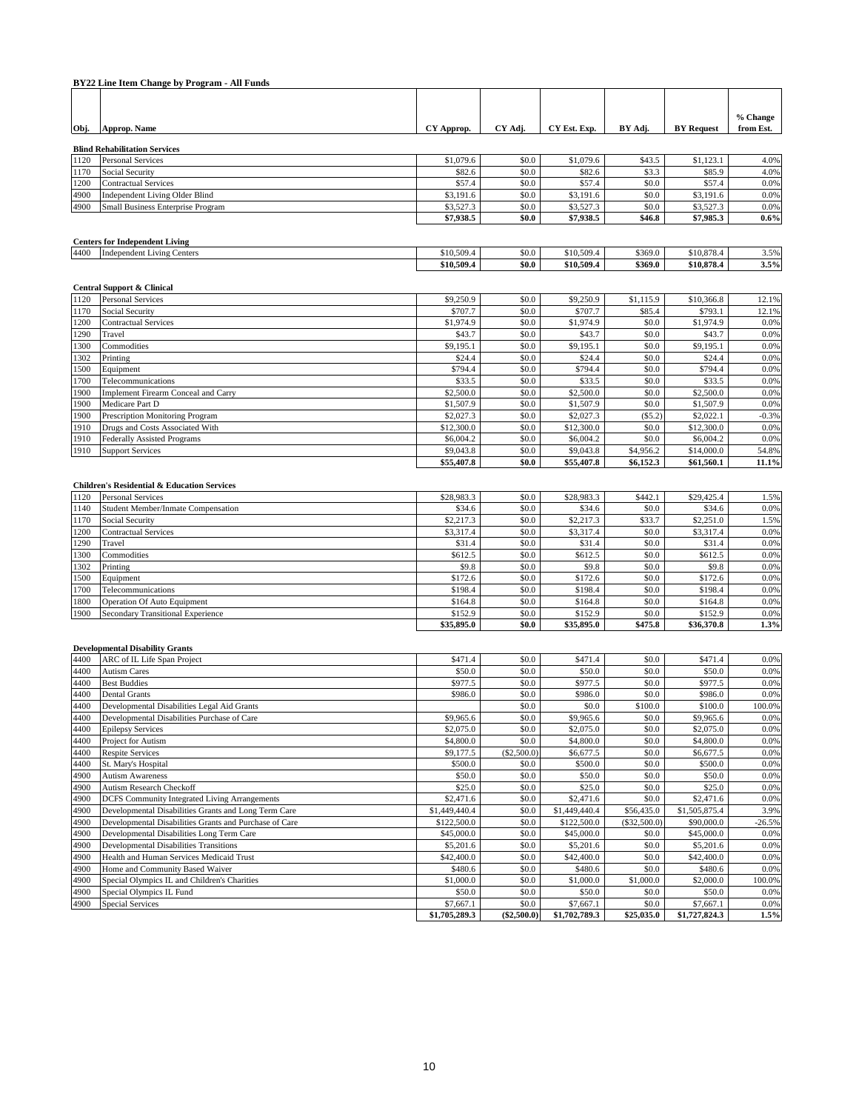|              | BY22 Line Item Change by Program - All Funds                                                        |                           |                |                           |                       |                          |                       |
|--------------|-----------------------------------------------------------------------------------------------------|---------------------------|----------------|---------------------------|-----------------------|--------------------------|-----------------------|
|              |                                                                                                     |                           |                |                           |                       |                          |                       |
| Obj.         | Approp. Name                                                                                        | CY Approp.                | CY Adj.        | CY Est. Exp.              | BY Adj.               | <b>BY Request</b>        | % Change<br>from Est. |
|              |                                                                                                     |                           |                |                           |                       |                          |                       |
| 1120         | <b>Blind Rehabilitation Services</b><br><b>Personal Services</b>                                    | \$1,079.6                 | \$0.0          | \$1,079.6                 | \$43.5                | \$1,123.1                | 4.0%                  |
| 1170         | Social Security                                                                                     | \$82.6                    | \$0.0          | \$82.6                    | \$3.3                 | \$85.9                   | 4.0%                  |
| 1200         | <b>Contractual Services</b>                                                                         | \$57.4                    | \$0.0          | \$57.4                    | \$0.0                 | \$57.4                   | 0.0%                  |
| 4900         | <b>Independent Living Older Blind</b>                                                               | \$3,191.6                 | \$0.0          | \$3,191.6                 | \$0.0                 | \$3,191.6                | 0.0%                  |
| 4900         | Small Business Enterprise Program                                                                   | \$3,527.3<br>\$7,938.5    | \$0.0<br>\$0.0 | \$3,527.3<br>\$7,938.5    | \$0.0<br>\$46.8       | \$3,527.3<br>\$7,985.3   | 0.0%<br>$0.6\%$       |
|              |                                                                                                     |                           |                |                           |                       |                          |                       |
|              | <b>Centers for Independent Living</b>                                                               |                           |                |                           |                       |                          |                       |
| 4400         | <b>Independent Living Centers</b>                                                                   | \$10,509.4<br>\$10,509.4  | \$0.0<br>\$0.0 | \$10,509.4<br>\$10,509.4  | \$369.0<br>\$369.0    | \$10,878.4<br>\$10,878.4 | 3.5%<br>3.5%          |
|              |                                                                                                     |                           |                |                           |                       |                          |                       |
|              | <b>Central Support &amp; Clinical</b>                                                               |                           |                |                           |                       |                          |                       |
| 1120         | <b>Personal Services</b>                                                                            | \$9,250.9                 | \$0.0          | \$9,250.9                 | \$1,115.9             | \$10,366.8               | 12.1%                 |
| 1170<br>1200 | Social Security<br><b>Contractual Services</b>                                                      | \$707.7<br>\$1,974.9      | \$0.0<br>\$0.0 | \$707.7<br>\$1,974.9      | \$85.4<br>\$0.0       | \$793.1<br>\$1,974.9     | 12.1%<br>0.0%         |
| 1290         | Travel                                                                                              | \$43.7                    | \$0.0          | \$43.7                    | \$0.0                 | \$43.7                   | 0.0%                  |
| 1300         | Commodities                                                                                         | \$9,195.1                 | \$0.0          | \$9,195.1                 | \$0.0                 | \$9,195.1                | 0.0%                  |
| 1302         | Printing                                                                                            | \$24.4                    | \$0.0          | \$24.4                    | \$0.0                 | \$24.4                   | 0.0%                  |
| 1500         | Equipment                                                                                           | \$794.4                   | \$0.0          | \$794.4                   | \$0.0                 | \$794.4                  | 0.0%                  |
| 1700         | Telecommunications                                                                                  | \$33.5                    | \$0.0          | \$33.5                    | \$0.0                 | \$33.5                   | 0.0%                  |
| 1900<br>900  | Implement Firearm Conceal and Carry<br>Medicare Part D                                              | \$2,500.0<br>\$1,507.9    | \$0.0<br>\$0.0 | \$2,500.0<br>\$1,507.9    | \$0.0<br>\$0.0        | \$2,500.0<br>\$1,507.9   | 0.0%<br>0.0%          |
| 1900         | Prescription Monitoring Program                                                                     | \$2,027.3                 | \$0.0          | \$2,027.3                 | (S5.2)                | \$2,022.1                | $-0.3%$               |
| 1910         | Drugs and Costs Associated With                                                                     | \$12,300.0                | \$0.0          | \$12,300.0                | \$0.0                 | \$12,300.0               | 0.0%                  |
| 1910         | <b>Federally Assisted Programs</b>                                                                  | \$6,004.2                 | \$0.0          | \$6,004.2                 | \$0.0                 | \$6,004.2                | 0.0%                  |
| 1910         | <b>Support Services</b>                                                                             | \$9,043.8                 | \$0.0          | \$9,043.8                 | \$4,956.2             | \$14,000.0               | 54.8%                 |
|              |                                                                                                     | \$55,407.8                | \$0.0          | \$55,407.8                | \$6,152.3             | \$61,560.1               | 11.1%                 |
|              |                                                                                                     |                           |                |                           |                       |                          |                       |
| 1120         | <b>Children's Residential &amp; Education Services</b><br><b>Personal Services</b>                  | \$28,983.3                | \$0.0          | \$28,983.3                | \$442.1               | \$29,425.4               | 1.5%                  |
| 1140         | Student Member/Inmate Compensation                                                                  | \$34.6                    | \$0.0          | \$34.6                    | \$0.0                 | \$34.6                   | 0.0%                  |
| 1170         | Social Security                                                                                     | \$2,217.3                 | \$0.0          | \$2,217.3                 | \$33.7                | \$2,251.0                | 1.5%                  |
| 1200         | <b>Contractual Services</b>                                                                         | \$3,317.4                 | \$0.0          | \$3,317.4                 | \$0.0                 | \$3,317.4                | 0.0%                  |
| 1290         | Travel                                                                                              | \$31.4                    | \$0.0          | \$31.4                    | \$0.0                 | \$31.4                   | 0.0%                  |
| 1300         | Commodities                                                                                         | \$612.5                   | \$0.0          | \$612.5                   | \$0.0                 | \$612.5                  | 0.0%                  |
| 1302<br>1500 | Printing<br>Equipment                                                                               | \$9.8<br>\$172.6          | \$0.0<br>\$0.0 | \$9.8<br>\$172.6          | \$0.0<br>\$0.0        | \$9.8<br>\$172.6         | 0.0%<br>0.0%          |
| 1700         | Telecommunications                                                                                  | \$198.4                   | \$0.0          | \$198.4                   | \$0.0                 | \$198.4                  | 0.0%                  |
| 1800         | <b>Operation Of Auto Equipment</b>                                                                  | \$164.8                   | \$0.0          | \$164.8                   | \$0.0                 | \$164.8                  | 0.0%                  |
| 1900         | Secondary Transitional Experience                                                                   | \$152.9                   | \$0.0          | \$152.9                   | \$0.0                 | \$152.9                  | 0.0%                  |
|              |                                                                                                     | \$35,895.0                | \$0.0          | \$35,895.0                | \$475.8               | \$36,370.8               | 1.3%                  |
|              | <b>Developmental Disability Grants</b>                                                              |                           |                |                           |                       |                          |                       |
| 4400         | ARC of IL Life Span Project                                                                         | \$471.4                   | \$0.0          | \$471.4                   | \$0.0                 | \$471.4                  | 0.0%                  |
| 4400         | <b>Autism Cares</b>                                                                                 | \$50.0                    | \$0.0          | \$50.0                    | \$0.0                 | \$50.0                   | 0.0%                  |
| 4400         | <b>Best Buddies</b>                                                                                 | \$977.5                   | \$0.0          | \$977.5                   | \$0.0                 | \$977.5                  | 0.0%                  |
| 4400         | <b>Dental Grants</b>                                                                                | \$986.0                   | \$0.0          | \$986.0                   | \$0.0                 | \$986.0                  | 0.0%                  |
| 4400         | Developmental Disabilities Legal Aid Grants                                                         |                           | \$0.0          | \$0.0                     | \$100.0               | \$100.0                  | 100.0%                |
| 4400         | Developmental Disabilities Purchase of Care                                                         | \$9,965.6                 | \$0.0          | \$9,965.6                 | \$0.0                 | \$9,965.6                | 0.0%                  |
| 4400<br>4400 | <b>Epilepsy Services</b><br>Project for Autism                                                      | \$2,075.0<br>\$4,800.0    | \$0.0<br>\$0.0 | \$2,075.0<br>\$4,800.0    | \$0.0<br>\$0.0        | \$2,075.0<br>\$4,800.0   | 0.0%<br>0.0%          |
| 4400         | <b>Respite Services</b>                                                                             | \$9,177.5                 | (\$2,500.0)    | \$6,677.5                 | \$0.0                 | \$6,677.5                | 0.0%                  |
| 4400         | St. Mary's Hospital                                                                                 | \$500.0                   | \$0.0          | \$500.0                   | \$0.0                 | \$500.0                  | 0.0%                  |
| 4900         | <b>Autism Awareness</b>                                                                             | \$50.0                    | \$0.0          | \$50.0                    | \$0.0                 | \$50.0                   | 0.0%                  |
| 4900         | Autism Research Checkoff                                                                            | \$25.0                    | \$0.0          | \$25.0                    | \$0.0                 | \$25.0                   | 0.0%                  |
| 4900         | DCFS Community Integrated Living Arrangements                                                       | \$2,471.6                 | \$0.0          | \$2,471.6                 | \$0.0                 | \$2,471.6                | 0.0%                  |
| 4900         | Developmental Disabilities Grants and Long Term Care                                                | \$1,449,440.4             | \$0.0          | \$1,449,440.4             | \$56,435.0            | \$1,505,875.4            | 3.9%                  |
| 4900<br>4900 | Developmental Disabilities Grants and Purchase of Care<br>Developmental Disabilities Long Term Care | \$122,500.0<br>\$45,000.0 | \$0.0<br>\$0.0 | \$122,500.0<br>\$45,000.0 | (\$32,500.0)<br>\$0.0 | \$90,000.0<br>\$45,000.0 | 26.5%<br>0.0%         |
| 4900         | <b>Developmental Disabilities Transitions</b>                                                       | \$5,201.6                 | \$0.0          | \$5,201.6                 | \$0.0                 | \$5,201.6                | 0.0%                  |
| 4900         | Health and Human Services Medicaid Trust                                                            | \$42,400.0                | \$0.0          | \$42,400.0                | \$0.0                 | \$42,400.0               | 0.0%                  |
| 4900         | Home and Community Based Waiver                                                                     | \$480.6                   | \$0.0          | \$480.6                   | \$0.0                 | \$480.6                  | 0.0%                  |
| 4900         | Special Olympics IL and Children's Charities                                                        | \$1,000.0                 | \$0.0          | \$1,000.0                 | \$1,000.0             | \$2,000.0                | 100.0%                |
| 4900         | Special Olympics IL Fund                                                                            | \$50.0                    | \$0.0          | \$50.0                    | \$0.0                 | \$50.0                   | 0.0%                  |
| 4900         | <b>Special Services</b>                                                                             | \$7,667.1                 | \$0.0          | \$7,667.1                 | \$0.0                 | \$7,667.1                | 0.0%                  |
|              |                                                                                                     | \$1,705,289.3             | $(\$2,500.0)$  | \$1,702,789.3             | \$25,035.0            | \$1,727,824.3            | 1.5%                  |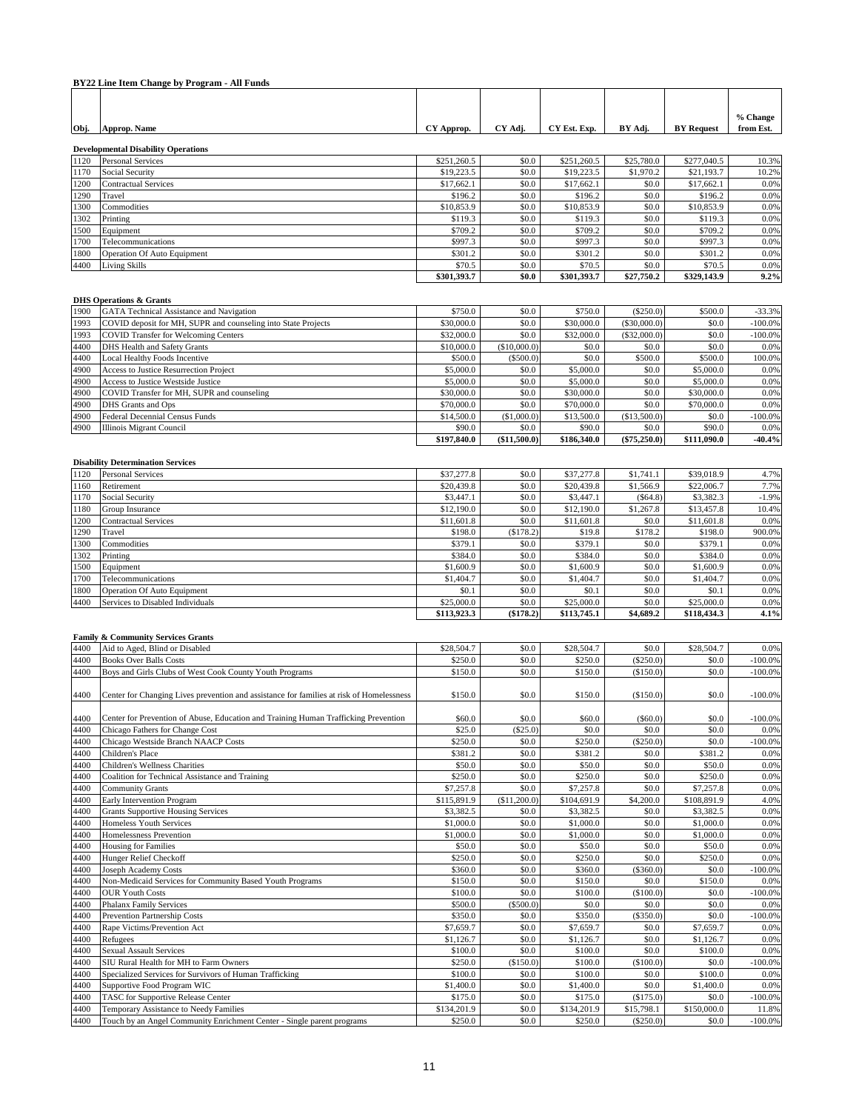|              | BY22 Line Item Change by Program - All Funds                                             |                        |                      |                        |                       |                        |                    |
|--------------|------------------------------------------------------------------------------------------|------------------------|----------------------|------------------------|-----------------------|------------------------|--------------------|
|              |                                                                                          |                        |                      |                        |                       |                        |                    |
|              |                                                                                          |                        |                      |                        |                       |                        | % Change           |
| Obj.         | Approp. Name                                                                             | CY Approp.             | CY Adj.              | CY Est. Exp.           | BY Adj.               | <b>BY Request</b>      | from Est.          |
|              |                                                                                          |                        |                      |                        |                       |                        |                    |
| 1120         | <b>Developmental Disability Operations</b><br><b>Personal Services</b>                   | \$251,260.5            | \$0.0                | \$251,260.5            | \$25,780.0            | \$277,040.5            | 10.3%              |
| 1170         | Social Security                                                                          | \$19,223.5             | \$0.0                | \$19,223.5             | \$1,970.2             | \$21,193.7             | 10.2%              |
| 1200         | <b>Contractual Services</b>                                                              | \$17,662.1             | \$0.0                | \$17,662.1             | \$0.0                 | \$17,662.1             | 0.0%               |
| 1290         | Travel                                                                                   | \$196.2                | \$0.0                | \$196.2                | \$0.0                 | \$196.2                | 0.0%               |
| 1300         | Commodities                                                                              | \$10,853.9             | \$0.0                | \$10,853.9             | \$0.0                 | \$10,853.9             | 0.0%               |
| 1302         | Printing                                                                                 | \$119.3                | \$0.0                | \$119.3                | \$0.0                 | \$119.3                | 0.0%               |
| 1500         | Equipment                                                                                | \$709.2                | \$0.0                | \$709.2                | \$0.0                 | \$709.2                | 0.0%               |
| 1700         | Telecommunications                                                                       | \$997.3                | \$0.0                | \$997.3                | \$0.0                 | \$997.3                | 0.0%               |
| 1800         | Operation Of Auto Equipment                                                              | \$301.2                | \$0.0                | \$301.2                | \$0.0                 | \$301.2                | 0.0%               |
| 4400         | <b>Living Skills</b>                                                                     | \$70.5<br>\$301,393.7  | \$0.0<br>\$0.0       | \$70.5<br>\$301,393.7  | \$0.0<br>\$27,750.2   | \$70.5<br>\$329,143.9  | 0.0%<br>9.2%       |
|              |                                                                                          |                        |                      |                        |                       |                        |                    |
|              | <b>DHS Operations &amp; Grants</b>                                                       |                        |                      |                        |                       |                        |                    |
| 1900         | GATA Technical Assistance and Navigation                                                 | \$750.0                | \$0.0                | \$750.0                | (\$250.0)             | \$500.0                | $-33.3%$           |
| 1993         | COVID deposit for MH, SUPR and counseling into State Projects                            | \$30,000.0             | \$0.0                | \$30,000.0             | $(\$30,000.0)$        | \$0.0                  | $-100.0\%$         |
| 1993         | <b>COVID Transfer for Welcoming Centers</b>                                              | \$32,000.0             | \$0.0                | \$32,000.0             | (\$32,000.0)          | \$0.0                  | $-100.0%$          |
| 4400         | DHS Health and Safety Grants                                                             | \$10,000.0             | (\$10,000.0)         | \$0.0                  | \$0.0                 | \$0.0                  | 0.0%               |
| 4400         | Local Healthy Foods Incentive                                                            | \$500.0                | (\$500.0)            | \$0.0                  | \$500.0               | \$500.0                | 100.0%             |
| 4900         | Access to Justice Resurrection Project                                                   | \$5,000.0              | \$0.0                | \$5,000.0              | \$0.0                 | \$5,000.0              | 0.0%               |
| 4900         | Access to Justice Westside Justice                                                       | \$5,000.0              | \$0.0                | \$5,000.0              | \$0.0                 | \$5,000.0              | 0.0%               |
| 4900         | COVID Transfer for MH, SUPR and counseling                                               | \$30,000.0             | \$0.0                | \$30,000.0             | \$0.0                 | \$30,000.0             | 0.0%               |
| 4900         | DHS Grants and Ops                                                                       | \$70,000.0             | \$0.0<br>(\$1,000.0) | \$70,000.0             | \$0.0                 | \$70,000.0             | 0.0%               |
| 4900<br>4900 | Federal Decennial Census Funds<br>Illinois Migrant Council                               | \$14,500.0<br>\$90.0   | \$0.0                | \$13,500.0<br>\$90.0   | (\$13,500.0)<br>\$0.0 | \$0.0<br>\$90.0        | $-100.0\%$<br>0.0% |
|              |                                                                                          | \$197,840.0            | (\$11,500.0)         | \$186,340.0            | $(\$75,250.0)$        | \$111,090.0            | $-40.4%$           |
|              |                                                                                          |                        |                      |                        |                       |                        |                    |
|              | <b>Disability Determination Services</b>                                                 |                        |                      |                        |                       |                        |                    |
| 1120         | <b>Personal Services</b>                                                                 | \$37,277.8             | \$0.0                | \$37,277.8             | \$1,741.1             | \$39,018.9             | 4.7%               |
| 1160         | Retirement                                                                               | \$20,439.8             | \$0.0                | \$20,439.8             | \$1,566.9             | \$22,006.7             | 7.7%               |
| 1170         | Social Security                                                                          | \$3,447.1              | \$0.0                | \$3,447.1              | (\$64.8)              | \$3,382.3              | $-1.9%$            |
| 1180         | Group Insurance                                                                          | \$12,190.0             | \$0.0                | \$12,190.0             | \$1,267.8             | \$13,457.8             | 10.4%              |
| 1200         | <b>Contractual Services</b>                                                              | \$11,601.8             | \$0.0                | \$11,601.8             | \$0.0                 | \$11,601.8             | 0.0%               |
| 1290         | Travel                                                                                   | \$198.0                | (\$178.2)            | \$19.8                 | \$178.2               | \$198.0                | 900.0%             |
| 1300         | Commodities                                                                              | \$379.1                | \$0.0                | \$379.1                | \$0.0                 | \$379.1                | 0.0%               |
| 1302<br>1500 | Printing                                                                                 | \$384.0<br>\$1,600.9   | \$0.0<br>\$0.0       | \$384.0<br>\$1,600.9   | \$0.0<br>\$0.0        | \$384.0<br>\$1,600.9   | 0.0%<br>$0.0\%$    |
| 1700         | Equipment<br>Telecommunications                                                          | \$1,404.7              | \$0.0                | \$1,404.7              | \$0.0                 | \$1,404.7              | 0.0%               |
| 1800         | <b>Operation Of Auto Equipment</b>                                                       | \$0.1                  | \$0.0                | \$0.1                  | \$0.0                 | \$0.1                  | 0.0%               |
| 4400         | Services to Disabled Individuals                                                         | \$25,000.0             | \$0.0                | \$25,000.0             | \$0.0                 | \$25,000.0             | 0.0%               |
|              |                                                                                          | \$113,923.3            | (\$178.2)            | \$113,745.1            | \$4,689.2             | \$118,434.3            | 4.1%               |
|              |                                                                                          |                        |                      |                        |                       |                        |                    |
|              | <b>Family &amp; Community Services Grants</b>                                            |                        |                      |                        |                       |                        |                    |
| 4400         | Aid to Aged, Blind or Disabled                                                           | \$28,504.7             | \$0.0                | \$28,504.7             | \$0.0                 | \$28,504.7             | 0.0%               |
| 4400         | <b>Books Over Balls Costs</b>                                                            | \$250.0                | \$0.0                | \$250.0                | $(\$250.0)$           | \$0.0                  | $-100.0%$          |
| 4400         | Boys and Girls Clubs of West Cook County Youth Programs                                  | \$150.0                | \$0.0                | \$150.0                | (\$150.0)             | \$0.0                  | $-100.0%$          |
| 4400         | Center for Changing Lives prevention and assistance for families at risk of Homelessness | \$150.0                | \$0.0                | \$150.0                | (\$150.0)             | \$0.0                  | $-100.0\%$         |
|              |                                                                                          |                        |                      |                        |                       |                        |                    |
| 4400         | Center for Prevention of Abuse, Education and Training Human Trafficking Prevention      | \$60.0                 | \$0.0                | \$60.0                 | (\$60.0)              | \$0.0                  | $-100.0\%$         |
| 4400         | Chicago Fathers for Change Cost                                                          | \$25.0                 | (\$25.0)             | \$0.0                  | \$0.0                 | \$0.0                  | 0.0%               |
| 4400         | Chicago Westside Branch NAACP Costs                                                      | \$250.0                | \$0.0                | \$250.0                | $(\$250.0)$           | \$0.0                  | $-100.0%$          |
| 4400         | Children's Place                                                                         | \$381.2                | \$0.0                | \$381.2                | \$0.0                 | \$381.2                | 0.0%               |
| 4400         | Children's Wellness Charities                                                            | \$50.0                 | \$0.0                | \$50.0                 | \$0.0                 | \$50.0                 | 0.0%               |
| 4400         | Coalition for Technical Assistance and Training                                          | \$250.0                | \$0.0                | \$250.0                | \$0.0                 | \$250.0                | 0.0%               |
| 4400         | <b>Community Grants</b>                                                                  | \$7,257.8              | \$0.0                | \$7,257.8              | \$0.0                 | \$7,257.8              | 0.0%               |
| 4400         | Early Intervention Program                                                               | \$115,891.9            | (\$11,200.0)         | \$104,691.9            | \$4,200.0             | \$108,891.9            | 4.0%               |
| 4400         | <b>Grants Supportive Housing Services</b>                                                | \$3,382.5              | \$0.0                | \$3,382.5              | \$0.0                 | \$3,382.5              | 0.0%               |
| 4400<br>4400 | Homeless Youth Services                                                                  | \$1,000.0<br>\$1,000.0 | \$0.0<br>\$0.0       | \$1,000.0<br>\$1,000.0 | \$0.0<br>\$0.0        | \$1,000.0<br>\$1,000.0 | 0.0%<br>0.0%       |
| 4400         | Homelessness Prevention<br><b>Housing for Families</b>                                   | \$50.0                 | \$0.0                | \$50.0                 | \$0.0                 | \$50.0                 | 0.0%               |
| 4400         | Hunger Relief Checkoff                                                                   | \$250.0                | \$0.0                | \$250.0                | \$0.0                 | \$250.0                | 0.0%               |
| 4400         | Joseph Academy Costs                                                                     | \$360.0                | \$0.0                | \$360.0                | $(\$360.0)$           | \$0.0                  | $-100.0\%$         |
| 4400         | Non-Medicaid Services for Community Based Youth Programs                                 | \$150.0                | \$0.0                | \$150.0                | \$0.0                 | \$150.0                | 0.0%               |
| 4400         | <b>OUR Youth Costs</b>                                                                   | \$100.0                | \$0.0                | \$100.0                | (\$100.0)             | \$0.0                  | $-100.0\%$         |
| 4400         | <b>Phalanx Family Services</b>                                                           | \$500.0                | (\$500.0)            | \$0.0                  | \$0.0                 | \$0.0                  | 0.0%               |
| 4400         | Prevention Partnership Costs                                                             | \$350.0                | \$0.0                | \$350.0                | (\$350.0)             | \$0.0                  | $-100.0%$          |
| 4400         | Rape Victims/Prevention Act                                                              | \$7,659.7              | \$0.0                | \$7,659.7              | \$0.0                 | \$7,659.7              | 0.0%               |
| 4400         | Refugees                                                                                 | \$1,126.7              | \$0.0                | \$1,126.7              | \$0.0                 | \$1,126.7              | 0.0%               |
| 4400         | Sexual Assault Services                                                                  | \$100.0                | \$0.0                | \$100.0                | \$0.0                 | \$100.0                | 0.0%               |
| 4400<br>4400 | SIU Rural Health for MH to Farm Owners                                                   | \$250.0                | (\$150.0)            | \$100.0                | (\$100.0)             | \$0.0                  | $-100.0\%$         |
| 4400         | Specialized Services for Survivors of Human Trafficking<br>Supportive Food Program WIC   | \$100.0<br>\$1,400.0   | \$0.0<br>\$0.0       | \$100.0<br>\$1,400.0   | \$0.0<br>\$0.0        | \$100.0<br>\$1,400.0   | 0.0%<br>0.0%       |
| 4400         | TASC for Supportive Release Center                                                       | \$175.0                | \$0.0                | \$175.0                | (\$175.0)             | \$0.0                  | $-100.0\%$         |
| 4400         | Temporary Assistance to Needy Families                                                   | \$134,201.9            | \$0.0                | \$134,201.9            | \$15,798.1            | \$150,000.0            | 11.8%              |
| 4400         | Touch by an Angel Community Enrichment Center - Single parent programs                   | \$250.0                | \$0.0                | \$250.0                | (\$250.0)             | \$0.0                  | $-100.0\%$         |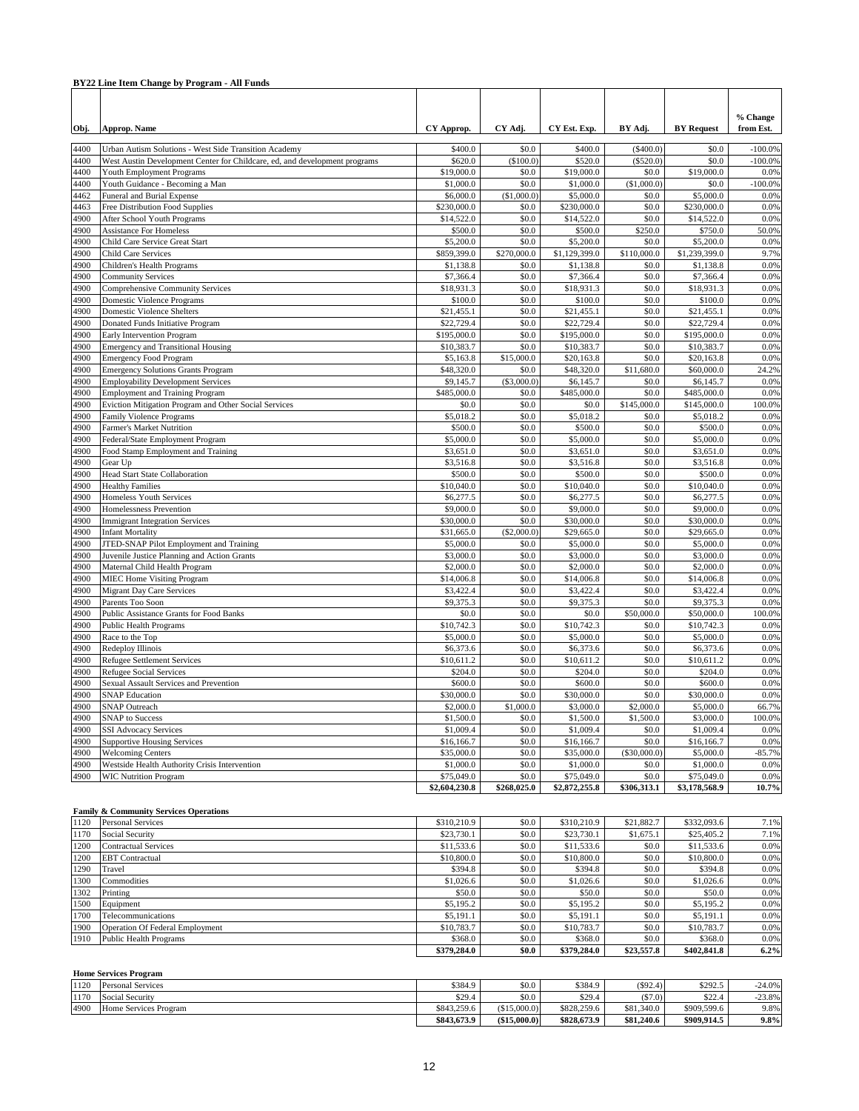|              | BY22 Line Item Change by Program - All Funds                               |                          |                      |                            |                      |                            |                       |
|--------------|----------------------------------------------------------------------------|--------------------------|----------------------|----------------------------|----------------------|----------------------------|-----------------------|
|              |                                                                            |                          |                      |                            |                      |                            |                       |
| Obj.         | Approp. Name                                                               | CY Approp.               | CY Adj.              | CY Est. Exp.               | BY Adj.              | <b>BY Request</b>          | % Change<br>from Est. |
| 4400         | Urban Autism Solutions - West Side Transition Academy                      | \$400.0                  | \$0.0                | \$400.0                    | $($ \$400.0)         | \$0.0                      | $-100.0%$             |
| 4400         | West Austin Development Center for Childcare, ed, and development programs | \$620.0                  | (\$100.0)            | \$520.0                    | $(\$520.0)$          | \$0.0                      | $-100.0%$             |
| 4400         | <b>Youth Employment Programs</b>                                           | \$19,000.0               | \$0.0                | \$19,000.0                 | \$0.0                | \$19,000.0                 | 0.0%                  |
| 4400         | Youth Guidance - Becoming a Man                                            | \$1,000.0                | \$0.0                | \$1,000.0                  | (\$1,000.0)          | \$0.0                      | $-100.0%$             |
| 4462         | Funeral and Burial Expense                                                 | \$6,000.0                | (\$1,000.0)          | \$5,000.0                  | \$0.0                | \$5,000.0                  | 0.0%                  |
| 4463         | Free Distribution Food Supplies                                            | \$230,000.0              | \$0.0                | \$230,000.0                | \$0.0                | \$230,000.0                | 0.0%                  |
| 4900         | After School Youth Programs                                                | \$14,522.0               | \$0.0                | \$14,522.0                 | \$0.0                | \$14,522.0                 | 0.0%                  |
| 4900         | <b>Assistance For Homeless</b>                                             | \$500.0                  | \$0.0                | \$500.0                    | \$250.0              | \$750.0                    | 50.0%                 |
| 4900         | Child Care Service Great Start                                             | \$5,200.0                | \$0.0                | \$5,200.0                  | \$0.0                | \$5,200.0                  | 0.0%                  |
| 4900<br>4900 | <b>Child Care Services</b>                                                 | \$859,399.0<br>\$1,138.8 | \$270,000.0<br>\$0.0 | \$1,129,399.0<br>\$1,138.8 | \$110,000.0<br>\$0.0 | \$1,239,399.0<br>\$1,138.8 | 9.7%<br>0.0%          |
| 4900         | Children's Health Programs<br><b>Community Services</b>                    | \$7,366.4                | \$0.0                | \$7,366.4                  | \$0.0                | \$7,366.4                  | 0.0%                  |
| 4900         | <b>Comprehensive Community Services</b>                                    | \$18,931.3               | \$0.0                | \$18,931.3                 | \$0.0                | \$18,931.3                 | 0.0%                  |
| 4900         | Domestic Violence Programs                                                 | \$100.0                  | \$0.0                | \$100.0                    | \$0.0                | \$100.0                    | 0.0%                  |
| 4900         | <b>Domestic Violence Shelters</b>                                          | \$21,455.1               | \$0.0                | \$21,455.1                 | \$0.0                | \$21,455.1                 | 0.0%                  |
| 4900         | Donated Funds Initiative Program                                           | \$22,729.4               | \$0.0                | \$22,729.4                 | \$0.0                | \$22,729.4                 | 0.0%                  |
| 4900         | Early Intervention Program                                                 | \$195,000.0              | \$0.0                | \$195,000.0                | \$0.0                | \$195,000.0                | 0.0%                  |
| 4900         | <b>Emergency and Transitional Housing</b>                                  | \$10,383.7               | \$0.0                | \$10,383.7                 | \$0.0                | \$10,383.7                 | 0.0%                  |
| 4900         | <b>Emergency Food Program</b>                                              | \$5,163.8                | \$15,000.0           | \$20,163.8                 | \$0.0                | \$20,163.8                 | 0.0%                  |
| 4900         | <b>Emergency Solutions Grants Program</b>                                  | \$48,320.0               | \$0.0                | \$48,320.0                 | \$11,680.0           | \$60,000.0                 | 24.2%                 |
| 4900         | <b>Employability Development Services</b>                                  | \$9,145.7                | (\$3,000.0)          | \$6,145.7                  | \$0.0                | \$6,145.7                  | 0.0%                  |
| 4900         | <b>Employment and Training Program</b>                                     | \$485,000.0              | \$0.0                | \$485,000.0                | \$0.0                | \$485,000.0                | 0.0%                  |
| 4900         | Eviction Mitigation Program and Other Social Services                      | \$0.0                    | \$0.0                | \$0.0                      | \$145,000.0          | \$145,000.0                | 100.0%                |
| 4900         | Family Violence Programs                                                   | \$5,018.2                | \$0.0                | \$5,018.2                  | \$0.0                | \$5,018.2                  | 0.0%                  |
| 4900         | Farmer's Market Nutrition                                                  | \$500.0                  | \$0.0                | \$500.0                    | \$0.0                | \$500.0                    | 0.0%                  |
| 4900         | Federal/State Employment Program                                           | \$5,000.0                | \$0.0                | \$5,000.0                  | \$0.0                | \$5,000.0                  | 0.0%                  |
| 4900         | Food Stamp Employment and Training                                         | \$3,651.0                | \$0.0                | \$3,651.0                  | \$0.0                | \$3,651.0                  | 0.0%                  |
| 4900         | Gear Up                                                                    | \$3,516.8                | \$0.0                | \$3,516.8                  | \$0.0                | \$3,516.8                  | 0.0%                  |
| 4900         | Head Start State Collaboration                                             | \$500.0                  | \$0.0                | \$500.0                    | \$0.0                | \$500.0                    | 0.0%                  |
| 4900         | <b>Healthy Families</b>                                                    | \$10,040.0               | \$0.0                | \$10,040.0                 | \$0.0                | \$10,040.0                 | 0.0%                  |
| 4900         | Homeless Youth Services                                                    | \$6,277.5                | \$0.0                | \$6,277.5                  | \$0.0                | \$6,277.5                  | 0.0%                  |
| 4900         | Homelessness Prevention                                                    | \$9,000.0                | \$0.0                | \$9,000.0                  | \$0.0                | \$9,000.0                  | 0.0%<br>0.0%          |
| 4900<br>4900 | <b>Immigrant Integration Services</b>                                      | \$30,000.0<br>\$31,665.0 | \$0.0<br>(\$2,000.0) | \$30,000.0<br>\$29,665.0   | \$0.0<br>\$0.0       | \$30,000.0<br>\$29,665.0   | 0.0%                  |
| 4900         | <b>Infant Mortality</b><br>JTED-SNAP Pilot Employment and Training         | \$5,000.0                | \$0.0                | \$5,000.0                  | \$0.0                | \$5,000.0                  | 0.0%                  |
| 4900         | Juvenile Justice Planning and Action Grants                                | \$3,000.0                | \$0.0                | \$3,000.0                  | \$0.0                | \$3,000.0                  | 0.0%                  |
| 4900         | Maternal Child Health Program                                              | \$2,000.0                | \$0.0                | \$2,000.0                  | \$0.0                | \$2,000.0                  | 0.0%                  |
| 4900         | <b>MIEC Home Visiting Program</b>                                          | \$14,006.8               | \$0.0                | \$14,006.8                 | \$0.0                | \$14,006.8                 | 0.0%                  |
| 4900         | <b>Migrant Day Care Services</b>                                           | \$3,422.4                | \$0.0                | \$3,422.4                  | \$0.0                | \$3,422.4                  | 0.0%                  |
| 4900         | Parents Too Soon                                                           | \$9,375.3                | \$0.0                | \$9,375.3                  | \$0.0                | \$9,375.3                  | 0.0%                  |
| 4900         | Public Assistance Grants for Food Banks                                    | \$0.0                    | \$0.0                | \$0.0                      | \$50,000.0           | \$50,000.0                 | 100.0%                |
| 4900         | <b>Public Health Programs</b>                                              | \$10,742.3               | \$0.0                | \$10,742.3                 | \$0.0                | \$10,742.3                 | 0.0%                  |
| 4900         | Race to the Top                                                            | \$5,000.0                | \$0.0                | \$5,000.0                  | \$0.0                | \$5,000.0                  | 0.0%                  |
| 4900         | Redeploy Illinois                                                          | \$6,373.6                | \$0.0                | \$6,373.6                  | \$0.0                | \$6,373.6                  | 0.0%                  |
| 4900         | <b>Refugee Settlement Services</b>                                         | \$10,611.2               | \$0.0                | \$10,611.2                 | \$0.0                | \$10,611.2                 | 0.0%                  |
| 4900         | Refugee Social Services                                                    | \$204.0                  | \$0.0                | \$204.0                    | \$0.0                | \$204.0                    | 0.0%                  |
| 4900         | Sexual Assault Services and Prevention                                     | \$600.0                  | \$0.0                | \$600.0                    | \$0.0                | \$600.0                    | 0.0%                  |
| 4900         | <b>SNAP Education</b>                                                      | \$30,000.0               | \$0.0                | \$30,000.0                 | \$0.0                | \$30,000.0                 | 0.0%                  |
| 4900         | <b>SNAP Outreach</b>                                                       | \$2,000.0                | \$1,000.0            | \$3,000.0                  | \$2,000.0            | \$5,000.0                  | 66.7%                 |
| 4900         | <b>SNAP</b> to Success                                                     | \$1,500.0                | \$0.0                | \$1,500.0                  | \$1,500.0            | \$3,000.0                  | 100.0%                |
| 4900         | <b>SSI Advocacy Services</b>                                               | \$1,009.4                | \$0.0                | \$1,009.4                  | \$0.0                | \$1,009.4                  | 0.0%                  |
| 4900         | <b>Supportive Housing Services</b>                                         | \$16,166.7               | \$0.0                | \$16,166.7                 | \$0.0                | \$16,166.7                 | 0.0%                  |
| 4900         | <b>Welcoming Centers</b>                                                   | \$35,000.0               | \$0.0                | \$35,000.0                 | (\$30,000.0)         | \$5,000.0                  | $-85.7%$              |
| 4900<br>4900 | Westside Health Authority Crisis Intervention                              | \$1,000.0<br>\$75,049.0  | \$0.0                | \$1,000.0<br>\$75,049.0    | \$0.0                | \$1,000.0<br>\$75,049.0    | 0.0%<br>0.0%          |
|              | <b>WIC Nutrition Program</b>                                               | \$2,604,230.8            | \$0.0<br>\$268,025.0 | \$2,872,255.8              | \$0.0<br>\$306,313.1 | \$3,178,568.9              | 10.7%                 |
|              |                                                                            |                          |                      |                            |                      |                            |                       |

#### **Family & Community Services Operations**

| 1120 | <b>Personal Services</b>        | \$310,210.9 | \$0.0 | \$310,210.9 | \$21,882.7 | \$332,093.6 | 7.1% |
|------|---------------------------------|-------------|-------|-------------|------------|-------------|------|
| 1170 | Social Security                 | \$23,730.1  | \$0.0 | \$23,730.1  | \$1,675.1  | \$25,405.2  | 7.1% |
| 1200 | <b>Contractual Services</b>     | \$11,533.6  | \$0.0 | \$11,533.6  | \$0.0      | \$11,533.6  | 0.0% |
| 1200 | <b>EBT</b> Contractual          | \$10,800.0  | \$0.0 | \$10,800.0  | \$0.0      | \$10,800.0  | 0.0% |
| 1290 | Travel                          | \$394.8     | \$0.0 | \$394.8     | \$0.0      | \$394.8     | 0.0% |
| 1300 | Commodities                     | \$1,026.6   | \$0.0 | \$1,026.6   | \$0.0      | \$1,026.6   | 0.0% |
| 1302 | Printing                        | \$50.0      | \$0.0 | \$50.0      | \$0.0      | \$50.0      | 0.0% |
| 1500 | Equipment                       | \$5,195.2   | \$0.0 | \$5,195.2   | \$0.0      | \$5,195.2   | 0.0% |
| 1700 | Telecommunications              | \$5,191.1   | \$0.0 | \$5.191.    | \$0.0      | \$5,191.1   | 0.0% |
| 1900 | Operation Of Federal Employment | \$10,783.7  | \$0.0 | \$10,783.7  | \$0.0      | \$10,783.7  | 0.0% |
| 1910 | <b>Public Health Programs</b>   | \$368.0     | \$0.0 | \$368.0     | \$0.0      | \$368.0     | 0.0% |
|      |                                 | \$379,284.0 | \$0.0 | \$379,284.0 | \$23,557.8 | \$402,841.8 | 6.2% |

|      | <b>Home Services Program</b> |             |             |             |            |             |           |  |  |  |  |
|------|------------------------------|-------------|-------------|-------------|------------|-------------|-----------|--|--|--|--|
| 1120 | <b>Personal Services</b>     | \$384.9     | \$0.0       | \$384.9     | (S92.4)    | \$292.5     | $-24.0\%$ |  |  |  |  |
| 1170 | Social Security              | \$29.4\$    | \$0.0       | \$29.4      | (S7.0)     | \$22.4      | $-23.8\%$ |  |  |  |  |
| 4900 | Home Services Program        | \$843,259.6 | (S15,000,0) | \$828,259.6 | \$81,340.0 | \$909,599.6 | 9.8%      |  |  |  |  |
|      |                              | \$843,673.9 | (S15,000.0) | \$828,673.9 | \$81,240.6 | \$909,914.5 | 9.8%      |  |  |  |  |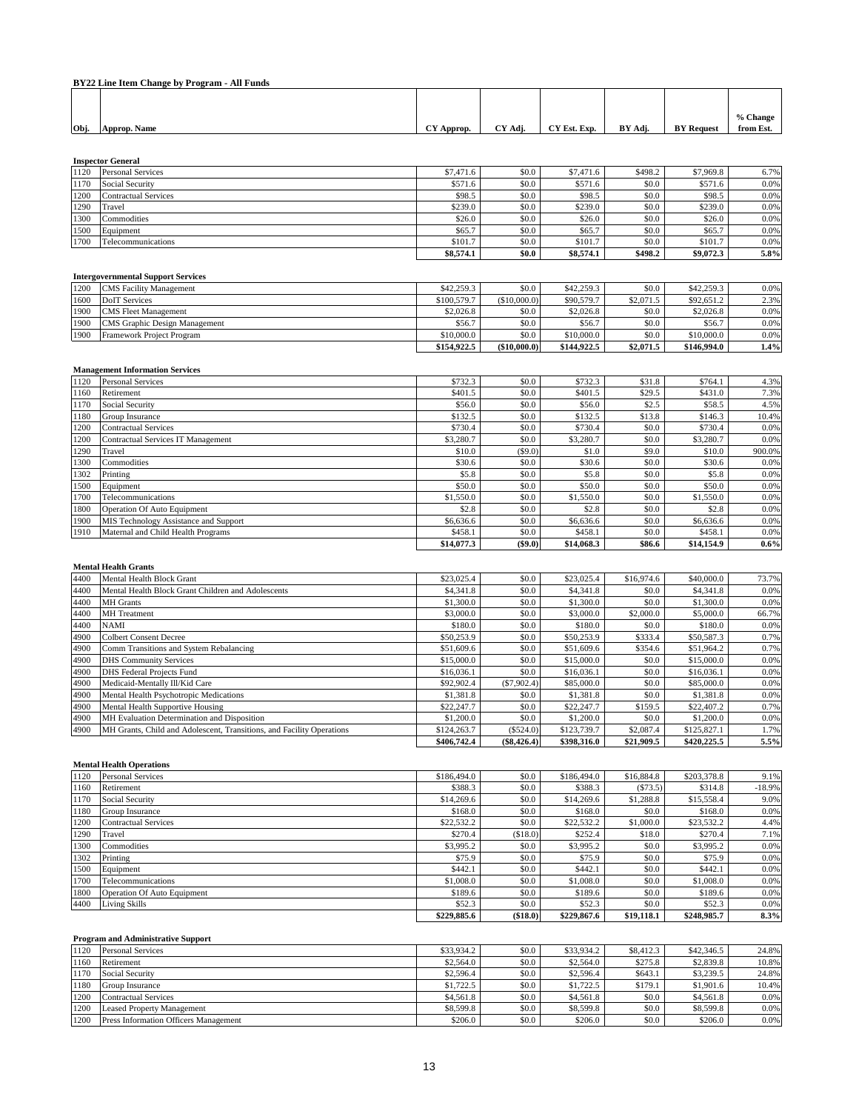|      | BY22 Line Item Change by Program - All Funds |            |         |              |         |                   |           |  |  |  |
|------|----------------------------------------------|------------|---------|--------------|---------|-------------------|-----------|--|--|--|
|      |                                              |            |         |              |         |                   |           |  |  |  |
|      |                                              |            |         |              |         |                   |           |  |  |  |
|      |                                              |            |         |              |         |                   | % Change  |  |  |  |
| Obj. | Approp. Name                                 | CY Approp. | CY Adi. | CY Est. Exp. | BY Adi. | <b>BY Request</b> | from Est. |  |  |  |

**Inspector General**

|      | mspeción ocueran            |           |       |           |         |           |      |
|------|-----------------------------|-----------|-------|-----------|---------|-----------|------|
| 1120 | <b>Personal Services</b>    | \$7,471.6 | \$0.0 | \$7,471.6 | \$498.2 | \$7,969.8 | 6.7% |
| 1170 | Social Security             | \$571.6   | \$0.0 | \$571.6   | \$0.0   | \$571.6   | 0.0% |
| 1200 | <b>Contractual Services</b> | \$98.5    | \$0.0 | \$98.5    | \$0.0   | \$98.5    | 0.0% |
| 1290 | Travel                      | \$239.0   | \$0.0 | \$239.0   | \$0.0   | \$239.0   | 0.0% |
| 1300 | Commodities                 | \$26.0    | \$0.0 | \$26.0    | \$0.0   | \$26.0    | 0.0% |
| 1500 | Equipment                   | \$65.7    | \$0.0 | \$65.7    | \$0.0   | \$65.7    | 0.0% |
| 1700 | Telecommunications          | \$101.7   | \$0.0 | \$101.7   | \$0.0   | \$101.7   | 0.0% |
|      |                             |           |       |           |         |           |      |

**\$8,574.1 \$0.0 \$8,574.1 \$498.2 \$9,072.3 5.8%**

# **Intergovernmental Support Services**

|      |                                      | \$154,922.5 | (\$10,000.0) | \$144,922.5 | \$2,071.5 | \$146,994.0 | 1.4%    |
|------|--------------------------------------|-------------|--------------|-------------|-----------|-------------|---------|
| 1900 | Framework Project Program            | \$10,000.0  | \$0.0        | \$10,000.0  | \$0.0     | \$10,000.0  | $0.0\%$ |
| 1900 | <b>CMS</b> Graphic Design Management | \$56.7      | \$0.0        | \$56.7      | \$0.0     | \$56.7      | $0.0\%$ |
| 1900 | <b>CMS</b> Fleet Management          | \$2,026.8   | \$0.0        | \$2,026.8   | \$0.0     | \$2,026.8   | $0.0\%$ |
| 1600 | <b>DoIT</b> Services                 | \$100,579.7 | (S10,000,0)  | \$90,579.7  | \$2,071.5 | \$92,651.2  | 2.3%    |
| 1200 | <b>CMS</b> Facility Management       | \$42,259.3  | \$0.0        | \$42,259.3  | SO.O      | \$42,259.3  | $0.0\%$ |

|      | <b>Management Information Services</b> |            |           |            |        |            |         |  |  |  |  |
|------|----------------------------------------|------------|-----------|------------|--------|------------|---------|--|--|--|--|
| 1120 | <b>Personal Services</b>               | \$732.3    | \$0.0     | \$732.3    | \$31.8 | \$764.1    | 4.3%    |  |  |  |  |
| 1160 | Retirement                             | \$401.5    | \$0.0     | \$401.5    | \$29.5 | \$431.0    | 7.3%    |  |  |  |  |
| 1170 | Social Security                        | \$56.0     | \$0.0     | \$56.0     | \$2.5  | \$58.5     | 4.5%    |  |  |  |  |
| 1180 | Group Insurance                        | \$132.5    | \$0.0     | \$132.5    | \$13.8 | \$146.3    | 10.4%   |  |  |  |  |
| 1200 | Contractual Services                   | \$730.4    | \$0.0     | \$730.4    | \$0.0  | \$730.4    | 0.0%    |  |  |  |  |
| 1200 | Contractual Services IT Management     | \$3,280.7  | \$0.0     | \$3,280.7  | \$0.0  | \$3,280.7  | 0.0%    |  |  |  |  |
| 1290 | Travel                                 | \$10.0     | $(\$9.0)$ | \$1.0      | \$9.0  | \$10.0     | 900.0%  |  |  |  |  |
| 1300 | Commodities                            | \$30.6     | \$0.0     | \$30.6     | \$0.0  | \$30.6     | 0.0%    |  |  |  |  |
| 1302 | Printing                               | \$5.8      | \$0.0     | \$5.8      | \$0.0  | \$5.8      | 0.0%    |  |  |  |  |
| 1500 | Equipment                              | \$50.0     | \$0.0     | \$50.0     | \$0.0  | \$50.0     | 0.0%    |  |  |  |  |
| 1700 | Telecommunications                     | \$1,550.0  | \$0.0     | \$1,550.0  | \$0.0  | \$1,550.0  | 0.0%    |  |  |  |  |
| 1800 | Operation Of Auto Equipment            | \$2.8      | \$0.0     | \$2.8      | \$0.0  | \$2.8      | 0.0%    |  |  |  |  |
| 1900 | MIS Technology Assistance and Support  | \$6,636.6  | \$0.0     | \$6,636.6  | \$0.0  | \$6,636.6  | 0.0%    |  |  |  |  |
| 1910 | Maternal and Child Health Programs     | \$458.1    | \$0.0     | \$458.1    | \$0.0  | \$458.1    | 0.0%    |  |  |  |  |
|      |                                        | \$14,077.3 | ( \$9.0)  | \$14,068.3 | \$86.6 | \$14,154.9 | $0.6\%$ |  |  |  |  |

#### **Mental Health Grants**

| 4400 | Mental Health Block Grant                                             | \$23,025.4  | \$0.0         | \$23,025.4  | \$16,974.6 | \$40,000.0  | 73.7% |
|------|-----------------------------------------------------------------------|-------------|---------------|-------------|------------|-------------|-------|
| 4400 | Mental Health Block Grant Children and Adolescents                    | \$4,341.8   | \$0.0         | \$4,341.8   | \$0.0      | \$4,341.8   | 0.0%  |
| 4400 | <b>MH</b> Grants                                                      | \$1,300.0   | \$0.0         | \$1,300.0   | \$0.0      | \$1,300.0   | 0.0%  |
| 4400 | <b>MH</b> Treatment                                                   | \$3,000.0   | \$0.0         | \$3,000.0   | \$2,000.0  | \$5,000.0   | 66.7% |
| 4400 | <b>NAMI</b>                                                           | \$180.0     | \$0.0         | \$180.0     | \$0.0      | \$180.0     | 0.0%  |
| 4900 | <b>Colbert Consent Decree</b>                                         | \$50,253.9  | \$0.0         | \$50,253.9  | \$333.4    | \$50,587.3  | 0.7%  |
| 4900 | Comm Transitions and System Rebalancing                               | \$51,609.6  | \$0.0         | \$51,609.6  | \$354.6    | \$51,964.2  | 0.7%  |
| 4900 | <b>DHS Community Services</b>                                         | \$15,000.0  | \$0.0         | \$15,000.0  | \$0.0      | \$15,000.0  | 0.0%  |
| 4900 | <b>DHS</b> Federal Projects Fund                                      | \$16,036.1  | \$0.0         | \$16,036.1  | \$0.0      | \$16,036.1  | 0.0%  |
| 4900 | Medicaid-Mentally Ill/Kid Care                                        | \$92,902.4  | (S7, 902.4)   | \$85,000.0  | \$0.0      | \$85,000.0  | 0.0%  |
| 4900 | Mental Health Psychotropic Medications                                | \$1,381.8   | \$0.0         | \$1,381.8   | \$0.0      | \$1,381.8   | 0.0%  |
| 4900 | Mental Health Supportive Housing                                      | \$22,247.7  | \$0.0         | \$22,247.7  | \$159.5    | \$22,407.2  | 0.7%  |
| 4900 | MH Evaluation Determination and Disposition                           | \$1,200.0   | \$0.0         | \$1,200.0   | \$0.0      | \$1,200.0   | 0.0%  |
| 4900 | MH Grants, Child and Adolescent, Transitions, and Facility Operations | \$124,263.7 | (\$524.0)     | \$123,739.7 | \$2,087.4  | \$125,827.1 | 1.7%  |
|      |                                                                       | \$406,742.4 | $(\$8,426.4)$ | \$398,316.0 | \$21,909.5 | \$420,225.5 | 5.5%  |

#### **Mental Health Operations**

| 1120 | <b>Personal Services</b>           | \$186,494.0 | \$0.0     | \$186,494.0 | \$16,884.8 | \$203,378.8 | 9.1%     |
|------|------------------------------------|-------------|-----------|-------------|------------|-------------|----------|
| 1160 | Retirement                         | \$388.3     | \$0.0     | \$388.3     | (S73.5)    | \$314.8     | $-18.9%$ |
| 1170 | Social Security                    | \$14,269.6  | \$0.0     | \$14,269.6  | \$1,288.8  | \$15,558.4  | 9.0%     |
| 1180 | Group Insurance                    | \$168.0     | \$0.0     | \$168.0     | \$0.0      | \$168.0     | 0.0%     |
| 1200 | <b>Contractual Services</b>        | \$22,532.2  | \$0.0     | \$22,532.2  | \$1,000.0  | \$23,532.2  | 4.4%     |
| 1290 | Travel                             | \$270.4     | (S18.0)   | \$252.4     | \$18.0     | \$270.4     | 7.1%     |
| 1300 | Commodities                        | \$3,995.2   | \$0.0     | \$3,995.2   | \$0.0      | \$3,995.2   | 0.0%     |
| 1302 | Printing                           | \$75.9      | \$0.0     | \$75.9      | \$0.0      | \$75.9      | 0.0%     |
| 1500 | Equipment                          | \$442.1     | \$0.0     | \$442.1     | \$0.0      | \$442.1     | 0.0%     |
| 1700 | Telecommunications                 | \$1,008.0   | \$0.0     | \$1,008.0   | \$0.0      | \$1,008.0   | 0.0%     |
| 1800 | <b>Operation Of Auto Equipment</b> | \$189.6     | \$0.0     | \$189.6     | \$0.0      | \$189.6     | 0.0%     |
| 4400 | <b>Living Skills</b>               | \$52.3      | \$0.0     | \$52.3      | \$0.0      | \$52.3      | 0.0%     |
|      |                                    | \$229,885.6 | ( \$18.0) | \$229,867.6 | \$19,118.1 | \$248,985.7 | 8.3%     |

# **Program and Administrative Support**

| 1120 | <b>Personal Services</b>                     | \$33,934.2 | \$0.0 | \$33,934.2 | \$8,412.3 | \$42,346.5 | 24.8% |
|------|----------------------------------------------|------------|-------|------------|-----------|------------|-------|
| 1160 | Retirement                                   | \$2,564.0  | \$0.0 | \$2,564.0  | \$275.8   | \$2,839.8  | 10.8% |
| 1170 | Social Security                              | \$2,596.4  | \$0.0 | \$2,596.4  | \$643.1   | \$3,239.5  | 24.8% |
| 1180 | Group Insurance                              | \$1,722.5  | \$0.0 | \$1,722.5  | \$179.1   | \$1,901.6  | 10.4% |
| 1200 | Contractual Services                         | \$4,561.8  | \$0.0 | \$4,561.8  | \$0.0     | \$4,561.8  | 0.0%  |
| 1200 | <b>Leased Property Management</b>            | \$8,599.8  | \$0.0 | \$8,599.8  | \$0.0     | \$8,599.8  | 0.0%  |
| 1200 | <b>Press Information Officers Management</b> | \$206.0    | \$0.0 | \$206.0    | \$0.0     | \$206.0    | 0.0%  |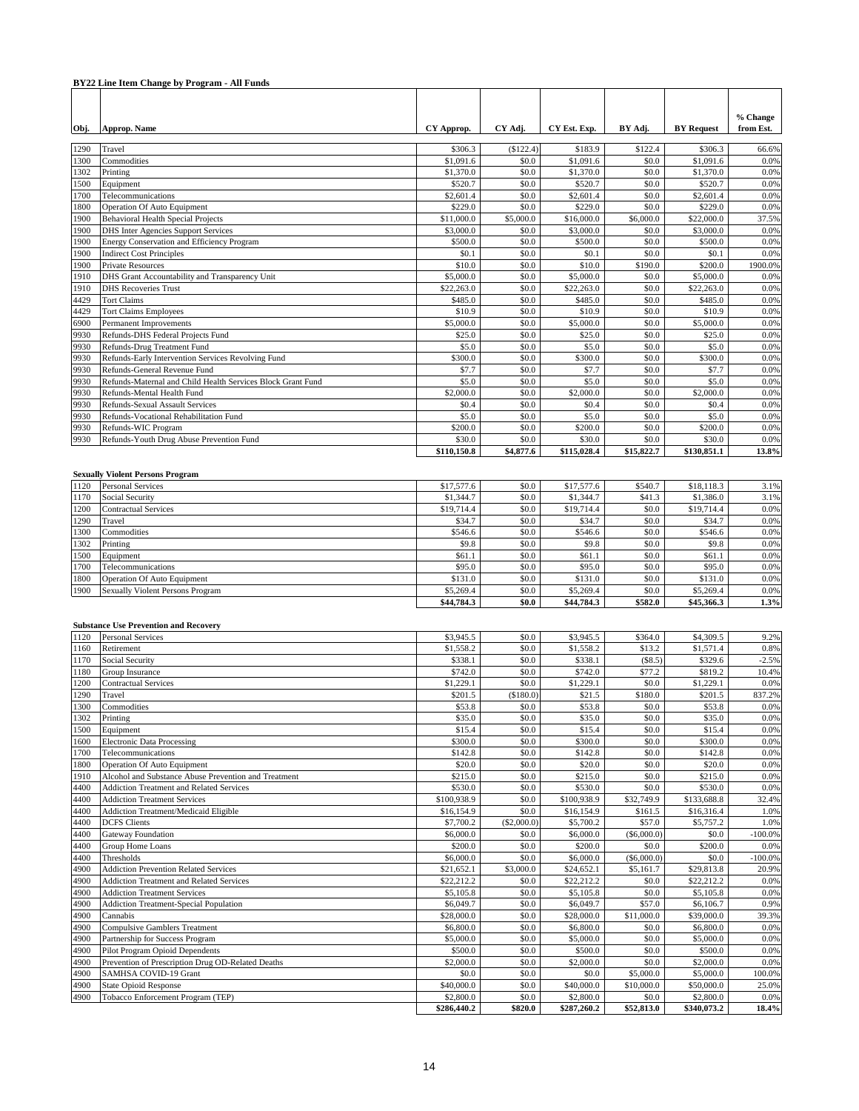|              | BY22 Line Item Change by Program - All Funds                                                            |                          |                    |                          |                         |                          |                       |
|--------------|---------------------------------------------------------------------------------------------------------|--------------------------|--------------------|--------------------------|-------------------------|--------------------------|-----------------------|
| Obj.         | Approp. Name                                                                                            | CY Approp.               | CY Adj.            | CY Est. Exp.             | BY Adj.                 | <b>BY Request</b>        | % Change<br>from Est. |
| 1290         | Travel                                                                                                  | \$306.3                  | (\$122.4)          | \$183.9                  | \$122.4                 | \$306.3                  | 66.6%                 |
| 1300         | Commodities                                                                                             | \$1,091.6                | \$0.0              | \$1,091.6                | \$0.0                   | \$1,091.6                | 0.0%                  |
| 1302         | Printing                                                                                                | \$1,370.0                | \$0.0              | \$1,370.0                | \$0.0                   | \$1,370.0                | 0.0%                  |
| 1500         | Equipment                                                                                               | \$520.7                  | \$0.0              | \$520.7                  | \$0.0                   | \$520.7                  | 0.0%                  |
| 1700         | Telecommunications                                                                                      | \$2,601.4                | \$0.0              | \$2,601.4                | \$0.0                   | \$2,601.4                | 0.0%                  |
| 1800<br>1900 | <b>Operation Of Auto Equipment</b><br><b>Behavioral Health Special Projects</b>                         | \$229.0<br>\$11,000.0    | \$0.0<br>\$5,000.0 | \$229.0<br>\$16,000.0    | \$0.0<br>\$6,000.0      | \$229.0<br>\$22,000.0    | 0.0%<br>37.5%         |
| 1900         | <b>DHS</b> Inter Agencies Support Services                                                              | \$3,000.0                | \$0.0              | \$3,000.0                | \$0.0                   | \$3,000.0                | 0.0%                  |
| 1900         | Energy Conservation and Efficiency Program                                                              | \$500.0                  | \$0.0              | \$500.0                  | \$0.0                   | \$500.0                  | 0.0%                  |
| 1900         | <b>Indirect Cost Principles</b>                                                                         | \$0.1                    | \$0.0              | \$0.1                    | \$0.0                   | \$0.1                    | 0.0%                  |
| 1900         | <b>Private Resources</b>                                                                                | \$10.0                   | \$0.0              | \$10.0                   | \$190.0                 | \$200.0                  | 1900.0%               |
| 1910<br>1910 | DHS Grant Accountability and Transparency Unit<br><b>DHS</b> Recoveries Trust                           | \$5,000.0<br>\$22,263.0  | \$0.0<br>\$0.0     | \$5,000.0<br>\$22,263.0  | \$0.0<br>\$0.0          | \$5,000.0<br>\$22,263.0  | 0.0%<br>0.0%          |
| 4429         | <b>Tort Claims</b>                                                                                      | \$485.0                  | \$0.0              | \$485.0                  | \$0.0                   | \$485.0                  | 0.0%                  |
| 4429         | <b>Tort Claims Employees</b>                                                                            | \$10.9                   | \$0.0              | \$10.9                   | \$0.0                   | \$10.9                   | 0.0%                  |
| 6900         | <b>Permanent Improvements</b>                                                                           | \$5,000.0                | \$0.0              | \$5,000.0                | \$0.0                   | \$5,000.0                | 0.0%                  |
| 9930         | Refunds-DHS Federal Projects Fund                                                                       | \$25.0                   | \$0.0              | \$25.0                   | \$0.0                   | \$25.0                   | 0.0%                  |
| 9930         | Refunds-Drug Treatment Fund                                                                             | \$5.0                    | \$0.0              | \$5.0                    | \$0.0                   | \$5.0                    | 0.0%                  |
| 9930<br>9930 | Refunds-Early Intervention Services Revolving Fund<br>Refunds-General Revenue Fund                      | \$300.0<br>\$7.7         | \$0.0<br>\$0.0     | \$300.0<br>\$7.7         | \$0.0<br>\$0.0          | \$300.0<br>\$7.7         | 0.0%<br>0.0%          |
| 9930         | Refunds-Maternal and Child Health Services Block Grant Fund                                             | \$5.0                    | \$0.0              | \$5.0                    | \$0.0                   | \$5.0                    | 0.0%                  |
| 9930         | Refunds-Mental Health Fund                                                                              | \$2,000.0                | \$0.0              | \$2,000.0                | \$0.0                   | \$2,000.0                | 0.0%                  |
| 9930         | Refunds-Sexual Assault Services                                                                         | \$0.4                    | \$0.0              | \$0.4                    | \$0.0                   | \$0.4                    | 0.0%                  |
| 9930         | Refunds-Vocational Rehabilitation Fund                                                                  | \$5.0                    | \$0.0              | \$5.0                    | \$0.0                   | \$5.0                    | 0.0%                  |
| 9930         | Refunds-WIC Program                                                                                     | \$200.0                  | \$0.0              | \$200.0                  | \$0.0                   | \$200.0                  | 0.0%                  |
| 9930         | Refunds-Youth Drug Abuse Prevention Fund                                                                | \$30.0                   | \$0.0              | \$30.0                   | \$0.0                   | \$30.0                   | 0.0%                  |
|              |                                                                                                         | \$110,150.8              | \$4,877.6          | \$115,028.4              | \$15,822.7              | \$130,851.1              | 13.8%                 |
|              | <b>Sexually Violent Persons Program</b>                                                                 |                          |                    |                          |                         |                          |                       |
| 1120         | <b>Personal Services</b>                                                                                | \$17,577.6               | \$0.0              | \$17,577.6               | \$540.7                 | \$18,118.3               | 3.1%                  |
| 1170         | Social Security                                                                                         | \$1,344.7                | \$0.0              | \$1,344.7                | \$41.3                  | \$1,386.0                | 3.1%                  |
| 1200         | <b>Contractual Services</b>                                                                             | \$19,714.4               | \$0.0              | \$19,714.4               | \$0.0                   | \$19,714.4               | 0.0%                  |
| 1290         | Travel                                                                                                  | \$34.7                   | \$0.0              | \$34.7                   | \$0.0                   | \$34.7                   | 0.0%                  |
| 1300<br>1302 | Commodities<br>Printing                                                                                 | \$546.6<br>\$9.8         | \$0.0<br>\$0.0     | \$546.6<br>\$9.8         | \$0.0<br>\$0.0          | \$546.6<br>\$9.8         | 0.0%<br>0.0%          |
| 1500         | Equipment                                                                                               | \$61.1                   | \$0.0              | \$61.1                   | \$0.0                   | \$61.1                   | 0.0%                  |
| 1700         | Telecommunications                                                                                      | \$95.0                   | \$0.0              | \$95.0                   | \$0.0                   | \$95.0                   | 0.0%                  |
| 1800         | Operation Of Auto Equipment                                                                             | \$131.0                  | \$0.0              | \$131.0                  | \$0.0                   | \$131.0                  | 0.0%                  |
| 1900         | Sexually Violent Persons Program                                                                        | \$5,269.4                | \$0.0              | \$5,269.4                | \$0.0                   | \$5,269.4                | 0.0%                  |
|              |                                                                                                         | \$44,784.3               | \$0.0              | \$44,784.3               | \$582.0                 | \$45,366.3               | 1.3%                  |
|              | <b>Substance Use Prevention and Recovery</b>                                                            |                          |                    |                          |                         |                          |                       |
| 1120         | <b>Personal Services</b>                                                                                | \$3,945.5                | \$0.0              | \$3,945.5                | \$364.0                 | \$4,309.5                | 9.2%                  |
| 1160         | Retirement                                                                                              | \$1,558.2                | \$0.0              | \$1,558.2                | \$13.2                  | \$1,571.4                | 0.8%                  |
| 1170         | Social Security                                                                                         | \$338.1                  | \$0.0              | \$338.1                  | (\$8.5)                 | \$329.6                  | $-2.5%$               |
| 1180         | Group Insurance                                                                                         | \$742.0                  | \$0.0              | \$742.0                  | \$77.2                  | \$819.2                  | 10.4%                 |
| 1200<br>1290 | <b>Contractual Services</b><br>Travel                                                                   | \$1,229.1<br>\$201.5     | \$0.0<br>(\$180.0) | \$1,229.1<br>\$21.5      | \$0.0<br>\$180.0        | \$1,229.1<br>\$201.5     | 0.0%<br>837.2%        |
| 1300         | Commodities                                                                                             | \$53.8                   | \$0.0              | \$53.8                   | \$0.0                   | \$53.8                   | 0.0%                  |
| 1302         | Printing                                                                                                | \$35.0                   | \$0.0              | \$35.0                   | \$0.0                   | \$35.0                   | 0.0%                  |
| 1500         | Equipment                                                                                               | \$15.4                   | \$0.0              | \$15.4                   | \$0.0                   | \$15.4                   | 0.0%                  |
| 1600         | <b>Electronic Data Processing</b>                                                                       | \$300.0                  | \$0.0              | \$300.0                  | \$0.0                   | \$300.0                  | 0.0%                  |
| 1700         | Telecommunications                                                                                      | \$142.8                  | \$0.0              | \$142.8                  | \$0.0                   | \$142.8                  | 0.0%                  |
| 1800         | Operation Of Auto Equipment                                                                             | \$20.0                   | \$0.0              | \$20.0                   | \$0.0                   | \$20.0                   | 0.0%                  |
| 1910<br>4400 | Alcohol and Substance Abuse Prevention and Treatment<br><b>Addiction Treatment and Related Services</b> | \$215.0<br>\$530.0       | \$0.0<br>\$0.0     | \$215.0<br>\$530.0       | \$0.0<br>\$0.0          | \$215.0<br>\$530.0       | 0.0%<br>0.0%          |
| 4400         | <b>Addiction Treatment Services</b>                                                                     | \$100,938.9              | \$0.0              | \$100,938.9              | \$32,749.9              | \$133,688.8              | 32.4%                 |
| 4400         | Addiction Treatment/Medicaid Eligible                                                                   | \$16,154.9               | \$0.0              | \$16,154.9               | \$161.5                 | \$16,316.4               | 1.0%                  |
| 4400         | <b>DCFS</b> Clients                                                                                     | \$7,700.2                | (\$2,000.0)        | \$5,700.2                | \$57.0                  | \$5,757.2                | 1.0%                  |
| 4400         | Gateway Foundation                                                                                      | \$6,000.0                | \$0.0              | \$6,000.0                | (\$6,000.0)             | \$0.0                    | $-100.0\%$            |
| 4400         | Group Home Loans                                                                                        | \$200.0                  | \$0.0              | \$200.0                  | \$0.0                   | \$200.0                  | 0.0%                  |
| 4400         | Thresholds                                                                                              | \$6,000.0                | \$0.0              | \$6,000.0                | (\$6,000.0)             | \$0.0                    | $-100.0\%$            |
| 4900<br>4900 | <b>Addiction Prevention Related Services</b><br><b>Addiction Treatment and Related Services</b>         | \$21,652.1<br>\$22,212.2 | \$3,000.0<br>\$0.0 | \$24,652.1<br>\$22,212.2 | \$5,161.7<br>\$0.0      | \$29,813.8<br>\$22,212.2 | 20.9%<br>0.0%         |
| 4900         | <b>Addiction Treatment Services</b>                                                                     | \$5,105.8                | \$0.0              | \$5,105.8                | \$0.0                   | \$5,105.8                | 0.0%                  |
| 4900         | <b>Addiction Treatment-Special Population</b>                                                           | \$6,049.7                | \$0.0              | \$6,049.7                | \$57.0                  | \$6,106.7                | 0.9%                  |
| 4900         | Cannabis                                                                                                | \$28,000.0               | \$0.0              | \$28,000.0               | \$11,000.0              | \$39,000.0               | 39.3%                 |
| 4900         | <b>Compulsive Gamblers Treatment</b>                                                                    | \$6,800.0                | \$0.0              | \$6,800.0                | \$0.0                   | \$6,800.0                | 0.0%                  |
| 4900         | Partnership for Success Program                                                                         | \$5,000.0                | \$0.0              | \$5,000.0                | \$0.0                   | \$5,000.0                | 0.0%                  |
| 4900         | Pilot Program Opioid Dependents                                                                         | \$500.0                  | \$0.0              | \$500.0                  | \$0.0                   | \$500.0                  | 0.0%                  |
| 4900         | Prevention of Prescription Drug OD-Related Deaths                                                       | \$2,000.0                | \$0.0              | \$2,000.0                | \$0.0                   | \$2,000.0                | 0.0%                  |
| 4900<br>4900 | SAMHSA COVID-19 Grant<br><b>State Opioid Response</b>                                                   | \$0.0<br>\$40,000.0      | \$0.0<br>\$0.0     | \$0.0<br>\$40,000.0      | \$5,000.0<br>\$10,000.0 | \$5,000.0<br>\$50,000.0  | 100.0%<br>25.0%       |
| 4900         | Tobacco Enforcement Program (TEP)                                                                       | \$2,800.0                | \$0.0              | \$2,800.0                | \$0.0                   | \$2,800.0                | 0.0%                  |
|              |                                                                                                         | \$286,440.2              | \$820.0            | \$287,260.2              | \$52,813.0              | \$340,073.2              | 18.4%                 |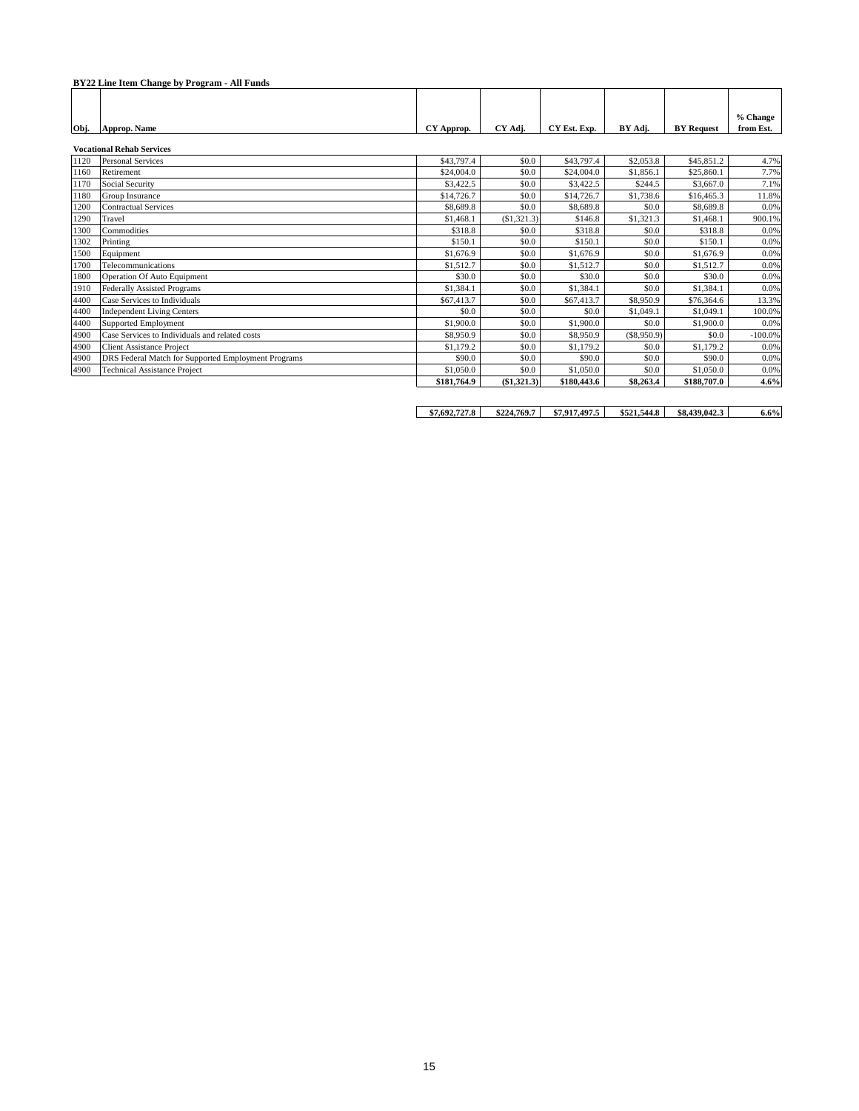|      | BY22 Line Item Change by Program - All Funds        |             |             |              |             |                   |                       |
|------|-----------------------------------------------------|-------------|-------------|--------------|-------------|-------------------|-----------------------|
| Obj. | Approp. Name                                        | CY Approp.  | CY Adi.     | CY Est. Exp. | BY Adi.     | <b>BY</b> Request | % Change<br>from Est. |
|      | <b>Vocational Rehab Services</b>                    |             |             |              |             |                   |                       |
| 1120 | <b>Personal Services</b>                            | \$43,797.4  | \$0.0       | \$43,797.4   | \$2,053.8   | \$45,851.2        | 4.7%                  |
| 1160 | Retirement                                          | \$24,004.0  | \$0.0       | \$24,004.0   | \$1,856.1   | \$25,860.1        | 7.7%                  |
| 1170 | Social Security                                     | \$3,422.5   | \$0.0       | \$3,422.5    | \$244.5     | \$3,667.0         | 7.1%                  |
| 1180 | Group Insurance                                     | \$14,726.7  | \$0.0       | \$14,726.7   | \$1,738.6   | \$16,465.3        | 11.8%                 |
| 1200 | <b>Contractual Services</b>                         | \$8,689.8   | \$0.0       | \$8,689.8    | \$0.0       | \$8,689.8         | 0.0%                  |
| 1290 | Travel                                              | \$1,468.1   | (\$1,321.3) | \$146.8      | \$1,321.3   | \$1,468.1         | 900.1%                |
| 1300 | Commodities                                         | \$318.8     | \$0.0       | \$318.8      | \$0.0       | \$318.8           | 0.0%                  |
| 1302 | Printing                                            | \$150.1     | \$0.0       | \$150.1      | \$0.0       | \$150.1           | 0.0%                  |
| 1500 | Equipment                                           | \$1,676.9   | \$0.0       | \$1,676.9    | \$0.0       | \$1,676.9         | 0.0%                  |
| 1700 | Telecommunications                                  | \$1,512.7   | \$0.0       | \$1,512.7    | \$0.0       | \$1,512.7         | 0.0%                  |
| 1800 | Operation Of Auto Equipment                         | \$30.0      | \$0.0       | \$30.0       | \$0.0       | \$30.0            | 0.0%                  |
| 1910 | <b>Federally Assisted Programs</b>                  | \$1,384.1   | \$0.0       | \$1,384.1    | \$0.0       | \$1,384.1         | 0.0%                  |
| 4400 | Case Services to Individuals                        | \$67,413.7  | \$0.0       | \$67,413.7   | \$8,950.9   | \$76,364.6        | 13.3%                 |
| 4400 | <b>Independent Living Centers</b>                   | \$0.0       | \$0.0       | \$0.0        | \$1,049.1   | \$1,049.1         | 100.0%                |
| 4400 | <b>Supported Employment</b>                         | \$1,900.0   | \$0.0       | \$1,900.0    | \$0.0       | \$1,900.0         | 0.0%                  |
| 4900 | Case Services to Individuals and related costs      | \$8,950.9   | \$0.0       | \$8,950.9    | (\$8,950.9) | \$0.0             | $-100.0%$             |
| 4900 | <b>Client Assistance Project</b>                    | \$1,179.2   | \$0.0       | \$1,179.2    | \$0.0       | \$1,179.2         | 0.0%                  |
| 4900 | DRS Federal Match for Supported Employment Programs | \$90.0      | \$0.0       | \$90.0       | \$0.0       | \$90.0            | 0.0%                  |
| 4900 | <b>Technical Assistance Project</b>                 | \$1,050.0   | \$0.0       | \$1,050.0    | \$0.0       | \$1,050.0         | 0.0%                  |
|      |                                                     | \$181,764.9 | (\$1,321.3) | \$180,443.6  | \$8,263.4   | \$188,707.0       | 4.6%                  |

| \$7,692,727.8 | \$224,769.7 | \$7,917,497.5 | \$521.544.8 | \$8,439,042.3 | 6.6% |
|---------------|-------------|---------------|-------------|---------------|------|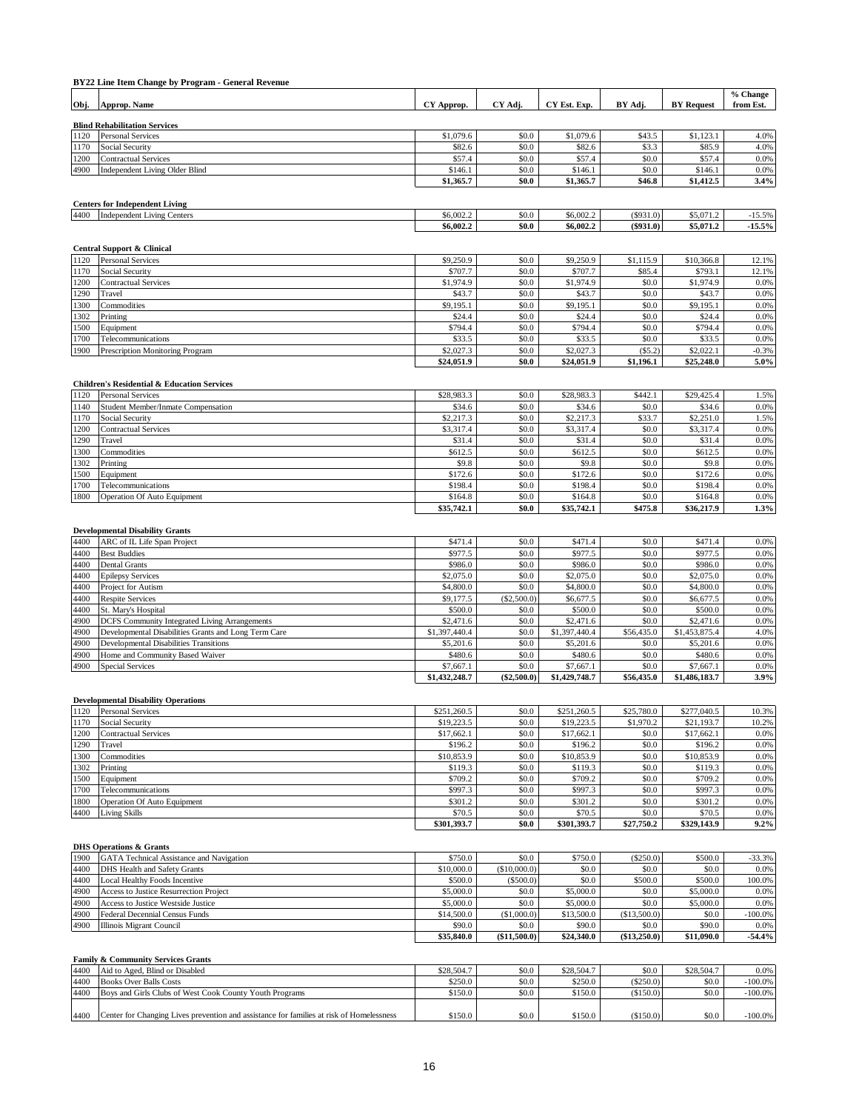|              | BY22 Line Item Change by Program - General Revenue                       |                       |                |                       |                  |                       |                       |
|--------------|--------------------------------------------------------------------------|-----------------------|----------------|-----------------------|------------------|-----------------------|-----------------------|
| Obj.         | Approp. Name                                                             | CY Approp.            | CY Adj.        | CY Est. Exp.          | BY Adj.          | <b>BY</b> Request     | % Change<br>from Est. |
|              |                                                                          |                       |                |                       |                  |                       |                       |
|              | <b>Blind Rehabilitation Services</b>                                     |                       |                |                       |                  |                       |                       |
| 1120         | <b>Personal Services</b>                                                 | \$1,079.6             | \$0.0          | \$1,079.6             | \$43.5           | \$1,123.1             | 4.0%                  |
| 1170         | Social Security                                                          | \$82.6                | \$0.0          | \$82.6                | \$3.3            | \$85.9                | 4.0%                  |
| 1200         | <b>Contractual Services</b>                                              | \$57.4                | \$0.0          | \$57.4                | \$0.0            | \$57.4                | 0.0%                  |
| 4900         | <b>Independent Living Older Blind</b>                                    | \$146.1<br>\$1,365.7  | \$0.0<br>\$0.0 | \$146.1<br>\$1,365.7  | \$0.0<br>\$46.8  | \$146.1<br>\$1,412.5  | 0.0%<br>3.4%          |
|              |                                                                          |                       |                |                       |                  |                       |                       |
|              | <b>Centers for Independent Living</b>                                    |                       |                |                       |                  |                       |                       |
| 4400         | <b>Independent Living Centers</b>                                        | \$6,002.2             | \$0.0          | \$6,002.2             | (\$931.0)        | \$5,071.2             | $-15.5%$              |
|              |                                                                          | \$6,002.2             | \$0.0          | \$6,002.2             | $(\$931.0)$      | \$5,071.2             | $-15.5%$              |
|              |                                                                          |                       |                |                       |                  |                       |                       |
|              | <b>Central Support &amp; Clinical</b>                                    |                       |                |                       |                  |                       |                       |
| 1120         | Personal Services                                                        | \$9,250.9             | \$0.0          | \$9,250.9             | \$1,115.9        | \$10,366.8            | 12.1%                 |
| 1170         | Social Security                                                          | \$707.7               | \$0.0          | \$707.7               | \$85.4           | \$793.1               | 12.1%                 |
| 1200         | <b>Contractual Services</b>                                              | \$1,974.9             | \$0.0          | \$1,974.9             | \$0.0            | \$1,974.9             | 0.0%                  |
| 1290         | Travel                                                                   | \$43.7                | \$0.0          | \$43.7                | \$0.0            | \$43.7                | 0.0%                  |
| 1300         | Commodities                                                              | \$9,195.1             | \$0.0          | \$9,195.1             | \$0.0            | \$9,195.1             | 0.0%                  |
| 1302<br>1500 | Printing<br>Equipment                                                    | \$24.4<br>\$794.4     | \$0.0<br>\$0.0 | \$24.4<br>\$794.4     | \$0.0<br>\$0.0   | \$24.4<br>\$794.4     | 0.0%<br>0.0%          |
| 1700         | Telecommunications                                                       | \$33.5                | \$0.0          | \$33.5                | \$0.0            | \$33.5                | 0.0%                  |
| 1900         | Prescription Monitoring Program                                          | \$2,027.3             | \$0.0          | \$2,027.3             | (\$5.2)          | \$2,022.1             | $-0.3%$               |
|              |                                                                          | \$24,051.9            | \$0.0          | \$24,051.9            | \$1,196.1        | \$25,248.0            | 5.0%                  |
|              |                                                                          |                       |                |                       |                  |                       |                       |
|              | <b>Children's Residential &amp; Education Services</b>                   |                       |                |                       |                  |                       |                       |
| 1120         | <b>Personal Services</b>                                                 | \$28,983.3            | \$0.0          | \$28,983.3            | \$442.1          | \$29,425.4            | 1.5%                  |
| 1140         | Student Member/Inmate Compensation                                       | \$34.6                | \$0.0          | \$34.6                | \$0.0            | \$34.6                | 0.0%                  |
| 1170         | Social Security                                                          | \$2,217.3             | \$0.0          | \$2,217.3             | \$33.7           | \$2,251.0             | 1.5%                  |
| 1200         | <b>Contractual Services</b>                                              | \$3,317.4             | \$0.0          | \$3,317.4             | \$0.0            | \$3,317.4             | 0.0%                  |
| 1290         | Travel                                                                   | \$31.4                | \$0.0          | \$31.4                | \$0.0            | \$31.4                | 0.0%                  |
| 1300         | Commodities                                                              | \$612.5               | \$0.0          | \$612.5               | \$0.0            | \$612.5               | 0.0%                  |
| 1302         | Printing                                                                 | \$9.8                 | \$0.0          | \$9.8                 | \$0.0            | \$9.8                 | 0.0%                  |
| 1500         | Equipment                                                                | \$172.6               | \$0.0          | \$172.6               | \$0.0            | \$172.6               | 0.0%                  |
| 1700         | Telecommunications                                                       | \$198.4               | \$0.0          | \$198.4               | \$0.0            | \$198.4               | 0.0%                  |
| 1800         | Operation Of Auto Equipment                                              | \$164.8<br>\$35,742.1 | \$0.0<br>\$0.0 | \$164.8<br>\$35,742.1 | \$0.0<br>\$475.8 | \$164.8<br>\$36,217.9 | 0.0%<br>1.3%          |
|              |                                                                          |                       |                |                       |                  |                       |                       |
|              | <b>Developmental Disability Grants</b>                                   |                       |                |                       |                  |                       |                       |
| 4400         | ARC of IL Life Span Project                                              | \$471.4               | \$0.0          | \$471.4               | \$0.0            | \$471.4               | 0.0%                  |
| 4400         | <b>Best Buddies</b>                                                      | \$977.5               | \$0.0          | \$977.5               | \$0.0            | \$977.5               | 0.0%                  |
| 4400         | Dental Grants                                                            | \$986.0               | \$0.0          | \$986.0               | \$0.0            | \$986.0               | 0.0%                  |
| 4400         | <b>Epilepsy Services</b>                                                 | \$2,075.0             | \$0.0          | \$2,075.0             | \$0.0            | \$2,075.0             | 0.0%                  |
| 4400         | Project for Autism                                                       | \$4,800.0             | \$0.0          | \$4,800.0             | \$0.0            | \$4,800.0             | 0.0%                  |
| 4400         | <b>Respite Services</b>                                                  | \$9,177.5             | (\$2,500.0)    | \$6,677.5             | \$0.0            | \$6,677.5             | 0.0%                  |
| 4400         | St. Mary's Hospital                                                      | \$500.0               | \$0.0          | \$500.0               | \$0.0            | \$500.0               | 0.0%                  |
| 4900         | <b>DCFS</b> Community Integrated Living Arrangements                     | \$2,471.6             | \$0.0          | \$2,471.6             | \$0.0            | \$2,471.6             | 0.0%                  |
| 4900         | Developmental Disabilities Grants and Long Term Care                     | \$1,397,440.4         | \$0.0          | \$1,397,440.4         | \$56,435.0       | \$1,453,875.4         | 4.0%                  |
| 4900         | <b>Developmental Disabilities Transitions</b>                            | \$5,201.6             | \$0.0          | \$5,201.6             | \$0.0            | \$5,201.6             | 0.0%                  |
| 4900         | Home and Community Based Waiver                                          | \$480.6               | \$0.0          | \$480.6               | \$0.0            | \$480.6               | 0.0%                  |
| 4900         | <b>Special Services</b>                                                  | \$7,667.1             | \$0.0          | \$7,667.1             | \$0.0            | \$7,667.1             | 0.0%                  |
|              |                                                                          | \$1,432,248.7         | $(\$2,500.0)$  | \$1,429,748.7         | \$56,435.0       | \$1,486,183.7         | 3.9%                  |
|              | <b>Developmental Disability Operations</b>                               |                       |                |                       |                  |                       |                       |
| 1120         | <b>Personal Services</b>                                                 | \$251,260.5           | \$0.0          | \$251,260.5           | \$25,780.0       | \$277,040.5           | 10.3%                 |
| 1170         | Social Security                                                          | \$19,223.5            | \$0.0          | \$19,223.5            | \$1,970.2        | \$21,193.7            | 10.2%                 |
| 1200         | <b>Contractual Services</b>                                              | \$17,662.1            | \$0.0          | \$17,662.1            | \$0.0            | \$17,662.1            | 0.0%                  |
| 1290         | Travel                                                                   | \$196.2               | \$0.0          | \$196.2               | \$0.0            | \$196.2               | 0.0%                  |
| 1300         | Commodities                                                              | \$10,853.9            | \$0.0          | \$10,853.9            | \$0.0            | \$10,853.9            | 0.0%                  |
| 1302         | Printing                                                                 | \$119.3               | \$0.0          | \$119.3               | \$0.0            | \$119.3               | 0.0%                  |
| 1500         | Equipment                                                                | \$709.2               | \$0.0          | \$709.2               | \$0.0            | \$709.2               | 0.0%                  |
| 1700         | Telecommunications                                                       | \$997.3               | \$0.0          | \$997.3               | \$0.0            | \$997.3               | 0.0%                  |
| 1800         | Operation Of Auto Equipment                                              | \$301.2               | \$0.0          | \$301.2               | \$0.0            | \$301.2               | 0.0%                  |
| 4400         | <b>Living Skills</b>                                                     | \$70.5                | \$0.0          | \$70.5                | \$0.0            | \$70.5                | 0.0%                  |
|              |                                                                          | \$301,393.7           | \$0.0          | \$301,393.7           | \$27,750.2       | \$329,143.9           | 9.2%                  |
|              |                                                                          |                       |                |                       |                  |                       |                       |
| 1900         | <b>DHS Operations &amp; Grants</b>                                       | \$750.0               | \$0.0          | \$750.0               | (\$250.0)        | \$500.0               | $-33.3%$              |
| 4400         | GATA Technical Assistance and Navigation<br>DHS Health and Safety Grants | \$10,000.0            | (\$10,000.0)   | \$0.0                 | \$0.0            | \$0.0                 | 0.0%                  |
| 4400         | Local Healthy Foods Incentive                                            | \$500.0               | (\$500.0)      | \$0.0                 | \$500.0          | \$500.0               | 100.0%                |
| 4900         | Access to Justice Resurrection Project                                   | \$5,000.0             | \$0.0          | \$5,000.0             | \$0.0            | \$5,000.0             | 0.0%                  |
| 4900         | Access to Justice Westside Justice                                       | \$5,000.0             | \$0.0          | \$5,000.0             | \$0.0            | \$5,000.0             | 0.0%                  |
| 4900         | Federal Decennial Census Funds                                           | \$14,500.0            | (\$1,000.0)    | \$13,500.0            | (\$13,500.0)     | \$0.0                 | $-100.0%$             |
| 4900         | <b>Illinois Migrant Council</b>                                          | \$90.0                | \$0.0          | \$90.0                | \$0.0            | \$90.0                | 0.0%                  |
|              |                                                                          | \$35,840.0            | (\$11,500.0)   | \$24,340.0            | (\$13,250.0)     | \$11,090.0            | $-54.4%$              |
|              |                                                                          |                       |                |                       |                  |                       |                       |
|              | Family & Community Services Grants                                       |                       |                |                       |                  |                       |                       |
| 4400         | Aid to Aged, Blind or Disabled                                           | \$28,504.7            | \$0.0          | \$28,504.7            | \$0.0            | \$28,504.7            | 0.0%                  |
| 4400         | <b>Books Over Balls Costs</b>                                            | \$250.0               | \$0.0          | \$250.0               | (\$250.0)        | \$0.0                 | $-100.0\%$            |
|              | 4400 Boys and Girls Clubs of West Cook County Youth Programs             | \$150.0               | \$0.0          | \$150.0               | (\$150.0)        | \$0.0                 | $-100.0\%$            |

# 4400 Center for Changing Lives prevention and assistance for families at risk of Homelessness \$150.0 \$150.0 \$150.0 \$150.0 (\$150.0) \$0.0 -100.0%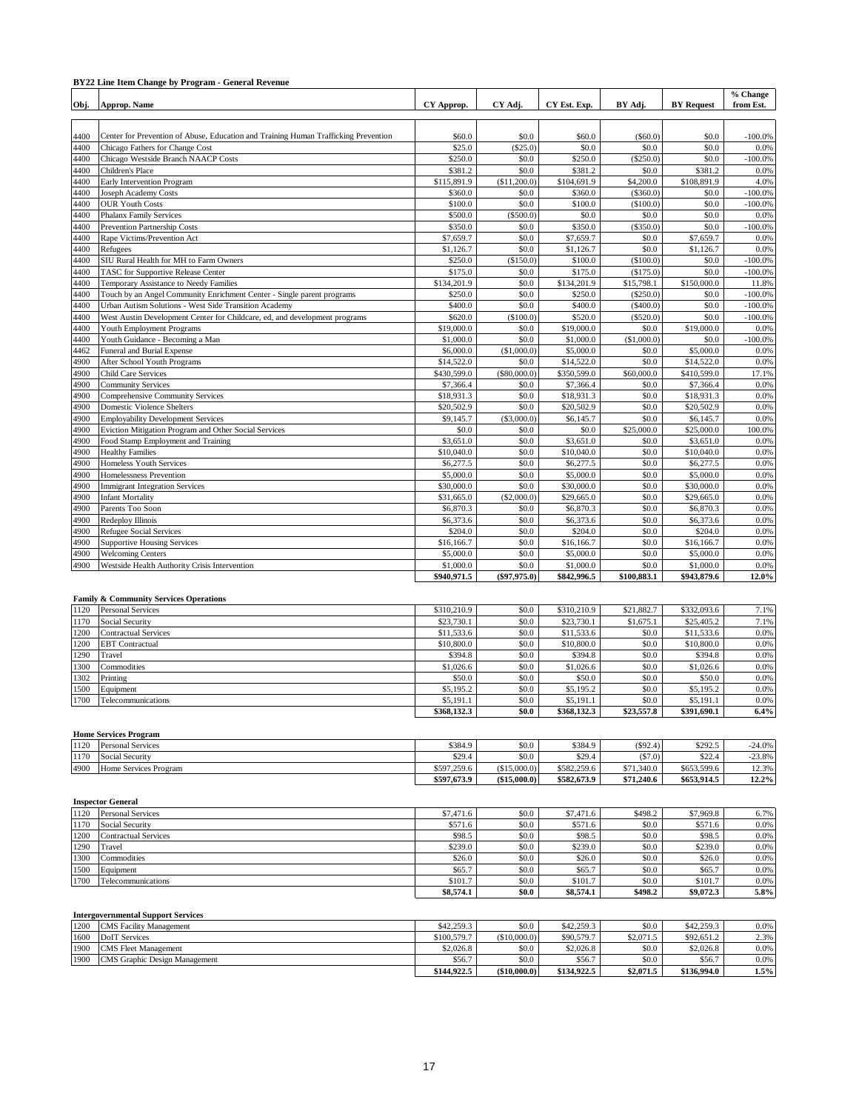### **BY22 Line Item Change by Program - General Revenue**

| Obj. | Approp. Name                                                                        | CY Approp.  | CY Adj.        | CY Est. Exp. | BY Adi.     | <b>BY Request</b> | % Change<br>from Est. |
|------|-------------------------------------------------------------------------------------|-------------|----------------|--------------|-------------|-------------------|-----------------------|
|      |                                                                                     |             |                |              |             |                   |                       |
|      |                                                                                     |             |                |              |             |                   |                       |
| 4400 | Center for Prevention of Abuse, Education and Training Human Trafficking Prevention | \$60.0      | \$0.0          | \$60.0       | $(\$60.0)$  | \$0.0             | $-100.0%$             |
| 4400 | Chicago Fathers for Change Cost                                                     | \$25.0      | (\$25.0)       | \$0.0        | \$0.0       | \$0.0             | 0.0%                  |
| 4400 | Chicago Westside Branch NAACP Costs                                                 | \$250.0     | \$0.0          | \$250.0      | (\$250.0)   | \$0.0             | $-100.0%$             |
| 4400 | Children's Place                                                                    | \$381.2     | \$0.0          | \$381.2      | \$0.0       | \$381.2           | 0.0%                  |
| 4400 | <b>Early Intervention Program</b>                                                   | \$115,891.9 | (\$11,200.0)   | \$104,691.9  | \$4,200.0   | \$108,891.9       | 4.0%                  |
| 4400 | <b>Joseph Academy Costs</b>                                                         | \$360.0     | \$0.0          | \$360.0      | (\$360.0)   | \$0.0             | $-100.0%$             |
| 4400 | <b>OUR Youth Costs</b>                                                              | \$100.0     | \$0.0          | \$100.0      | (\$100.0)   | \$0.0             | $-100.0%$             |
| 4400 | <b>Phalanx Family Services</b>                                                      | \$500.0     | (\$500.0)      | \$0.0        | \$0.0       | \$0.0             | 0.0%                  |
| 4400 | <b>Prevention Partnership Costs</b>                                                 | \$350.0     | \$0.0          | \$350.0      | (\$350.0)   | \$0.0             | $-100.0%$             |
| 4400 | Rape Victims/Prevention Act                                                         | \$7,659.7   | \$0.0          | \$7,659.7    | \$0.0       | \$7,659.7         | 0.0%                  |
| 4400 | Refugees                                                                            | \$1,126.7   | \$0.0          | \$1,126.7    | \$0.0       | \$1,126.7         | 0.0%                  |
| 4400 | SIU Rural Health for MH to Farm Owners                                              | \$250.0     | (\$150.0)      | \$100.0      | (\$100.0)   | \$0.0             | $-100.0%$             |
| 4400 | <b>TASC</b> for Supportive Release Center                                           | \$175.0     | \$0.0          | \$175.0      | (\$175.0)   | \$0.0             | $-100.0%$             |
| 4400 | Temporary Assistance to Needy Families                                              | \$134,201.9 | \$0.0          | \$134,201.9  | \$15,798.1  | \$150,000.0       | 11.8%                 |
| 4400 | Touch by an Angel Community Enrichment Center - Single parent programs              | \$250.0     | \$0.0          | \$250.0      | (\$250.0)   | \$0.0             | $-100.0%$             |
| 4400 | Urban Autism Solutions - West Side Transition Academy                               | \$400.0     | \$0.0          | \$400.0      | (\$400.0)   | \$0.0             | $-100.0%$             |
| 4400 | West Austin Development Center for Childcare, ed, and development programs          | \$620.0     | (\$100.0)      | \$520.0      | $(\$520.0)$ | \$0.0             | $-100.0%$             |
| 4400 | <b>Youth Employment Programs</b>                                                    | \$19,000.0  | \$0.0          | \$19,000.0   | \$0.0       | \$19,000.0        | 0.0%                  |
| 4400 | Youth Guidance - Becoming a Man                                                     | \$1,000.0   | \$0.0          | \$1,000.0    | (\$1,000.0) | \$0.0             | $-100.0%$             |
| 4462 | Funeral and Burial Expense                                                          | \$6,000.0   | (\$1,000.0)    | \$5,000.0    | \$0.0       | \$5,000.0         | 0.0%                  |
| 4900 | After School Youth Programs                                                         | \$14,522.0  | \$0.0          | \$14,522.0   | \$0.0       | \$14,522.0        | 0.0%                  |
| 4900 | <b>Child Care Services</b>                                                          | \$430,599.0 | (\$80,000.0)   | \$350,599.0  | \$60,000.0  | \$410,599.0       | 17.1%                 |
| 4900 | <b>Community Services</b>                                                           | \$7,366.4   | \$0.0          | \$7,366.4    | \$0.0       | \$7,366.4         | 0.0%                  |
| 4900 | <b>Comprehensive Community Services</b>                                             | \$18,931.3  | \$0.0          | \$18,931.3   | \$0.0       | \$18,931.3        | 0.0%                  |
| 4900 | <b>Domestic Violence Shelters</b>                                                   | \$20,502.9  | \$0.0          | \$20,502.9   | \$0.0       | \$20,502.9        | 0.0%                  |
| 4900 | <b>Employability Development Services</b>                                           | \$9,145.7   | (S3,000.0)     | \$6,145.7    | \$0.0       | \$6,145.7         | 0.0%                  |
| 4900 | Eviction Mitigation Program and Other Social Services                               | \$0.0       | \$0.0          | \$0.0        | \$25,000.0  | \$25,000.0        | 100.0%                |
| 4900 | Food Stamp Employment and Training                                                  | \$3,651.0   | \$0.0          | \$3,651.0    | \$0.0       | \$3,651.0         | 0.0%                  |
| 4900 | <b>Healthy Families</b>                                                             | \$10,040.0  | \$0.0          | \$10,040.0   | \$0.0       | \$10,040.0        | 0.0%                  |
| 4900 | <b>Homeless Youth Services</b>                                                      | \$6,277.5   | \$0.0          | \$6,277.5    | \$0.0       | \$6,277.5         | 0.0%                  |
| 4900 | Homelessness Prevention                                                             | \$5,000.0   | \$0.0          | \$5,000.0    | \$0.0       | \$5,000.0         | 0.0%                  |
| 4900 | <b>Immigrant Integration Services</b>                                               | \$30,000.0  | \$0.0          | \$30,000.0   | \$0.0       | \$30,000.0        | 0.0%                  |
| 4900 | <b>Infant Mortality</b>                                                             | \$31,665.0  | (\$2,000.0)    | \$29,665.0   | \$0.0       | \$29,665.0        | 0.0%                  |
| 4900 | Parents Too Soon                                                                    | \$6,870.3   | \$0.0          | \$6,870.3    | \$0.0       | \$6,870.3         | 0.0%                  |
| 4900 | Redeploy Illinois                                                                   | \$6,373.6   | \$0.0          | \$6,373.6    | \$0.0       | \$6,373.6         | 0.0%                  |
| 4900 | Refugee Social Services                                                             | \$204.0     | \$0.0          | \$204.0      | \$0.0       | \$204.0           | 0.0%                  |
| 4900 | <b>Supportive Housing Services</b>                                                  | \$16,166.7  | \$0.0          | \$16,166.7   | \$0.0       | \$16,166.7        | 0.0%                  |
| 4900 | <b>Welcoming Centers</b>                                                            | \$5,000.0   | \$0.0          | \$5,000.0    | \$0.0       | \$5,000.0         | 0.0%                  |
| 4900 | Westside Health Authority Crisis Intervention                                       | \$1,000.0   | \$0.0          | \$1,000.0    | \$0.0       | \$1,000.0         | 0.0%                  |
|      |                                                                                     | \$940,971.5 | $(\$97,975.0)$ | \$842,996.5  | \$100,883.1 | \$943,879.6       | 12.0%                 |

#### **Family & Community Services Operations**

| 1120 | <b>Personal Services</b>    | \$310,210.9 | \$0.0 | \$310,210.9 | \$21,882.7 | \$332,093.6 | 7.1% |
|------|-----------------------------|-------------|-------|-------------|------------|-------------|------|
| 1170 | Social Security             | \$23,730.1  | \$0.0 | \$23,730.1  | \$1,675.1  | \$25,405.2  | 7.1% |
| 1200 | <b>Contractual Services</b> | \$11,533.6  | \$0.0 | \$11,533.6  | \$0.0      | \$11,533.6  | 0.0% |
| 1200 | <b>EBT</b> Contractual      | \$10,800.0  | \$0.0 | \$10,800.0  | \$0.0      | \$10,800.0  | 0.0% |
| 1290 | Travel                      | \$394.8     | \$0.0 | \$394.8     | \$0.0      | \$394.8     | 0.0% |
| 1300 | Commodities                 | \$1,026.6   | \$0.0 | \$1.026.6   | \$0.0      | \$1,026.6   | 0.0% |
| 1302 | Printing                    | \$50.0      | \$0.0 | \$50.0      | \$0.0      | \$50.0      | 0.0% |
| 1500 | Equipment                   | \$5,195.2   | \$0.0 | \$5,195.2   | \$0.0      | \$5,195.2   | 0.0% |
| 1700 | Telecommunications          | \$5,191.1   | \$0.0 | \$5,191.1   | \$0.0      | \$5,191.1   | 0.0% |
|      |                             | \$368,132.3 | \$0.0 | \$368,132.3 | \$23,557.8 | \$391,690.1 | 6.4% |

#### **Home Services Program**

| 1120 | <b>Personal Services</b> | \$384.9     | \$0.0       | \$384.9     | (S92.4)    | \$292.5     | $-24.0%$  |
|------|--------------------------|-------------|-------------|-------------|------------|-------------|-----------|
| 1170 | <b>Social Security</b>   | \$29.4      | \$0.0       | \$29.4      | (S7.0)     | \$22.4      | $-23.8\%$ |
| 4900 | Home Services Program    | \$597,259.6 | (S15,000,0) | \$582,259.6 | \$71,340.0 | \$653,599.6 | 12.3%     |
|      |                          | \$597,673.9 | (S15,000.0) | \$582,673.9 | \$71,240.6 | \$653,914.5 | 12.2%     |

|      | <b>Inspector General</b>    |           |       |           |         |           |      |  |  |  |
|------|-----------------------------|-----------|-------|-----------|---------|-----------|------|--|--|--|
| 1120 | <b>Personal Services</b>    | \$7,471.6 | \$0.0 | \$7,471.6 | \$498.2 | \$7,969.8 | 6.7% |  |  |  |
| 1170 | <b>Social Security</b>      | \$571.6   | \$0.0 | \$571.6   | \$0.0   | \$571.6   | 0.0% |  |  |  |
| 1200 | <b>Contractual Services</b> | \$98.5    | \$0.0 | \$98.5    | \$0.0   | \$98.5    | 0.0% |  |  |  |
| 1290 | Travel                      | \$239.0   | \$0.0 | \$239.0   | \$0.0   | \$239.0   | 0.0% |  |  |  |
| 1300 | Commodities                 | \$26.0    | \$0.0 | \$26.0    | \$0.0   | \$26.0    | 0.0% |  |  |  |
| 1500 | Equipment                   | \$65.7    | \$0.0 | \$65.7    | \$0.0   | \$65.7    | 0.0% |  |  |  |
| 1700 | Telecommunications          | \$101.7   | \$0.0 | \$101.7   | \$0.0   | \$101.7   | 0.0% |  |  |  |
|      |                             | \$8,574.1 | \$0.0 | \$8,574.1 | \$498.2 | \$9,072.3 | 5.8% |  |  |  |

#### **Intergovernmental Support Services**

| 1200 | <b>CMS</b> Facility Management | \$42,259.3  | \$0.0        | \$42,259.3  | \$0.0     | \$42,259.3  | 0.0% |
|------|--------------------------------|-------------|--------------|-------------|-----------|-------------|------|
| 1600 | DoIT Services                  | \$100,579.7 | (S10,000,0)  | \$90,579.7  | \$2,071.5 | \$92,651.2  | 2.3% |
| 1900 | <b>CMS</b> Fleet Management    | \$2.026.8   | \$0.0        | \$2,026.8   | \$0.0     | \$2,026.8   | 0.0% |
| 1900 | CMS Graphic Design Management  | \$56.7      | \$0.0        | \$56.7      | \$0.0     | \$56.7      | 0.0% |
|      |                                | \$144,922.5 | (\$10,000.0) | \$134,922.5 | \$2,071.5 | \$136,994.0 | 1.5% |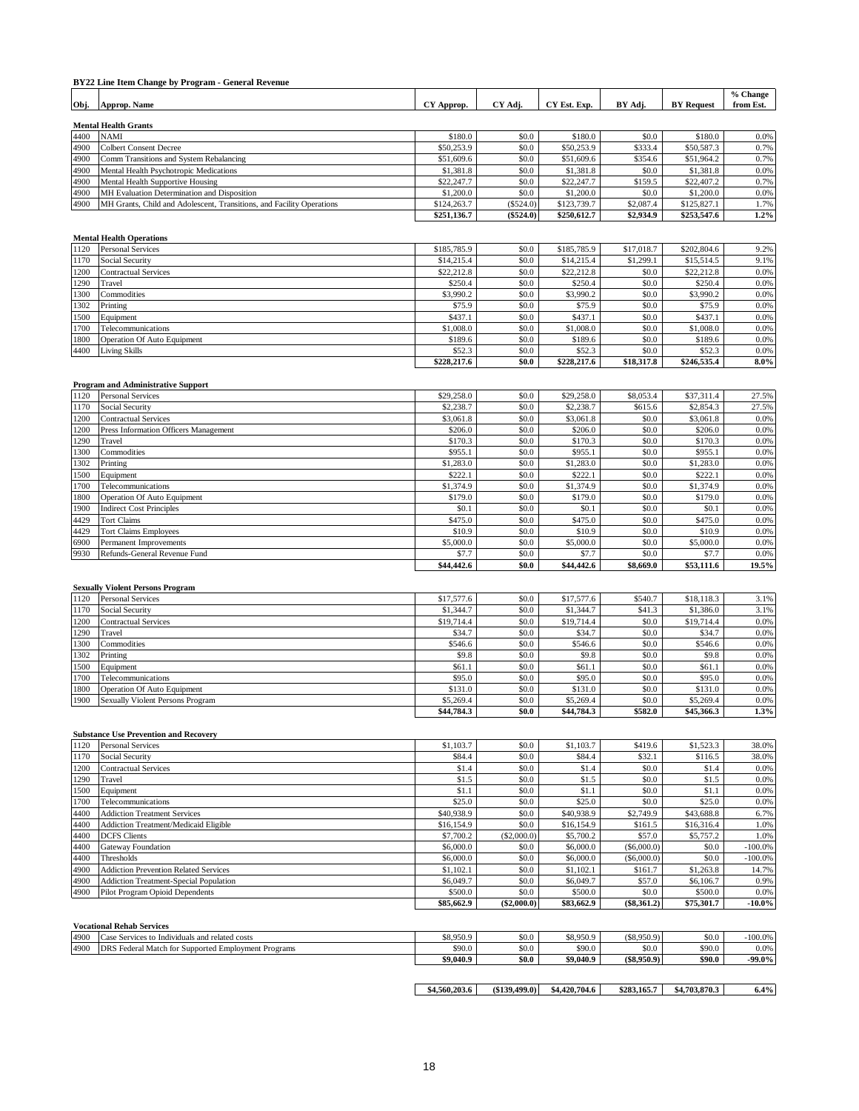# **BY22 Line Item Change by Program - General Revenue**

|      |                                                                       |             |          |              |           |                   | % Change  |  |  |  |  |
|------|-----------------------------------------------------------------------|-------------|----------|--------------|-----------|-------------------|-----------|--|--|--|--|
| Obj. | Approp. Name                                                          | CY Approp.  | CY Adj.  | CY Est. Exp. | BY Adj.   | <b>BY</b> Request | from Est. |  |  |  |  |
|      |                                                                       |             |          |              |           |                   |           |  |  |  |  |
|      | <b>Mental Health Grants</b>                                           |             |          |              |           |                   |           |  |  |  |  |
| 4400 | <b>NAMI</b>                                                           | \$180.0     | \$0.0    | \$180.0      | \$0.0     | \$180.0           | 0.0%      |  |  |  |  |
| 4900 | <b>Colbert Consent Decree</b>                                         | \$50,253.9  | \$0.0    | \$50,253.9   | \$333.4   | \$50,587.3        | 0.7%      |  |  |  |  |
| 4900 | Comm Transitions and System Rebalancing                               | \$51,609.6  | \$0.0    | \$51,609.6   | \$354.6   | \$51,964.2        | 0.7%      |  |  |  |  |
| 4900 | Mental Health Psychotropic Medications                                | \$1,381.8   | \$0.0    | \$1,381.8    | \$0.0     | \$1,381.8         | 0.0%      |  |  |  |  |
| 4900 | Mental Health Supportive Housing                                      | \$22,247.7  | \$0.0    | \$22,247.7   | \$159.5   | \$22,407.2        | 0.7%      |  |  |  |  |
| 4900 | MH Evaluation Determination and Disposition                           | \$1,200.0   | \$0.0    | \$1,200.0    | \$0.0     | \$1,200.0         | 0.0%      |  |  |  |  |
| 4900 | MH Grants, Child and Adolescent, Transitions, and Facility Operations | \$124,263.7 | (S524.0) | \$123,739.7  | \$2,087.4 | \$125,827.1       | 1.7%      |  |  |  |  |

#### **Mental Health Operations**

| 1120 | <b>Personal Services</b>           | \$185,785.9 | \$0.0 | \$185,785.9 | \$17,018.7 | \$202,804.6 | 9.2%    |
|------|------------------------------------|-------------|-------|-------------|------------|-------------|---------|
| 1170 | Social Security                    | \$14,215.4  | \$0.0 | \$14,215.4  | \$1,299.1  | \$15,514.5  | 9.1%    |
| 1200 | <b>Contractual Services</b>        | \$22,212.8  | \$0.0 | \$22,212.8  | \$0.0      | \$22,212.8  | 0.0%    |
| 1290 | Travel                             | \$250.4     | \$0.0 | \$250.4     | \$0.0      | \$250.4     | 0.0%    |
| 1300 | Commodities                        | \$3,990.2   | \$0.0 | \$3,990.2   | \$0.0      | \$3,990.2   | 0.0%    |
| 1302 | Printing                           | \$75.9      | \$0.0 | \$75.9      | \$0.0      | \$75.9      | 0.0%    |
| 1500 | Equipment                          | \$437.1     | \$0.0 | \$437.1     | \$0.0      | \$437.1     | 0.0%    |
| 1700 | Telecommunications                 | \$1,008.0   | \$0.0 | \$1,008.0   | \$0.0      | \$1,008.0   | 0.0%    |
| 1800 | <b>Operation Of Auto Equipment</b> | \$189.6     | \$0.0 | \$189.6     | \$0.0      | \$189.6     | 0.0%    |
| 4400 | <b>Living Skills</b>               | \$52.3      | \$0.0 | \$52.3      | \$0.0      | \$52.3      | 0.0%    |
|      |                                    | \$228,217.6 | \$0.0 | \$228,217.6 | \$18,317.8 | \$246,535.4 | $8.0\%$ |

#### **Program and Administrative Support**

| 1120 | <b>Personal Services</b>                     | \$29,258.0 | \$0.0 | \$29,258.0 | \$8,053.4 | \$37,311.4 | 27.5% |
|------|----------------------------------------------|------------|-------|------------|-----------|------------|-------|
| 1170 | Social Security                              | \$2,238.7  | \$0.0 | \$2,238.7  | \$615.6   | \$2,854.3  | 27.5% |
| 1200 | <b>Contractual Services</b>                  | \$3,061.8  | \$0.0 | \$3,061.8  | \$0.0     | \$3,061.8  | 0.0%  |
| 1200 | <b>Press Information Officers Management</b> | \$206.0    | \$0.0 | \$206.0    | \$0.0     | \$206.0    | 0.0%  |
| 1290 | Travel                                       | \$170.3    | \$0.0 | \$170.3    | \$0.0     | \$170.3    | 0.0%  |
| 1300 | Commodities                                  | \$955.1    | \$0.0 | \$955.1    | \$0.0     | \$955.1    | 0.0%  |
| 1302 | Printing                                     | \$1,283.0  | \$0.0 | \$1,283.0  | \$0.0     | \$1,283.0  | 0.0%  |
| 1500 | Equipment                                    | \$222.1    | \$0.0 | \$222.1    | \$0.0     | \$222.1    | 0.0%  |
| 1700 | Telecommunications                           | \$1,374.9  | \$0.0 | \$1,374.9  | \$0.0     | \$1,374.9  | 0.0%  |
| 1800 | Operation Of Auto Equipment                  | \$179.0    | \$0.0 | \$179.0    | \$0.0     | \$179.0    | 0.0%  |
| 1900 | <b>Indirect Cost Principles</b>              | \$0.1      | \$0.0 | \$0.1      | \$0.0     | \$0.1      | 0.0%  |
| 4429 | <b>Tort Claims</b>                           | \$475.0    | \$0.0 | \$475.0    | \$0.0     | \$475.0    | 0.0%  |
| 4429 | <b>Tort Claims Employees</b>                 | \$10.9     | \$0.0 | \$10.9     | \$0.0     | \$10.9     | 0.0%  |
| 6900 | Permanent Improvements                       | \$5,000.0  | \$0.0 | \$5,000.0  | \$0.0     | \$5,000.0  | 0.0%  |
| 9930 | Refunds-General Revenue Fund                 | \$7.7      | \$0.0 | \$7.7      | \$0.0     | \$7.7      | 0.0%  |
|      |                                              | \$44,442.6 | \$0.0 | \$44,442.6 | \$8,669.0 | \$53,111.6 | 19.5% |

#### **Sexually Violent Persons Program**

| 1120 | <b>Personal Services</b>         | \$17,577.6 | \$0.0 | \$17,577.6 | \$540.7 | \$18,118.3 | 3.1% |
|------|----------------------------------|------------|-------|------------|---------|------------|------|
| 1170 | <b>Social Security</b>           | \$1,344.7  | \$0.0 | \$1,344.7  | \$41.3  | \$1,386.0  | 3.1% |
| 1200 | <b>Contractual Services</b>      | \$19,714.4 | \$0.0 | \$19,714.4 | \$0.0   | \$19,714.4 | 0.0% |
| 1290 | Travel                           | \$34.7     | \$0.0 | \$34.7     | \$0.0   | \$34.7     | 0.0% |
| 1300 | Commodities                      | \$546.6    | \$0.0 | \$546.6    | \$0.0   | \$546.6    | 0.0% |
| 1302 | Printing                         | \$9.8      | \$0.0 | \$9.8      | \$0.0   | \$9.8      | 0.0% |
| 1500 | Equipment                        | \$61.1     | \$0.0 | \$61.1     | \$0.0   | \$61.1     | 0.0% |
| 1700 | Telecommunications               | \$95.0     | \$0.0 | \$95.0     | \$0.0   | \$95.0     | 0.0% |
| 1800 | Operation Of Auto Equipment      | \$131.0    | \$0.0 | \$131.0    | \$0.0   | \$131.0    | 0.0% |
| 1900 | Sexually Violent Persons Program | \$5,269.4  | \$0.0 | \$5,269.4  | \$0.0   | \$5,269.4  | 0.0% |
|      |                                  | \$44,784.3 | \$0.0 | \$44,784.3 | \$582.0 | \$45,366.3 | 1.3% |

#### **Substance Use Prevention and Recovery**

| 1120 | <b>Personal Services</b>                     | \$1,103.7  | \$0.0         | \$1,103.7  | \$419.6       | \$1,523.3  | 38.0%     |
|------|----------------------------------------------|------------|---------------|------------|---------------|------------|-----------|
| 1170 | <b>Social Security</b>                       | \$84.4     | \$0.0         | \$84.4     | \$32.1        | \$116.5    | 38.0%     |
| 1200 | <b>Contractual Services</b>                  | \$1.4      | \$0.0         | \$1.4      | \$0.0         | \$1.4      | 0.0%      |
| 1290 | Travel                                       | \$1.5      | \$0.0         | \$1.5      | \$0.0         | \$1.5      | 0.0%      |
| 1500 | Equipment                                    | \$1.1      | \$0.0         | \$1.1      | \$0.0         | \$1.1      | 0.0%      |
| 1700 | Telecommunications                           | \$25.0     | \$0.0         | \$25.0     | \$0.0         | \$25.0     | 0.0%      |
| 4400 | <b>Addiction Treatment Services</b>          | \$40,938.9 | \$0.0         | \$40,938.9 | \$2,749.9     | \$43,688.8 | 6.7%      |
| 4400 | Addiction Treatment/Medicaid Eligible        | \$16,154.9 | \$0.0         | \$16,154.9 | \$161.5       | \$16,316.4 | 1.0%      |
| 4400 | <b>DCFS</b> Clients                          | \$7,700.2  | (\$2,000.0)   | \$5,700.2  | \$57.0        | \$5,757.2  | 1.0%      |
| 4400 | <b>Gateway Foundation</b>                    | \$6,000.0  | \$0.0         | \$6,000.0  | $(\$6,000.0)$ | \$0.0      | $-100.0%$ |
| 4400 | <b>Thresholds</b>                            | \$6,000.0  | \$0.0         | \$6,000.0  | (S6,000,0)    | \$0.0      | $-100.0%$ |
| 4900 | <b>Addiction Prevention Related Services</b> | \$1,102.1  | \$0.0         | \$1,102.1  | \$161.7       | \$1,263.8  | 14.7%     |
| 4900 | Addiction Treatment-Special Population       | \$6,049.7  | \$0.0         | \$6,049.7  | \$57.0        | \$6,106.7  | 0.9%      |
| 4900 | Pilot Program Opioid Dependents              | \$500.0    | \$0.0         | \$500.0    | \$0.0         | \$500.0    | 0.0%      |
|      |                                              | \$85,662.9 | $(\$2,000.0)$ | \$83,662.9 | $(\$8,361.2)$ | \$75,301.7 | $-10.0\%$ |

|      | <b>Vocational Rehab Services</b>                           |           |       |           |               |        |            |
|------|------------------------------------------------------------|-----------|-------|-----------|---------------|--------|------------|
| 4900 | Case Services to Individuals and related costs             | \$8,950.9 | \$0.0 | \$8,950.9 | $(\$8.950.9)$ | \$0.0  | $-100.0\%$ |
| 4900 | <b>DRS</b> Federal Match for Supported Employment Programs | \$90.0    | \$0.0 | \$90.0    | \$0.0         | \$90.0 | 0.0%       |
|      |                                                            | \$9.040.9 | \$0.0 | \$9,040.9 | $(\$8.950.9)$ | \$90.0 | -99.0%     |

**\$4,560,203.6 (\$139,499.0) \$4,420,704.6 \$283,165.7 \$4,703,870.3 6.4%**

**\$251,136.7 (\$524.0) \$250,612.7 \$2,934.9 \$253,547.6 1.2%**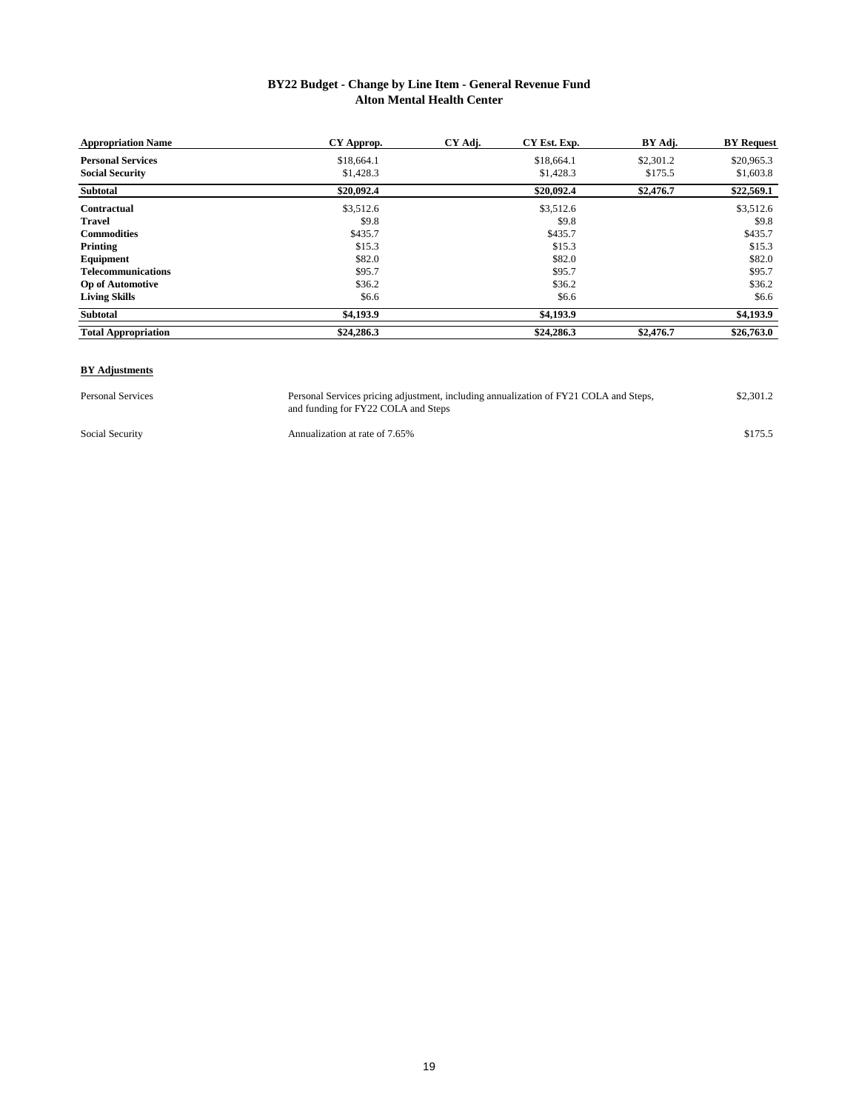## **BY22 Budget - Change by Line Item - General Revenue Fund Alton Mental Health Center**

| <b>Appropriation Name</b>  | CY Approp. | CY Adj. | CY Est. Exp. | BY Adj.   | <b>BY</b> Request |
|----------------------------|------------|---------|--------------|-----------|-------------------|
| <b>Personal Services</b>   | \$18,664.1 |         | \$18,664.1   | \$2,301.2 | \$20,965.3        |
| <b>Social Security</b>     | \$1,428.3  |         | \$1,428.3    | \$175.5   | \$1,603.8         |
| Subtotal                   | \$20,092.4 |         | \$20,092.4   | \$2,476.7 | \$22,569.1        |
| Contractual                | \$3,512.6  |         | \$3,512.6    |           | \$3,512.6         |
| <b>Travel</b>              | \$9.8      |         | \$9.8        |           | \$9.8             |
| <b>Commodities</b>         | \$435.7    |         | \$435.7      |           | \$435.7           |
| Printing                   | \$15.3     |         | \$15.3       |           | \$15.3            |
| Equipment                  | \$82.0     |         | \$82.0       |           | \$82.0            |
| <b>Telecommunications</b>  | \$95.7     |         | \$95.7       |           | \$95.7            |
| <b>Op of Automotive</b>    | \$36.2     |         | \$36.2       |           | \$36.2            |
| <b>Living Skills</b>       | \$6.6      |         | \$6.6        |           | \$6.6             |
| Subtotal                   | \$4,193.9  |         | \$4,193.9    |           | \$4,193.9         |
| <b>Total Appropriation</b> | \$24,286.3 |         | \$24,286.3   | \$2,476.7 | \$26,763.0        |

#### **BY Adjustments**

Personal Services **1988** Personal Services pricing adjustment, including annualization of FY21 COLA and Steps, \$2,301.2 and funding for FY22 COLA and Steps Personal Services pricing adjustment, including annualization of FY21 COLA and Steps,

Social Security **Security** Annualization at rate of 7.65% \$175.5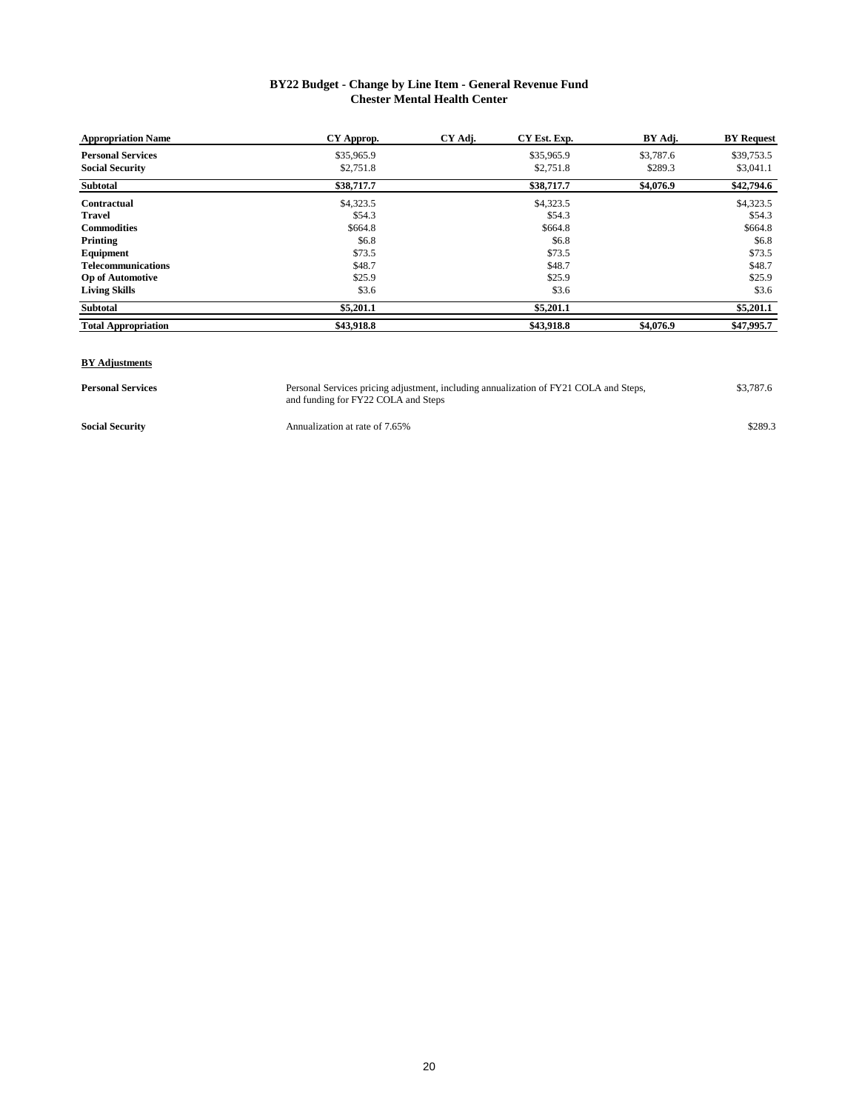# **BY22 Budget - Change by Line Item - General Revenue Fund Chester Mental Health Center**

| <b>Appropriation Name</b>  | CY Approp. | CY Adj. | CY Est. Exp. | BY Adj.   | <b>BY</b> Request |
|----------------------------|------------|---------|--------------|-----------|-------------------|
| <b>Personal Services</b>   | \$35,965.9 |         | \$35,965.9   | \$3,787.6 | \$39,753.5        |
| <b>Social Security</b>     | \$2,751.8  |         | \$2,751.8    | \$289.3   | \$3,041.1         |
| <b>Subtotal</b>            | \$38,717.7 |         | \$38,717.7   | \$4,076.9 | \$42,794.6        |
| <b>Contractual</b>         | \$4,323.5  |         | \$4,323.5    |           | \$4,323.5         |
| <b>Travel</b>              | \$54.3     |         | \$54.3       |           | \$54.3            |
| <b>Commodities</b>         | \$664.8    |         | \$664.8      |           | \$664.8           |
| Printing                   | \$6.8      |         | \$6.8        |           | \$6.8             |
| Equipment                  | \$73.5     |         | \$73.5       |           | \$73.5            |
| <b>Telecommunications</b>  | \$48.7     |         | \$48.7       |           | \$48.7            |
| <b>Op of Automotive</b>    | \$25.9     |         | \$25.9       |           | \$25.9            |
| <b>Living Skills</b>       | \$3.6      |         | \$3.6        |           | \$3.6             |
| <b>Subtotal</b>            | \$5,201.1  |         | \$5,201.1    |           | \$5,201.1         |
| <b>Total Appropriation</b> | \$43,918.8 |         | \$43,918.8   | \$4,076.9 | \$47,995.7        |

#### **BY Adjustments**

**Personal Services 1988 Personal Services pricing adjustment**, including annualization of FY21 COLA and Steps, \$3,787.6 and funding for FY22 COLA and Steps Personal Services pricing adjustment, including annualization of FY21 COLA and Steps,

**Social Security Sacial Security** Annualization at rate of 7.65% **\$289.3 \$289.3**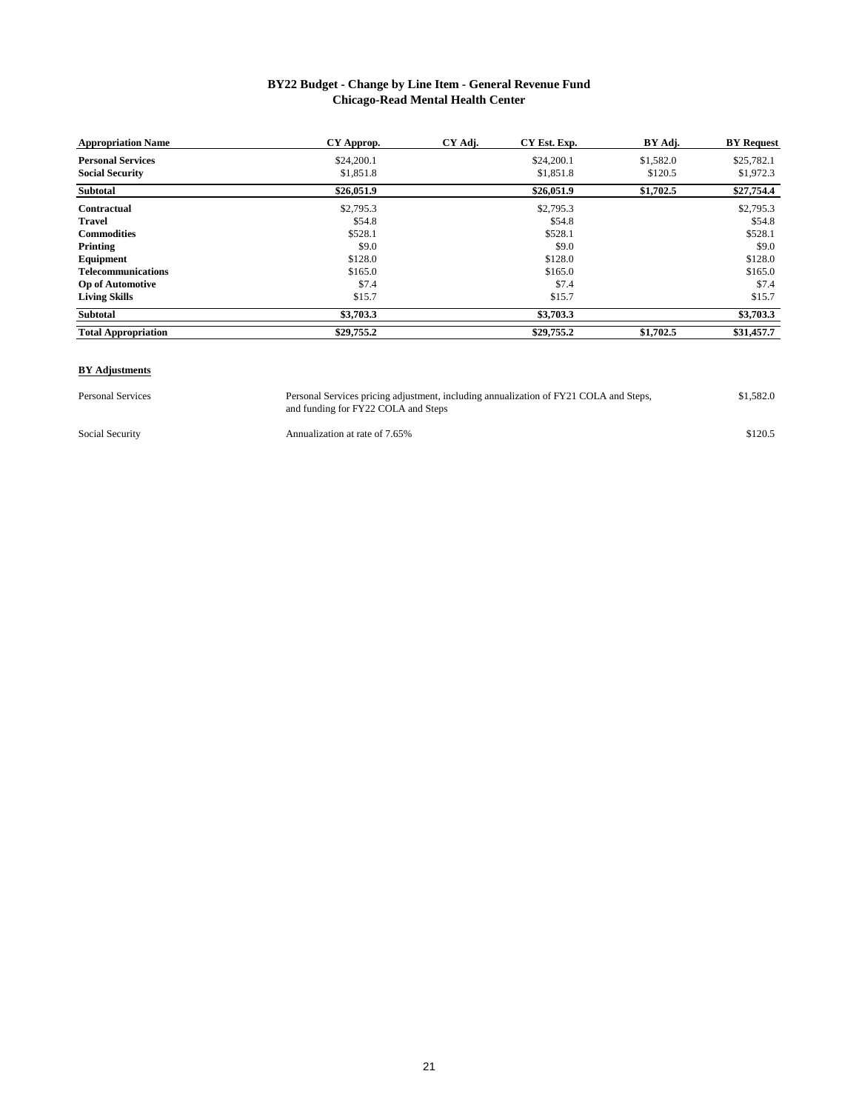# **BY22 Budget - Change by Line Item - General Revenue Fund Chicago-Read Mental Health Center**

| <b>Appropriation Name</b>  | CY Approp. | CY Adj. | CY Est. Exp. | BY Adj.   | <b>BY</b> Request |
|----------------------------|------------|---------|--------------|-----------|-------------------|
| <b>Personal Services</b>   | \$24,200.1 |         | \$24,200.1   | \$1,582.0 | \$25,782.1        |
| <b>Social Security</b>     | \$1,851.8  |         | \$1,851.8    | \$120.5   | \$1,972.3         |
| <b>Subtotal</b>            | \$26,051.9 |         | \$26,051.9   | \$1,702.5 | \$27,754.4        |
| Contractual                | \$2,795.3  |         | \$2,795.3    |           | \$2,795.3         |
| <b>Travel</b>              | \$54.8     |         | \$54.8       |           | \$54.8            |
| <b>Commodities</b>         | \$528.1    |         | \$528.1      |           | \$528.1           |
| Printing                   | \$9.0      |         | \$9.0        |           | \$9.0             |
| Equipment                  | \$128.0    |         | \$128.0      |           | \$128.0           |
| <b>Telecommunications</b>  | \$165.0    |         | \$165.0      |           | \$165.0           |
| <b>Op of Automotive</b>    | \$7.4      |         | \$7.4        |           | \$7.4             |
| <b>Living Skills</b>       | \$15.7     |         | \$15.7       |           | \$15.7            |
| Subtotal                   | \$3,703.3  |         | \$3,703.3    |           | \$3,703.3         |
| <b>Total Appropriation</b> | \$29,755.2 |         | \$29,755.2   | \$1,702.5 | \$31,457.7        |

#### **BY Adjustments**

Personal Services **1.582.0** Personal Services pricing adjustment, including annualization of FY21 COLA and Steps, \$1,582.0 and funding for FY22 COLA and Steps

Social Security **Annualization at rate of 7.65%** \$120.5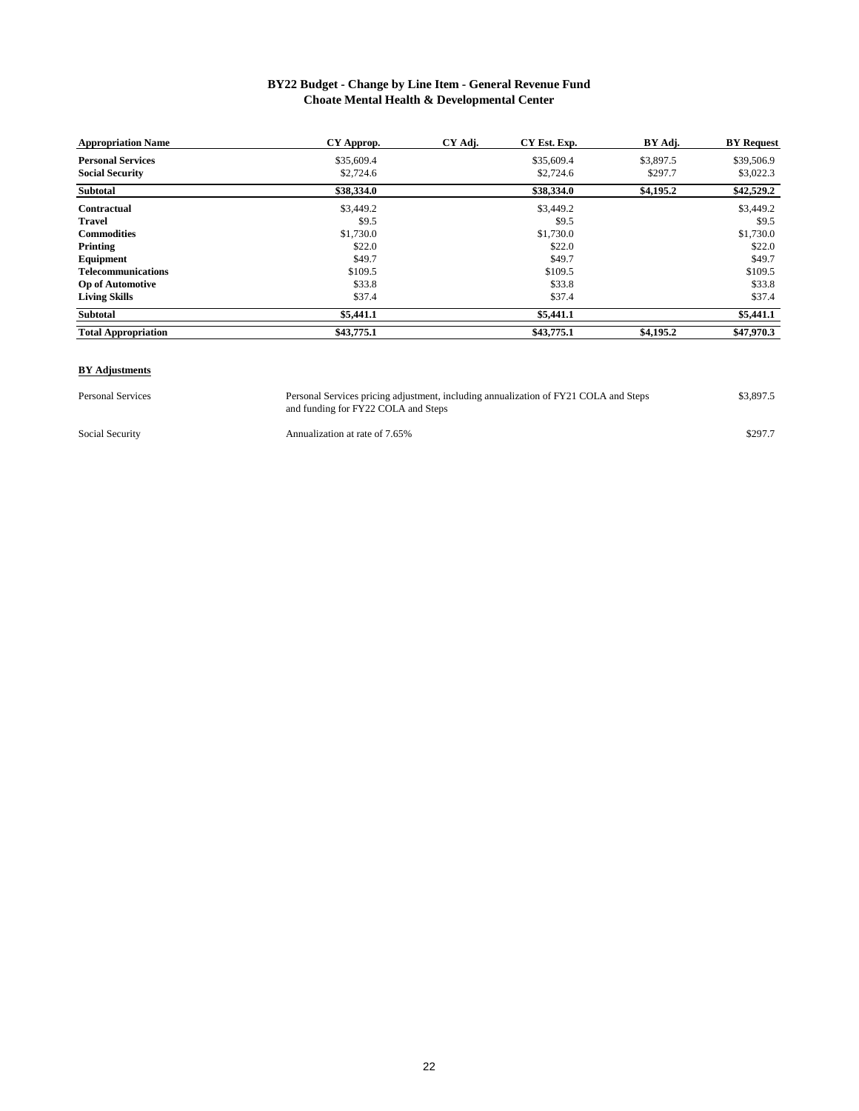# **BY22 Budget - Change by Line Item - General Revenue Fund Choate Mental Health & Developmental Center**

| <b>Appropriation Name</b>  | CY Approp. | CY Adj. | CY Est. Exp. | BY Adj.   | <b>BY Request</b> |
|----------------------------|------------|---------|--------------|-----------|-------------------|
| <b>Personal Services</b>   | \$35,609.4 |         | \$35,609.4   | \$3,897.5 | \$39,506.9        |
| <b>Social Security</b>     | \$2,724.6  |         | \$2,724.6    | \$297.7   | \$3,022.3         |
| <b>Subtotal</b>            | \$38,334.0 |         | \$38,334.0   | \$4,195.2 | \$42,529.2        |
| Contractual                | \$3,449.2  |         | \$3,449.2    |           | \$3,449.2         |
| <b>Travel</b>              | \$9.5      |         | \$9.5        |           | \$9.5             |
| <b>Commodities</b>         | \$1,730.0  |         | \$1,730.0    |           | \$1,730.0         |
| Printing                   | \$22.0     |         | \$22.0       |           | \$22.0            |
| Equipment                  | \$49.7     |         | \$49.7       |           | \$49.7            |
| <b>Telecommunications</b>  | \$109.5    |         | \$109.5      |           | \$109.5           |
| <b>Op of Automotive</b>    | \$33.8     |         | \$33.8       |           | \$33.8            |
| <b>Living Skills</b>       | \$37.4     |         | \$37.4       |           | \$37.4            |
| Subtotal                   | \$5,441.1  |         | \$5,441.1    |           | \$5,441.1         |
| <b>Total Appropriation</b> | \$43,775.1 |         | \$43,775.1   | \$4,195.2 | \$47,970.3        |

#### **BY Adjustments**

Personal Services **1.2.3.399.5** Personal Services pricing adjustment, including annualization of FY21 COLA and Steps and funding for FY22 COLA and Steps

Social Security **Annualization at rate of 7.65%** \$297.7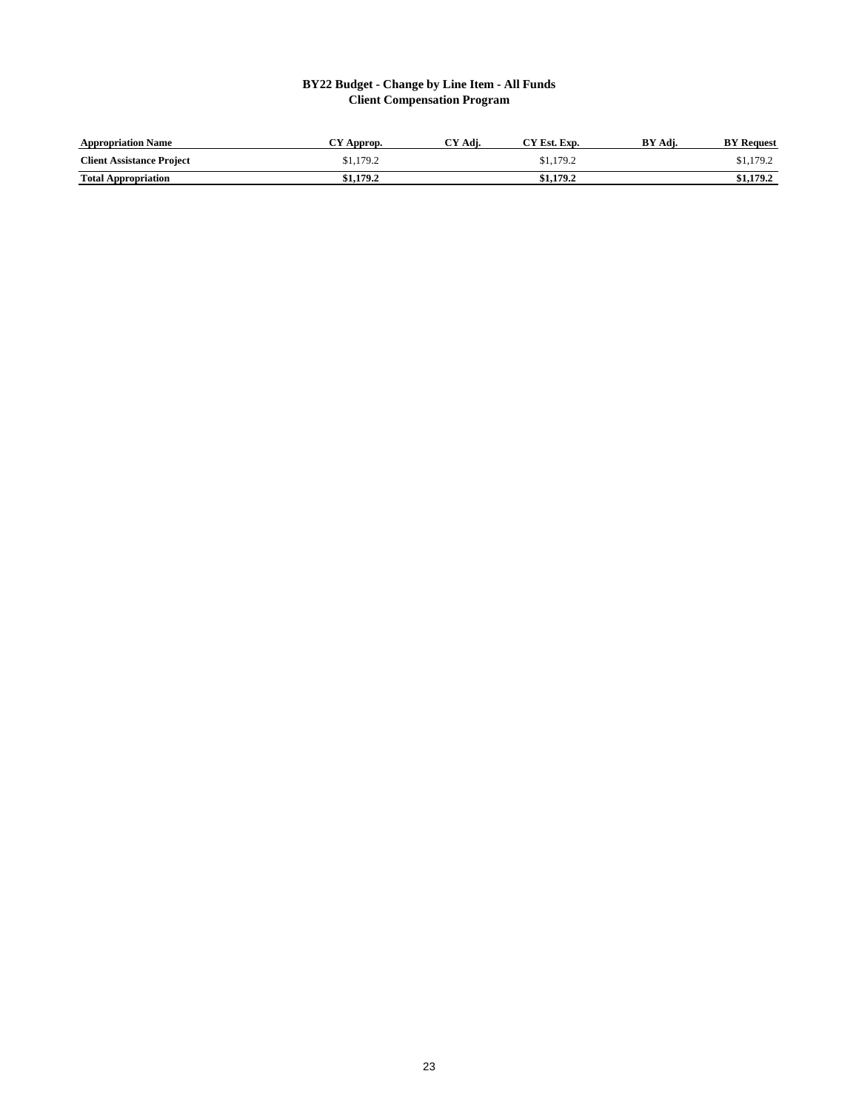# **BY22 Budget - Change by Line Item - All Funds Client Compensation Program**

| <b>Appropriation Name</b>        | Approp.   | CY Adi. | "Y Est. Exp. | BY<br>Adi. | <b>BY</b> Request |
|----------------------------------|-----------|---------|--------------|------------|-------------------|
| <b>Client Assistance Project</b> | \$1.179.2 |         | \$1,179.2    |            | \$1,179.2         |
| <b>Total Appropriation</b>       | \$1.179.2 |         | \$1.179.2    |            | \$1.179.2         |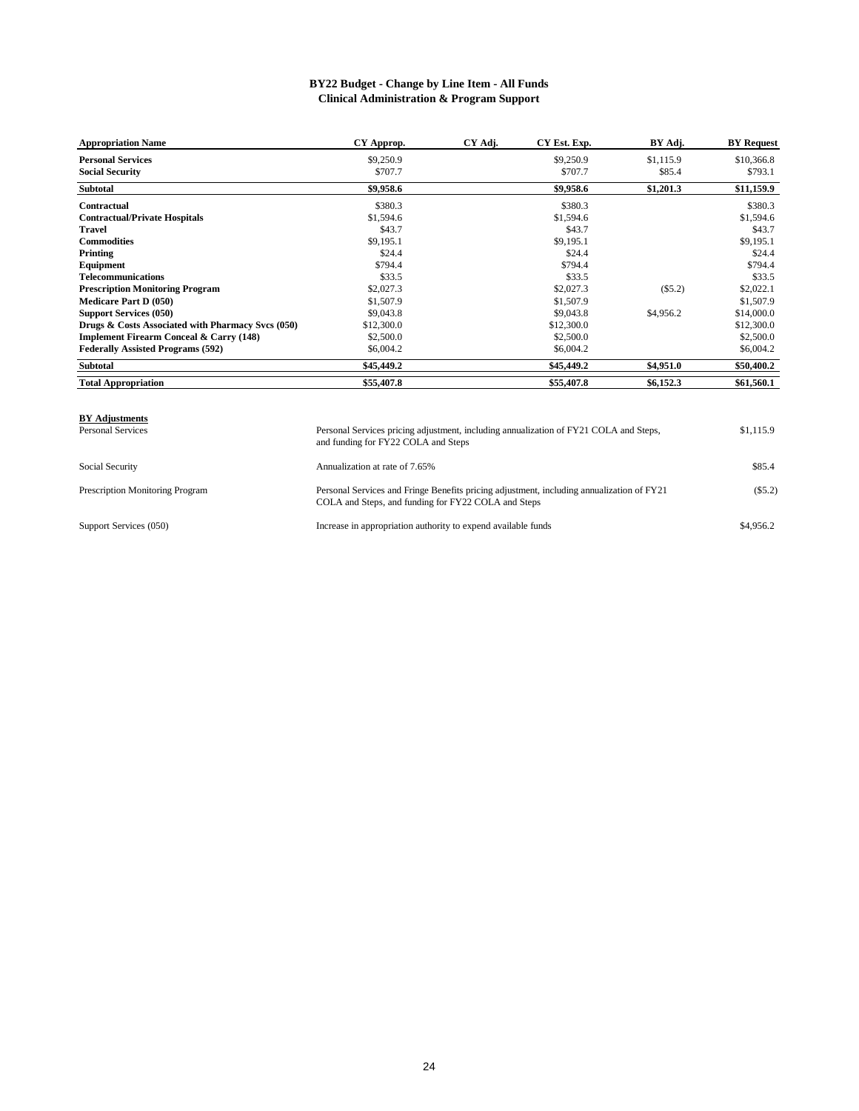## **BY22 Budget - Change by Line Item - All Funds Clinical Administration & Program Support**

| <b>Appropriation Name</b>                          | CY Approp. | CY Adj. | CY Est. Exp. | BY Adj.   | <b>BY Request</b> |
|----------------------------------------------------|------------|---------|--------------|-----------|-------------------|
| <b>Personal Services</b>                           | \$9,250.9  |         | \$9,250.9    | \$1,115.9 | \$10,366.8        |
| <b>Social Security</b>                             | \$707.7    |         | \$707.7      | \$85.4    | \$793.1           |
| <b>Subtotal</b>                                    | \$9,958.6  |         | \$9,958.6    | \$1,201.3 | \$11,159.9        |
| Contractual                                        | \$380.3    |         | \$380.3      |           | \$380.3           |
| <b>Contractual/Private Hospitals</b>               | \$1,594.6  |         | \$1,594.6    |           | \$1,594.6         |
| <b>Travel</b>                                      | \$43.7     |         | \$43.7       |           | \$43.7            |
| <b>Commodities</b>                                 | \$9,195.1  |         | \$9,195.1    |           | \$9,195.1         |
| Printing                                           | \$24.4     |         | \$24.4       |           | \$24.4            |
| Equipment                                          | \$794.4    |         | \$794.4      |           | \$794.4           |
| Telecommunications                                 | \$33.5     |         | \$33.5       |           | \$33.5            |
| <b>Prescription Monitoring Program</b>             | \$2,027.3  |         | \$2,027.3    | $(\$5.2)$ | \$2,022.1         |
| <b>Medicare Part D (050)</b>                       | \$1,507.9  |         | \$1,507.9    |           | \$1,507.9         |
| <b>Support Services (050)</b>                      | \$9,043.8  |         | \$9,043.8    | \$4,956.2 | \$14,000.0        |
| Drugs & Costs Associated with Pharmacy Svcs (050)  | \$12,300.0 |         | \$12,300.0   |           | \$12,300.0        |
| <b>Implement Firearm Conceal &amp; Carry (148)</b> | \$2,500.0  |         | \$2,500.0    |           | \$2,500.0         |
| <b>Federally Assisted Programs (592)</b>           | \$6,004.2  |         | \$6,004.2    |           | \$6,004.2         |
| Subtotal                                           | \$45,449.2 |         | \$45,449.2   | \$4,951.0 | \$50,400.2        |
| <b>Total Appropriation</b>                         | \$55,407.8 |         | \$55,407.8   | \$6,152.3 | \$61,560.1        |

#### **BY Adjustments**

| Personal Services               | Personal Services pricing adjustment, including annualization of FY21 COLA and Steps,<br>and funding for FY22 COLA and Steps                     | \$1,115.9 |
|---------------------------------|--------------------------------------------------------------------------------------------------------------------------------------------------|-----------|
| Social Security                 | Annualization at rate of 7.65%                                                                                                                   | \$85.4    |
| Prescription Monitoring Program | Personal Services and Fringe Benefits pricing adjustment, including annualization of FY21<br>COLA and Steps, and funding for FY22 COLA and Steps | (S5.2)    |
| Support Services (050)          | Increase in appropriation authority to expend available funds                                                                                    | \$4,956.2 |

Support Services (050)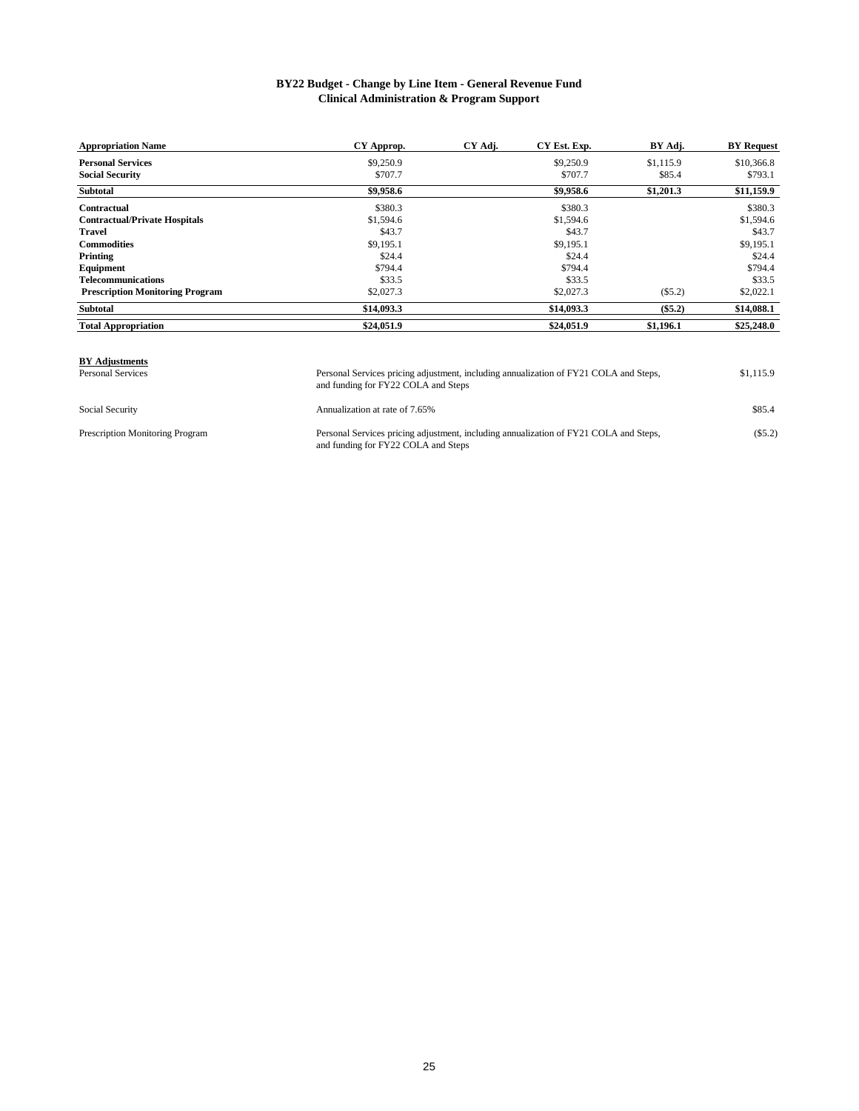## **Clinical Administration & Program Support BY22 Budget - Change by Line Item - General Revenue Fund**

| <b>Appropriation Name</b>              | CY Approp. | CY Adj. | CY Est. Exp. | BY Adj.   | <b>BY</b> Request |
|----------------------------------------|------------|---------|--------------|-----------|-------------------|
| <b>Personal Services</b>               | \$9,250.9  |         | \$9,250.9    | \$1,115.9 | \$10,366.8        |
| <b>Social Security</b>                 | \$707.7    |         | \$707.7      | \$85.4    | \$793.1           |
| <b>Subtotal</b>                        | \$9,958.6  |         | \$9,958.6    | \$1,201.3 | \$11,159.9        |
| Contractual                            | \$380.3    |         | \$380.3      |           | \$380.3           |
| <b>Contractual/Private Hospitals</b>   | \$1,594.6  |         | \$1,594.6    |           | \$1,594.6         |
| <b>Travel</b>                          | \$43.7     |         | \$43.7       |           | \$43.7            |
| <b>Commodities</b>                     | \$9,195.1  |         | \$9,195.1    |           | \$9,195.1         |
| Printing                               | \$24.4     |         | \$24.4       |           | \$24.4            |
| Equipment                              | \$794.4    |         | \$794.4      |           | \$794.4           |
| <b>Telecommunications</b>              | \$33.5     |         | \$33.5       |           | \$33.5            |
| <b>Prescription Monitoring Program</b> | \$2,027.3  |         | \$2,027.3    | $(\$5.2)$ | \$2,022.1         |
| <b>Subtotal</b>                        | \$14,093.3 |         | \$14,093.3   | $(\$5.2)$ | \$14,088.1        |
| <b>Total Appropriation</b>             | \$24,051.9 |         | \$24,051.9   | \$1,196.1 | \$25,248.0        |

and funding for FY22 COLA and Steps

# **BY Adjustments**

Social Security Annualization at rate of 7.65% \$85.4 Prescription Monitoring Program Personal Services pricing adjustment, including annualization of FY21 COLA and Steps, (\$5.2) and funding for FY22 COLA and Steps

Personal Services pricing adjustment, including annualization of FY21 COLA and Steps, \$1,115.9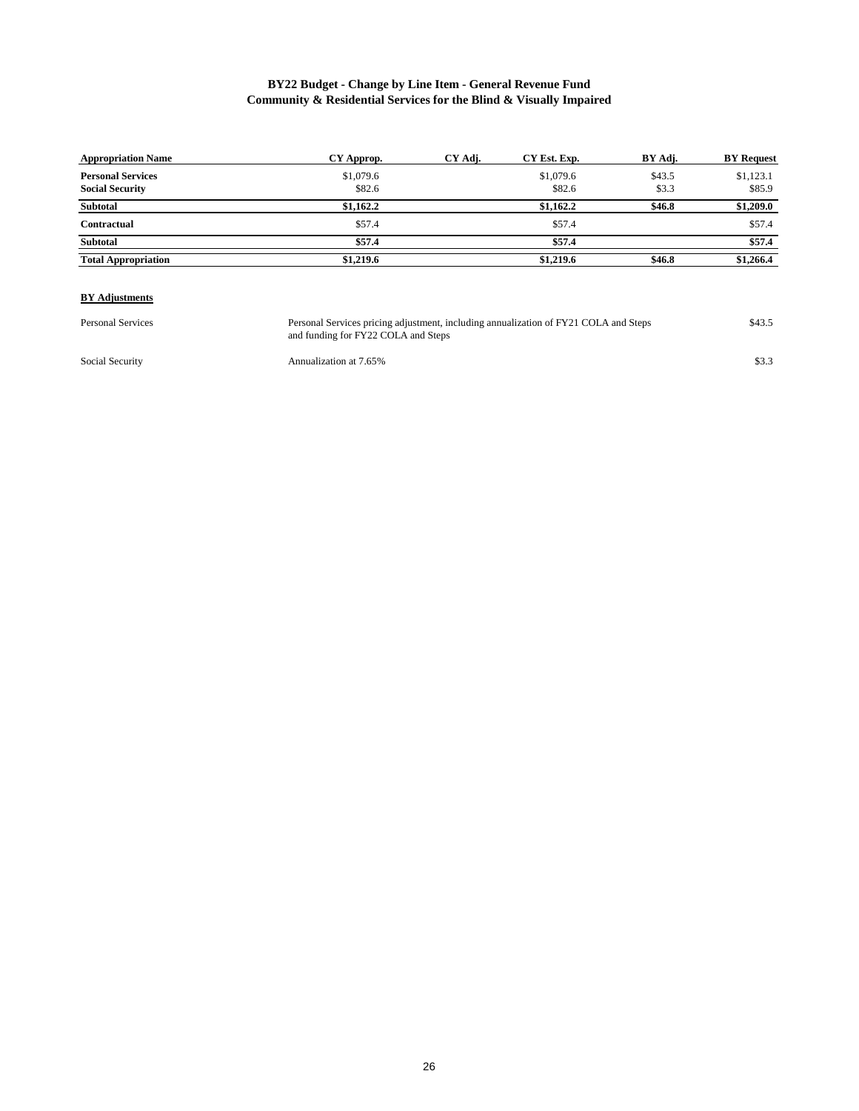# **BY22 Budget - Change by Line Item - General Revenue Fund Community & Residential Services for the Blind & Visually Impaired**

| <b>Appropriation Name</b>  | CY Approp. | CY Adj. | CY Est. Exp. | BY Adj. | <b>BY Request</b> |
|----------------------------|------------|---------|--------------|---------|-------------------|
| <b>Personal Services</b>   | \$1,079.6  |         | \$1,079.6    | \$43.5  | \$1,123.1         |
| <b>Social Security</b>     | \$82.6     |         | \$82.6       | \$3.3   | \$85.9            |
| Subtotal                   | \$1,162.2  |         | \$1,162.2    | \$46.8  | \$1,209.0         |
| Contractual                | \$57.4     |         | \$57.4       |         | \$57.4            |
| <b>Subtotal</b>            | \$57.4     |         | \$57.4       |         | \$57.4            |
| <b>Total Appropriation</b> | \$1,219.6  |         | \$1,219.6    | \$46.8  | \$1,266.4         |

#### **BY Adjustments**

Personal Services **120 Startup Personal Services pricing adjustment**, including annualization of FY21 COLA and Steps \$43.5 and funding for FY22 COLA and Steps Personal Services pricing adjustment, including annualization of FY21 COLA and Steps

Social Security **Annualization at 7.65%** \$3.3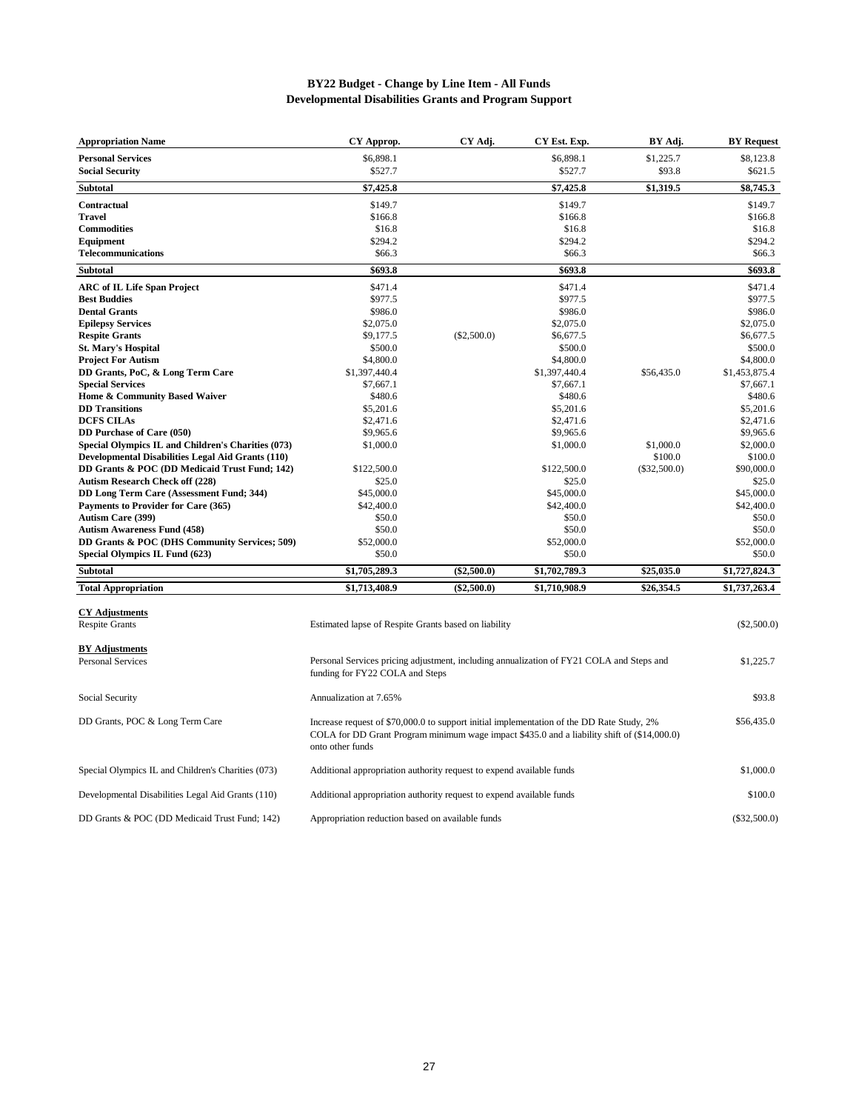## **BY22 Budget - Change by Line Item - All Funds Developmental Disabilities Grants and Program Support**

| <b>Appropriation Name</b>                                | CY Approp.                                                                                                                                                                                                   | CY Adj.       | CY Est. Exp.  | BY Adj.        | <b>BY Request</b> |
|----------------------------------------------------------|--------------------------------------------------------------------------------------------------------------------------------------------------------------------------------------------------------------|---------------|---------------|----------------|-------------------|
| <b>Personal Services</b>                                 | \$6,898.1                                                                                                                                                                                                    |               | \$6,898.1     | \$1,225.7      | \$8,123.8         |
| <b>Social Security</b>                                   | \$527.7                                                                                                                                                                                                      |               | \$527.7       | \$93.8         | \$621.5           |
| <b>Subtotal</b>                                          | \$7,425.8                                                                                                                                                                                                    |               | \$7,425.8     | \$1,319.5      | \$8,745.3         |
| Contractual                                              | \$149.7                                                                                                                                                                                                      |               | \$149.7       |                | \$149.7           |
| <b>Travel</b>                                            | \$166.8                                                                                                                                                                                                      |               | \$166.8       |                | \$166.8           |
| <b>Commodities</b>                                       | \$16.8                                                                                                                                                                                                       |               | \$16.8        |                | \$16.8            |
| Equipment                                                | \$294.2                                                                                                                                                                                                      |               | \$294.2       |                | \$294.2           |
| <b>Telecommunications</b>                                | \$66.3                                                                                                                                                                                                       |               | \$66.3        |                | \$66.3            |
| <b>Subtotal</b>                                          | \$693.8                                                                                                                                                                                                      |               | \$693.8       |                | \$693.8           |
| <b>ARC</b> of IL Life Span Project                       | \$471.4                                                                                                                                                                                                      |               | \$471.4       |                | \$471.4           |
| <b>Best Buddies</b>                                      | \$977.5                                                                                                                                                                                                      |               | \$977.5       |                | \$977.5           |
| <b>Dental Grants</b>                                     | \$986.0                                                                                                                                                                                                      |               | \$986.0       |                | \$986.0           |
| <b>Epilepsy Services</b>                                 | \$2,075.0                                                                                                                                                                                                    |               | \$2,075.0     |                | \$2,075.0         |
| <b>Respite Grants</b>                                    | \$9,177.5                                                                                                                                                                                                    | $(\$2,500.0)$ | \$6,677.5     |                | \$6,677.5         |
| <b>St. Mary's Hospital</b>                               | \$500.0                                                                                                                                                                                                      |               | \$500.0       |                | \$500.0           |
| <b>Project For Autism</b>                                | \$4,800.0                                                                                                                                                                                                    |               | \$4,800.0     |                | \$4,800.0         |
| DD Grants, PoC, & Long Term Care                         | \$1,397,440.4                                                                                                                                                                                                |               | \$1,397,440.4 | \$56,435.0     | \$1,453,875.4     |
| <b>Special Services</b>                                  | \$7,667.1                                                                                                                                                                                                    |               | \$7,667.1     |                | \$7,667.1         |
| Home & Community Based Waiver                            | \$480.6                                                                                                                                                                                                      |               | \$480.6       |                | \$480.6           |
| <b>DD</b> Transitions                                    | \$5,201.6                                                                                                                                                                                                    |               | \$5,201.6     |                | \$5,201.6         |
| <b>DCFS CILAs</b>                                        | \$2,471.6                                                                                                                                                                                                    |               | \$2,471.6     |                | \$2,471.6         |
| DD Purchase of Care (050)                                | \$9,965.6                                                                                                                                                                                                    |               | \$9,965.6     |                | \$9,965.6         |
| Special Olympics IL and Children's Charities (073)       | \$1,000.0                                                                                                                                                                                                    |               | \$1,000.0     | \$1,000.0      | \$2,000.0         |
| <b>Developmental Disabilities Legal Aid Grants (110)</b> |                                                                                                                                                                                                              |               |               | \$100.0        | \$100.0           |
| DD Grants & POC (DD Medicaid Trust Fund; 142)            | \$122,500.0                                                                                                                                                                                                  |               | \$122,500.0   | $(\$32,500.0)$ | \$90,000.0        |
| <b>Autism Research Check off (228)</b>                   | \$25.0                                                                                                                                                                                                       |               | \$25.0        |                | \$25.0            |
| DD Long Term Care (Assessment Fund; 344)                 | \$45,000.0                                                                                                                                                                                                   |               | \$45,000.0    |                | \$45,000.0        |
| Payments to Provider for Care (365)                      | \$42,400.0                                                                                                                                                                                                   |               | \$42,400.0    |                | \$42,400.0        |
| <b>Autism Care (399)</b>                                 | \$50.0                                                                                                                                                                                                       |               | \$50.0        |                | \$50.0            |
| <b>Autism Awareness Fund (458)</b>                       | \$50.0                                                                                                                                                                                                       |               | \$50.0        |                | \$50.0            |
| DD Grants & POC (DHS Community Services; 509)            | \$52,000.0                                                                                                                                                                                                   |               | \$52,000.0    |                | \$52,000.0        |
| Special Olympics IL Fund (623)                           | \$50.0                                                                                                                                                                                                       |               | \$50.0        |                | \$50.0            |
| <b>Subtotal</b>                                          | \$1,705,289.3                                                                                                                                                                                                | $(\$2,500.0)$ | \$1,702,789.3 | \$25,035.0     | \$1,727,824.3     |
| <b>Total Appropriation</b>                               | $\overline{31,713,408.9}$                                                                                                                                                                                    | $(\$2,500.0)$ | \$1,710,908.9 | \$26,354.5     | \$1,737,263.4     |
| <b>CY Adjustments</b><br><b>Respite Grants</b>           | Estimated lapse of Respite Grants based on liability                                                                                                                                                         |               |               |                | $(\$2,500.0)$     |
|                                                          |                                                                                                                                                                                                              |               |               |                |                   |
| <b>BY Adjustments</b>                                    |                                                                                                                                                                                                              |               |               |                |                   |
| <b>Personal Services</b>                                 | Personal Services pricing adjustment, including annualization of FY21 COLA and Steps and<br>funding for FY22 COLA and Steps                                                                                  |               |               |                | \$1,225.7         |
| Social Security                                          | Annualization at 7.65%                                                                                                                                                                                       |               |               |                | \$93.8            |
| DD Grants, POC & Long Term Care                          | Increase request of \$70,000.0 to support initial implementation of the DD Rate Study, 2%<br>COLA for DD Grant Program minimum wage impact \$435.0 and a liability shift of (\$14,000.0)<br>onto other funds |               |               |                | \$56,435.0        |
| Special Olympics IL and Children's Charities (073)       | Additional appropriation authority request to expend available funds                                                                                                                                         |               |               |                | \$1,000.0         |
| Developmental Disabilities Legal Aid Grants (110)        | Additional appropriation authority request to expend available funds                                                                                                                                         |               |               |                | \$100.0           |

DD Grants & POC (DD Medicaid Trust Fund; 142) Appropriation reduction based on available funds (\$32,500.0) (\$32,500.0)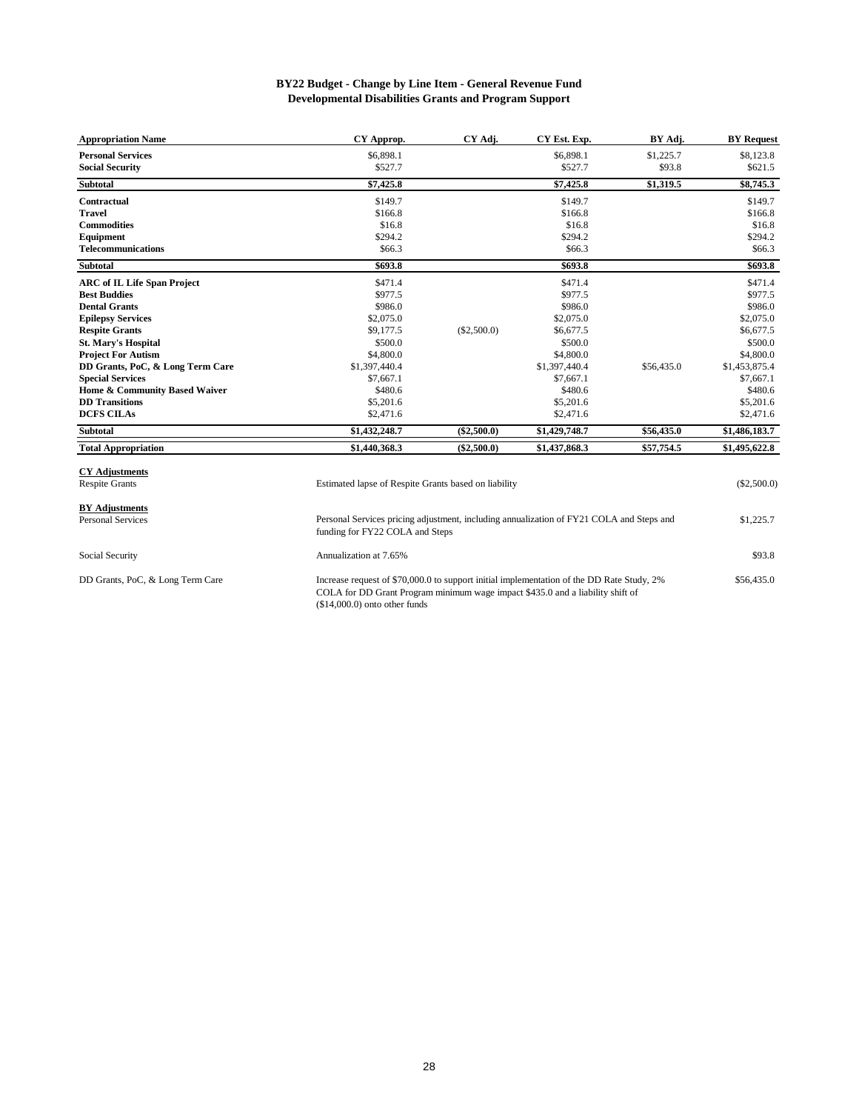#### **BY22 Budget - Change by Line Item - General Revenue Fund Developmental Disabilities Grants and Program Support**

| <b>Appropriation Name</b>          | CY Approp.    | CY Adj.       | CY Est. Exp.  | BY Adj.    | <b>BY Request</b> |
|------------------------------------|---------------|---------------|---------------|------------|-------------------|
| <b>Personal Services</b>           | \$6,898.1     |               | \$6,898.1     | \$1,225.7  | \$8,123.8         |
| <b>Social Security</b>             | \$527.7       |               | \$527.7       | \$93.8     | \$621.5           |
| <b>Subtotal</b>                    | \$7,425.8     |               | \$7,425.8     | \$1,319.5  | \$8,745.3         |
| Contractual                        | \$149.7       |               | \$149.7       |            | \$149.7           |
| <b>Travel</b>                      | \$166.8       |               | \$166.8       |            | \$166.8           |
| <b>Commodities</b>                 | \$16.8        |               | \$16.8        |            | \$16.8            |
| Equipment                          | \$294.2       |               | \$294.2       |            | \$294.2           |
| <b>Telecommunications</b>          | \$66.3        |               | \$66.3        |            | \$66.3            |
| <b>Subtotal</b>                    | \$693.8       |               | \$693.8       |            | \$693.8           |
| <b>ARC of IL Life Span Project</b> | \$471.4       |               | \$471.4       |            | \$471.4           |
| <b>Best Buddies</b>                | \$977.5       |               | \$977.5       |            | \$977.5           |
| <b>Dental Grants</b>               | \$986.0       |               | \$986.0       |            | \$986.0           |
| <b>Epilepsy Services</b>           | \$2,075.0     |               | \$2,075.0     |            | \$2,075.0         |
| <b>Respite Grants</b>              | \$9,177.5     | (\$2,500.0)   | \$6,677.5     |            | \$6,677.5         |
| <b>St. Mary's Hospital</b>         | \$500.0       |               | \$500.0       |            | \$500.0           |
| <b>Project For Autism</b>          | \$4,800.0     |               | \$4,800.0     |            | \$4,800.0         |
| DD Grants, PoC, & Long Term Care   | \$1,397,440.4 |               | \$1,397,440.4 | \$56,435.0 | \$1,453,875.4     |
| <b>Special Services</b>            | \$7,667.1     |               | \$7,667.1     |            | \$7,667.1         |
| Home & Community Based Waiver      | \$480.6       |               | \$480.6       |            | \$480.6           |
| <b>DD</b> Transitions              | \$5,201.6     |               | \$5,201.6     |            | \$5,201.6         |
| <b>DCFS CILAs</b>                  | \$2,471.6     |               | \$2,471.6     |            | \$2,471.6         |
| <b>Subtotal</b>                    | \$1,432,248.7 | $(\$2,500.0)$ | \$1,429,748.7 | \$56,435.0 | \$1,486,183.7     |
| <b>Total Appropriation</b>         | \$1,440,368.3 | $(\$2,500.0)$ | \$1,437,868.3 | \$57,754.5 | \$1,495,622.8     |

| <b>CY Adjustments</b> |  |
|-----------------------|--|
| <b>Respite Grants</b> |  |

Respite Grants (\$2,500.0) Estimated lapse of Respite Grants based on liability

# **BY Adjustments**<br>Personal Services

Personal Services **1.225.7** Personal Services pricing adjustment, including annualization of FY21 COLA and Steps and \$1,225.7

Social Security **Social Security** Annualization at 7.65% **\$93.8** \$93.8 DD Grants, PoC, & Long Term Care **\$56,435.0** Increase request of \$70,000.0 to support initial implementation of the DD Rate Study, 2% \$56,435.0 funding for FY22 COLA and Steps COLA for DD Grant Program minimum wage impact \$435.0 and a liability shift of (\$14,000.0) onto other funds

28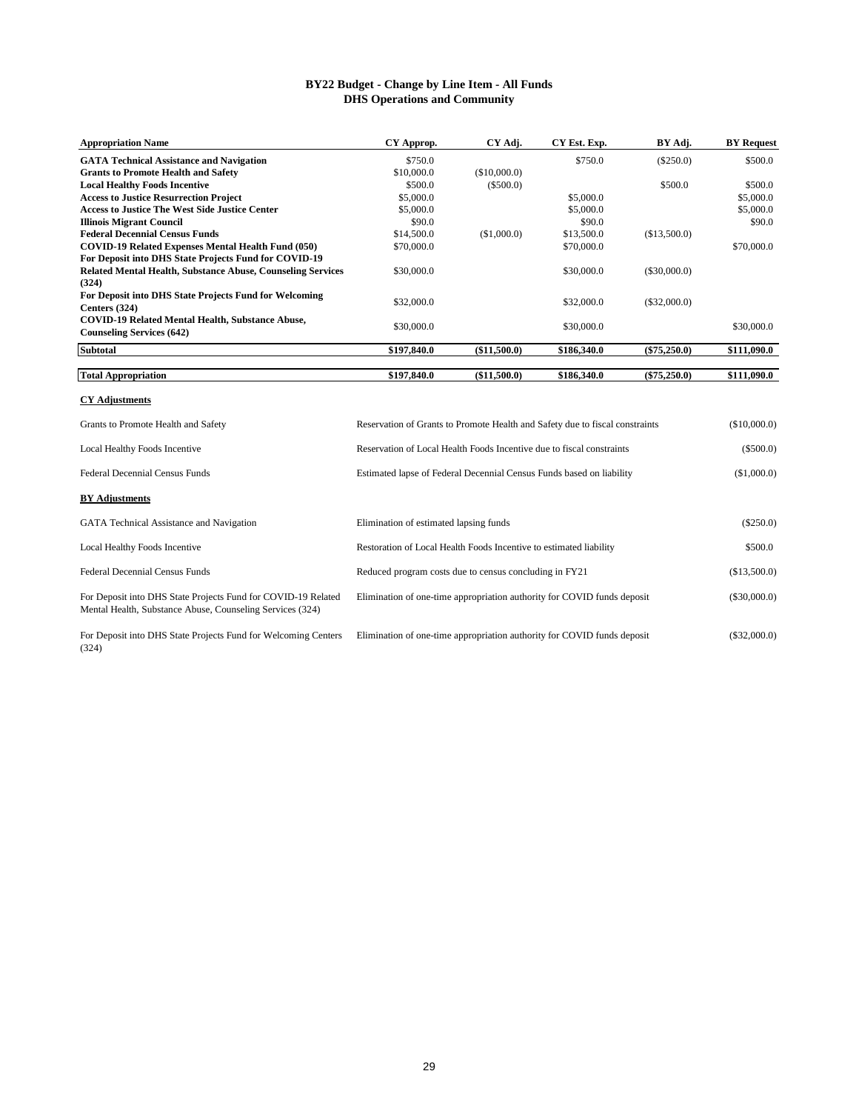## **BY22 Budget - Change by Line Item - All Funds DHS Operations and Community**

| <b>Appropriation Name</b>                                                                                                  | CY Approp.                                                                   | CY Adj.      | CY Est. Exp. | BY Adj.        | <b>BY Request</b> |
|----------------------------------------------------------------------------------------------------------------------------|------------------------------------------------------------------------------|--------------|--------------|----------------|-------------------|
| <b>GATA Technical Assistance and Navigation</b>                                                                            | \$750.0                                                                      |              | \$750.0      | $(\$250.0)$    | \$500.0           |
| <b>Grants to Promote Health and Safety</b>                                                                                 | \$10,000.0                                                                   | (\$10,000.0) |              |                |                   |
| <b>Local Healthy Foods Incentive</b>                                                                                       | \$500.0                                                                      | $(\$500.0)$  |              | \$500.0        | \$500.0           |
| <b>Access to Justice Resurrection Project</b>                                                                              | \$5,000.0                                                                    |              | \$5,000.0    |                | \$5,000.0         |
| <b>Access to Justice The West Side Justice Center</b>                                                                      | \$5,000.0                                                                    |              | \$5,000.0    |                | \$5,000.0         |
| <b>Illinois Migrant Council</b>                                                                                            | \$90.0                                                                       |              | \$90.0       |                | \$90.0            |
| <b>Federal Decennial Census Funds</b>                                                                                      | \$14,500.0                                                                   | (\$1,000.0)  | \$13,500.0   | (\$13,500.0)   |                   |
| COVID-19 Related Expenses Mental Health Fund (050)                                                                         | \$70,000.0                                                                   |              | \$70,000.0   |                | \$70,000.0        |
| For Deposit into DHS State Projects Fund for COVID-19                                                                      |                                                                              |              |              |                |                   |
| Related Mental Health, Substance Abuse, Counseling Services                                                                | \$30,000.0                                                                   |              | \$30,000.0   | $(\$30,000.0)$ |                   |
| (324)                                                                                                                      |                                                                              |              |              |                |                   |
| For Deposit into DHS State Projects Fund for Welcoming                                                                     |                                                                              |              |              |                |                   |
| Centers (324)                                                                                                              | \$32,000.0                                                                   |              | \$32,000.0   | $(\$32,000.0)$ |                   |
| COVID-19 Related Mental Health, Substance Abuse,                                                                           | \$30,000.0                                                                   |              | \$30,000.0   |                | \$30,000.0        |
| <b>Counseling Services (642)</b>                                                                                           |                                                                              |              |              |                |                   |
| Subtotal                                                                                                                   | \$197,840.0                                                                  | (\$11,500.0) | \$186,340.0  | $(\$75,250.0)$ | \$111,090.0       |
|                                                                                                                            |                                                                              |              |              |                |                   |
| <b>Total Appropriation</b>                                                                                                 | \$197,840.0                                                                  | (\$11,500.0) | \$186,340.0  | $(\$75,250.0)$ | \$111,090.0       |
| <b>CY Adjustments</b>                                                                                                      |                                                                              |              |              |                |                   |
| Grants to Promote Health and Safety                                                                                        | Reservation of Grants to Promote Health and Safety due to fiscal constraints |              |              |                | (\$10,000.0)      |
| Local Healthy Foods Incentive                                                                                              | Reservation of Local Health Foods Incentive due to fiscal constraints        |              |              |                | $(\$500.0)$       |
| <b>Federal Decennial Census Funds</b>                                                                                      | Estimated lapse of Federal Decennial Census Funds based on liability         |              |              |                | (\$1,000.0)       |
| <b>BY Adjustments</b>                                                                                                      |                                                                              |              |              |                |                   |
| GATA Technical Assistance and Navigation                                                                                   | Elimination of estimated lapsing funds                                       |              |              |                | $(\$250.0)$       |
| Local Healthy Foods Incentive                                                                                              | Restoration of Local Health Foods Incentive to estimated liability           |              |              |                | \$500.0           |
| Federal Decennial Census Funds                                                                                             | Reduced program costs due to census concluding in FY21                       |              |              |                | (\$13,500.0)      |
| For Deposit into DHS State Projects Fund for COVID-19 Related<br>Mental Health, Substance Abuse, Counseling Services (324) | Elimination of one-time appropriation authority for COVID funds deposit      |              |              |                | (\$30,000.0)      |

For Deposit into DHS State Projects Fund for Welcoming Centers Elimination of one-time appropriation authority for COVID funds deposit (\$32,000.0) (324)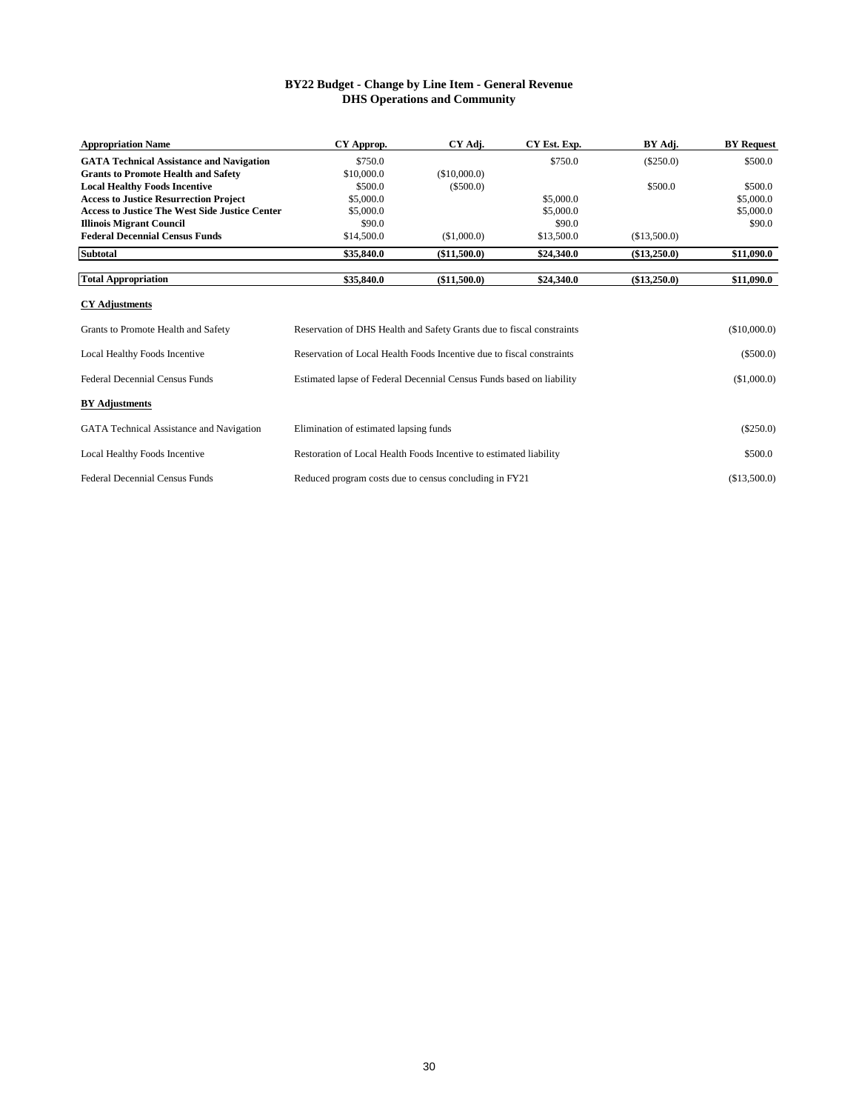# **BY22 Budget - Change by Line Item - General Revenue DHS Operations and Community**

| <b>Appropriation Name</b>                             | CY Approp.                                                            | CY Adj.                                                               | CY Est. Exp. | BY Adj.      | <b>BY</b> Request |  |
|-------------------------------------------------------|-----------------------------------------------------------------------|-----------------------------------------------------------------------|--------------|--------------|-------------------|--|
| <b>GATA Technical Assistance and Navigation</b>       | \$750.0                                                               |                                                                       | \$750.0      | $(\$250.0)$  | \$500.0           |  |
| <b>Grants to Promote Health and Safety</b>            | \$10,000.0                                                            | (\$10,000.0)                                                          |              |              |                   |  |
| <b>Local Healthy Foods Incentive</b>                  | \$500.0                                                               | (\$500.0)                                                             |              | \$500.0      | \$500.0           |  |
| <b>Access to Justice Resurrection Project</b>         | \$5,000.0                                                             |                                                                       | \$5,000.0    |              | \$5,000.0         |  |
| <b>Access to Justice The West Side Justice Center</b> | \$5,000.0                                                             |                                                                       | \$5,000.0    |              | \$5,000.0         |  |
| <b>Illinois Migrant Council</b>                       | \$90.0                                                                |                                                                       | \$90.0       |              | \$90.0            |  |
| <b>Federal Decennial Census Funds</b>                 | \$14,500.0                                                            | (\$1,000.0)                                                           | \$13,500.0   | (\$13,500.0) |                   |  |
| <b>Subtotal</b>                                       | \$35,840.0                                                            | (\$11,500.0)                                                          | \$24,340.0   | (\$13,250.0) | \$11,090.0        |  |
| <b>Total Appropriation</b>                            | \$35,840.0                                                            | (\$11,500.0)                                                          | \$24,340.0   | (\$13,250.0) | \$11,090.0        |  |
| <b>CY Adjustments</b>                                 |                                                                       |                                                                       |              |              |                   |  |
| Grants to Promote Health and Safety                   | Reservation of DHS Health and Safety Grants due to fiscal constraints |                                                                       |              |              | (\$10,000.0)      |  |
| Local Healthy Foods Incentive                         |                                                                       | Reservation of Local Health Foods Incentive due to fiscal constraints |              |              |                   |  |
| <b>Federal Decennial Census Funds</b>                 |                                                                       | Estimated lapse of Federal Decennial Census Funds based on liability  |              |              |                   |  |
| <b>BY Adjustments</b>                                 |                                                                       |                                                                       |              |              |                   |  |
| GATA Technical Assistance and Navigation              | Elimination of estimated lapsing funds                                |                                                                       |              |              | $(\$250.0)$       |  |
| Local Healthy Foods Incentive                         | Restoration of Local Health Foods Incentive to estimated liability    |                                                                       |              |              | \$500.0           |  |
| <b>Federal Decennial Census Funds</b>                 | Reduced program costs due to census concluding in FY21                |                                                                       |              |              | (\$13,500.0)      |  |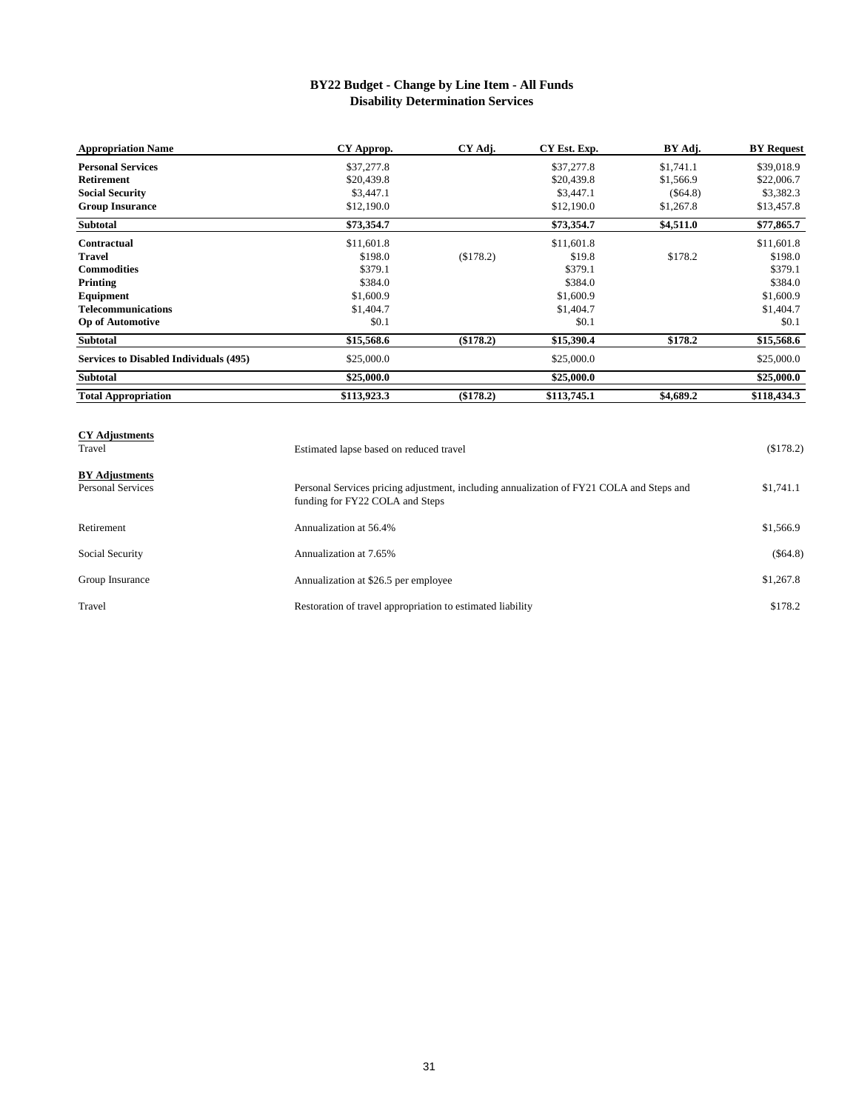# **BY22 Budget - Change by Line Item - All Funds Disability Determination Services**

| <b>Appropriation Name</b>                     | CY Approp.  | CY Adj.   | CY Est. Exp. | BY Adj.   | <b>BY</b> Request |
|-----------------------------------------------|-------------|-----------|--------------|-----------|-------------------|
| <b>Personal Services</b>                      | \$37,277.8  |           | \$37,277.8   | \$1,741.1 | \$39,018.9        |
| <b>Retirement</b>                             | \$20,439.8  |           | \$20,439.8   | \$1,566.9 | \$22,006.7        |
| <b>Social Security</b>                        | \$3,447.1   |           | \$3,447.1    | (\$64.8)  | \$3,382.3         |
| <b>Group Insurance</b>                        | \$12,190.0  |           | \$12,190.0   | \$1,267.8 | \$13,457.8        |
| <b>Subtotal</b>                               | \$73,354.7  |           | \$73,354.7   | \$4,511.0 | \$77,865.7        |
| <b>Contractual</b>                            | \$11,601.8  |           | \$11,601.8   |           | \$11,601.8        |
| <b>Travel</b>                                 | \$198.0     | (\$178.2) | \$19.8       | \$178.2   | \$198.0           |
| <b>Commodities</b>                            | \$379.1     |           | \$379.1      |           | \$379.1           |
| Printing                                      | \$384.0     |           | \$384.0      |           | \$384.0           |
| Equipment                                     | \$1,600.9   |           | \$1,600.9    |           | \$1,600.9         |
| <b>Telecommunications</b>                     | \$1,404.7   |           | \$1,404.7    |           | \$1,404.7         |
| <b>Op of Automotive</b>                       | \$0.1       |           | \$0.1        |           | \$0.1             |
| <b>Subtotal</b>                               | \$15,568.6  | (\$178.2) | \$15,390.4   | \$178.2   | \$15,568.6        |
| <b>Services to Disabled Individuals (495)</b> | \$25,000.0  |           | \$25,000.0   |           | \$25,000.0        |
| <b>Subtotal</b>                               | \$25,000.0  |           | \$25,000.0   |           | \$25,000.0        |
| <b>Total Appropriation</b>                    | \$113,923.3 | (\$178.2) | \$113,745.1  | \$4,689.2 | \$118,434.3       |

| <b>CY Adjustments</b><br>Travel                   | Estimated lapse based on reduced travel                                                                                     | (\$178.2)  |
|---------------------------------------------------|-----------------------------------------------------------------------------------------------------------------------------|------------|
| <b>BY Adjustments</b><br><b>Personal Services</b> | Personal Services pricing adjustment, including annualization of FY21 COLA and Steps and<br>funding for FY22 COLA and Steps | \$1,741.1  |
| Retirement                                        | Annualization at 56.4%                                                                                                      | \$1,566.9  |
| Social Security                                   | Annualization at 7.65%                                                                                                      | $(\$64.8)$ |
| Group Insurance                                   | Annualization at \$26.5 per employee                                                                                        | \$1,267.8  |
| Travel                                            | Restoration of travel appropriation to estimated liability                                                                  | \$178.2    |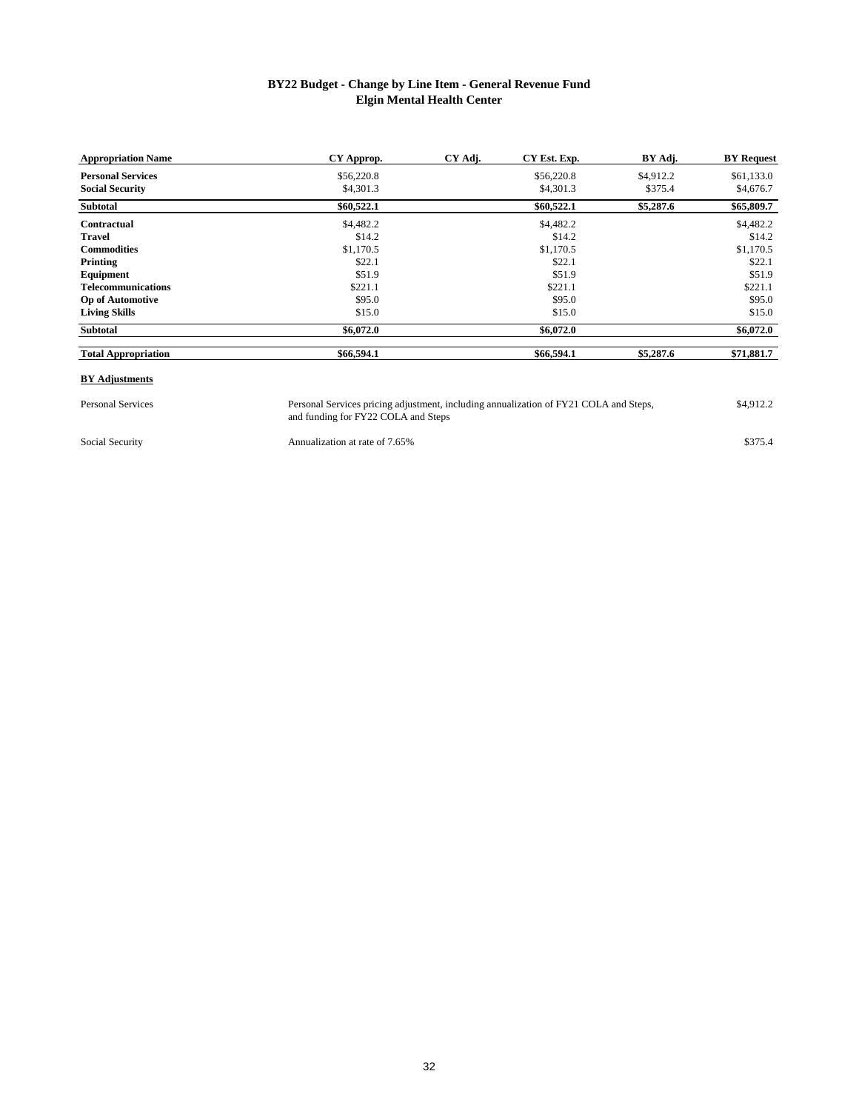# **BY22 Budget - Change by Line Item - General Revenue Fund Elgin Mental Health Center**

| <b>Appropriation Name</b>  | CY Approp. | CY Adj. | CY Est. Exp. | BY Adj.   | <b>BY</b> Request |
|----------------------------|------------|---------|--------------|-----------|-------------------|
| <b>Personal Services</b>   | \$56,220.8 |         | \$56,220.8   | \$4,912.2 | \$61,133.0        |
| <b>Social Security</b>     | \$4,301.3  |         | \$4,301.3    | \$375.4   | \$4,676.7         |
| Subtotal                   | \$60,522.1 |         | \$60,522.1   | \$5,287.6 | \$65,809.7        |
| Contractual                | \$4,482.2  |         | \$4,482.2    |           | \$4,482.2         |
| <b>Travel</b>              | \$14.2     |         | \$14.2       |           | \$14.2            |
| <b>Commodities</b>         | \$1,170.5  |         | \$1,170.5    |           | \$1,170.5         |
| Printing                   | \$22.1     |         | \$22.1       |           | \$22.1            |
| Equipment                  | \$51.9     |         | \$51.9       |           | \$51.9            |
| <b>Telecommunications</b>  | \$221.1    |         | \$221.1      |           | \$221.1           |
| <b>Op of Automotive</b>    | \$95.0     |         | \$95.0       |           | \$95.0            |
| <b>Living Skills</b>       | \$15.0     |         | \$15.0       |           | \$15.0            |
| Subtotal                   | \$6,072.0  |         | \$6,072.0    |           | \$6,072.0         |
| <b>Total Appropriation</b> | \$66,594.1 |         | \$66,594.1   | \$5,287.6 | \$71,881.7        |

#### **BY Adjustments**

Personal Services **1.4.912.2** Personal Services pricing adjustment, including annualization of FY21 COLA and Steps, \$4,912.2 and funding for FY22 COLA and Steps Personal Services pricing adjustment, including annualization of FY21 COLA and Steps,

Social Security **Annualization at rate of 7.65%** \$375.4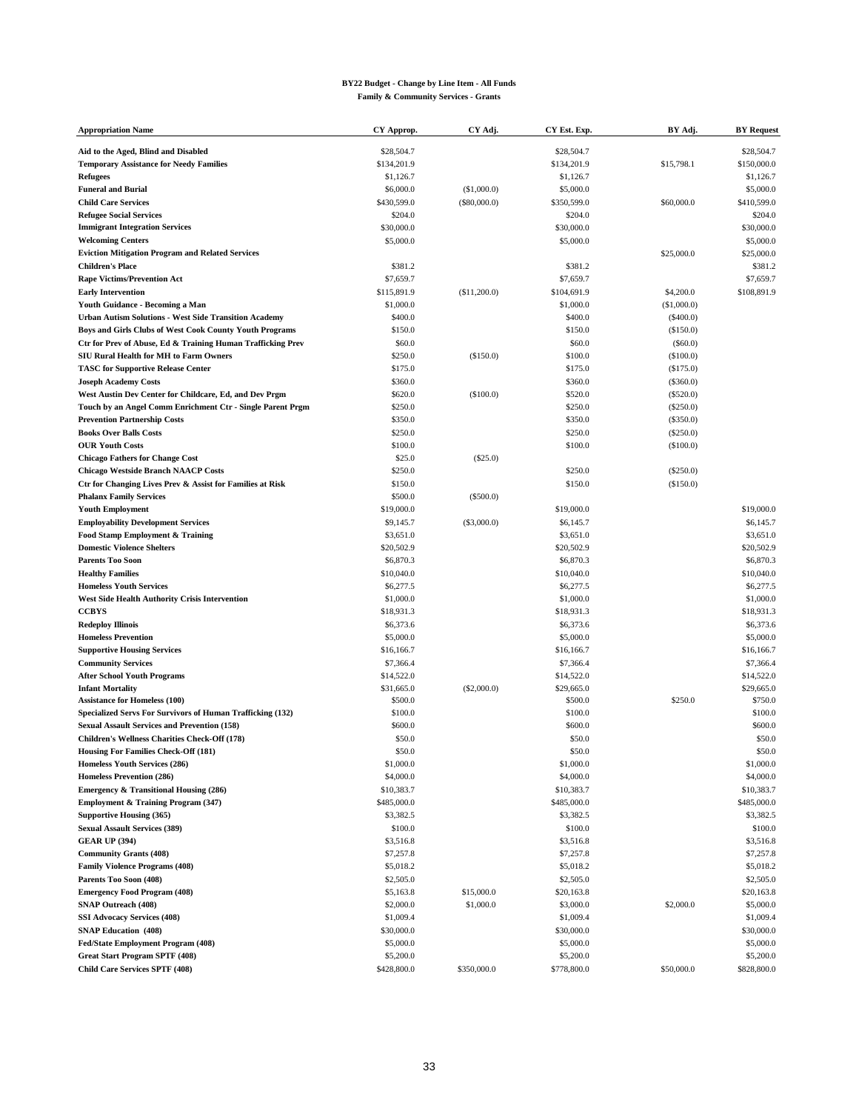#### **BY22 Budget - Change by Line Item - All Funds Family & Community Services - Grants**

| <b>Appropriation Name</b>                                    | CY Approp.  | CY Adj.      | CY Est. Exp. | BY Adj.     | <b>BY Request</b> |
|--------------------------------------------------------------|-------------|--------------|--------------|-------------|-------------------|
| Aid to the Aged, Blind and Disabled                          | \$28,504.7  |              | \$28,504.7   |             | \$28,504.7        |
| <b>Temporary Assistance for Needy Families</b>               | \$134,201.9 |              | \$134,201.9  | \$15,798.1  | \$150,000.0       |
| <b>Refugees</b>                                              | \$1,126.7   |              | \$1,126.7    |             | \$1,126.7         |
| <b>Funeral and Burial</b>                                    | \$6,000.0   | (\$1,000.0)  | \$5,000.0    |             | \$5,000.0         |
| <b>Child Care Services</b>                                   | \$430,599.0 | (\$80,000.0) | \$350,599.0  | \$60,000.0  | \$410,599.0       |
| <b>Refugee Social Services</b>                               | \$204.0     |              | \$204.0      |             | \$204.0           |
| <b>Immigrant Integration Services</b>                        | \$30,000.0  |              | \$30,000.0   |             | \$30,000.0        |
| <b>Welcoming Centers</b>                                     | \$5,000.0   |              | \$5,000.0    |             | \$5,000.0         |
| <b>Eviction Mitigation Program and Related Services</b>      |             |              |              | \$25,000.0  | \$25,000.0        |
| <b>Children's Place</b>                                      | \$381.2     |              | \$381.2      |             | \$381.2           |
| <b>Rape Victims/Prevention Act</b>                           | \$7,659.7   |              | \$7,659.7    |             | \$7,659.7         |
| <b>Early Intervention</b>                                    | \$115,891.9 | (\$11,200.0) | \$104,691.9  | \$4,200.0   | \$108,891.9       |
| Youth Guidance - Becoming a Man                              | \$1,000.0   |              | \$1,000.0    | (\$1,000.0) |                   |
| <b>Urban Autism Solutions - West Side Transition Academy</b> | \$400.0     |              | \$400.0      | (\$400.0)   |                   |
| Boys and Girls Clubs of West Cook County Youth Programs      | \$150.0     |              | \$150.0      | (\$150.0)   |                   |
| Ctr for Prev of Abuse, Ed & Training Human Trafficking Prev  | \$60.0      |              | \$60.0       | (\$60.0)    |                   |
| <b>SIU Rural Health for MH to Farm Owners</b>                | \$250.0     | (\$150.0)    | \$100.0      | (\$100.0)   |                   |
| <b>TASC for Supportive Release Center</b>                    | \$175.0     |              | \$175.0      | (\$175.0)   |                   |
| <b>Joseph Academy Costs</b>                                  | \$360.0     |              | \$360.0      | (\$360.0)   |                   |
| West Austin Dev Center for Childcare, Ed, and Dev Prgm       | \$620.0     | (\$100.0)    | \$520.0      | (\$520.0)   |                   |
| Touch by an Angel Comm Enrichment Ctr - Single Parent Prgm   | \$250.0     |              | \$250.0      | (\$250.0)   |                   |
| <b>Prevention Partnership Costs</b>                          | \$350.0     |              | \$350.0      | (\$350.0)   |                   |
| <b>Books Over Balls Costs</b>                                | \$250.0     |              | \$250.0      | (\$250.0)   |                   |
| <b>OUR Youth Costs</b>                                       | \$100.0     |              | \$100.0      | (\$100.0)   |                   |
| <b>Chicago Fathers for Change Cost</b>                       | \$25.0      | $(\$25.0)$   |              |             |                   |
| <b>Chicago Westside Branch NAACP Costs</b>                   | \$250.0     |              | \$250.0      | (\$250.0)   |                   |
| Ctr for Changing Lives Prev & Assist for Families at Risk    | \$150.0     |              | \$150.0      | (\$150.0)   |                   |
| <b>Phalanx Family Services</b>                               | \$500.0     | $(\$500.0)$  |              |             |                   |
| <b>Youth Employment</b>                                      | \$19,000.0  |              | \$19,000.0   |             | \$19,000.0        |
| <b>Employability Development Services</b>                    | \$9,145.7   | (S3,000.0)   | \$6,145.7    |             | \$6,145.7         |
| Food Stamp Employment & Training                             | \$3,651.0   |              | \$3,651.0    |             | \$3,651.0         |
| <b>Domestic Violence Shelters</b>                            | \$20,502.9  |              | \$20,502.9   |             | \$20,502.9        |
| <b>Parents Too Soon</b>                                      | \$6,870.3   |              | \$6,870.3    |             | \$6,870.3         |
| <b>Healthy Families</b>                                      | \$10,040.0  |              | \$10,040.0   |             | \$10,040.0        |
| <b>Homeless Youth Services</b>                               | \$6,277.5   |              | \$6,277.5    |             | \$6,277.5         |
| West Side Health Authority Crisis Intervention               | \$1,000.0   |              | \$1,000.0    |             | \$1,000.0         |
| <b>CCBYS</b>                                                 | \$18,931.3  |              | \$18,931.3   |             | \$18,931.3        |
| <b>Redeploy Illinois</b>                                     | \$6,373.6   |              | \$6,373.6    |             | \$6,373.6         |
| <b>Homeless Prevention</b>                                   | \$5,000.0   |              | \$5,000.0    |             | \$5,000.0         |
| <b>Supportive Housing Services</b>                           | \$16,166.7  |              | \$16,166.7   |             | \$16,166.7        |
| <b>Community Services</b>                                    | \$7,366.4   |              | \$7,366.4    |             | \$7,366.4         |
| <b>After School Youth Programs</b>                           | \$14,522.0  |              | \$14,522.0   |             | \$14,522.0        |
| <b>Infant Mortality</b>                                      | \$31,665.0  | (S2,000.0)   | \$29,665.0   |             | \$29,665.0        |
| <b>Assistance for Homeless (100)</b>                         | \$500.0     |              | \$500.0      | \$250.0     | \$750.0           |
| Specialized Servs For Survivors of Human Trafficking (132)   | \$100.0     |              | \$100.0      |             | \$100.0           |
| <b>Sexual Assault Services and Prevention (158)</b>          | \$600.0     |              | \$600.0      |             | \$600.0           |
| Children's Wellness Charities Check-Off (178)                | \$50.0      |              | \$50.0       |             | \$50.0            |
| Housing For Families Check-Off (181)                         | \$50.0      |              | \$50.0       |             | \$50.0            |
| Homeless Youth Services (286)                                | \$1,000.0   |              | \$1,000.0    |             | \$1,000.0         |
| Homeless Prevention (286)                                    | \$4,000.0   |              | \$4,000.0    |             | \$4,000.0         |
| <b>Emergency &amp; Transitional Housing (286)</b>            | \$10,383.7  |              | \$10,383.7   |             | \$10,383.7        |
| Employment & Training Program (347)                          | \$485,000.0 |              | \$485,000.0  |             | \$485,000.0       |
| <b>Supportive Housing (365)</b>                              | \$3,382.5   |              | \$3,382.5    |             | \$3,382.5         |
| <b>Sexual Assault Services (389)</b>                         | \$100.0     |              | \$100.0      |             | \$100.0           |
| <b>GEAR UP (394)</b>                                         | \$3,516.8   |              | \$3,516.8    |             | \$3,516.8         |
| <b>Community Grants (408)</b>                                | \$7,257.8   |              | \$7,257.8    |             | \$7,257.8         |
| <b>Family Violence Programs (408)</b>                        | \$5,018.2   |              | \$5,018.2    |             | \$5,018.2         |
| Parents Too Soon (408)                                       | \$2,505.0   |              | \$2,505.0    |             | \$2,505.0         |
| <b>Emergency Food Program (408)</b>                          | \$5,163.8   | \$15,000.0   | \$20,163.8   |             | \$20,163.8        |
| <b>SNAP Outreach (408)</b>                                   | \$2,000.0   | \$1,000.0    | \$3,000.0    | \$2,000.0   | \$5,000.0         |
| <b>SSI Advocacy Services (408)</b>                           | \$1,009.4   |              | \$1,009.4    |             | \$1,009.4         |
| <b>SNAP Education</b> (408)                                  | \$30,000.0  |              | \$30,000.0   |             | \$30,000.0        |
| Fed/State Employment Program (408)                           | \$5,000.0   |              | \$5,000.0    |             | \$5,000.0         |
| <b>Great Start Program SPTF (408)</b>                        | \$5,200.0   |              | \$5,200.0    |             | \$5,200.0         |
| <b>Child Care Services SPTF (408)</b>                        | \$428,800.0 | \$350,000.0  | \$778,800.0  | \$50,000.0  | \$828,800.0       |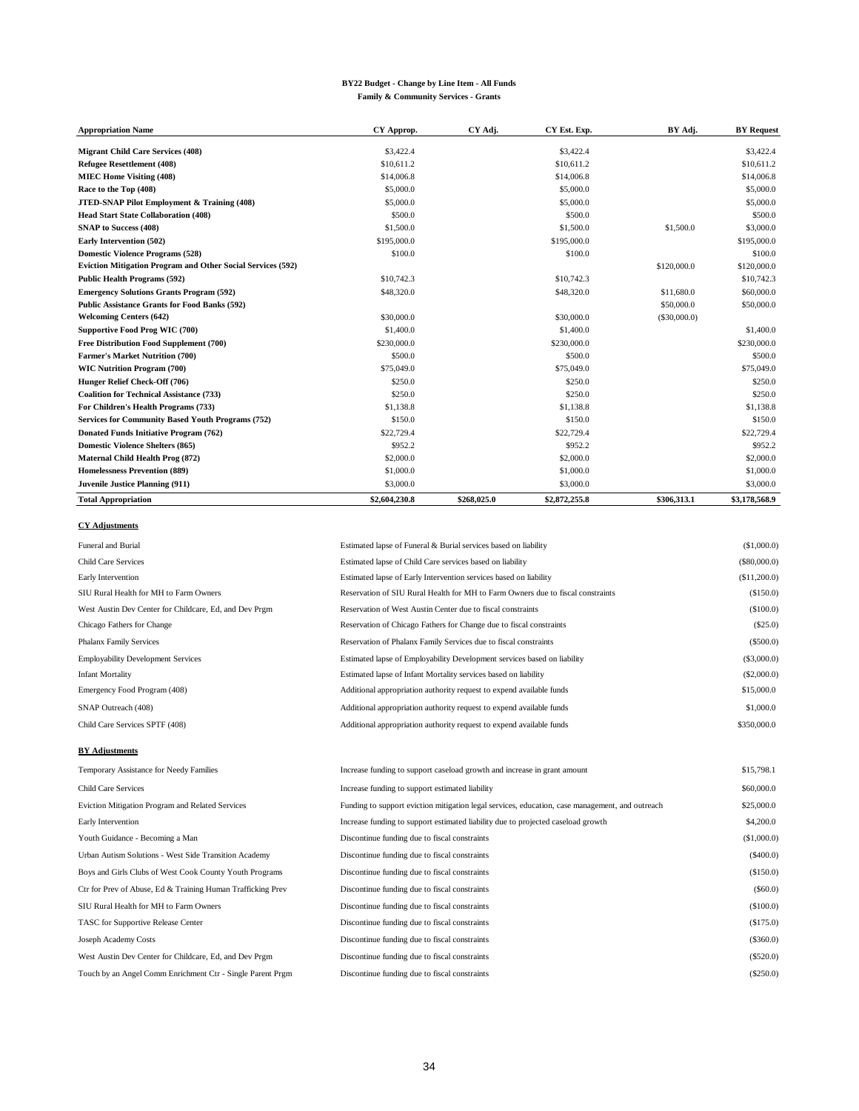#### **BY22 Budget - Change by Line Item - All Funds Family & Community Services - Grants**

| <b>Appropriation Name</b>                                          | CY Approp.    | CY Adj.     | CY Est. Exp.  | BY Adj.        | <b>BY</b> Request |
|--------------------------------------------------------------------|---------------|-------------|---------------|----------------|-------------------|
| <b>Migrant Child Care Services (408)</b>                           | \$3,422.4     |             | \$3,422.4     |                | \$3,422.4         |
| Refugee Resettlement (408)                                         | \$10,611.2    |             | \$10,611.2    |                | \$10,611.2        |
|                                                                    |               |             | \$14,006.8    |                | \$14,006.8        |
| <b>MIEC Home Visiting (408)</b>                                    | \$14,006.8    |             |               |                |                   |
| Race to the Top (408)                                              | \$5,000.0     |             | \$5,000.0     |                | \$5,000.0         |
| <b>JTED-SNAP Pilot Employment &amp; Training (408)</b>             | \$5,000.0     |             | \$5,000.0     |                | \$5,000.0         |
| <b>Head Start State Collaboration (408)</b>                        | \$500.0       |             | \$500.0       |                | \$500.0           |
| <b>SNAP to Success (408)</b>                                       | \$1,500.0     |             | \$1,500.0     | \$1,500.0      | \$3,000.0         |
| Early Intervention (502)                                           | \$195,000.0   |             | \$195,000.0   |                | \$195,000.0       |
| <b>Domestic Violence Programs (528)</b>                            | \$100.0       |             | \$100.0       |                | \$100.0           |
| <b>Eviction Mitigation Program and Other Social Services (592)</b> |               |             |               | \$120,000.0    | \$120,000.0       |
| <b>Public Health Programs (592)</b>                                | \$10,742.3    |             | \$10,742.3    |                | \$10,742.3        |
| <b>Emergency Solutions Grants Program (592)</b>                    | \$48,320.0    |             | \$48,320.0    | \$11,680.0     | \$60,000.0        |
| <b>Public Assistance Grants for Food Banks (592)</b>               |               |             |               | \$50,000.0     | \$50,000.0        |
| <b>Welcoming Centers (642)</b>                                     | \$30,000.0    |             | \$30,000.0    | $(\$30,000.0)$ |                   |
| Supportive Food Prog WIC (700)                                     | \$1,400.0     |             | \$1,400.0     |                | \$1,400.0         |
| Free Distribution Food Supplement (700)                            | \$230,000.0   |             | \$230,000.0   |                | \$230,000.0       |
| <b>Farmer's Market Nutrition (700)</b>                             | \$500.0       |             | \$500.0       |                | \$500.0           |
| <b>WIC Nutrition Program (700)</b>                                 | \$75,049.0    |             | \$75,049.0    |                | \$75,049.0        |
| Hunger Relief Check-Off (706)                                      | \$250.0       |             | \$250.0       |                | \$250.0           |
| <b>Coalition for Technical Assistance (733)</b>                    | \$250.0       |             | \$250.0       |                | \$250.0           |
| For Children's Health Programs (733)                               | \$1,138.8     |             | \$1.138.8     |                | \$1.138.8         |
| <b>Services for Community Based Youth Programs (752)</b>           | \$150.0       |             | \$150.0       |                | \$150.0           |
| <b>Donated Funds Initiative Program (762)</b>                      | \$22,729.4    |             | \$22,729.4    |                | \$22,729.4        |
| <b>Domestic Violence Shelters (865)</b>                            | \$952.2       |             | \$952.2       |                | \$952.2           |
| Maternal Child Health Prog (872)                                   | \$2,000.0     |             | \$2,000.0     |                | \$2,000.0         |
| Homelessness Prevention (889)                                      | \$1,000.0     |             | \$1,000.0     |                | \$1,000.0         |
| <b>Juvenile Justice Planning (911)</b>                             | \$3,000.0     |             | \$3,000.0     |                | \$3,000.0         |
| <b>Total Appropriation</b>                                         | \$2,604,230.8 | \$268,025.0 | \$2,872,255.8 | \$306,313.1    | \$3,178,568.9     |

#### **CY Adjustments**

| Funeral and Burial                                     | Estimated lapse of Funeral & Burial services based on liability                 | (\$1,000.0)    |
|--------------------------------------------------------|---------------------------------------------------------------------------------|----------------|
| <b>Child Care Services</b>                             | Estimated lapse of Child Care services based on liability                       | $(\$80,000.0)$ |
| Early Intervention                                     | Estimated lapse of Early Intervention services based on liability               | (\$11,200.0)   |
| SIU Rural Health for MH to Farm Owners                 | Reservation of SIU Rural Health for MH to Farm Owners due to fiscal constraints | (\$150.0)      |
| West Austin Dev Center for Childcare, Ed, and Dev Prgm | Reservation of West Austin Center due to fiscal constraints                     | (\$100.0)      |
| Chicago Fathers for Change                             | Reservation of Chicago Fathers for Change due to fiscal constraints             | $(\$25.0)$     |
| Phalanx Family Services                                | Reservation of Phalanx Family Services due to fiscal constraints                | (\$500.0)      |
| <b>Employability Development Services</b>              | Estimated lapse of Employability Development services based on liability        | (\$3,000.0)    |
| Infant Mortality                                       | Estimated lapse of Infant Mortality services based on liability                 | (\$2,000.0)    |
| Emergency Food Program (408)                           | Additional appropriation authority request to expend available funds            | \$15,000.0     |
| SNAP Outreach (408)                                    | Additional appropriation authority request to expend available funds            | \$1,000.0      |
| Child Care Services SPTF (408)                         | Additional appropriation authority request to expend available funds            | \$350,000.0    |
|                                                        |                                                                                 |                |

#### **BY Adjustments**

| Temporary Assistance for Needy Families                     | Increase funding to support caseload growth and increase in grant amount                        | \$15,798.1  |
|-------------------------------------------------------------|-------------------------------------------------------------------------------------------------|-------------|
| Child Care Services                                         | Increase funding to support estimated liability                                                 | \$60,000.0  |
| <b>Eviction Mitigation Program and Related Services</b>     | Funding to support eviction mitigation legal services, education, case management, and outreach | \$25,000.0  |
| Early Intervention                                          | Increase funding to support estimated liability due to projected caseload growth                | \$4,200.0   |
| Youth Guidance - Becoming a Man                             | Discontinue funding due to fiscal constraints                                                   | (\$1,000.0) |
| Urban Autism Solutions - West Side Transition Academy       | Discontinue funding due to fiscal constraints                                                   | (\$400.0)   |
| Boys and Girls Clubs of West Cook County Youth Programs     | Discontinue funding due to fiscal constraints                                                   | (\$150.0)   |
| Ctr for Prev of Abuse, Ed & Training Human Trafficking Prev | Discontinue funding due to fiscal constraints                                                   | $(\$60.0)$  |
| SIU Rural Health for MH to Farm Owners                      | Discontinue funding due to fiscal constraints                                                   | (\$100.0)   |
| <b>TASC</b> for Supportive Release Center                   | Discontinue funding due to fiscal constraints                                                   | (\$175.0)   |
| Joseph Academy Costs                                        | Discontinue funding due to fiscal constraints                                                   | (\$360.0)   |
| West Austin Dev Center for Childcare, Ed, and Dev Prgm      | Discontinue funding due to fiscal constraints                                                   | (\$520.0)   |
| Touch by an Angel Comm Enrichment Ctr - Single Parent Prgm  | Discontinue funding due to fiscal constraints                                                   | $(\$250.0)$ |
|                                                             |                                                                                                 |             |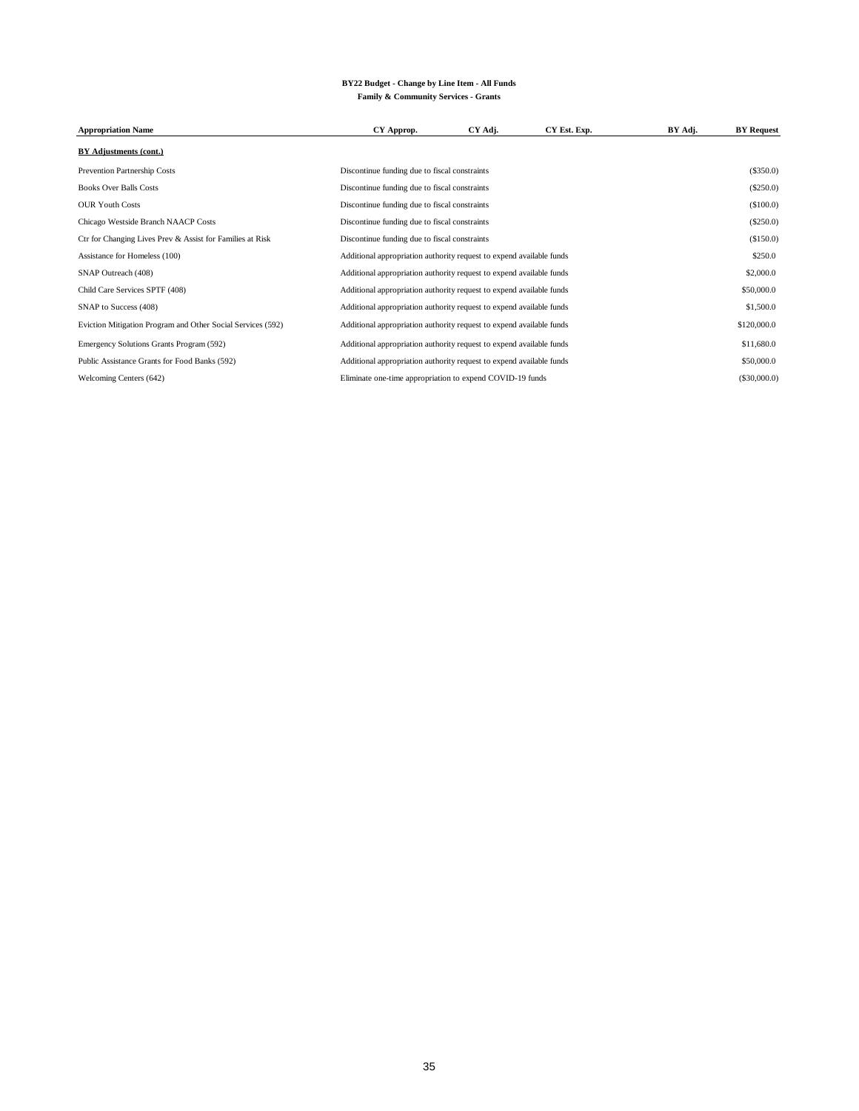#### **BY22 Budget - Change by Line Item - All Funds Family & Community Services - Grants**

| <b>Appropriation Name</b>                                   | CY Approp.                                                           | CY Adj. | CY Est. Exp. | BY Adj. | <b>BY</b> Request |
|-------------------------------------------------------------|----------------------------------------------------------------------|---------|--------------|---------|-------------------|
| BY Adjustments (cont.)                                      |                                                                      |         |              |         |                   |
| Prevention Partnership Costs                                | Discontinue funding due to fiscal constraints                        |         |              |         | $(\$350.0)$       |
| <b>Books Over Balls Costs</b>                               | Discontinue funding due to fiscal constraints                        |         |              |         | $(\$250.0)$       |
| <b>OUR Youth Costs</b>                                      | Discontinue funding due to fiscal constraints                        |         |              |         | (\$100.0)         |
| Chicago Westside Branch NAACP Costs                         | Discontinue funding due to fiscal constraints                        |         |              |         | $(\$250.0)$       |
| Ctr for Changing Lives Prev & Assist for Families at Risk   | Discontinue funding due to fiscal constraints                        |         |              |         | (\$150.0)         |
| Assistance for Homeless (100)                               | Additional appropriation authority request to expend available funds |         |              |         | \$250.0           |
| SNAP Outreach (408)                                         | Additional appropriation authority request to expend available funds |         |              |         | \$2,000.0         |
| Child Care Services SPTF (408)                              | Additional appropriation authority request to expend available funds |         |              |         | \$50,000.0        |
| SNAP to Success (408)                                       | Additional appropriation authority request to expend available funds |         |              |         | \$1,500.0         |
| Eviction Mitigation Program and Other Social Services (592) | Additional appropriation authority request to expend available funds |         |              |         | \$120,000.0       |
| Emergency Solutions Grants Program (592)                    | Additional appropriation authority request to expend available funds |         |              |         | \$11,680.0        |
| Public Assistance Grants for Food Banks (592)               | Additional appropriation authority request to expend available funds |         |              |         | \$50,000.0        |
| Welcoming Centers (642)                                     | Eliminate one-time appropriation to expend COVID-19 funds            |         |              |         | $(\$30,000.0)$    |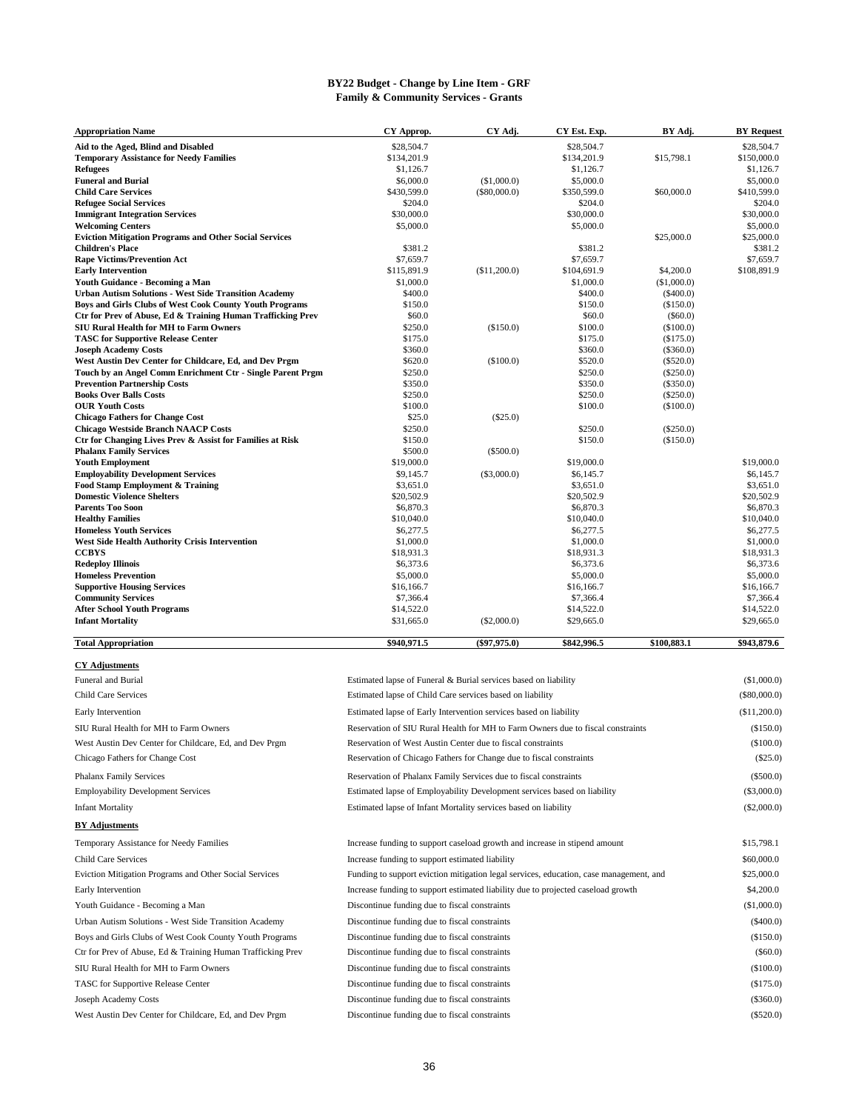#### **BY22 Budget - Change by Line Item - GRF Family & Community Services - Grants**

| Appropriation Name                                                                        | CY Approp.                                                                             | CY Adj.        | CY Est. Exp.            | BY Adj.                     | <b>BY</b> Request       |  |
|-------------------------------------------------------------------------------------------|----------------------------------------------------------------------------------------|----------------|-------------------------|-----------------------------|-------------------------|--|
| Aid to the Aged, Blind and Disabled                                                       | \$28,504.7                                                                             |                | \$28,504.7              |                             | \$28,504.7              |  |
| <b>Temporary Assistance for Needy Families</b>                                            | \$134,201.9                                                                            |                | \$134,201.9             | \$15,798.1                  | \$150,000.0             |  |
| Refugees<br><b>Funeral and Burial</b>                                                     | \$1,126.7<br>\$6,000.0                                                                 | (\$1,000.0)    | \$1,126.7<br>\$5,000.0  |                             | \$1,126.7<br>\$5,000.0  |  |
| <b>Child Care Services</b>                                                                | \$430,599.0                                                                            | $(\$80,000.0)$ | \$350,599.0             | \$60,000.0                  | \$410,599.0             |  |
| <b>Refugee Social Services</b>                                                            | \$204.0                                                                                |                | \$204.0                 |                             | \$204.0                 |  |
| <b>Immigrant Integration Services</b>                                                     | \$30,000.0                                                                             |                | \$30,000.0              |                             | \$30,000.0              |  |
| <b>Welcoming Centers</b><br><b>Eviction Mitigation Programs and Other Social Services</b> | \$5,000.0                                                                              |                | \$5,000.0               | \$25,000.0                  | \$5,000.0<br>\$25,000.0 |  |
| Children's Place                                                                          | \$381.2                                                                                |                | \$381.2                 |                             | \$381.2                 |  |
| <b>Rape Victims/Prevention Act</b>                                                        | \$7,659.7                                                                              |                | \$7,659.7               |                             | \$7,659.7               |  |
| <b>Early Intervention</b>                                                                 | \$115,891.9                                                                            | (\$11,200.0)   | \$104,691.9             | \$4,200.0                   | \$108,891.9             |  |
| Youth Guidance - Becoming a Man<br>Urban Autism Solutions - West Side Transition Academy  | \$1,000.0<br>\$400.0                                                                   |                | \$1,000.0<br>\$400.0    | (\$1,000.0)<br>$($ \$400.0) |                         |  |
| Boys and Girls Clubs of West Cook County Youth Programs                                   | \$150.0                                                                                |                | \$150.0                 | (\$150.0)                   |                         |  |
| Ctr for Prev of Abuse, Ed & Training Human Trafficking Prev                               | \$60.0                                                                                 |                | \$60.0                  | $($ \$60.0)                 |                         |  |
| SIU Rural Health for MH to Farm Owners                                                    | \$250.0                                                                                | (\$150.0)      | \$100.0                 | (\$100.0)                   |                         |  |
| <b>TASC for Supportive Release Center</b><br>Joseph Academy Costs                         | \$175.0<br>\$360.0                                                                     |                | \$175.0<br>\$360.0      | $(\$175.0)$<br>$(\$360.0)$  |                         |  |
| West Austin Dev Center for Childcare, Ed, and Dev Prgm                                    | \$620.0                                                                                | (\$100.0)      | \$520.0                 | $(\$520.0)$                 |                         |  |
| Touch by an Angel Comm Enrichment Ctr - Single Parent Prgm                                | \$250.0                                                                                |                | \$250.0                 | $(\$250.0)$                 |                         |  |
| <b>Prevention Partnership Costs</b>                                                       | \$350.0                                                                                |                | \$350.0                 | $(\$350.0)$                 |                         |  |
| Books Over Balls Costs<br><b>OUR Youth Costs</b>                                          | \$250.0<br>\$100.0                                                                     |                | \$250.0<br>\$100.0      | (\$250.0)<br>$(\$100.0)$    |                         |  |
| <b>Chicago Fathers for Change Cost</b>                                                    | \$25.0                                                                                 | $(\$25.0)$     |                         |                             |                         |  |
| <b>Chicago Westside Branch NAACP Costs</b>                                                | \$250.0                                                                                |                | \$250.0                 | $(\$250.0)$                 |                         |  |
| Ctr for Changing Lives Prev & Assist for Families at Risk                                 | \$150.0                                                                                |                | \$150.0                 | (\$150.0)                   |                         |  |
| <b>Phalanx Family Services</b><br><b>Youth Employment</b>                                 | \$500.0<br>\$19,000.0                                                                  | $(\$500.0)$    | \$19,000.0              |                             | \$19,000.0              |  |
| <b>Employability Development Services</b>                                                 | \$9,145.7                                                                              | $(\$3,000.0)$  | \$6,145.7               |                             | \$6,145.7               |  |
| <b>Food Stamp Employment &amp; Training</b>                                               | \$3,651.0                                                                              |                | \$3,651.0               |                             | \$3,651.0               |  |
| <b>Domestic Violence Shelters</b>                                                         | \$20,502.9                                                                             |                | \$20,502.9              |                             | \$20,502.9              |  |
| <b>Parents Too Soon</b><br><b>Healthy Families</b>                                        | \$6,870.3<br>\$10,040.0                                                                |                | \$6,870.3<br>\$10,040.0 |                             | \$6,870.3<br>\$10,040.0 |  |
| <b>Homeless Youth Services</b>                                                            | \$6,277.5                                                                              |                | \$6,277.5               |                             | \$6,277.5               |  |
| West Side Health Authority Crisis Intervention                                            | \$1,000.0                                                                              |                | \$1,000.0               |                             | \$1,000.0               |  |
| CCBYS                                                                                     | \$18,931.3                                                                             |                | \$18,931.3              |                             | \$18,931.3              |  |
| Redeploy Illinois<br><b>Homeless Prevention</b>                                           | \$6,373.6<br>\$5,000.0                                                                 |                | \$6,373.6<br>\$5,000.0  |                             | \$6,373.6<br>\$5,000.0  |  |
| <b>Supportive Housing Services</b>                                                        | \$16,166.7                                                                             |                | \$16,166.7              |                             | \$16,166.7              |  |
| <b>Community Services</b>                                                                 | \$7,366.4                                                                              |                | \$7,366.4               |                             | \$7,366.4               |  |
| <b>After School Youth Programs</b>                                                        | \$14,522.0                                                                             |                | \$14,522.0              |                             | \$14,522.0              |  |
| <b>Infant Mortality</b>                                                                   | \$31,665.0                                                                             | $(\$2,000.0)$  | \$29,665.0              |                             | \$29,665.0              |  |
| <b>Total Appropriation</b>                                                                | \$940,971.5                                                                            | $(\$97,975.0)$ | \$842,996.5             | \$100,883.1                 | \$943,879.6             |  |
| <b>CY Adjustments</b>                                                                     |                                                                                        |                |                         |                             |                         |  |
| Funeral and Burial                                                                        | Estimated lapse of Funeral & Burial services based on liability                        |                |                         |                             | (\$1,000.0)             |  |
| <b>Child Care Services</b>                                                                | Estimated lapse of Child Care services based on liability                              |                |                         |                             | $(\$80,000.0)$          |  |
| Early Intervention                                                                        | Estimated lapse of Early Intervention services based on liability                      |                |                         |                             | (\$11,200.0)            |  |
| SIU Rural Health for MH to Farm Owners                                                    | Reservation of SIU Rural Health for MH to Farm Owners due to fiscal constraints        |                |                         |                             | (\$150.0)               |  |
|                                                                                           |                                                                                        |                |                         |                             | (\$100.0)               |  |
| West Austin Dev Center for Childcare, Ed, and Dev Prgm                                    | Reservation of West Austin Center due to fiscal constraints                            |                |                         |                             |                         |  |
| Chicago Fathers for Change Cost                                                           | Reservation of Chicago Fathers for Change due to fiscal constraints                    |                |                         |                             | $(\$25.0)$              |  |
| Phalanx Family Services                                                                   | Reservation of Phalanx Family Services due to fiscal constraints                       |                |                         |                             | (\$500.0)               |  |
| <b>Employability Development Services</b>                                                 | Estimated lapse of Employability Development services based on liability               |                |                         |                             | $(\$3,000.0)$           |  |
| Infant Mortality                                                                          | Estimated lapse of Infant Mortality services based on liability                        |                |                         |                             | $(\$2,000.0)$           |  |
| <b>BY Adjustments</b>                                                                     |                                                                                        |                |                         |                             |                         |  |
| Temporary Assistance for Needy Families                                                   | Increase funding to support caseload growth and increase in stipend amount             |                |                         |                             | \$15,798.1              |  |
| Child Care Services                                                                       | Increase funding to support estimated liability                                        |                |                         |                             | \$60,000.0              |  |
| Eviction Mitigation Programs and Other Social Services                                    | Funding to support eviction mitigation legal services, education, case management, and |                |                         |                             | \$25,000.0              |  |
| Early Intervention                                                                        |                                                                                        |                |                         |                             | \$4,200.0               |  |
|                                                                                           | Increase funding to support estimated liability due to projected caseload growth       |                |                         |                             | (\$1,000.0)             |  |
| Youth Guidance - Becoming a Man                                                           | Discontinue funding due to fiscal constraints                                          |                |                         |                             |                         |  |
| Urban Autism Solutions - West Side Transition Academy                                     | Discontinue funding due to fiscal constraints                                          |                |                         |                             | $(\$400.0)$             |  |
| Boys and Girls Clubs of West Cook County Youth Programs                                   | Discontinue funding due to fiscal constraints                                          |                |                         |                             | (\$150.0)               |  |
| Ctr for Prev of Abuse, Ed & Training Human Trafficking Prev                               | Discontinue funding due to fiscal constraints                                          |                |                         |                             | $(\$60.0)$              |  |
| SIU Rural Health for MH to Farm Owners                                                    | Discontinue funding due to fiscal constraints                                          |                |                         |                             | (\$100.0)               |  |
| TASC for Supportive Release Center                                                        | Discontinue funding due to fiscal constraints                                          |                |                         |                             | (\$175.0)               |  |
| Joseph Academy Costs                                                                      | Discontinue funding due to fiscal constraints                                          |                |                         |                             | $(\$360.0)$             |  |

West Austin Dev Center for Childcare, Ed, and Dev Prgm Discontinue funding due to fiscal constraints (\$520.0) (\$520.0)

Discontinue funding due to fiscal constraints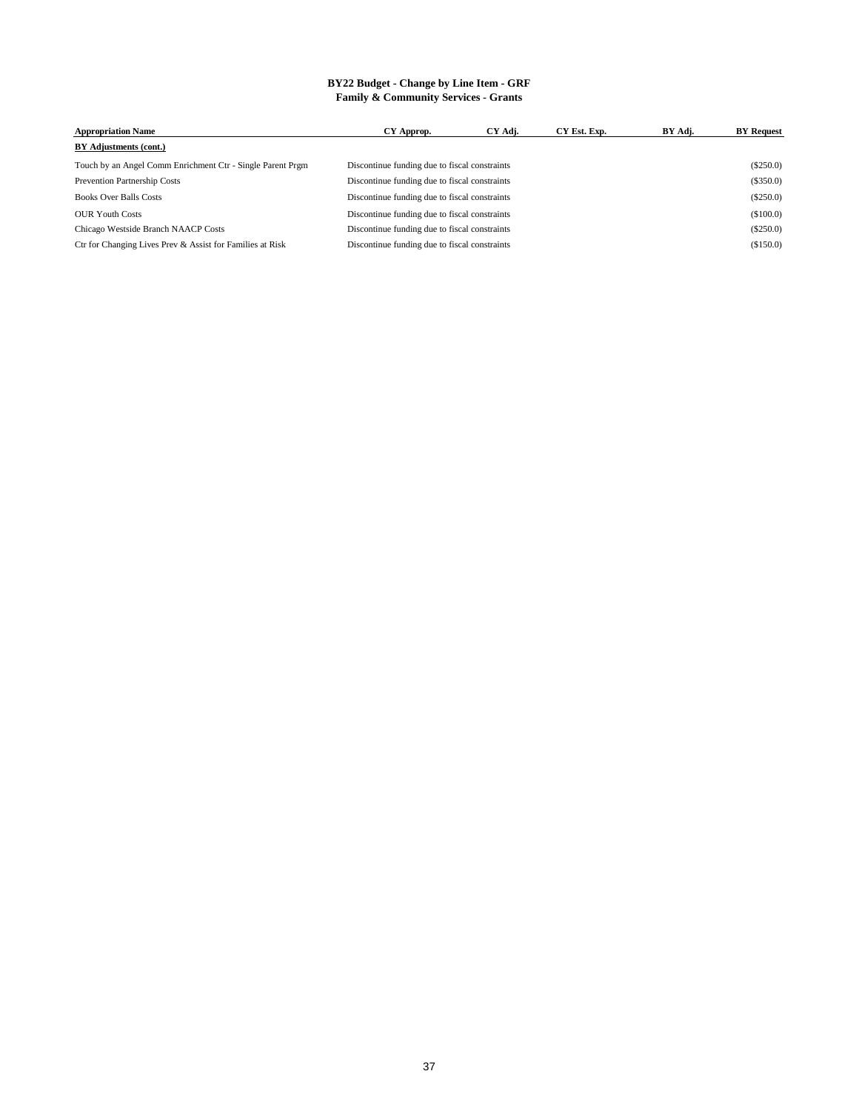#### **BY22 Budget - Change by Line Item - GRF Family & Community Services - Grants**

| <b>Appropriation Name</b>                                  | CY Approp.                                    | CY Adj. | CY Est. Exp. | BY Adj. | <b>BY Request</b> |
|------------------------------------------------------------|-----------------------------------------------|---------|--------------|---------|-------------------|
| BY Adjustments (cont.)                                     |                                               |         |              |         |                   |
| Touch by an Angel Comm Enrichment Ctr - Single Parent Prgm | Discontinue funding due to fiscal constraints |         |              |         | $(\$250.0)$       |
| Prevention Partnership Costs                               | Discontinue funding due to fiscal constraints |         |              |         | $(\$350.0)$       |
| <b>Books Over Balls Costs</b>                              | Discontinue funding due to fiscal constraints |         |              |         | $(\$250.0)$       |
| <b>OUR Youth Costs</b>                                     | Discontinue funding due to fiscal constraints |         |              |         | (\$100.0)         |
| Chicago Westside Branch NAACP Costs                        | Discontinue funding due to fiscal constraints |         |              |         | $(\$250.0)$       |
| Ctr for Changing Lives Prev & Assist for Families at Risk  | Discontinue funding due to fiscal constraints |         |              |         | (\$150.0)         |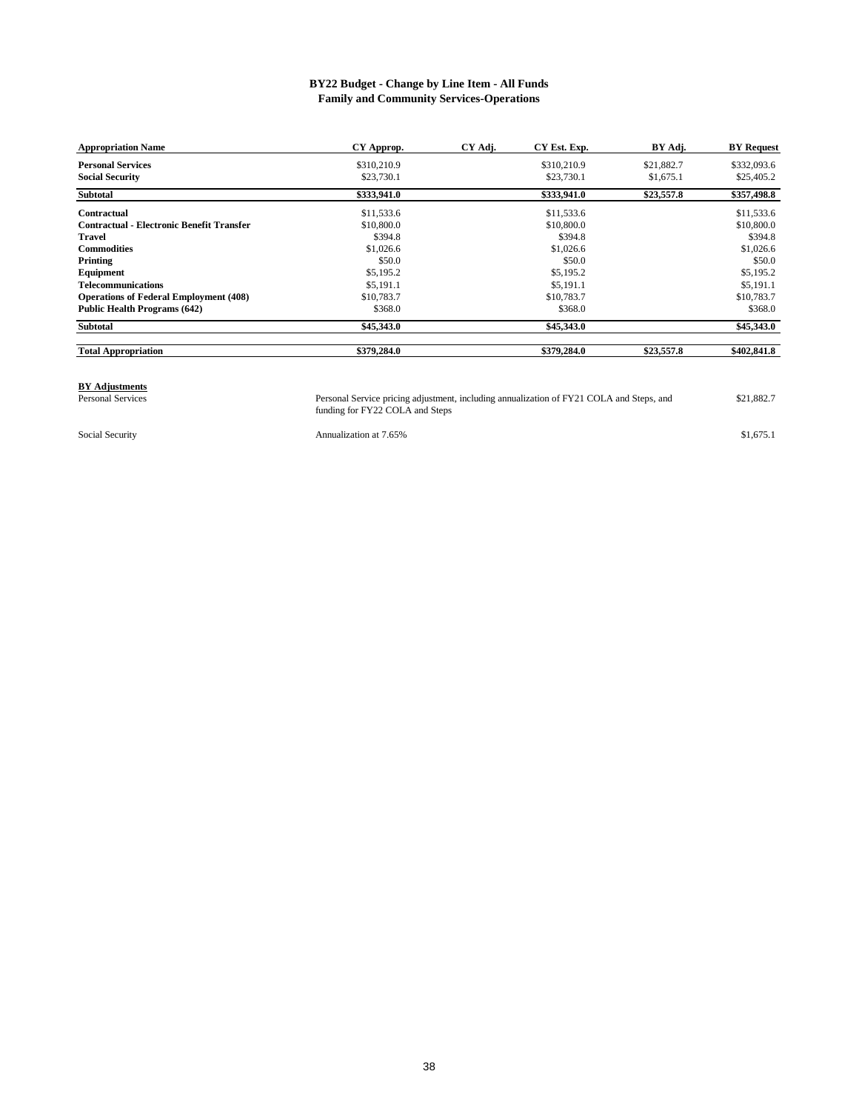#### **BY22 Budget - Change by Line Item - All Funds Family and Community Services-Operations**

| <b>Appropriation Name</b>                        | CY Approp.  | CY Adj. | CY Est. Exp. | BY Adj.    | <b>BY</b> Request |
|--------------------------------------------------|-------------|---------|--------------|------------|-------------------|
| <b>Personal Services</b>                         | \$310,210.9 |         | \$310,210.9  | \$21,882.7 | \$332,093.6       |
| <b>Social Security</b>                           | \$23,730.1  |         | \$23,730.1   | \$1,675.1  | \$25,405.2        |
| <b>Subtotal</b>                                  | \$333,941.0 |         | \$333,941.0  | \$23,557.8 | \$357,498.8       |
| <b>Contractual</b>                               | \$11,533.6  |         | \$11,533.6   |            | \$11,533.6        |
| <b>Contractual - Electronic Benefit Transfer</b> | \$10,800.0  |         | \$10,800.0   |            | \$10,800.0        |
| Travel                                           | \$394.8     |         | \$394.8      |            | \$394.8           |
| <b>Commodities</b>                               | \$1,026.6   |         | \$1,026.6    |            | \$1,026.6         |
| Printing                                         | \$50.0      |         | \$50.0       |            | \$50.0            |
| Equipment                                        | \$5,195.2   |         | \$5,195.2    |            | \$5,195.2         |
| <b>Telecommunications</b>                        | \$5.191.1   |         | \$5,191.1    |            | \$5,191.1         |
| <b>Operations of Federal Employment (408)</b>    | \$10,783.7  |         | \$10,783.7   |            | \$10,783.7        |
| <b>Public Health Programs (642)</b>              | \$368.0     |         | \$368.0      |            | \$368.0           |
| <b>Subtotal</b>                                  | \$45,343.0  |         | \$45,343.0   |            | \$45,343.0        |
| <b>Total Appropriation</b>                       | \$379,284.0 |         | \$379,284.0  | \$23,557.8 | \$402,841.8       |

**BY Adjustments**<br>Personal Services

Personal Service pricing adjustment, including annualization of FY21 COLA and Steps, and \$21,882.7 funding for FY22 COLA and Steps

Social Security Annualization at 7.65% \$1,675.1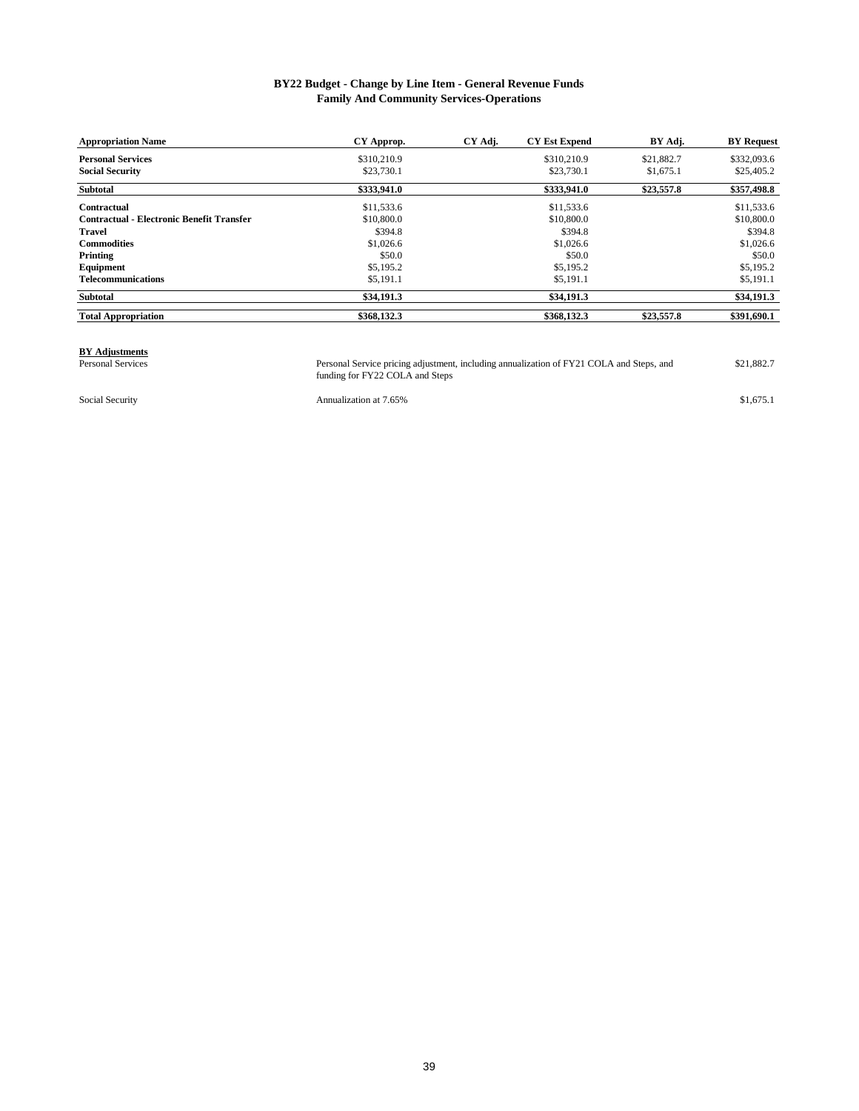#### **BY22 Budget - Change by Line Item - General Revenue Funds Family And Community Services-Operations**

| <b>Appropriation Name</b>                        | CY Approp.  | CY Adj. | <b>CY Est Expend</b> | BY Adj.    | <b>BY</b> Request |
|--------------------------------------------------|-------------|---------|----------------------|------------|-------------------|
| <b>Personal Services</b>                         | \$310,210.9 |         | \$310,210.9          | \$21,882.7 | \$332,093.6       |
| <b>Social Security</b>                           | \$23,730.1  |         | \$23,730.1           | \$1,675.1  | \$25,405.2        |
| <b>Subtotal</b>                                  | \$333,941.0 |         | \$333,941.0          | \$23,557.8 | \$357,498.8       |
| Contractual                                      | \$11,533.6  |         | \$11,533.6           |            | \$11,533.6        |
| <b>Contractual - Electronic Benefit Transfer</b> | \$10,800.0  |         | \$10,800.0           |            | \$10,800.0        |
| <b>Travel</b>                                    | \$394.8     |         | \$394.8              |            | \$394.8           |
| <b>Commodities</b>                               | \$1,026.6   |         | \$1,026.6            |            | \$1,026.6         |
| Printing                                         | \$50.0      |         | \$50.0               |            | \$50.0            |
| Equipment                                        | \$5,195.2   |         | \$5,195.2            |            | \$5,195.2         |
| <b>Telecommunications</b>                        | \$5,191.1   |         | \$5,191.1            |            | \$5,191.1         |
| <b>Subtotal</b>                                  | \$34,191.3  |         | \$34,191.3           |            | \$34,191.3        |
| <b>Total Appropriation</b>                       | \$368,132.3 |         | \$368,132.3          | \$23,557.8 | \$391,690.1       |

## **BY Adjustments**<br>Personal Services

Personal Services Personal Service pricing adjustment, including annualization of FY21 COLA and Steps, and \$21,882.7 funding for FY22 COLA and Steps

Social Security **Annualization at 7.65%** \$1,675.1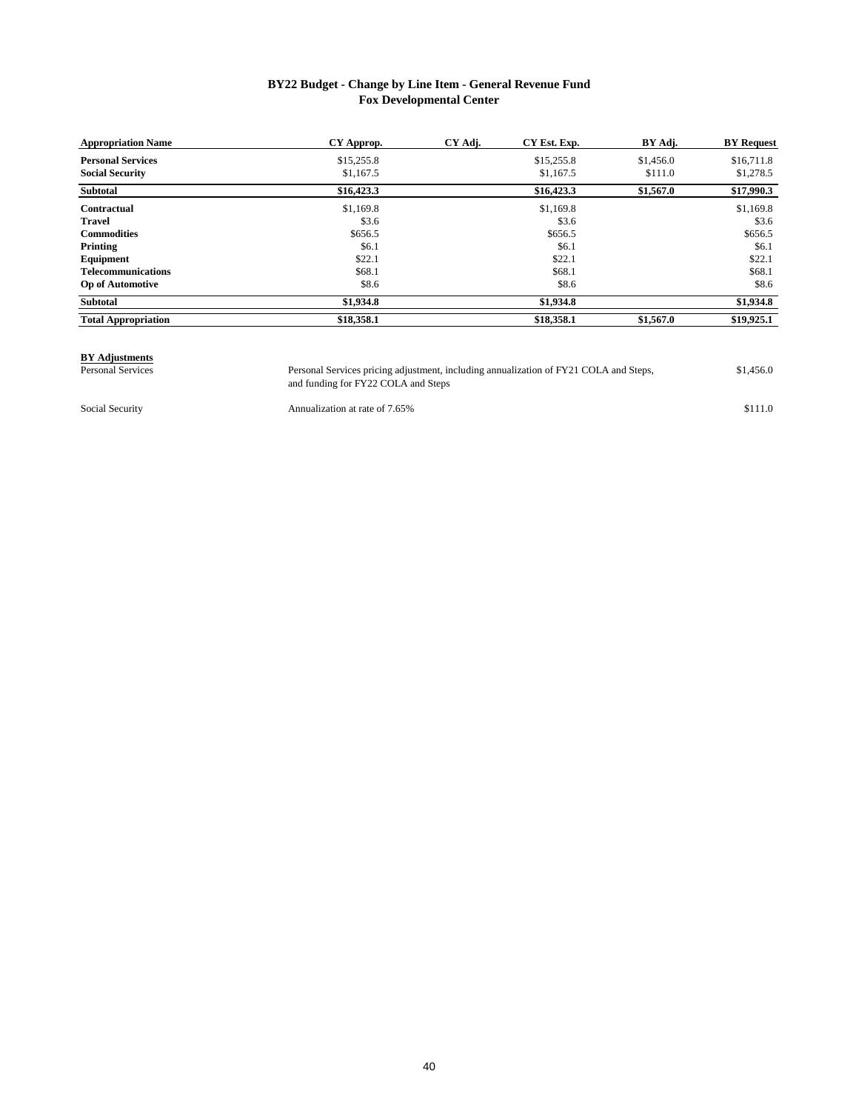#### **BY22 Budget - Change by Line Item - General Revenue Fund Fox Developmental Center**

| <b>Appropriation Name</b>  | CY Approp. | CY Adj. | CY Est. Exp. | BY Adj.   | <b>BY Request</b> |
|----------------------------|------------|---------|--------------|-----------|-------------------|
| <b>Personal Services</b>   | \$15,255.8 |         | \$15,255.8   | \$1,456.0 | \$16,711.8        |
| <b>Social Security</b>     | \$1,167.5  |         | \$1,167.5    | \$111.0   | \$1,278.5         |
| <b>Subtotal</b>            | \$16,423.3 |         | \$16,423.3   | \$1,567.0 | \$17,990.3        |
| Contractual                | \$1,169.8  |         | \$1,169.8    |           | \$1,169.8         |
| <b>Travel</b>              | \$3.6      |         | \$3.6        |           | \$3.6             |
| <b>Commodities</b>         | \$656.5    |         | \$656.5      |           | \$656.5           |
| Printing                   | \$6.1      |         | \$6.1        |           | \$6.1             |
| Equipment                  | \$22.1     |         | \$22.1       |           | \$22.1            |
| <b>Telecommunications</b>  | \$68.1     |         | \$68.1       |           | \$68.1            |
| <b>Op of Automotive</b>    | \$8.6      |         | \$8.6        |           | \$8.6             |
| Subtotal                   | \$1,934.8  |         | \$1,934.8    |           | \$1,934.8         |
| <b>Total Appropriation</b> | \$18,358.1 |         | \$18,358.1   | \$1,567.0 | \$19,925.1        |

# **BY Adjustments**

Personal Services Personal Services pricing adjustment, including annualization of FY21 COLA and Steps, \$1,456.0 and funding for FY22 COLA and Steps Personal Services pricing adjustment, including annualization of FY21 COLA and Steps,

Social Security **Stephanism** Annualization at rate of 7.65% \$111.0

40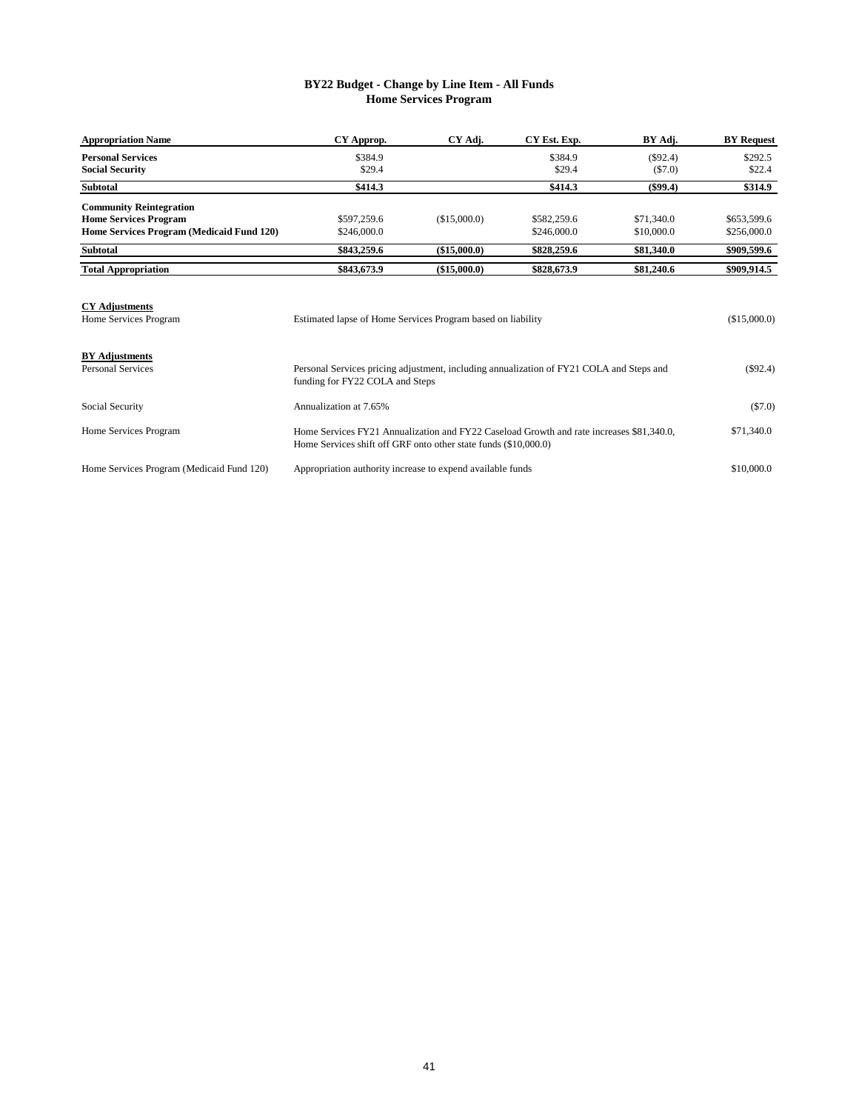#### **BY22 Budget - Change by Line Item - All Funds Home Services Program**

| CY Approp.  | CY Adj.      | CY Est. Exp. | BY Adj.    | <b>BY Request</b> |
|-------------|--------------|--------------|------------|-------------------|
| \$384.9     |              | \$384.9      | $(\$92.4)$ | \$292.5           |
| \$29.4      |              | \$29.4       | (S7.0)     | \$22.4            |
| \$414.3     |              | \$414.3      | (\$99.4)   | \$314.9           |
|             |              |              |            |                   |
| \$597,259.6 | (\$15,000.0) | \$582,259.6  | \$71,340.0 | \$653,599.6       |
| \$246,000.0 |              | \$246,000.0  | \$10,000.0 | \$256,000.0       |
| \$843,259.6 | (\$15,000.0) | \$828,259.6  | \$81,340.0 | \$909,599.6       |
| \$843,673.9 | (\$15,000.0) | \$828,673.9  | \$81,240.6 | \$909,914.5       |
|             |              |              |            |                   |

| <b>CY Adjustments</b><br>Home Services Program    | Estimated lapse of Home Services Program based on liability                                                                                                 | (\$15,000.0) |
|---------------------------------------------------|-------------------------------------------------------------------------------------------------------------------------------------------------------------|--------------|
| <b>BY Adjustments</b><br><b>Personal Services</b> | Personal Services pricing adjustment, including annualization of FY21 COLA and Steps and<br>funding for FY22 COLA and Steps                                 | $(\$92.4)$   |
| Social Security                                   | Annualization at 7.65%                                                                                                                                      | $(\$7.0)$    |
| Home Services Program                             | Home Services FY21 Annualization and FY22 Caseload Growth and rate increases \$81,340.0,<br>Home Services shift off GRF onto other state funds (\$10,000.0) | \$71,340.0   |
| Home Services Program (Medicaid Fund 120)         | Appropriation authority increase to expend available funds                                                                                                  | \$10,000.0   |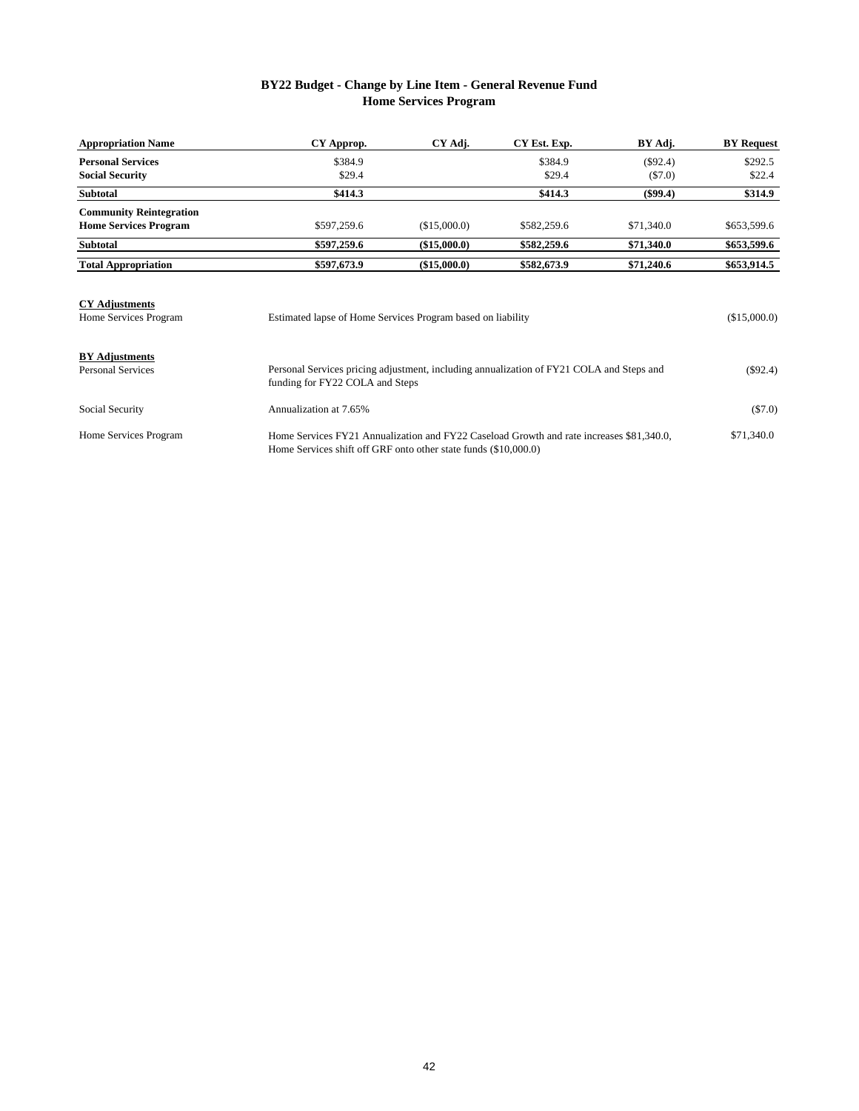### **BY22 Budget - Change by Line Item - General Revenue Fund Home Services Program**

| <b>Appropriation Name</b>      | CY Approp.                                                                                                                  | CY Adj.      | CY Est. Exp. | BY Adj.    | <b>BY</b> Request |
|--------------------------------|-----------------------------------------------------------------------------------------------------------------------------|--------------|--------------|------------|-------------------|
| <b>Personal Services</b>       | \$384.9                                                                                                                     |              | \$384.9      | $(\$92.4)$ | \$292.5           |
| <b>Social Security</b>         | \$29.4                                                                                                                      |              | \$29.4       | ( \$7.0)   | \$22.4            |
| <b>Subtotal</b>                | \$414.3                                                                                                                     |              | \$414.3      | $(\$99.4)$ | \$314.9           |
| <b>Community Reintegration</b> |                                                                                                                             |              |              |            |                   |
| <b>Home Services Program</b>   | \$597,259.6                                                                                                                 | (\$15,000.0) | \$582,259.6  | \$71,340.0 | \$653,599.6       |
| <b>Subtotal</b>                | \$597,259.6                                                                                                                 | (\$15,000.0) | \$582,259.6  | \$71,340.0 | \$653,599.6       |
| <b>Total Appropriation</b>     | \$597,673.9                                                                                                                 | (\$15,000.0) | \$582,673.9  | \$71,240.6 | \$653,914.5       |
| <b>CY Adjustments</b>          |                                                                                                                             |              |              |            |                   |
| Home Services Program          | Estimated lapse of Home Services Program based on liability                                                                 |              |              |            | (\$15,000.0)      |
| <b>BY</b> Adjustments          |                                                                                                                             |              |              |            |                   |
| <b>Personal Services</b>       | Personal Services pricing adjustment, including annualization of FY21 COLA and Steps and<br>funding for FY22 COLA and Steps | $(\$92.4)$   |              |            |                   |

| Social Security       | Annualization at 7.65%                                                                                                                                      | (S7.0)     |
|-----------------------|-------------------------------------------------------------------------------------------------------------------------------------------------------------|------------|
| Home Services Program | Home Services FY21 Annualization and FY22 Caseload Growth and rate increases \$81,340.0.<br>Home Services shift off GRF onto other state funds (\$10,000.0) | \$71,340.0 |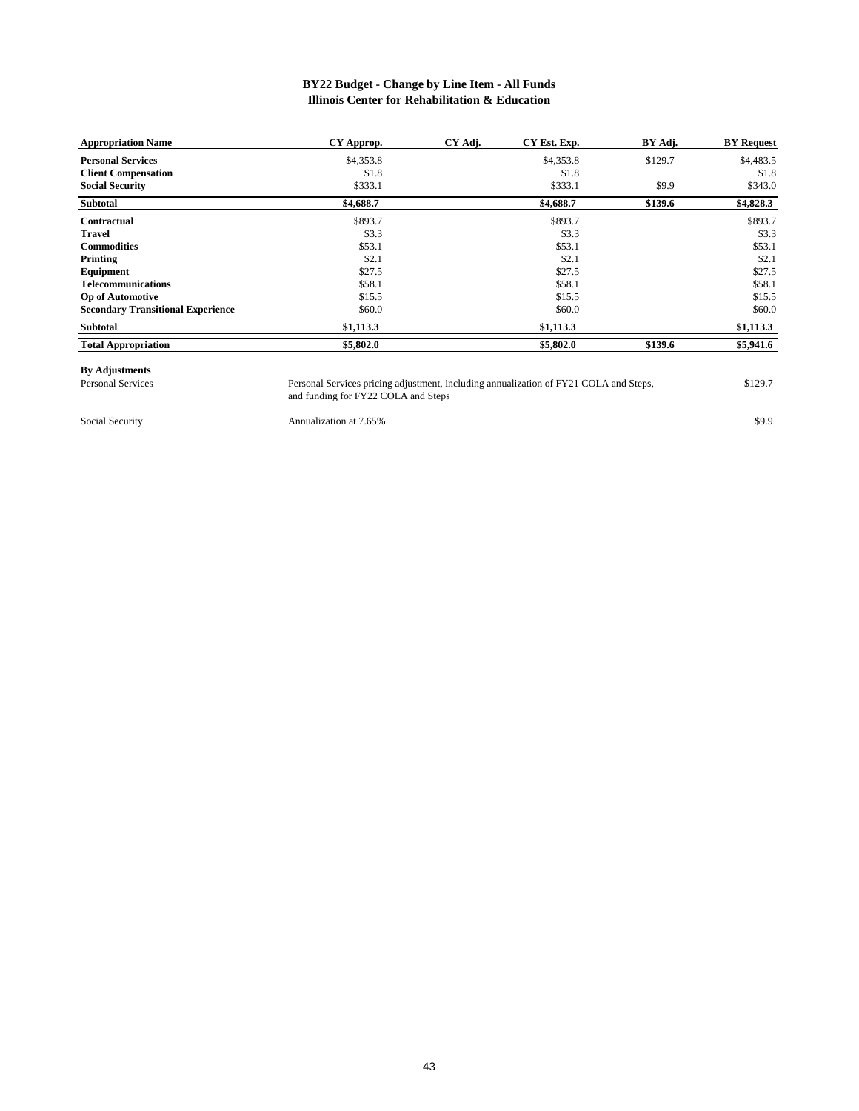#### **Illinois Center for Rehabilitation & Education BY22 Budget - Change by Line Item - All Funds**

| <b>Appropriation Name</b>                | CY Approp. | CY Adj. | CY Est. Exp. | BY Adj. | <b>BY Request</b> |
|------------------------------------------|------------|---------|--------------|---------|-------------------|
| <b>Personal Services</b>                 | \$4,353.8  |         | \$4,353.8    | \$129.7 | \$4,483.5         |
| <b>Client Compensation</b>               | \$1.8      |         | \$1.8        |         | \$1.8             |
| <b>Social Security</b>                   | \$333.1    |         | \$333.1      | \$9.9   | \$343.0           |
| Subtotal                                 | \$4,688.7  |         | \$4,688.7    | \$139.6 | \$4,828.3         |
| Contractual                              | \$893.7    |         | \$893.7      |         | \$893.7           |
| Travel                                   | \$3.3      |         | \$3.3        |         | \$3.3             |
| <b>Commodities</b>                       | \$53.1     |         | \$53.1       |         | \$53.1            |
| Printing                                 | \$2.1      |         | \$2.1        |         | \$2.1             |
| Equipment                                | \$27.5     |         | \$27.5       |         | \$27.5            |
| <b>Telecommunications</b>                | \$58.1     |         | \$58.1       |         | \$58.1            |
| <b>Op of Automotive</b>                  | \$15.5     |         | \$15.5       |         | \$15.5            |
| <b>Secondary Transitional Experience</b> | \$60.0     |         | \$60.0       |         | \$60.0            |
| <b>Subtotal</b>                          | \$1,113.3  |         | \$1,113.3    |         | \$1,113.3         |
| <b>Total Appropriation</b>               | \$5,802.0  |         | \$5,802.0    | \$139.6 | \$5,941.6         |

## **By Adjustments**

Personal Services **129.7** Personal Services pricing adjustment, including annualization of FY21 COLA and Steps, \$129.7 and funding for FY22 COLA and Steps Personal Services pricing adjustment, including annualization of FY21 COLA and Steps,

Social Security **Annualization at 7.65%** \$9.9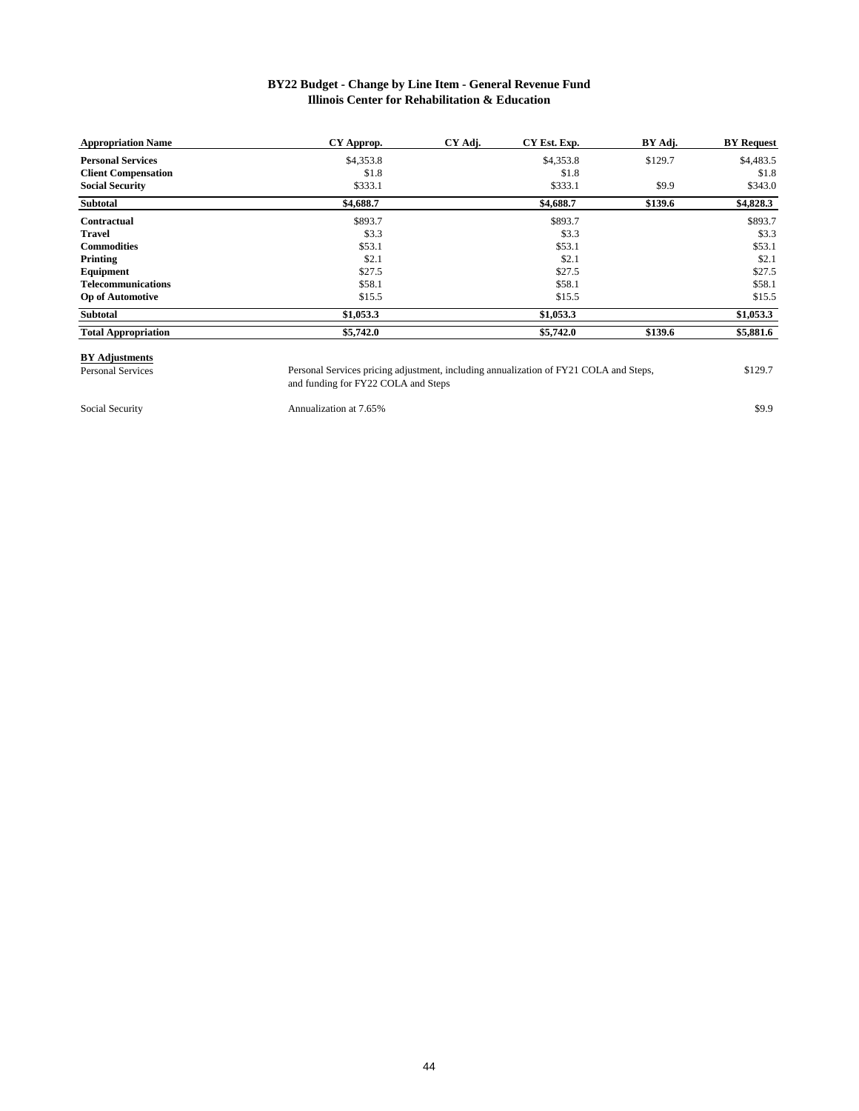#### **Illinois Center for Rehabilitation & Education BY22 Budget - Change by Line Item - General Revenue Fund**

| <b>Appropriation Name</b>  | CY Approp. | CY Adj. | CY Est. Exp. | BY Adj. | <b>BY</b> Request |
|----------------------------|------------|---------|--------------|---------|-------------------|
| <b>Personal Services</b>   | \$4,353.8  |         | \$4,353.8    | \$129.7 | \$4,483.5         |
| <b>Client Compensation</b> | \$1.8      |         | \$1.8        |         | \$1.8             |
| <b>Social Security</b>     | \$333.1    |         | \$333.1      | \$9.9   | \$343.0           |
| Subtotal                   | \$4,688.7  |         | \$4,688.7    | \$139.6 | \$4,828.3         |
| Contractual                | \$893.7    |         | \$893.7      |         | \$893.7           |
| <b>Travel</b>              | \$3.3      |         | \$3.3        |         | \$3.3             |
| <b>Commodities</b>         | \$53.1     |         | \$53.1       |         | \$53.1            |
| Printing                   | \$2.1      |         | \$2.1        |         | \$2.1             |
| Equipment                  | \$27.5     |         | \$27.5       |         | \$27.5            |
| <b>Telecommunications</b>  | \$58.1     |         | \$58.1       |         | \$58.1            |
| <b>Op of Automotive</b>    | \$15.5     |         | \$15.5       |         | \$15.5            |
| Subtotal                   | \$1,053.3  |         | \$1,053.3    |         | \$1,053.3         |
| <b>Total Appropriation</b> | \$5,742.0  |         | \$5,742.0    | \$139.6 | \$5,881.6         |

# **BY Adjustments**<br>Personal Services

Personal Services **129.7** Personal Services pricing adjustment, including annualization of FY21 COLA and Steps, \$129.7 and funding for FY22 COLA and Steps Personal Services pricing adjustment, including annualization of FY21 COLA and Steps,

Social Security **Social Security** Annualization at 7.65% \$9.9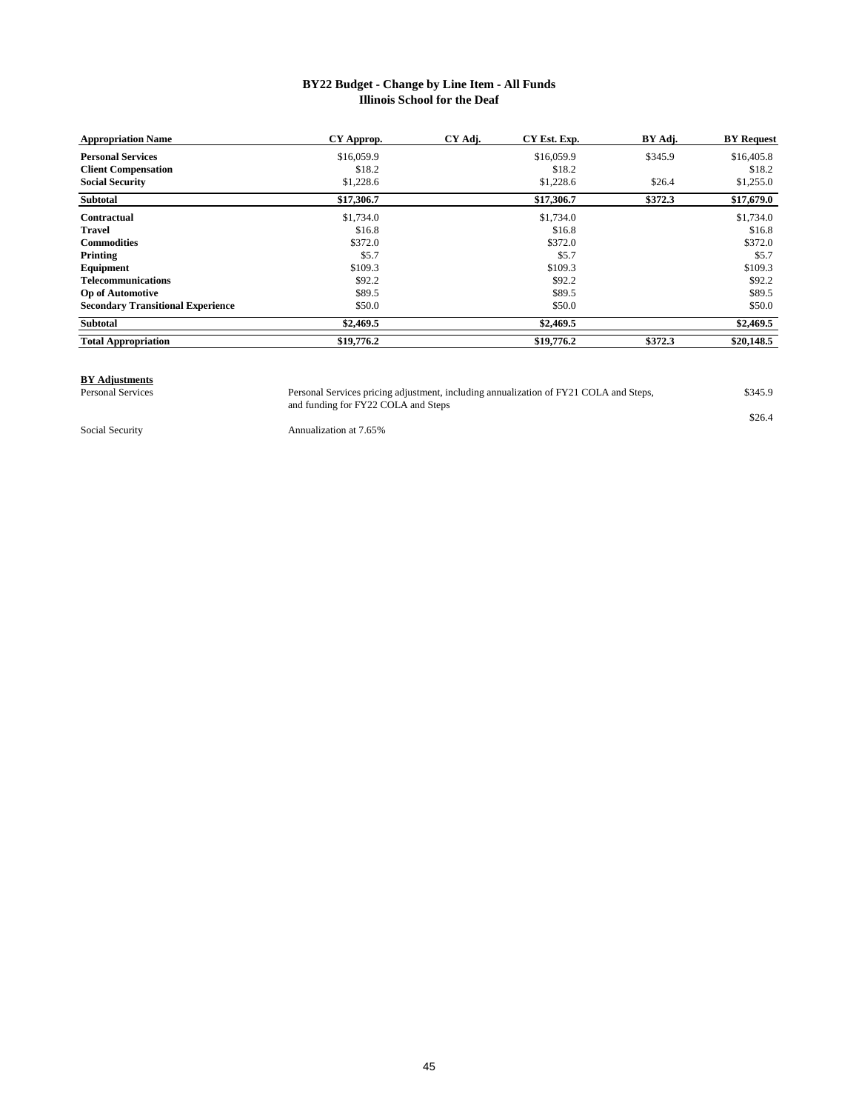#### **Illinois School for the Deaf BY22 Budget - Change by Line Item - All Funds**

| <b>Appropriation Name</b>                | CY Approp. | CY Adj. | CY Est. Exp. | BY Adj. | <b>BY</b> Request |
|------------------------------------------|------------|---------|--------------|---------|-------------------|
| <b>Personal Services</b>                 | \$16,059.9 |         | \$16,059.9   | \$345.9 | \$16,405.8        |
| <b>Client Compensation</b>               | \$18.2     |         | \$18.2       |         | \$18.2            |
| <b>Social Security</b>                   | \$1,228.6  |         | \$1,228.6    | \$26.4  | \$1,255.0         |
| <b>Subtotal</b>                          | \$17,306.7 |         | \$17,306.7   | \$372.3 | \$17,679.0        |
| Contractual                              | \$1,734.0  |         | \$1,734.0    |         | \$1,734.0         |
| <b>Travel</b>                            | \$16.8     |         | \$16.8       |         | \$16.8            |
| <b>Commodities</b>                       | \$372.0    |         | \$372.0      |         | \$372.0           |
| Printing                                 | \$5.7      |         | \$5.7        |         | \$5.7             |
| Equipment                                | \$109.3    |         | \$109.3      |         | \$109.3           |
| <b>Telecommunications</b>                | \$92.2     |         | \$92.2       |         | \$92.2            |
| <b>Op of Automotive</b>                  | \$89.5     |         | \$89.5       |         | \$89.5            |
| <b>Secondary Transitional Experience</b> | \$50.0     |         | \$50.0       |         | \$50.0            |
| Subtotal                                 | \$2,469.5  |         | \$2,469.5    |         | \$2,469.5         |
| <b>Total Appropriation</b>               | \$19,776.2 |         | \$19,776.2   | \$372.3 | \$20,148.5        |

### **BY Adjustments**<br>Personal Services

Personal Services expansion of FY21 COLA and Steps, \$345.9 and funding for FY22 COLA and Steps Personal Services pricing adjustment, including annualization of FY21 COLA and Steps,

\$26.4

Social Security **Annualization at 7.65%**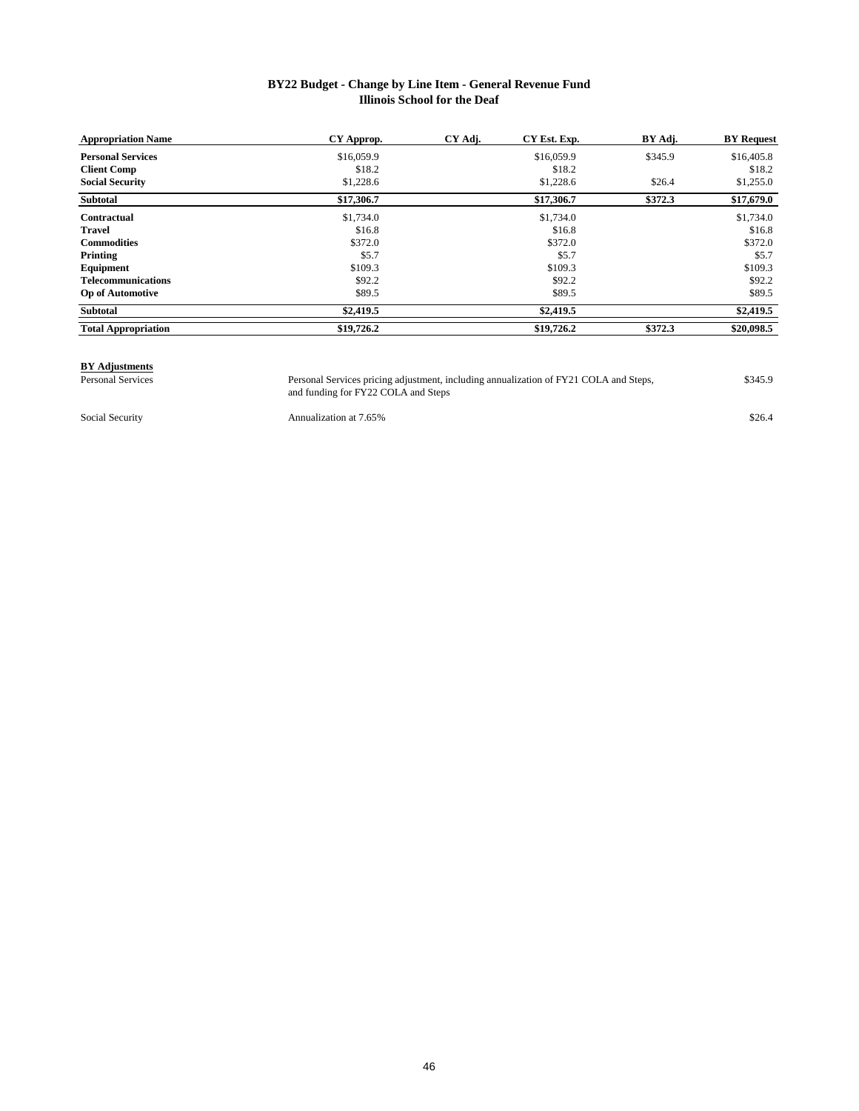#### **Illinois School for the Deaf BY22 Budget - Change by Line Item - General Revenue Fund**

| <b>Appropriation Name</b>  | CY Approp. | CY Adj. | CY Est. Exp. | BY Adj. | <b>BY Request</b> |
|----------------------------|------------|---------|--------------|---------|-------------------|
| <b>Personal Services</b>   | \$16,059.9 |         | \$16,059.9   | \$345.9 | \$16,405.8        |
| <b>Client Comp</b>         | \$18.2     |         | \$18.2       |         | \$18.2            |
| <b>Social Security</b>     | \$1,228.6  |         | \$1,228.6    | \$26.4  | \$1,255.0         |
| Subtotal                   | \$17,306.7 |         | \$17,306.7   | \$372.3 | \$17,679.0        |
| Contractual                | \$1,734.0  |         | \$1,734.0    |         | \$1,734.0         |
| <b>Travel</b>              | \$16.8     |         | \$16.8       |         | \$16.8            |
| <b>Commodities</b>         | \$372.0    |         | \$372.0      |         | \$372.0           |
| Printing                   | \$5.7      |         | \$5.7        |         | \$5.7             |
| Equipment                  | \$109.3    |         | \$109.3      |         | \$109.3           |
| <b>Telecommunications</b>  | \$92.2     |         | \$92.2       |         | \$92.2            |
| <b>Op of Automotive</b>    | \$89.5     |         | \$89.5       |         | \$89.5            |
| Subtotal                   | \$2,419.5  |         | \$2,419.5    |         | \$2,419.5         |
| <b>Total Appropriation</b> | \$19,726.2 |         | \$19,726.2   | \$372.3 | \$20,098.5        |

# **BY Adjustments**

Personal Services **Personal Services pricing adjustment**, including annualization of FY21 COLA and Steps, \$345.9 and funding for FY22 COLA and Steps Personal Services pricing adjustment, including annualization of FY21 COLA and Steps,

Social Security **Annualization at 7.65%** \$26.4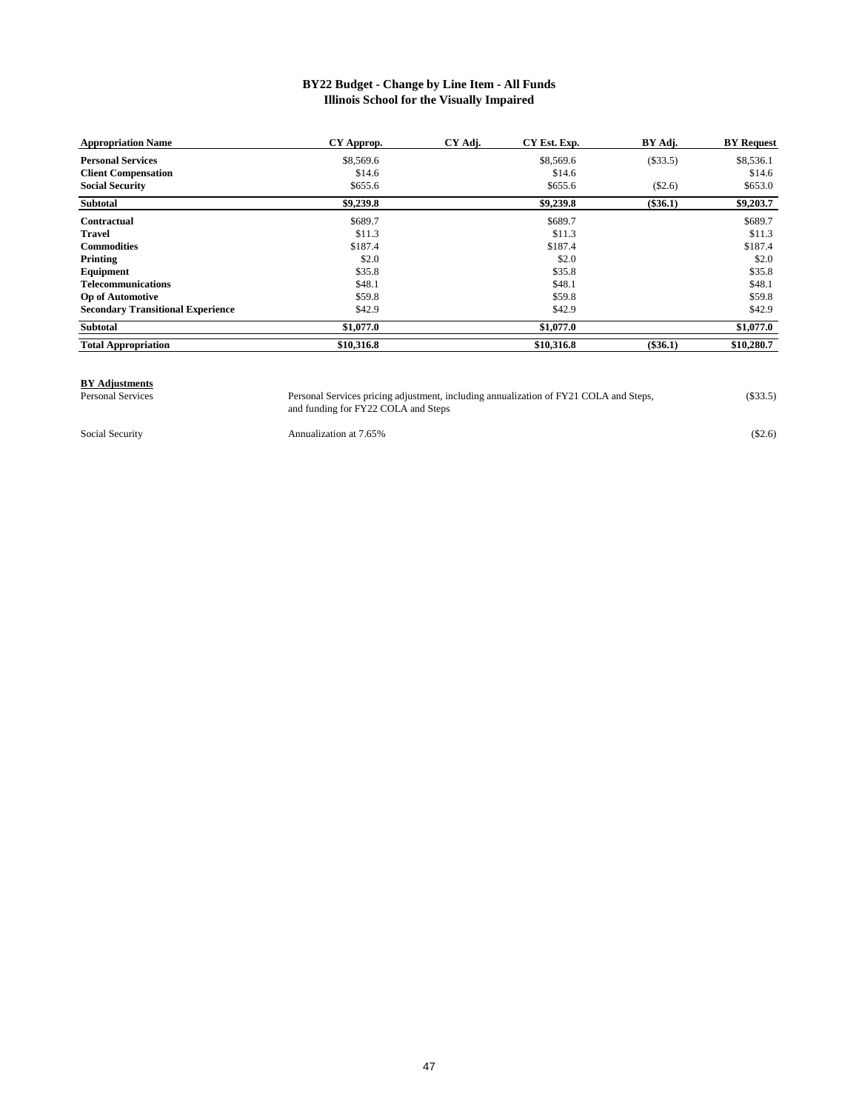#### **Illinois School for the Visually Impaired BY22 Budget - Change by Line Item - All Funds**

| <b>Appropriation Name</b>                | CY Approp. | CY Adj. | CY Est. Exp. | BY Adj.    | <b>BY</b> Request |
|------------------------------------------|------------|---------|--------------|------------|-------------------|
| <b>Personal Services</b>                 | \$8,569.6  |         | \$8,569.6    | (\$33.5)   | \$8,536.1         |
| <b>Client Compensation</b>               | \$14.6     |         | \$14.6       |            | \$14.6            |
| <b>Social Security</b>                   | \$655.6    |         | \$655.6      | (\$2.6)    | \$653.0           |
| <b>Subtotal</b>                          | \$9,239.8  |         | \$9,239.8    | $(\$36.1)$ | \$9,203.7         |
| Contractual                              | \$689.7    |         | \$689.7      |            | \$689.7           |
| Travel                                   | \$11.3     |         | \$11.3       |            | \$11.3            |
| <b>Commodities</b>                       | \$187.4    |         | \$187.4      |            | \$187.4           |
| Printing                                 | \$2.0      |         | \$2.0        |            | \$2.0             |
| Equipment                                | \$35.8     |         | \$35.8       |            | \$35.8            |
| <b>Telecommunications</b>                | \$48.1     |         | \$48.1       |            | \$48.1            |
| <b>Op of Automotive</b>                  | \$59.8     |         | \$59.8       |            | \$59.8            |
| <b>Secondary Transitional Experience</b> | \$42.9     |         | \$42.9       |            | \$42.9            |
| Subtotal                                 | \$1,077.0  |         | \$1,077.0    |            | \$1,077.0         |
| <b>Total Appropriation</b>               | \$10,316.8 |         | \$10,316.8   | $(\$36.1)$ | \$10,280.7        |

### **BY Adjustments**<br>Personal Services

Personal Services **Personal Services pricing adjustment, including annualization of FY21 COLA and Steps**, (\$33.5) and funding for FY22 COLA and Steps

Social Security **Annualization at 7.65%** (\$2.6)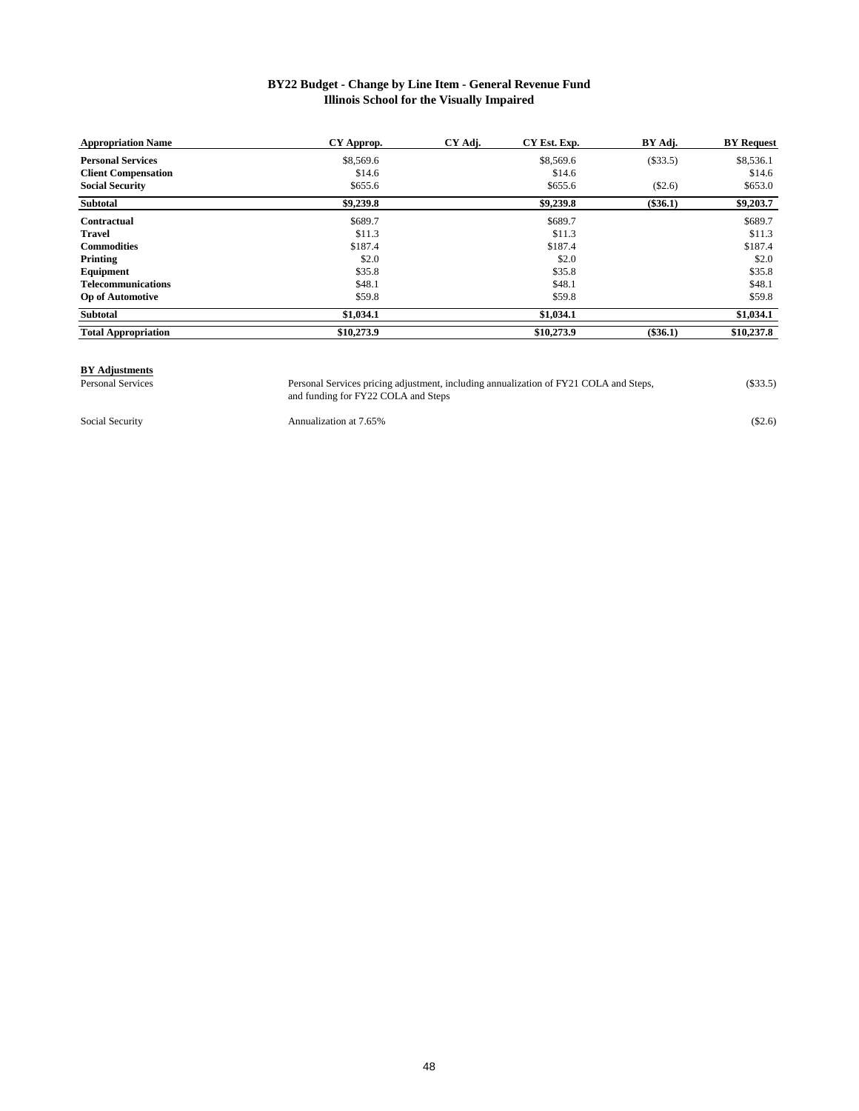#### **Illinois School for the Visually Impaired BY22 Budget - Change by Line Item - General Revenue Fund**

| <b>Appropriation Name</b>  | CY Approp. | CY Adj. | CY Est. Exp. | BY Adj.    | <b>BY</b> Request |
|----------------------------|------------|---------|--------------|------------|-------------------|
| <b>Personal Services</b>   | \$8,569.6  |         | \$8,569.6    | (\$33.5)   | \$8,536.1         |
| <b>Client Compensation</b> | \$14.6     |         | \$14.6       |            | \$14.6            |
| <b>Social Security</b>     | \$655.6    |         | \$655.6      | (\$2.6)    | \$653.0           |
| Subtotal                   | \$9,239.8  |         | \$9,239.8    | $(\$36.1)$ | \$9,203.7         |
| Contractual                | \$689.7    |         | \$689.7      |            | \$689.7           |
| <b>Travel</b>              | \$11.3     |         | \$11.3       |            | \$11.3            |
| <b>Commodities</b>         | \$187.4    |         | \$187.4      |            | \$187.4           |
| Printing                   | \$2.0      |         | \$2.0        |            | \$2.0             |
| Equipment                  | \$35.8     |         | \$35.8       |            | \$35.8            |
| <b>Telecommunications</b>  | \$48.1     |         | \$48.1       |            | \$48.1            |
| <b>Op of Automotive</b>    | \$59.8     |         | \$59.8       |            | \$59.8            |
| Subtotal                   | \$1,034.1  |         | \$1,034.1    |            | \$1,034.1         |
| <b>Total Appropriation</b> | \$10,273.9 |         | \$10,273.9   | $(\$36.1)$ | \$10,237.8        |

## **BY Adjustments**<br>Personal Services

Personal Services **Personal Services pricing adjustment**, including annualization of FY21 COLA and Steps, (\$33.5) and funding for FY22 COLA and Steps Personal Services pricing adjustment, including annualization of FY21 COLA and Steps,

Social Security **Annualization at 7.65%** (\$2.6)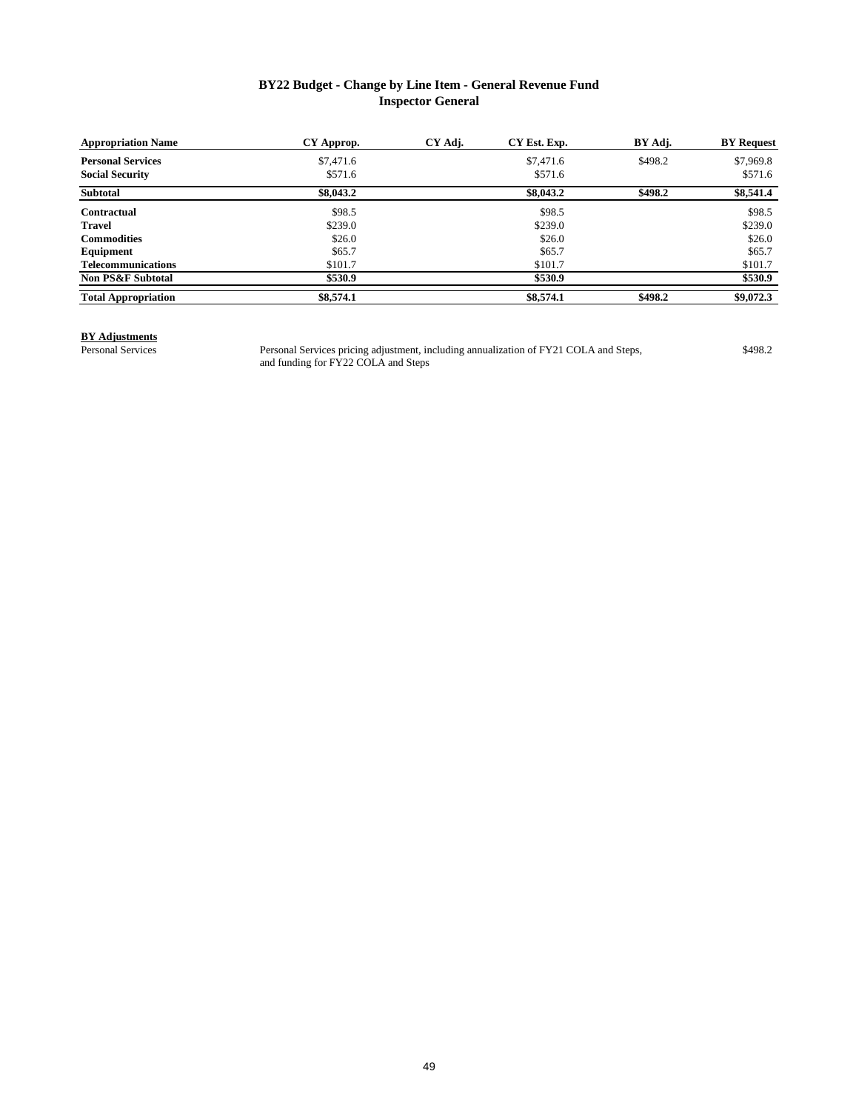### **BY22 Budget - Change by Line Item - General Revenue Fund Inspector General**

| <b>Appropriation Name</b>    | CY Approp. | CY Adj. | CY Est. Exp. | BY Adj. | <b>BY Request</b> |
|------------------------------|------------|---------|--------------|---------|-------------------|
| <b>Personal Services</b>     | \$7,471.6  |         | \$7,471.6    | \$498.2 | \$7,969.8         |
| <b>Social Security</b>       | \$571.6    |         | \$571.6      |         | \$571.6           |
| <b>Subtotal</b>              | \$8,043.2  |         | \$8,043.2    | \$498.2 | \$8,541.4         |
| <b>Contractual</b>           | \$98.5     |         | \$98.5       |         | \$98.5            |
| Travel                       | \$239.0    |         | \$239.0      |         | \$239.0           |
| <b>Commodities</b>           | \$26.0     |         | \$26.0       |         | \$26.0            |
| Equipment                    | \$65.7     |         | \$65.7       |         | \$65.7            |
| <b>Telecommunications</b>    | \$101.7    |         | \$101.7      |         | \$101.7           |
| <b>Non PS&amp;F Subtotal</b> | \$530.9    |         | \$530.9      |         | \$530.9           |
| <b>Total Appropriation</b>   | \$8,574.1  |         | \$8,574.1    | \$498.2 | \$9,072.3         |

# **BY Adjustments**

Personal Services **1208.2** Personal Services pricing adjustment, including annualization of FY21 COLA and Steps, \$498.2 and funding for FY22 COLA and Steps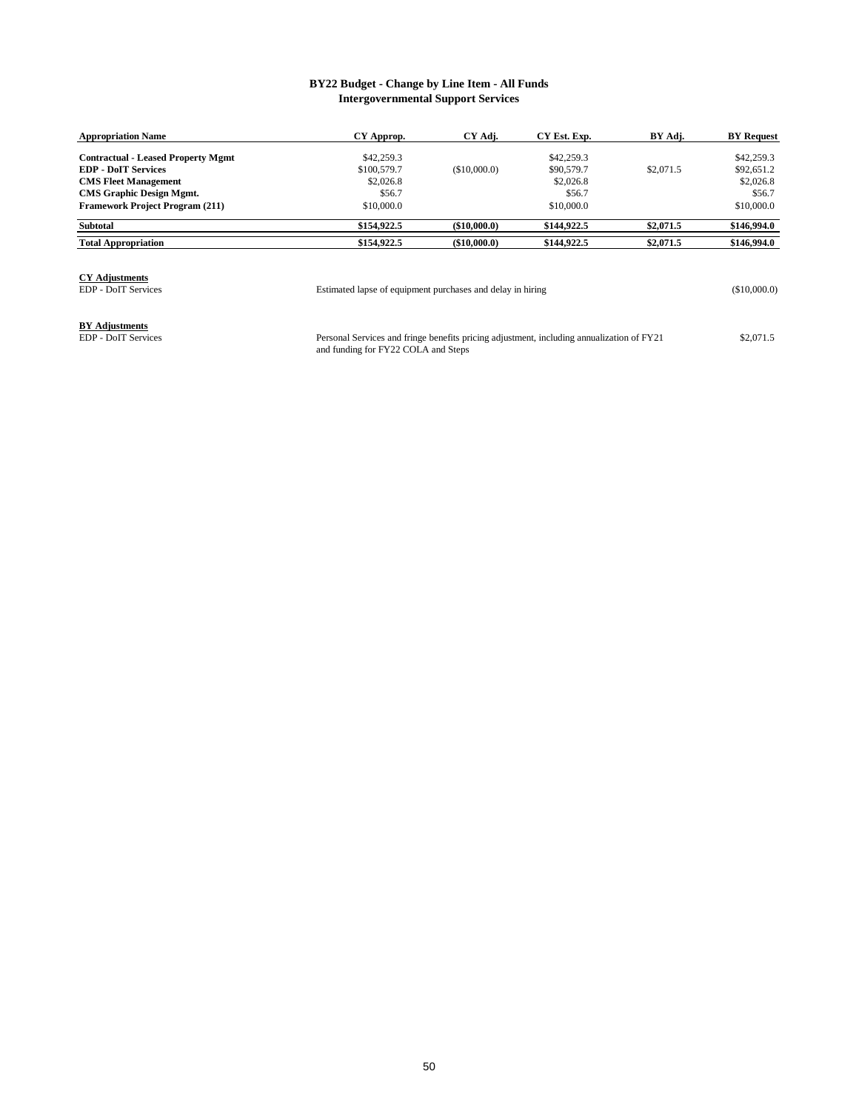#### **BY22 Budget - Change by Line Item - All Funds Intergovernmental Support Services**

| <b>Appropriation Name</b>                 | CY Approp.  | CY Adj.         | CY Est. Exp. | BY Adj.   | <b>BY Request</b> |
|-------------------------------------------|-------------|-----------------|--------------|-----------|-------------------|
| <b>Contractual - Leased Property Mgmt</b> | \$42,259.3  |                 | \$42,259.3   |           | \$42,259.3        |
| <b>EDP - DoIT Services</b>                | \$100,579.7 | (\$10,000.0)    | \$90,579.7   | \$2,071.5 | \$92,651.2        |
| <b>CMS Fleet Management</b>               | \$2,026.8   |                 | \$2,026.8    |           | \$2,026.8         |
| <b>CMS Graphic Design Mgmt.</b>           | \$56.7      |                 | \$56.7       |           | \$56.7            |
| <b>Framework Project Program (211)</b>    | \$10,000.0  |                 | \$10,000.0   |           | \$10,000.0        |
| <b>Subtotal</b>                           | \$154,922.5 | $($ \$10,000.0) | \$144,922.5  | \$2,071.5 | \$146,994.0       |
| <b>Total Appropriation</b>                | \$154,922.5 | $($ \$10,000.0) | \$144,922.5  | \$2,071.5 | \$146,994.0       |

### **CY Adjustments**

EDP - DoIT Services (\$10,000.0) Estimated lapse of equipment purchases and delay in hiring

## **BY Adjustments**<br>EDP - DoIT Services

EDP - DoIT Services **12,071.5** Personal Services and fringe benefits pricing adjustment, including annualization of FY21 \$2,071.5 and funding for FY22 COLA and Steps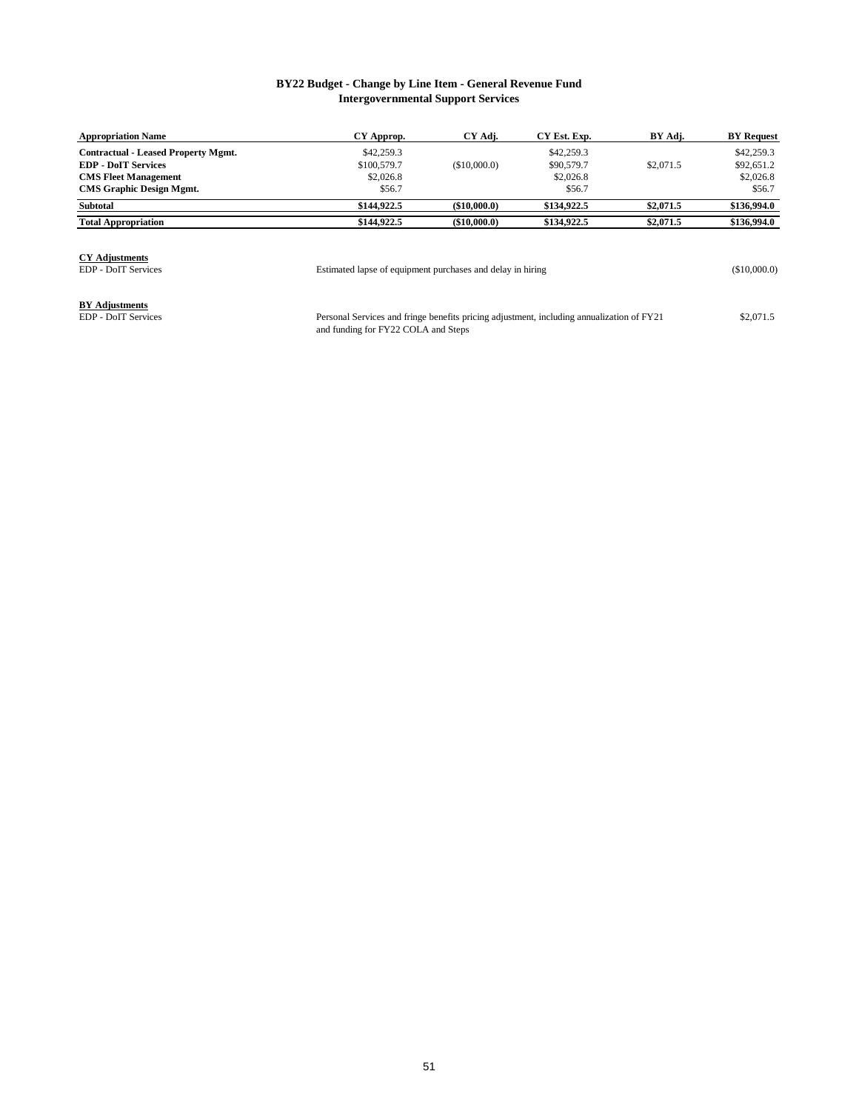#### **BY22 Budget - Change by Line Item - General Revenue Fund Intergovernmental Support Services**

| <b>Appropriation Name</b>                                                                                                                  | CY Approp.                                       | CY Adj.      | CY Est. Exp.                                    | BY Adj.   | <b>BY Request</b>                               |
|--------------------------------------------------------------------------------------------------------------------------------------------|--------------------------------------------------|--------------|-------------------------------------------------|-----------|-------------------------------------------------|
| <b>Contractual - Leased Property Mgmt.</b><br><b>EDP - DoIT Services</b><br><b>CMS Fleet Management</b><br><b>CMS Graphic Design Mgmt.</b> | \$42,259.3<br>\$100,579.7<br>\$2,026.8<br>\$56.7 | (\$10,000.0) | \$42,259.3<br>\$90,579.7<br>\$2,026.8<br>\$56.7 | \$2,071.5 | \$42,259.3<br>\$92,651.2<br>\$2,026.8<br>\$56.7 |
| <b>Subtotal</b>                                                                                                                            | \$144,922.5                                      | (\$10,000.0) | \$134,922.5                                     | \$2,071.5 | \$136,994.0                                     |
| <b>Total Appropriation</b>                                                                                                                 | \$144,922.5                                      | (\$10,000.0) | \$134,922.5                                     | \$2,071.5 | \$136,994.0                                     |

**CY Adjustments**

EDP - DoIT Services (\$10,000.0) Estimated lapse of equipment purchases and delay in hiring

**BY Adjustments**<br>EDP - DoIT Services

EDP - DoIT Services **1998** Exercise 8 Personal Services and fringe benefits pricing adjustment, including annualization of FY21 \$2,071.5 and funding for FY22 COLA and Steps Personal Services and fringe benefits pricing adjustment, including annualization of FY21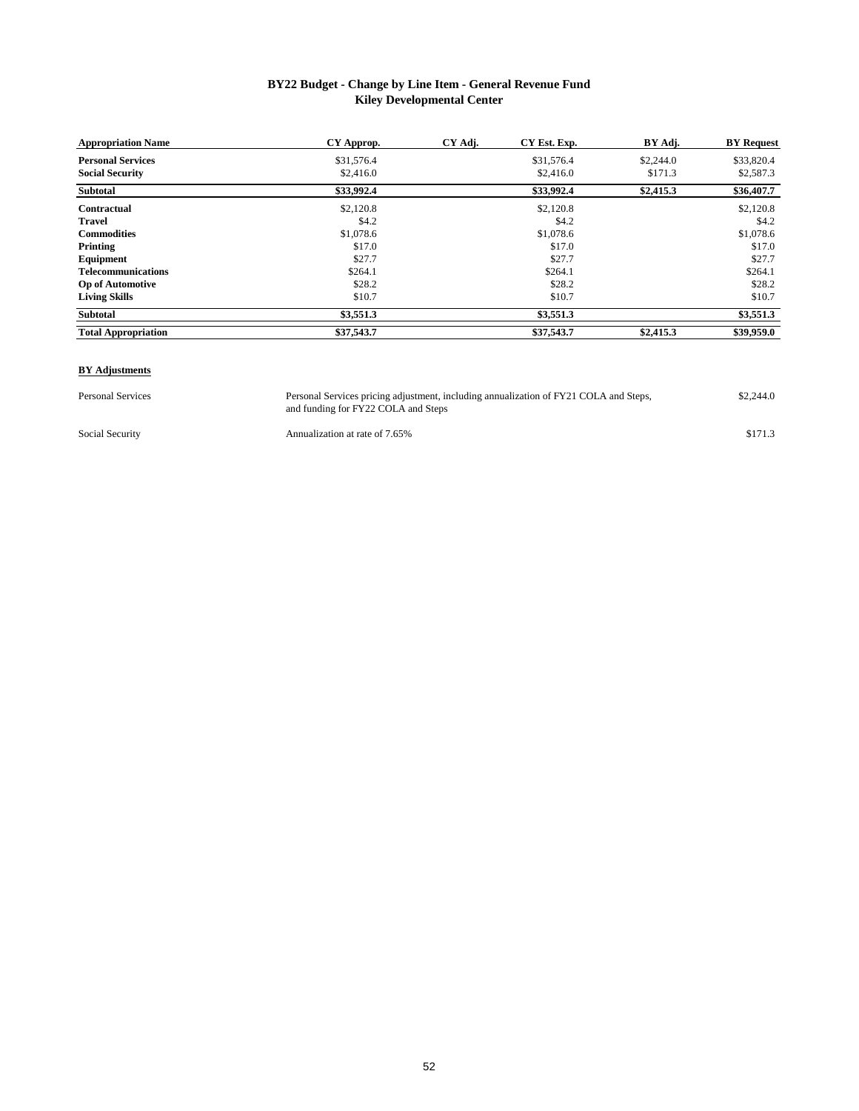### **BY22 Budget - Change by Line Item - General Revenue Fund Kiley Developmental Center**

| <b>Appropriation Name</b>  | CY Approp. | CY Adj. | CY Est. Exp. | BY Adj.   | <b>BY Request</b> |
|----------------------------|------------|---------|--------------|-----------|-------------------|
| <b>Personal Services</b>   | \$31,576.4 |         | \$31,576.4   | \$2,244.0 | \$33,820.4        |
| <b>Social Security</b>     | \$2,416.0  |         | \$2,416.0    | \$171.3   | \$2,587.3         |
| <b>Subtotal</b>            | \$33,992.4 |         | \$33,992.4   | \$2,415.3 | \$36,407.7        |
| Contractual                | \$2,120.8  |         | \$2,120.8    |           | \$2,120.8         |
| <b>Travel</b>              | \$4.2      |         | \$4.2        |           | \$4.2             |
| <b>Commodities</b>         | \$1,078.6  |         | \$1,078.6    |           | \$1,078.6         |
| Printing                   | \$17.0     |         | \$17.0       |           | \$17.0            |
| Equipment                  | \$27.7     |         | \$27.7       |           | \$27.7            |
| <b>Telecommunications</b>  | \$264.1    |         | \$264.1      |           | \$264.1           |
| <b>Op of Automotive</b>    | \$28.2     |         | \$28.2       |           | \$28.2            |
| <b>Living Skills</b>       | \$10.7     |         | \$10.7       |           | \$10.7            |
| Subtotal                   | \$3,551.3  |         | \$3,551.3    |           | \$3,551.3         |
| <b>Total Appropriation</b> | \$37,543.7 |         | \$37,543.7   | \$2,415.3 | \$39,959.0        |

#### **BY Adjustments**

Personal Services **1988** Personal Services pricing adjustment, including annualization of FY21 COLA and Steps, \$2,244.0 and funding for FY22 COLA and Steps Personal Services pricing adjustment, including annualization of FY21 COLA and Steps,

Social Security **Annualization at rate of 7.65%** \$171.3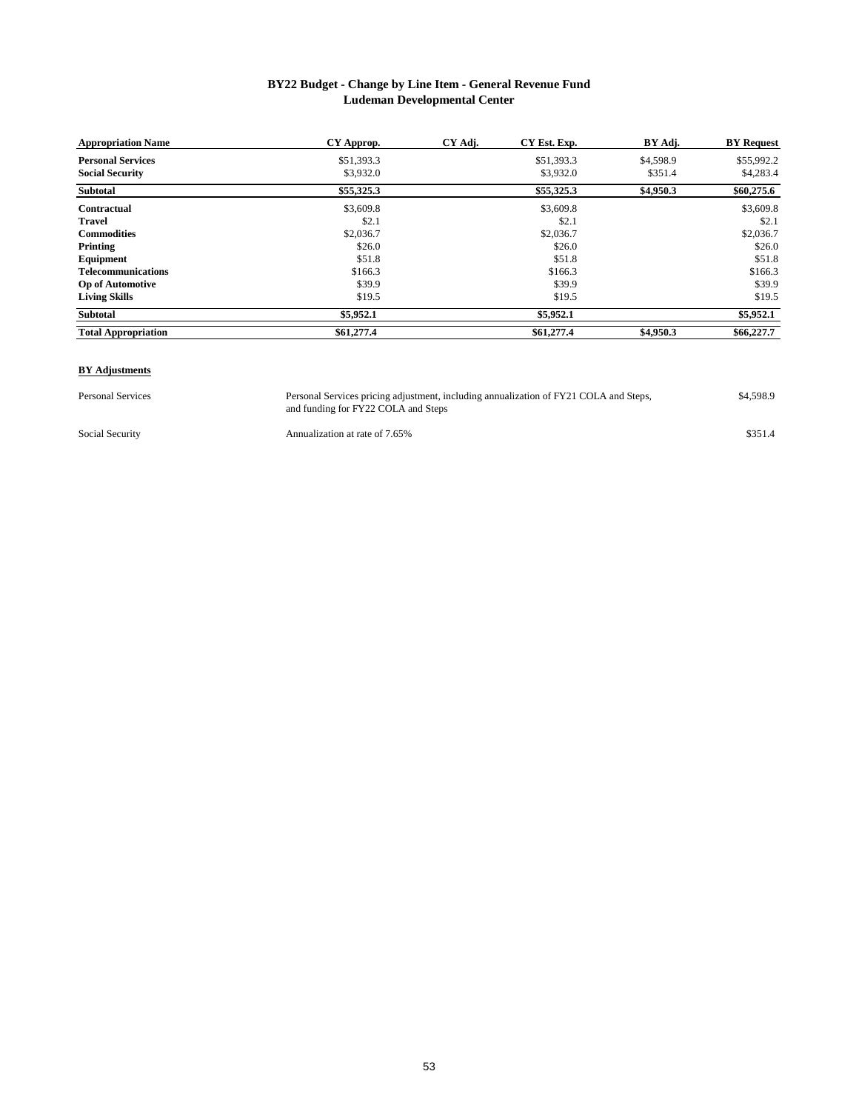#### **BY22 Budget - Change by Line Item - General Revenue Fund Ludeman Developmental Center**

| <b>Appropriation Name</b>  | CY Approp. | CY Adj. | CY Est. Exp. | BY Adj.   | <b>BY</b> Request |
|----------------------------|------------|---------|--------------|-----------|-------------------|
| <b>Personal Services</b>   | \$51,393.3 |         | \$51,393.3   | \$4,598.9 | \$55,992.2        |
| <b>Social Security</b>     | \$3,932.0  |         | \$3,932.0    | \$351.4   | \$4,283.4         |
| <b>Subtotal</b>            | \$55,325.3 |         | \$55,325.3   | \$4,950.3 | \$60,275.6        |
| Contractual                | \$3,609.8  |         | \$3,609.8    |           | \$3,609.8         |
| <b>Travel</b>              | \$2.1      |         | \$2.1        |           | \$2.1             |
| <b>Commodities</b>         | \$2,036.7  |         | \$2,036.7    |           | \$2,036.7         |
| Printing                   | \$26.0     |         | \$26.0       |           | \$26.0            |
| Equipment                  | \$51.8     |         | \$51.8       |           | \$51.8            |
| <b>Telecommunications</b>  | \$166.3    |         | \$166.3      |           | \$166.3           |
| <b>Op of Automotive</b>    | \$39.9     |         | \$39.9       |           | \$39.9            |
| <b>Living Skills</b>       | \$19.5     |         | \$19.5       |           | \$19.5            |
| Subtotal                   | \$5,952.1  |         | \$5,952.1    |           | \$5,952.1         |
| <b>Total Appropriation</b> | \$61,277.4 |         | \$61,277.4   | \$4,950.3 | \$66,227.7        |

#### **BY Adjustments**

Personal Services **1988.** Personal Services pricing adjustment, including annualization of FY21 COLA and Steps, \$4,598.9 and funding for FY22 COLA and Steps

Social Security **Annualization at rate of 7.65%** \$351.4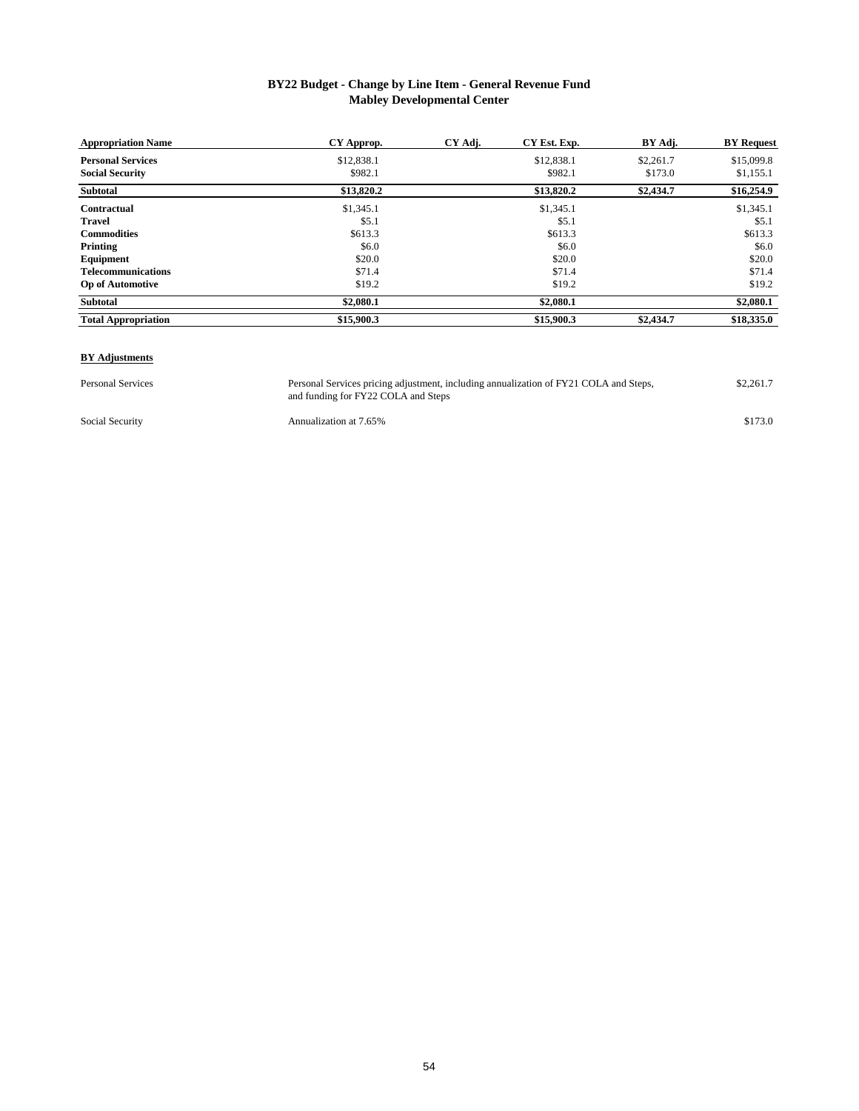### **BY22 Budget - Change by Line Item - General Revenue Fund Mabley Developmental Center**

| <b>Appropriation Name</b>  | CY Approp. | CY Adj. | CY Est. Exp. | BY Adj.   | <b>BY Request</b> |
|----------------------------|------------|---------|--------------|-----------|-------------------|
| <b>Personal Services</b>   | \$12,838.1 |         | \$12,838.1   | \$2,261.7 | \$15,099.8        |
| <b>Social Security</b>     | \$982.1    |         | \$982.1      | \$173.0   | \$1,155.1         |
| Subtotal                   | \$13,820.2 |         | \$13,820.2   | \$2,434.7 | \$16,254.9        |
| Contractual                | \$1,345.1  |         | \$1,345.1    |           | \$1,345.1         |
| <b>Travel</b>              | \$5.1      |         | \$5.1        |           | \$5.1             |
| <b>Commodities</b>         | \$613.3    |         | \$613.3      |           | \$613.3           |
| Printing                   | \$6.0      |         | \$6.0        |           | \$6.0             |
| Equipment                  | \$20.0     |         | \$20.0       |           | \$20.0            |
| <b>Telecommunications</b>  | \$71.4     |         | \$71.4       |           | \$71.4            |
| <b>Op of Automotive</b>    | \$19.2     |         | \$19.2       |           | \$19.2            |
| Subtotal                   | \$2,080.1  |         | \$2,080.1    |           | \$2,080.1         |
| <b>Total Appropriation</b> | \$15,900.3 |         | \$15,900.3   | \$2,434.7 | \$18,335.0        |

#### **BY Adjustments**

Personal Services **1988** Personal Services pricing adjustment, including annualization of FY21 COLA and Steps, \$2,261.7 and funding for FY22 COLA and Steps Personal Services pricing adjustment, including annualization of FY21 COLA and Steps,

Social Security **Annualization at 7.65%** \$173.0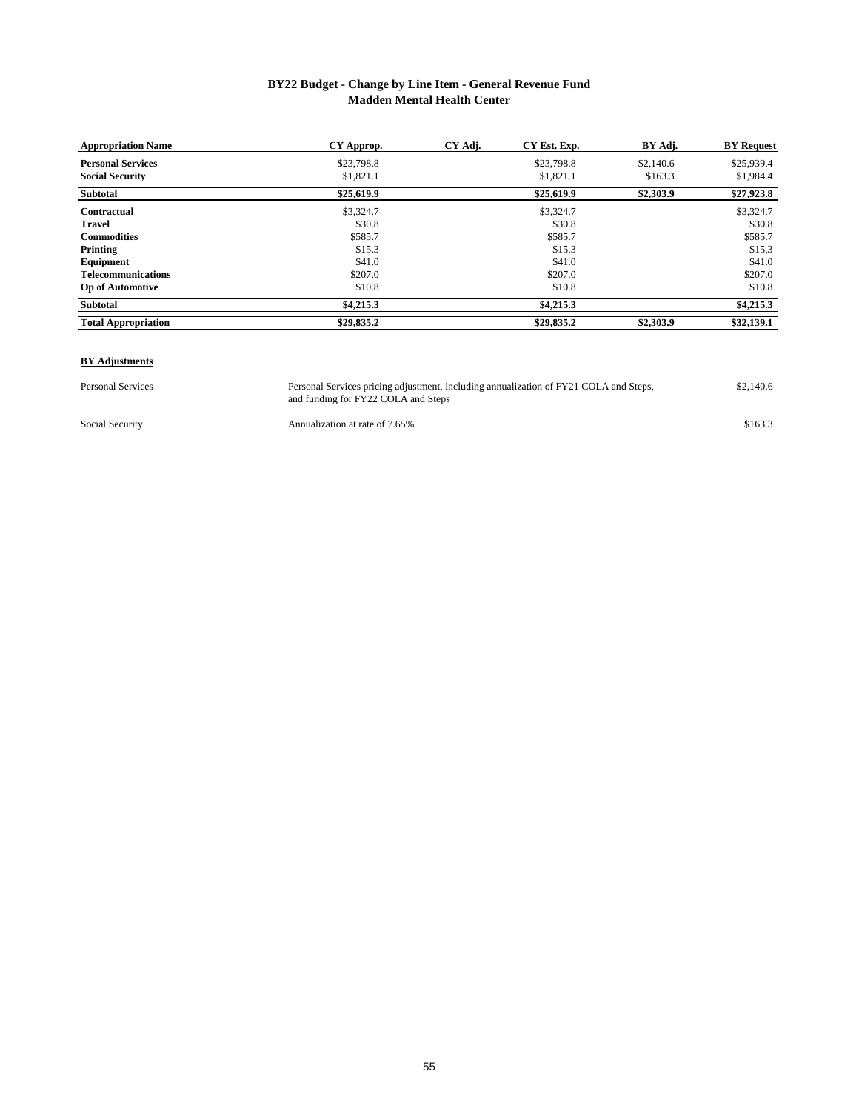#### **BY22 Budget - Change by Line Item - General Revenue Fund Madden Mental Health Center**

| <b>Appropriation Name</b>  | CY Approp. | CY Adj. | CY Est. Exp. | BY Adj.   | <b>BY Request</b> |
|----------------------------|------------|---------|--------------|-----------|-------------------|
| <b>Personal Services</b>   | \$23,798.8 |         | \$23,798.8   | \$2,140.6 | \$25,939.4        |
| <b>Social Security</b>     | \$1,821.1  |         | \$1,821.1    | \$163.3   | \$1,984.4         |
| Subtotal                   | \$25,619.9 |         | \$25,619.9   | \$2,303.9 | \$27,923.8        |
| Contractual                | \$3,324.7  |         | \$3,324.7    |           | \$3,324.7         |
| <b>Travel</b>              | \$30.8     |         | \$30.8       |           | \$30.8            |
| <b>Commodities</b>         | \$585.7    |         | \$585.7      |           | \$585.7           |
| Printing                   | \$15.3     |         | \$15.3       |           | \$15.3            |
| Equipment                  | \$41.0     |         | \$41.0       |           | \$41.0            |
| <b>Telecommunications</b>  | \$207.0    |         | \$207.0      |           | \$207.0           |
| <b>Op of Automotive</b>    | \$10.8     |         | \$10.8       |           | \$10.8            |
| Subtotal                   | \$4,215.3  |         | \$4,215.3    |           | \$4,215.3         |
| <b>Total Appropriation</b> | \$29,835.2 |         | \$29,835.2   | \$2,303.9 | \$32,139.1        |

#### **BY Adjustments**

Personal Services Personal Services pricing adjustment, including annualization of FY21 COLA and Steps, \$2,140.6 and funding for FY22 COLA and Steps Personal Services pricing adjustment, including annualization of FY21 COLA and Steps,

Social Security **Annualization at rate of 7.65%** \$163.3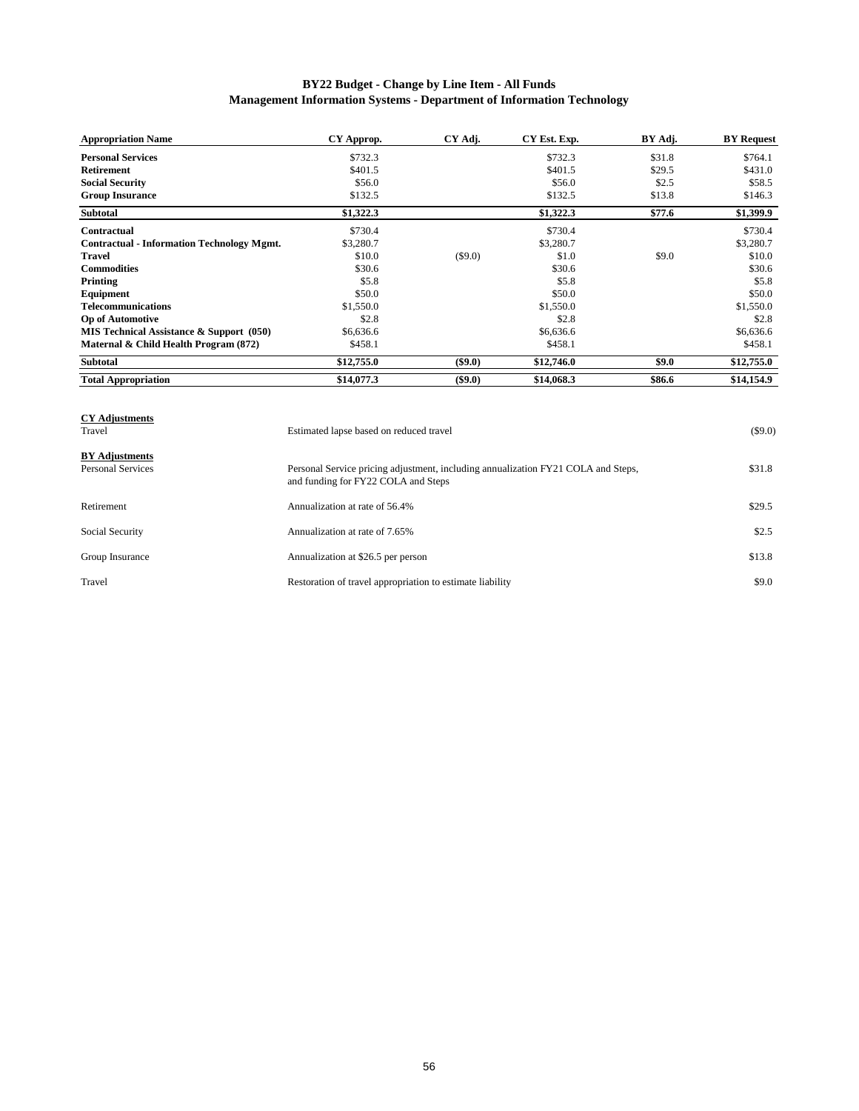### **BY22 Budget - Change by Line Item - All Funds Management Information Systems - Department of Information Technology**

| <b>Appropriation Name</b>                         | CY Approp. | CY Adj.   | CY Est. Exp. | BY Adj. | <b>BY Request</b> |
|---------------------------------------------------|------------|-----------|--------------|---------|-------------------|
| <b>Personal Services</b>                          | \$732.3    |           | \$732.3      | \$31.8  | \$764.1           |
| <b>Retirement</b>                                 | \$401.5    |           | \$401.5      | \$29.5  | \$431.0           |
| <b>Social Security</b>                            | \$56.0     |           | \$56.0       | \$2.5   | \$58.5            |
| <b>Group Insurance</b>                            | \$132.5    |           | \$132.5      | \$13.8  | \$146.3           |
| <b>Subtotal</b>                                   | \$1,322.3  |           | \$1,322.3    | \$77.6  | \$1,399.9         |
| Contractual                                       | \$730.4    |           | \$730.4      |         | \$730.4           |
| <b>Contractual - Information Technology Mgmt.</b> | \$3,280.7  |           | \$3,280.7    |         | \$3,280.7         |
| Travel                                            | \$10.0     | $(\$9.0)$ | \$1.0        | \$9.0   | \$10.0            |
| <b>Commodities</b>                                | \$30.6     |           | \$30.6       |         | \$30.6            |
| Printing                                          | \$5.8      |           | \$5.8        |         | \$5.8             |
| Equipment                                         | \$50.0     |           | \$50.0       |         | \$50.0            |
| <b>Telecommunications</b>                         | \$1,550.0  |           | \$1,550.0    |         | \$1,550.0         |
| <b>Op of Automotive</b>                           | \$2.8      |           | \$2.8        |         | \$2.8             |
| MIS Technical Assistance & Support (050)          | \$6,636.6  |           | \$6,636.6    |         | \$6,636.6         |
| Maternal & Child Health Program (872)             | \$458.1    |           | \$458.1      |         | \$458.1           |
| <b>Subtotal</b>                                   | \$12,755.0 | $(\$9.0)$ | \$12,746.0   | \$9.0   | \$12,755.0        |
| <b>Total Appropriation</b>                        | \$14,077.3 | $(\$9.0)$ | \$14,068.3   | \$86.6  | \$14,154.9        |

| <b>CY Adjustments</b><br>Travel                   | Estimated lapse based on reduced travel                                                                                  | (S9.0) |
|---------------------------------------------------|--------------------------------------------------------------------------------------------------------------------------|--------|
| <b>BY Adjustments</b><br><b>Personal Services</b> | Personal Service pricing adjustment, including annualization FY21 COLA and Steps,<br>and funding for FY22 COLA and Steps | \$31.8 |
| Retirement                                        | Annualization at rate of 56.4%                                                                                           | \$29.5 |
| Social Security                                   | Annualization at rate of 7.65%                                                                                           | \$2.5  |
| Group Insurance                                   | Annualization at \$26.5 per person                                                                                       | \$13.8 |
| Travel                                            | Restoration of travel appropriation to estimate liability                                                                | \$9.0  |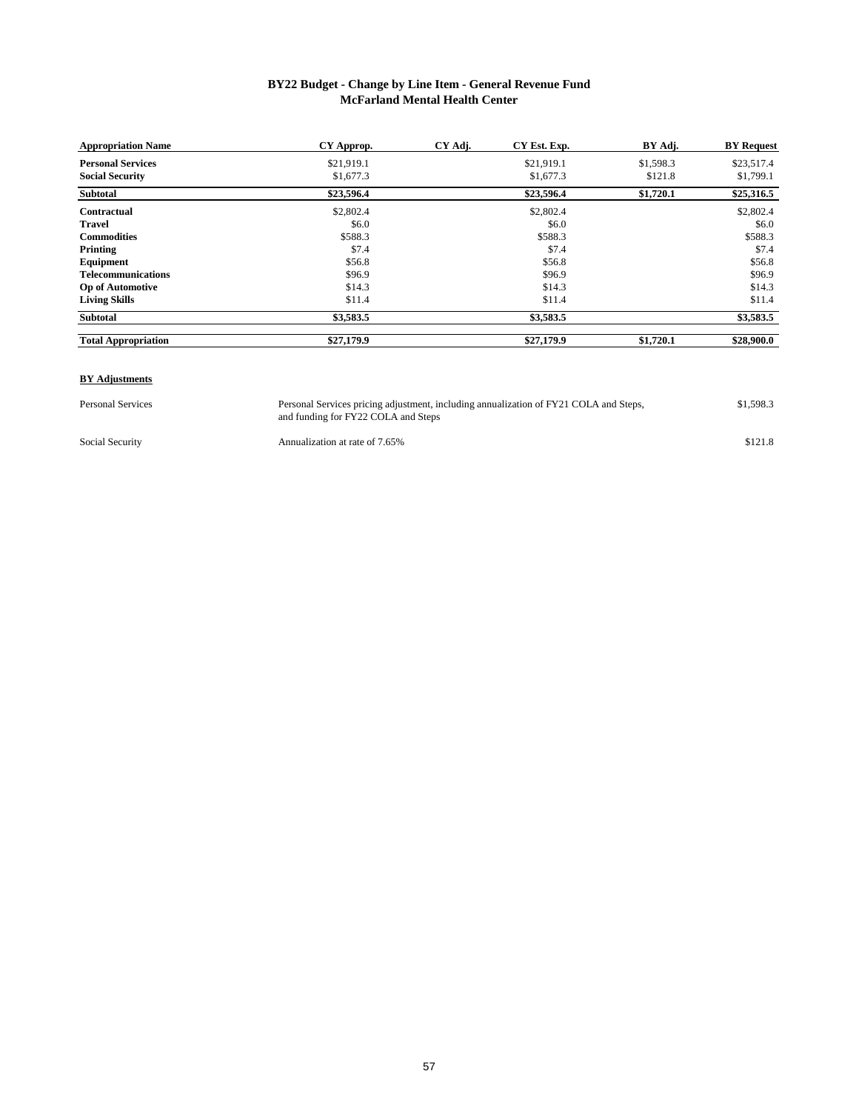#### **BY22 Budget - Change by Line Item - General Revenue Fund McFarland Mental Health Center**

| <b>Appropriation Name</b>  | CY Approp. | CY Adj. | CY Est. Exp. | BY Adj.   | <b>BY</b> Request |
|----------------------------|------------|---------|--------------|-----------|-------------------|
| <b>Personal Services</b>   | \$21,919.1 |         | \$21,919.1   | \$1,598.3 | \$23,517.4        |
| <b>Social Security</b>     | \$1,677.3  |         | \$1,677.3    | \$121.8   | \$1,799.1         |
| Subtotal                   | \$23,596.4 |         | \$23,596.4   | \$1,720.1 | \$25,316.5        |
| Contractual                | \$2,802.4  |         | \$2,802.4    |           | \$2,802.4         |
| <b>Travel</b>              | \$6.0      |         | \$6.0        |           | \$6.0             |
| <b>Commodities</b>         | \$588.3    |         | \$588.3      |           | \$588.3           |
| Printing                   | \$7.4      |         | \$7.4        |           | \$7.4             |
| Equipment                  | \$56.8     |         | \$56.8       |           | \$56.8            |
| <b>Telecommunications</b>  | \$96.9     |         | \$96.9       |           | \$96.9            |
| <b>Op of Automotive</b>    | \$14.3     |         | \$14.3       |           | \$14.3            |
| <b>Living Skills</b>       | \$11.4     |         | \$11.4       |           | \$11.4            |
| <b>Subtotal</b>            | \$3,583.5  |         | \$3,583.5    |           | \$3,583.5         |
| <b>Total Appropriation</b> | \$27,179.9 |         | \$27,179.9   | \$1,720.1 | \$28,900.0        |

#### **BY Adjustments**

Personal Services Personal Services pricing adjustment, including annualization of FY21 COLA and Steps, \$1,598.3 and funding for FY22 COLA and Steps Personal Services pricing adjustment, including annualization of FY21 COLA and Steps,

Social Security **Annualization at rate of 7.65%** \$121.8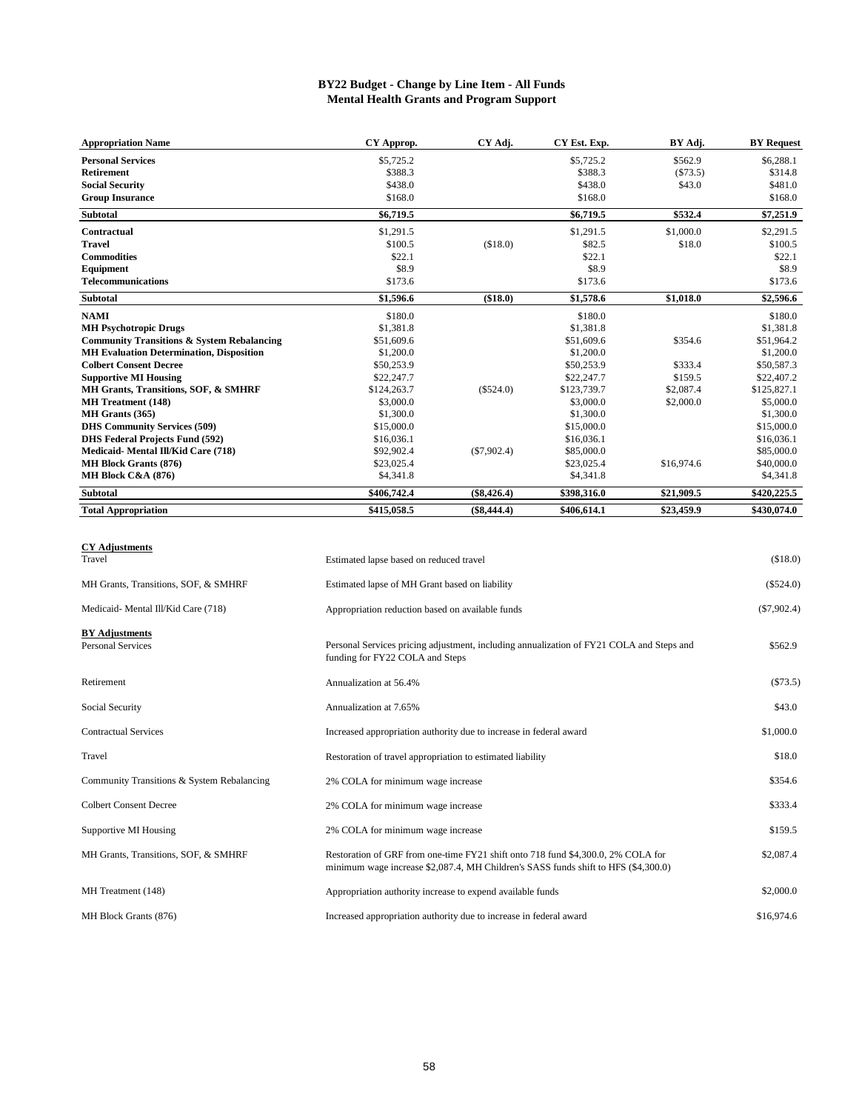#### **BY22 Budget - Change by Line Item - All Funds Mental Health Grants and Program Support**

| <b>Appropriation Name</b>                             | CY Approp.  | CY Adj.       | CY Est. Exp. | BY Adj.    | <b>BY Request</b> |
|-------------------------------------------------------|-------------|---------------|--------------|------------|-------------------|
| <b>Personal Services</b>                              | \$5,725.2   |               | \$5,725.2    | \$562.9    | \$6,288.1         |
| <b>Retirement</b>                                     | \$388.3     |               | \$388.3      | (\$73.5)   | \$314.8           |
| <b>Social Security</b>                                | \$438.0     |               | \$438.0      | \$43.0     | \$481.0           |
| <b>Group Insurance</b>                                | \$168.0     |               | \$168.0      |            | \$168.0           |
| Subtotal                                              | \$6,719.5   |               | \$6,719.5    | \$532.4    | \$7,251.9         |
| <b>Contractual</b>                                    | \$1,291.5   |               | \$1,291.5    | \$1,000.0  | \$2,291.5         |
| <b>Travel</b>                                         | \$100.5     | (\$18.0)      | \$82.5       | \$18.0     | \$100.5           |
| <b>Commodities</b>                                    | \$22.1      |               | \$22.1       |            | \$22.1            |
| Equipment                                             | \$8.9       |               | \$8.9        |            | \$8.9             |
| <b>Telecommunications</b>                             | \$173.6     |               | \$173.6      |            | \$173.6           |
| Subtotal                                              | \$1,596.6   | (\$18.0)      | \$1,578.6    | \$1,018.0  | \$2,596.6         |
| <b>NAMI</b>                                           | \$180.0     |               | \$180.0      |            | \$180.0           |
| <b>MH Psychotropic Drugs</b>                          | \$1,381.8   |               | \$1,381.8    |            | \$1,381.8         |
| <b>Community Transitions &amp; System Rebalancing</b> | \$51,609.6  |               | \$51,609.6   | \$354.6    | \$51,964.2        |
| <b>MH Evaluation Determination, Disposition</b>       | \$1,200.0   |               | \$1,200.0    |            | \$1,200.0         |
| <b>Colbert Consent Decree</b>                         | \$50,253.9  |               | \$50,253.9   | \$333.4    | \$50,587.3        |
| <b>Supportive MI Housing</b>                          | \$22,247.7  |               | \$22,247.7   | \$159.5    | \$22,407.2        |
| MH Grants, Transitions, SOF, & SMHRF                  | \$124,263.7 | $(\$524.0)$   | \$123,739.7  | \$2,087.4  | \$125,827.1       |
| <b>MH</b> Treatment (148)                             | \$3,000.0   |               | \$3,000.0    | \$2,000.0  | \$5,000.0         |
| MH Grants (365)                                       | \$1,300.0   |               | \$1,300.0    |            | \$1,300.0         |
| <b>DHS Community Services (509)</b>                   | \$15,000.0  |               | \$15,000.0   |            | \$15,000.0        |
| <b>DHS Federal Projects Fund (592)</b>                | \$16,036.1  |               | \$16,036.1   |            | \$16,036.1        |
| Medicaid-Mental Ill/Kid Care (718)                    | \$92,902.4  | $(\$7,902.4)$ | \$85,000.0   |            | \$85,000.0        |
| <b>MH Block Grants (876)</b>                          | \$23,025.4  |               | \$23,025.4   | \$16,974.6 | \$40,000.0        |
| MH Block C&A (876)                                    | \$4,341.8   |               | \$4,341.8    |            | \$4,341.8         |
| <b>Subtotal</b>                                       | \$406,742.4 | $(\$8,426.4)$ | \$398,316.0  | \$21,909.5 | \$420,225.5       |
| <b>Total Appropriation</b>                            | \$415,058.5 | $(\$8,444.4)$ | \$406,614.1  | \$23,459.9 | \$430,074.0       |

#### **CY Adjustments**

| Travel                                            | Estimated lapse based on reduced travel                                                                                                                                | (\$18.0)      |
|---------------------------------------------------|------------------------------------------------------------------------------------------------------------------------------------------------------------------------|---------------|
| MH Grants, Transitions, SOF, & SMHRF              | Estimated lapse of MH Grant based on liability                                                                                                                         | $(\$524.0)$   |
| Medicaid-Mental Ill/Kid Care (718)                | Appropriation reduction based on available funds                                                                                                                       | $(\$7,902.4)$ |
| <b>BY Adjustments</b><br><b>Personal Services</b> | Personal Services pricing adjustment, including annualization of FY21 COLA and Steps and<br>funding for FY22 COLA and Steps                                            | \$562.9       |
| Retirement                                        | Annualization at 56.4%                                                                                                                                                 | $(\$73.5)$    |
| Social Security                                   | Annualization at 7.65%                                                                                                                                                 | \$43.0        |
| <b>Contractual Services</b>                       | Increased appropriation authority due to increase in federal award                                                                                                     | \$1,000.0     |
| Travel                                            | Restoration of travel appropriation to estimated liability                                                                                                             | \$18.0        |
| Community Transitions & System Rebalancing        | 2% COLA for minimum wage increase                                                                                                                                      | \$354.6       |
| <b>Colbert Consent Decree</b>                     | 2% COLA for minimum wage increase                                                                                                                                      | \$333.4       |
| Supportive MI Housing                             | 2% COLA for minimum wage increase                                                                                                                                      | \$159.5       |
| MH Grants, Transitions, SOF, & SMHRF              | Restoration of GRF from one-time FY21 shift onto 718 fund \$4,300.0, 2% COLA for<br>minimum wage increase \$2,087.4, MH Children's SASS funds shift to HFS (\$4,300.0) | \$2,087.4     |
| MH Treatment (148)                                | Appropriation authority increase to expend available funds                                                                                                             | \$2,000.0     |
| MH Block Grants (876)                             | Increased appropriation authority due to increase in federal award                                                                                                     | \$16,974.6    |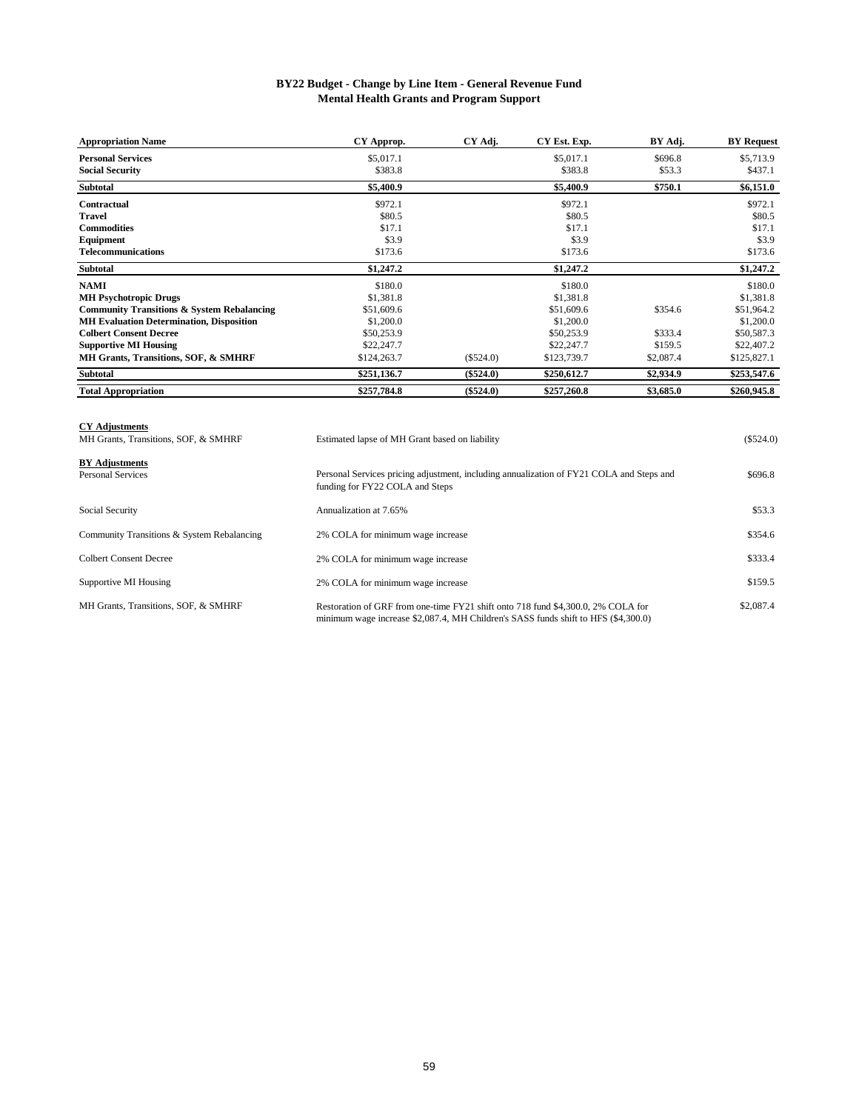#### **BY22 Budget - Change by Line Item - General Revenue Fund Mental Health Grants and Program Support**

| <b>Appropriation Name</b>                             | CY Approp.  | CY Adj.     | CY Est. Exp. | BY Adj.   | <b>BY Request</b> |
|-------------------------------------------------------|-------------|-------------|--------------|-----------|-------------------|
| <b>Personal Services</b>                              | \$5,017.1   |             | \$5,017.1    | \$696.8   | \$5,713.9         |
| <b>Social Security</b>                                | \$383.8     |             | \$383.8      | \$53.3    | \$437.1           |
| <b>Subtotal</b>                                       | \$5,400.9   |             | \$5,400.9    | \$750.1   | \$6,151.0         |
| Contractual                                           | \$972.1     |             | \$972.1      |           | \$972.1           |
| Travel                                                | \$80.5      |             | \$80.5       |           | \$80.5            |
| <b>Commodities</b>                                    | \$17.1      |             | \$17.1       |           | \$17.1            |
| Equipment                                             | \$3.9       |             | \$3.9        |           | \$3.9             |
| <b>Telecommunications</b>                             | \$173.6     |             | \$173.6      |           | \$173.6           |
| <b>Subtotal</b>                                       | \$1,247.2   |             | \$1,247.2    |           | \$1,247.2         |
| <b>NAMI</b>                                           | \$180.0     |             | \$180.0      |           | \$180.0           |
| <b>MH Psychotropic Drugs</b>                          | \$1,381.8   |             | \$1,381.8    |           | \$1,381.8         |
| <b>Community Transitions &amp; System Rebalancing</b> | \$51,609.6  |             | \$51,609.6   | \$354.6   | \$51,964.2        |
| <b>MH Evaluation Determination, Disposition</b>       | \$1,200.0   |             | \$1,200.0    |           | \$1,200.0         |
| <b>Colbert Consent Decree</b>                         | \$50,253.9  |             | \$50,253.9   | \$333.4   | \$50,587.3        |
| <b>Supportive MI Housing</b>                          | \$22,247.7  |             | \$22,247.7   | \$159.5   | \$22,407.2        |
| MH Grants, Transitions, SOF, & SMHRF                  | \$124,263.7 | $(\$524.0)$ | \$123,739.7  | \$2,087.4 | \$125,827.1       |
| <b>Subtotal</b>                                       | \$251,136.7 | $(\$524.0)$ | \$250,612.7  | \$2,934.9 | \$253,547.6       |
| <b>Total Appropriation</b>                            | \$257,784.8 | $(\$524.0)$ | \$257,260.8  | \$3,685.0 | \$260,945.8       |

| <b>CY Adjustments</b><br>MH Grants, Transitions, SOF, & SMHRF | Estimated lapse of MH Grant based on liability                                                                                                                         | (\$524.0) |
|---------------------------------------------------------------|------------------------------------------------------------------------------------------------------------------------------------------------------------------------|-----------|
| <b>BY Adjustments</b><br><b>Personal Services</b>             | Personal Services pricing adjustment, including annualization of FY21 COLA and Steps and<br>funding for FY22 COLA and Steps                                            | \$696.8   |
| Social Security                                               | Annualization at 7.65%                                                                                                                                                 | \$53.3    |
| Community Transitions & System Rebalancing                    | 2% COLA for minimum wage increase                                                                                                                                      | \$354.6   |
| Colbert Consent Decree                                        | 2% COLA for minimum wage increase                                                                                                                                      | \$333.4   |
| Supportive MI Housing                                         | 2% COLA for minimum wage increase                                                                                                                                      | \$159.5   |
| MH Grants, Transitions, SOF, & SMHRF                          | Restoration of GRF from one-time FY21 shift onto 718 fund \$4,300.0, 2% COLA for<br>minimum wage increase \$2,087.4, MH Children's SASS funds shift to HFS (\$4,300.0) | \$2,087.4 |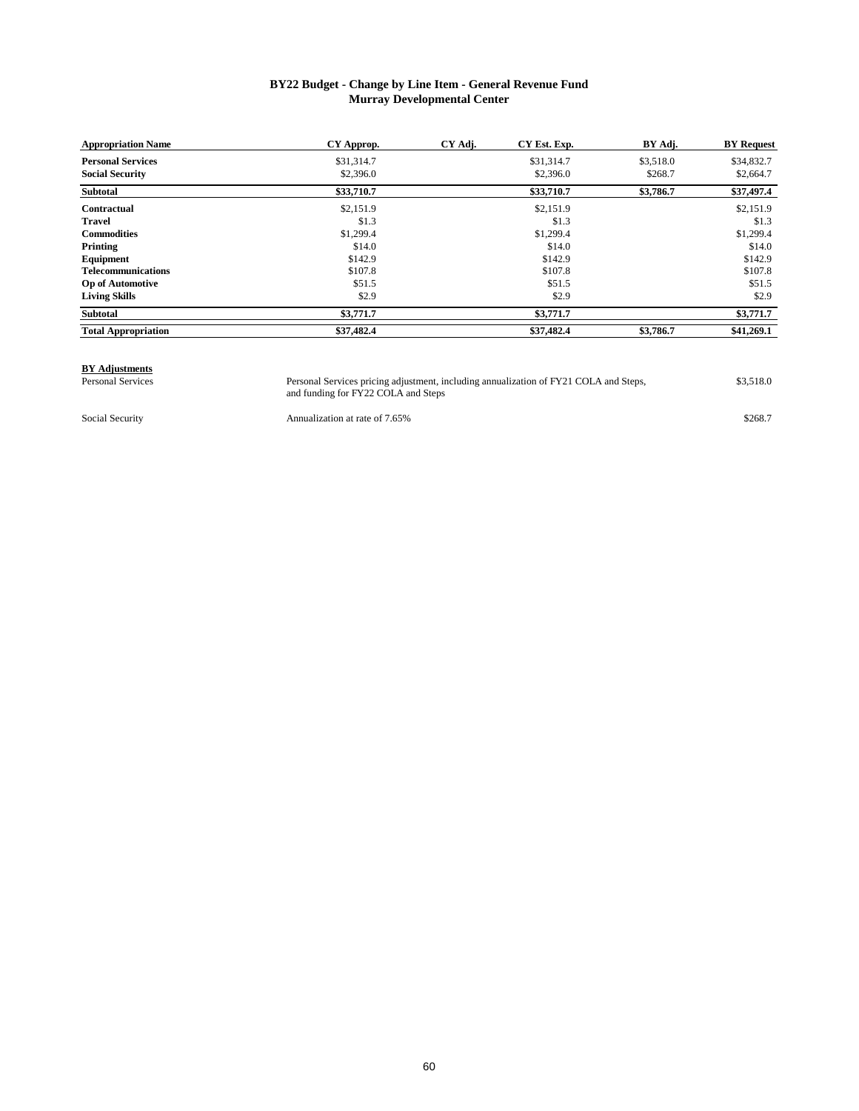#### **BY22 Budget - Change by Line Item - General Revenue Fund Murray Developmental Center**

| <b>Appropriation Name</b>  | CY Approp. | CY Adj. | CY Est. Exp. | BY Adj.   | <b>BY</b> Request |
|----------------------------|------------|---------|--------------|-----------|-------------------|
| <b>Personal Services</b>   | \$31,314.7 |         | \$31,314.7   | \$3,518.0 | \$34,832.7        |
| <b>Social Security</b>     | \$2,396.0  |         | \$2,396.0    | \$268.7   | \$2,664.7         |
| <b>Subtotal</b>            | \$33,710.7 |         | \$33,710.7   | \$3,786.7 | \$37,497.4        |
| Contractual                | \$2,151.9  |         | \$2,151.9    |           | \$2,151.9         |
| <b>Travel</b>              | \$1.3      |         | \$1.3        |           | \$1.3             |
| <b>Commodities</b>         | \$1,299.4  |         | \$1,299.4    |           | \$1,299.4         |
| Printing                   | \$14.0     |         | \$14.0       |           | \$14.0            |
| Equipment                  | \$142.9    |         | \$142.9      |           | \$142.9           |
| <b>Telecommunications</b>  | \$107.8    |         | \$107.8      |           | \$107.8           |
| <b>Op of Automotive</b>    | \$51.5     |         | \$51.5       |           | \$51.5            |
| <b>Living Skills</b>       | \$2.9      |         | \$2.9        |           | \$2.9             |
| <b>Subtotal</b>            | \$3,771.7  |         | \$3,771.7    |           | \$3,771.7         |
| <b>Total Appropriation</b> | \$37,482.4 |         | \$37,482.4   | \$3,786.7 | \$41,269.1        |

### **BY Adjustments**<br>Personal Services

Personal Services Personal Services pricing adjustment, including annualization of FY21 COLA and Steps, \$3,518.0 and funding for FY22 COLA and Steps

Social Security **Annualization at rate of 7.65%** \$268.7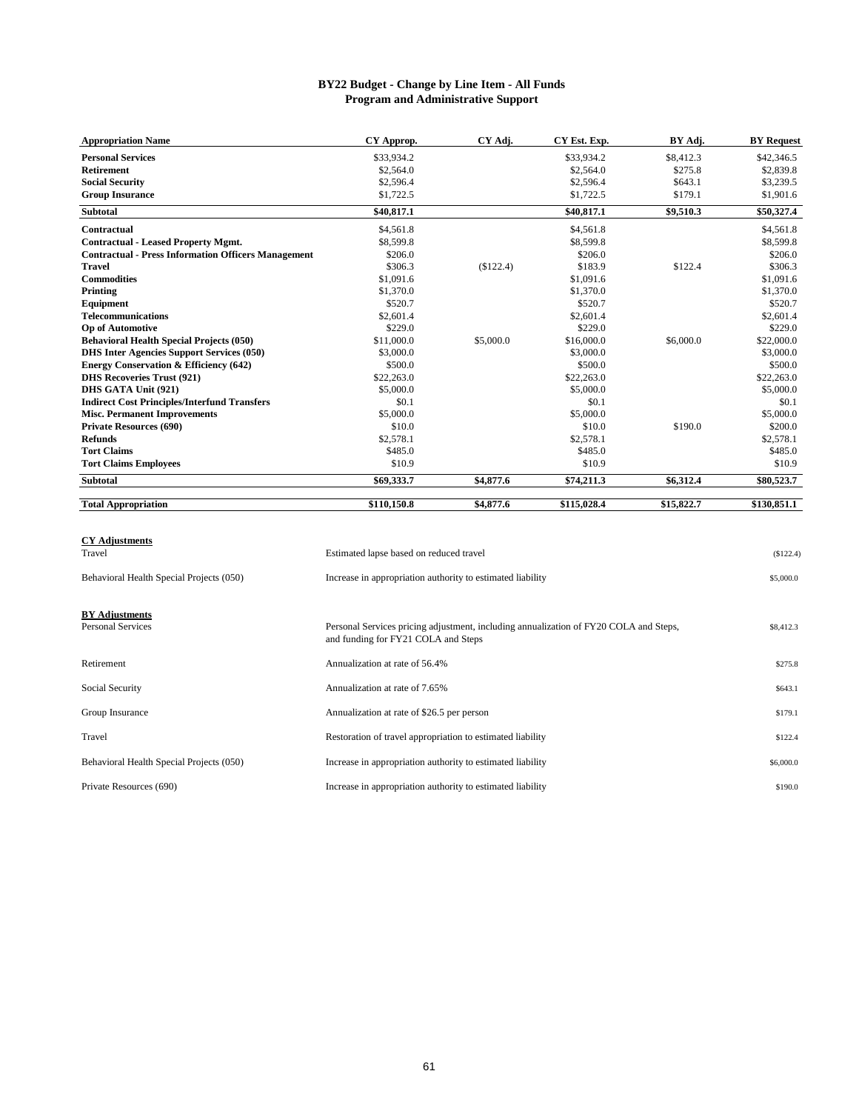#### **BY22 Budget - Change by Line Item - All Funds Program and Administrative Support**

| <b>Appropriation Name</b>                                  | CY Approp.                                                 | CY Adj.   | CY Est. Exp. | BY Adj.    | <b>BY Request</b> |
|------------------------------------------------------------|------------------------------------------------------------|-----------|--------------|------------|-------------------|
| <b>Personal Services</b>                                   | \$33,934.2                                                 |           | \$33,934.2   | \$8,412.3  | \$42,346.5        |
| <b>Retirement</b>                                          | \$2,564.0                                                  |           | \$2,564.0    | \$275.8    | \$2,839.8         |
| <b>Social Security</b>                                     | \$2,596.4                                                  |           | \$2,596.4    | \$643.1    | \$3,239.5         |
| <b>Group Insurance</b>                                     | \$1,722.5                                                  |           | \$1,722.5    | \$179.1    | \$1,901.6         |
| <b>Subtotal</b>                                            | \$40,817.1                                                 |           | \$40,817.1   | \$9,510.3  | \$50,327.4        |
| Contractual                                                | \$4,561.8                                                  |           | \$4,561.8    |            | \$4,561.8         |
| <b>Contractual - Leased Property Mgmt.</b>                 | \$8,599.8                                                  |           | \$8,599.8    |            | \$8,599.8         |
| <b>Contractual - Press Information Officers Management</b> | \$206.0                                                    |           | \$206.0      |            | \$206.0           |
| <b>Travel</b>                                              | \$306.3                                                    | (\$122.4) | \$183.9      | \$122.4    | \$306.3           |
| <b>Commodities</b>                                         | \$1,091.6                                                  |           | \$1,091.6    |            | \$1,091.6         |
| Printing                                                   | \$1,370.0                                                  |           | \$1,370.0    |            | \$1,370.0         |
| Equipment                                                  | \$520.7                                                    |           | \$520.7      |            | \$520.7           |
| <b>Telecommunications</b>                                  | \$2,601.4                                                  |           | \$2,601.4    |            | \$2,601.4         |
| <b>Op of Automotive</b>                                    | \$229.0                                                    |           | \$229.0      |            | \$229.0           |
| <b>Behavioral Health Special Projects (050)</b>            | \$11,000.0                                                 | \$5,000.0 | \$16,000.0   | \$6,000.0  | \$22,000.0        |
| <b>DHS Inter Agencies Support Services (050)</b>           | \$3,000.0                                                  |           | \$3,000.0    |            | \$3,000.0         |
| <b>Energy Conservation &amp; Efficiency (642)</b>          | \$500.0                                                    |           | \$500.0      |            | \$500.0           |
| <b>DHS Recoveries Trust (921)</b>                          | \$22,263.0                                                 |           | \$22,263.0   |            | \$22,263.0        |
| DHS GATA Unit (921)                                        | \$5,000.0                                                  |           | \$5,000.0    |            | \$5,000.0         |
| <b>Indirect Cost Principles/Interfund Transfers</b>        | \$0.1                                                      |           | \$0.1        |            | \$0.1             |
| <b>Misc. Permanent Improvements</b>                        | \$5,000.0                                                  |           | \$5,000.0    |            | \$5,000.0         |
| <b>Private Resources (690)</b>                             | \$10.0                                                     |           | \$10.0       | \$190.0    | \$200.0           |
| <b>Refunds</b>                                             | \$2,578.1                                                  |           | \$2,578.1    |            | \$2,578.1         |
| <b>Tort Claims</b>                                         | \$485.0                                                    |           | \$485.0      |            | \$485.0           |
| <b>Tort Claims Employees</b>                               | \$10.9                                                     |           | \$10.9       |            | \$10.9            |
| <b>Subtotal</b>                                            | \$69,333.7                                                 | \$4,877.6 | \$74,211.3   | \$6,312.4  | \$80,523.7        |
| <b>Total Appropriation</b>                                 | \$110,150.8                                                | \$4,877.6 | \$115,028.4  | \$15,822.7 | \$130,851.1       |
|                                                            |                                                            |           |              |            |                   |
| <b>CY Adjustments</b>                                      |                                                            |           |              |            |                   |
| Travel                                                     | Estimated lapse based on reduced travel                    |           |              |            | (S122.4)          |
| Behavioral Health Special Projects (050)                   | Increase in appropriation authority to estimated liability |           |              |            | \$5,000.0         |

| <b>BY Adjustments</b><br><b>Personal Services</b> | Personal Services pricing adjustment, including annualization of FY20 COLA and Steps,<br>and funding for FY21 COLA and Steps | \$8,412.3 |
|---------------------------------------------------|------------------------------------------------------------------------------------------------------------------------------|-----------|
| Retirement                                        | Annualization at rate of 56.4%                                                                                               | \$275.8   |
| Social Security                                   | Annualization at rate of 7.65%                                                                                               | \$643.1   |
| Group Insurance                                   | Annualization at rate of \$26.5 per person                                                                                   | \$179.1   |
| Travel                                            | Restoration of travel appropriation to estimated liability                                                                   | \$122.4   |
| Behavioral Health Special Projects (050)          | Increase in appropriation authority to estimated liability                                                                   | \$6,000.0 |
| Private Resources (690)                           | Increase in appropriation authority to estimated liability                                                                   | \$190.0   |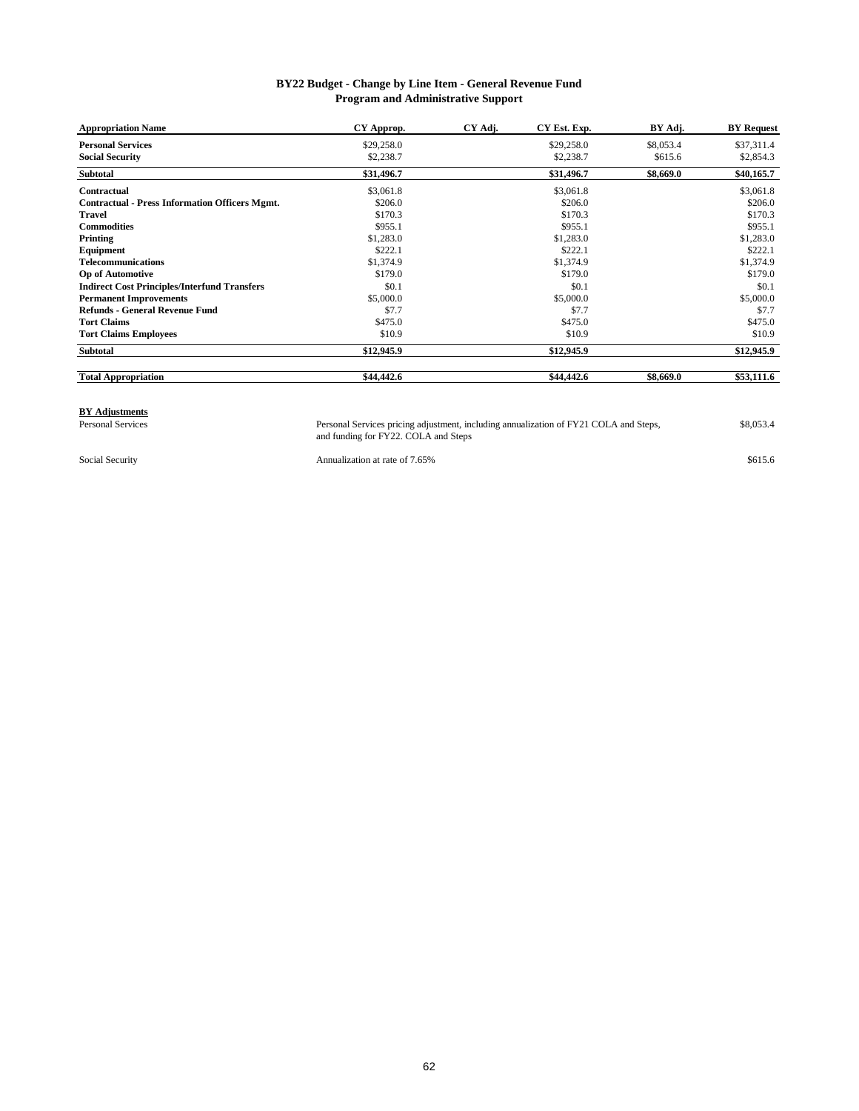#### **BY22 Budget - Change by Line Item - General Revenue Fund Program and Administrative Support**

| <b>Appropriation Name</b>                             | CY Approp. | CY Adj. | CY Est. Exp. | BY Adj.   | <b>BY Request</b> |
|-------------------------------------------------------|------------|---------|--------------|-----------|-------------------|
| <b>Personal Services</b>                              | \$29,258.0 |         | \$29,258.0   | \$8,053.4 | \$37,311.4        |
| <b>Social Security</b>                                | \$2,238.7  |         | \$2,238.7    | \$615.6   | \$2,854.3         |
| <b>Subtotal</b>                                       | \$31,496.7 |         | \$31,496.7   | \$8,669.0 | \$40,165.7        |
| Contractual                                           | \$3,061.8  |         | \$3,061.8    |           | \$3,061.8         |
| <b>Contractual - Press Information Officers Mgmt.</b> | \$206.0    |         | \$206.0      |           | \$206.0           |
| <b>Travel</b>                                         | \$170.3    |         | \$170.3      |           | \$170.3           |
| <b>Commodities</b>                                    | \$955.1    |         | \$955.1      |           | \$955.1           |
| Printing                                              | \$1,283.0  |         | \$1,283.0    |           | \$1,283.0         |
| Equipment                                             | \$222.1    |         | \$222.1      |           | \$222.1           |
| Telecommunications                                    | \$1,374.9  |         | \$1,374.9    |           | \$1,374.9         |
| <b>Op of Automotive</b>                               | \$179.0    |         | \$179.0      |           | \$179.0           |
| <b>Indirect Cost Principles/Interfund Transfers</b>   | \$0.1      |         | \$0.1        |           | \$0.1             |
| <b>Permanent Improvements</b>                         | \$5,000.0  |         | \$5,000.0    |           | \$5,000.0         |
| <b>Refunds - General Revenue Fund</b>                 | \$7.7      |         | \$7.7        |           | \$7.7             |
| <b>Tort Claims</b>                                    | \$475.0    |         | \$475.0      |           | \$475.0           |
| <b>Tort Claims Employees</b>                          | \$10.9     |         | \$10.9       |           | \$10.9            |
| <b>Subtotal</b>                                       | \$12,945.9 |         | \$12,945.9   |           | \$12,945.9        |
| <b>Total Appropriation</b>                            | \$44,442.6 |         | \$44,442.6   | \$8,669.0 | \$53,111.6        |

## **BY Adjustments**

Personal Services Personal Services pricing adjustment, including annualization of FY21 COLA and Steps, \$8,053.4 and funding for FY22. COLA and Steps Personal Services pricing adjustment, including annualization of FY21 COLA and Steps,

Social Security **Annualization at rate of 7.65%** \$615.6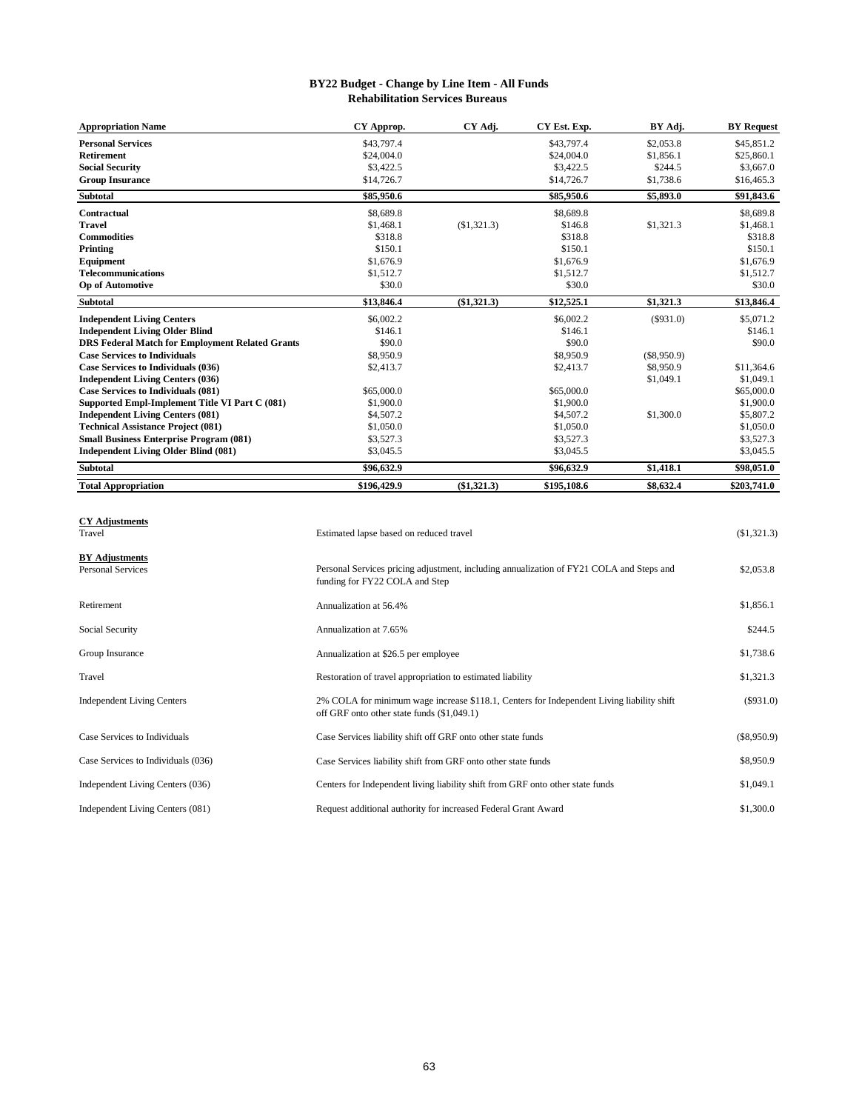#### **BY22 Budget - Change by Line Item - All Funds Rehabilitation Services Bureaus**

| <b>Appropriation Name</b>                              | CY Approp.  | CY Adj.     | CY Est. Exp. | BY Adj.       | <b>BY Request</b> |
|--------------------------------------------------------|-------------|-------------|--------------|---------------|-------------------|
| <b>Personal Services</b>                               | \$43,797.4  |             | \$43,797.4   | \$2,053.8     | \$45,851.2        |
| <b>Retirement</b>                                      | \$24,004.0  |             | \$24,004.0   | \$1,856.1     | \$25,860.1        |
| <b>Social Security</b>                                 | \$3,422.5   |             | \$3,422.5    | \$244.5       | \$3,667.0         |
| <b>Group Insurance</b>                                 | \$14,726.7  |             | \$14,726.7   | \$1,738.6     | \$16,465.3        |
| <b>Subtotal</b>                                        | \$85,950.6  |             | \$85,950.6   | \$5,893.0     | \$91,843.6        |
| <b>Contractual</b>                                     | \$8,689.8   |             | \$8,689.8    |               | \$8,689.8         |
| <b>Travel</b>                                          | \$1,468.1   | (\$1,321.3) | \$146.8      | \$1,321.3     | \$1,468.1         |
| <b>Commodities</b>                                     | \$318.8     |             | \$318.8      |               | \$318.8           |
| Printing                                               | \$150.1     |             | \$150.1      |               | \$150.1           |
| Equipment                                              | \$1,676.9   |             | \$1,676.9    |               | \$1,676.9         |
| <b>Telecommunications</b>                              | \$1,512.7   |             | \$1,512.7    |               | \$1,512.7         |
| <b>Op of Automotive</b>                                | \$30.0      |             | \$30.0       |               | \$30.0            |
| <b>Subtotal</b>                                        | \$13,846.4  | (\$1,321.3) | \$12,525.1   | \$1,321.3     | \$13,846.4        |
| <b>Independent Living Centers</b>                      | \$6,002.2   |             | \$6,002.2    | (S931.0)      | \$5,071.2         |
| <b>Independent Living Older Blind</b>                  | \$146.1     |             | \$146.1      |               | \$146.1           |
| <b>DRS Federal Match for Employment Related Grants</b> | \$90.0      |             | \$90.0       |               | \$90.0            |
| <b>Case Services to Individuals</b>                    | \$8,950.9   |             | \$8,950.9    | $(\$8,950.9)$ |                   |
| Case Services to Individuals (036)                     | \$2,413.7   |             | \$2,413.7    | \$8,950.9     | \$11,364.6        |
| <b>Independent Living Centers (036)</b>                |             |             |              | \$1,049.1     | \$1,049.1         |
| <b>Case Services to Individuals (081)</b>              | \$65,000.0  |             | \$65,000.0   |               | \$65,000.0        |
| Supported Empl-Implement Title VI Part C (081)         | \$1,900.0   |             | \$1,900.0    |               | \$1,900.0         |
| <b>Independent Living Centers (081)</b>                | \$4,507.2   |             | \$4,507.2    | \$1,300.0     | \$5,807.2         |
| <b>Technical Assistance Project (081)</b>              | \$1,050.0   |             | \$1,050.0    |               | \$1,050.0         |
| <b>Small Business Enterprise Program (081)</b>         | \$3,527.3   |             | \$3,527.3    |               | \$3,527.3         |
| <b>Independent Living Older Blind (081)</b>            | \$3,045.5   |             | \$3,045.5    |               | \$3,045.5         |
| <b>Subtotal</b>                                        | \$96.632.9  |             | \$96,632.9   | \$1,418.1     | \$98,051.0        |
| <b>Total Appropriation</b>                             | \$196,429.9 | (\$1,321.3) | \$195,108.6  | \$8,632.4     | \$203,741.0       |

**CY Adjustments**

| Travel                                            | Estimated lapse based on reduced travel                                                                                                 | $(\$1,321.3)$ |
|---------------------------------------------------|-----------------------------------------------------------------------------------------------------------------------------------------|---------------|
| <b>BY Adjustments</b><br><b>Personal Services</b> | Personal Services pricing adjustment, including annualization of FY21 COLA and Steps and<br>funding for FY22 COLA and Step              | \$2,053.8     |
| Retirement                                        | Annualization at 56.4%                                                                                                                  | \$1,856.1     |
| Social Security                                   | Annualization at 7.65%                                                                                                                  | \$244.5       |
| Group Insurance                                   | Annualization at \$26.5 per employee                                                                                                    | \$1,738.6     |
| Travel                                            | Restoration of travel appropriation to estimated liability                                                                              | \$1,321.3     |
| <b>Independent Living Centers</b>                 | 2% COLA for minimum wage increase \$118.1, Centers for Independent Living liability shift<br>off GRF onto other state funds (\$1,049.1) | $(\$931.0)$   |
| Case Services to Individuals                      | Case Services liability shift off GRF onto other state funds                                                                            | $(\$8,950.9)$ |
| Case Services to Individuals (036)                | Case Services liability shift from GRF onto other state funds                                                                           | \$8,950.9     |
| Independent Living Centers (036)                  | Centers for Independent living liability shift from GRF onto other state funds                                                          | \$1,049.1     |
| Independent Living Centers (081)                  | Request additional authority for increased Federal Grant Award                                                                          | \$1,300.0     |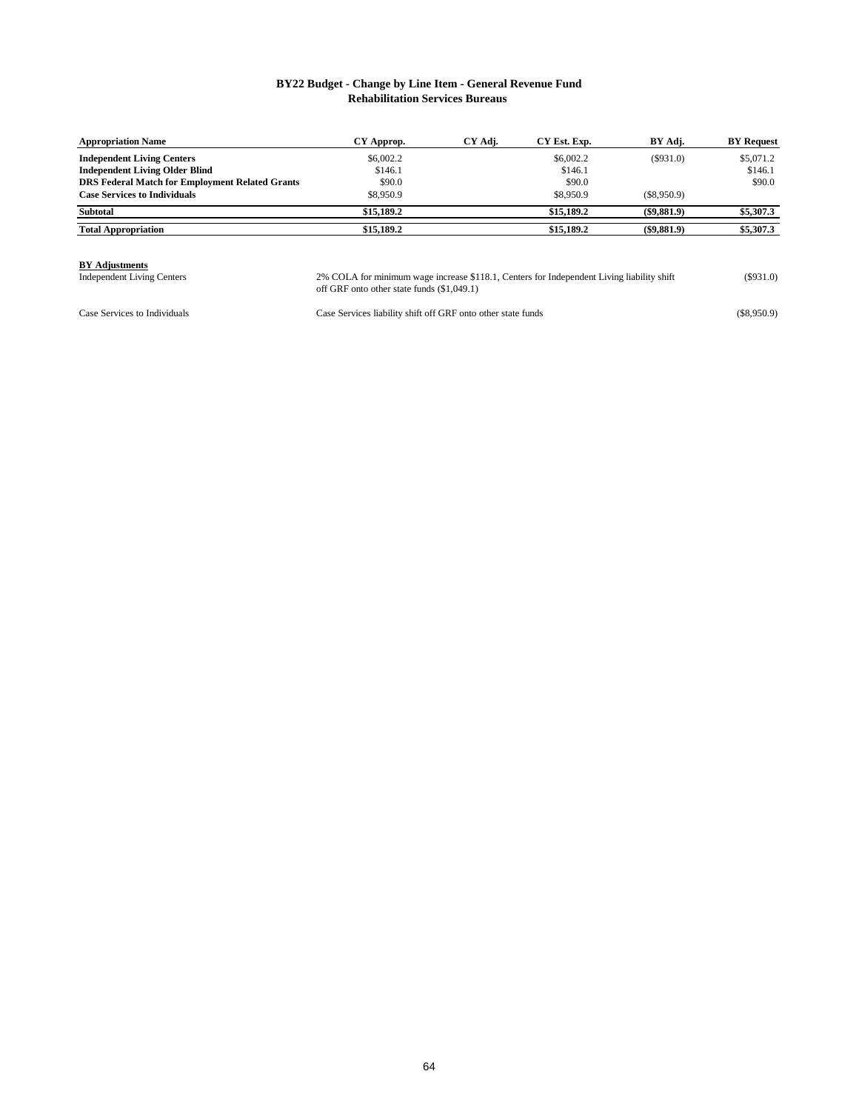#### **BY22 Budget - Change by Line Item - General Revenue Fund Rehabilitation Services Bureaus**

| <b>Appropriation Name</b>                              | CY Approp. | CY Adj. | CY Est. Exp. | BY Adj.        | <b>BY</b> Request |
|--------------------------------------------------------|------------|---------|--------------|----------------|-------------------|
| <b>Independent Living Centers</b>                      | \$6,002.2  |         | \$6,002.2    | (S931.0)       | \$5,071.2         |
| <b>Independent Living Older Blind</b>                  | \$146.1    |         | \$146.1      |                | \$146.1           |
| <b>DRS Federal Match for Employment Related Grants</b> | \$90.0     |         | \$90.0       |                | \$90.0            |
| <b>Case Services to Individuals</b>                    | \$8,950.9  |         | \$8,950.9    | (S8.950.9)     |                   |
| <b>Subtotal</b>                                        | \$15,189.2 |         | \$15,189.2   | $($ \$9,881.9) | \$5,307.3         |
| <b>Total Appropriation</b>                             | \$15,189.2 |         | \$15,189.2   | $($ \$9,881.9) | \$5,307.3         |

**BY Adjustments**<br>Independent Living Centers

Independent Living Centers **1893.** (\$931.0) 2% COLA for minimum wage increase \$118.1, Centers for Independent Living liability shift (\$931.0) off GRF onto other state funds (\$1,049.1)

Case Services to Individuals Case Services liability shift off GRF onto other state funds (\$8,950.9)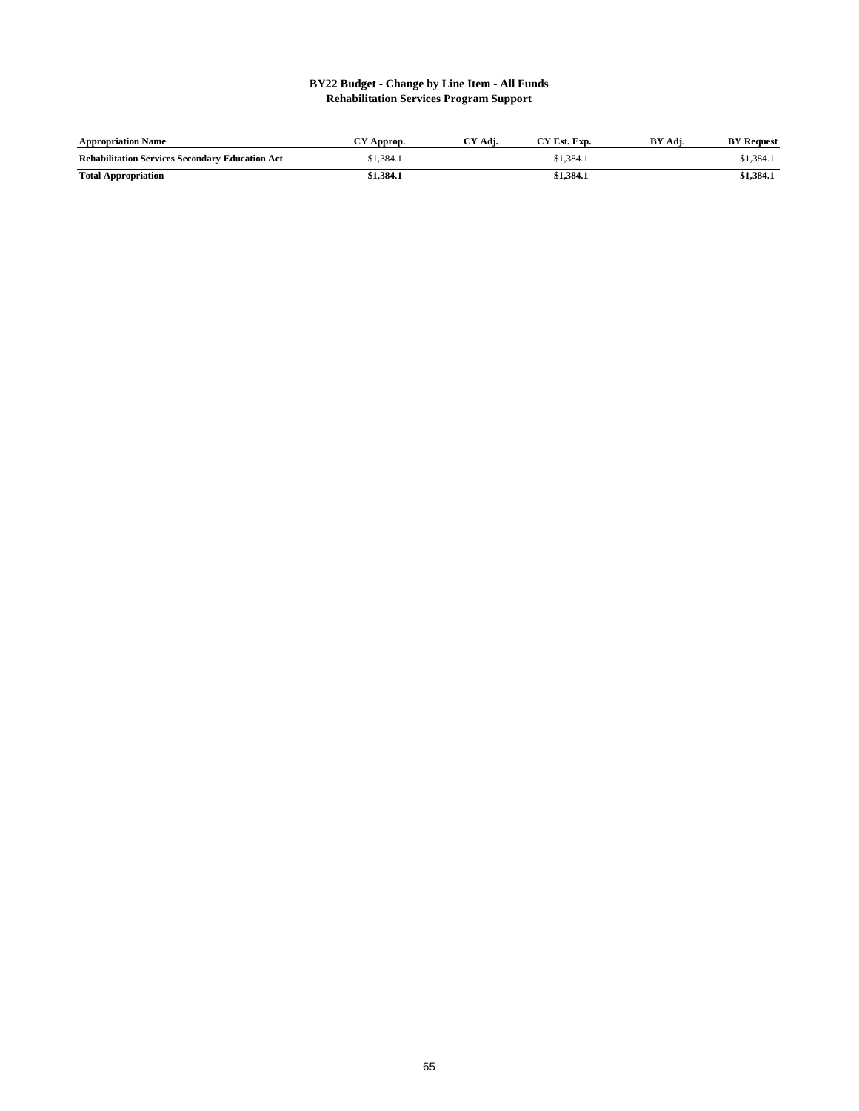#### **BY22 Budget - Change by Line Item - All Funds Rehabilitation Services Program Support**

| <b>Appropriation Name</b>                              | Approp.   | °Y Adi. | CY Est. Exp. | BY<br>Adi. | <b>BY Request</b> |
|--------------------------------------------------------|-----------|---------|--------------|------------|-------------------|
| <b>Rehabilitation Services Secondary Education Act</b> | \$1.384.1 |         | \$1.384.1    |            | \$1.384.1         |
| <b>Total Appropriation</b>                             | \$1.384.1 |         | \$1.384.1    |            | \$1,384.1         |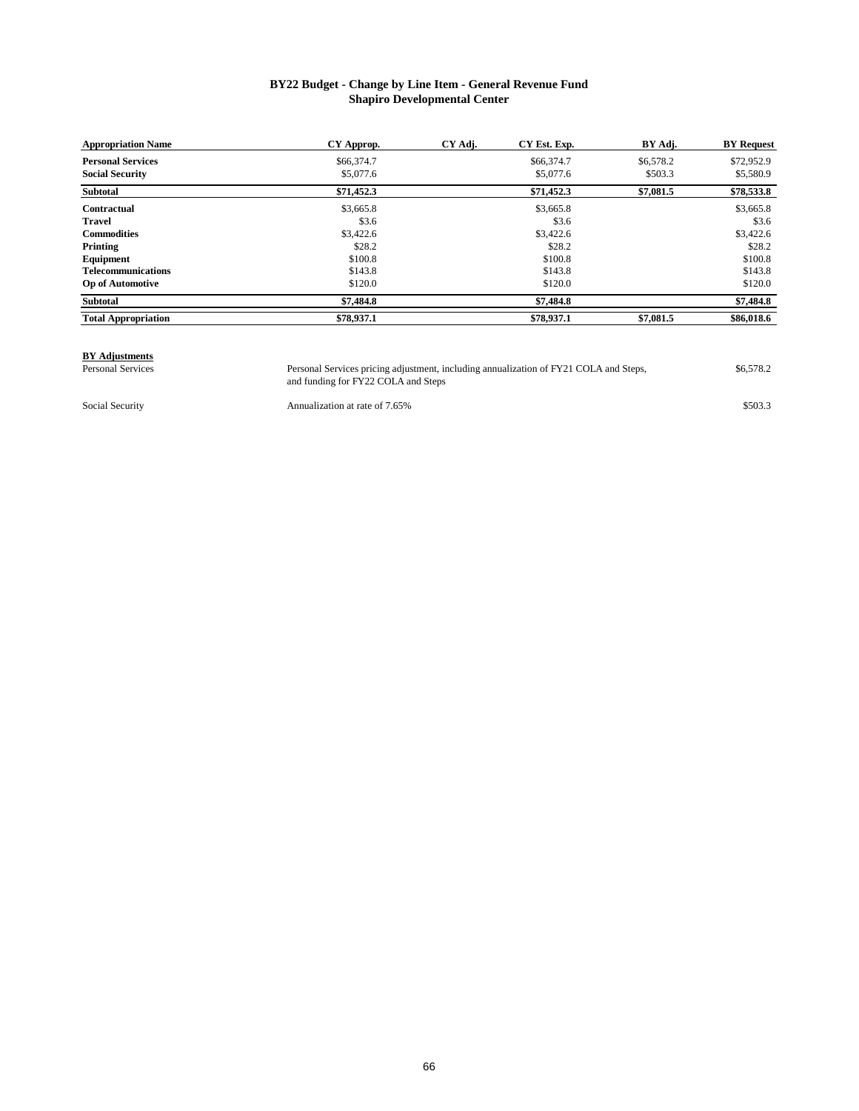#### **BY22 Budget - Change by Line Item - General Revenue Fund Shapiro Developmental Center**

| <b>Appropriation Name</b>  | CY Approp. | CY Adj. | CY Est. Exp. | BY Adj.   | <b>BY</b> Request |
|----------------------------|------------|---------|--------------|-----------|-------------------|
| <b>Personal Services</b>   | \$66,374.7 |         | \$66,374.7   | \$6,578.2 | \$72,952.9        |
| <b>Social Security</b>     | \$5,077.6  |         | \$5,077.6    | \$503.3   | \$5,580.9         |
| Subtotal                   | \$71,452.3 |         | \$71,452.3   | \$7,081.5 | \$78,533.8        |
| <b>Contractual</b>         | \$3,665.8  |         | \$3,665.8    |           | \$3,665.8         |
| Travel                     | \$3.6      |         | \$3.6        |           | \$3.6             |
| <b>Commodities</b>         | \$3,422.6  |         | \$3,422.6    |           | \$3,422.6         |
| Printing                   | \$28.2     |         | \$28.2       |           | \$28.2            |
| Equipment                  | \$100.8    |         | \$100.8      |           | \$100.8           |
| <b>Telecommunications</b>  | \$143.8    |         | \$143.8      |           | \$143.8           |
| <b>Op of Automotive</b>    | \$120.0    |         | \$120.0      |           | \$120.0           |
| Subtotal                   | \$7,484.8  |         | \$7,484.8    |           | \$7,484.8         |
| <b>Total Appropriation</b> | \$78,937.1 |         | \$78,937.1   | \$7,081.5 | \$86,018.6        |

## **BY Adjustments**<br>Personal Services

Personal Services Personal Services pricing adjustment, including annualization of FY21 COLA and Steps, \$6,578.2 and funding for FY22 COLA and Steps Personal Services pricing adjustment, including annualization of FY21 COLA and Steps,

Social Security **Show Annualization at rate of 7.65%** \$503.3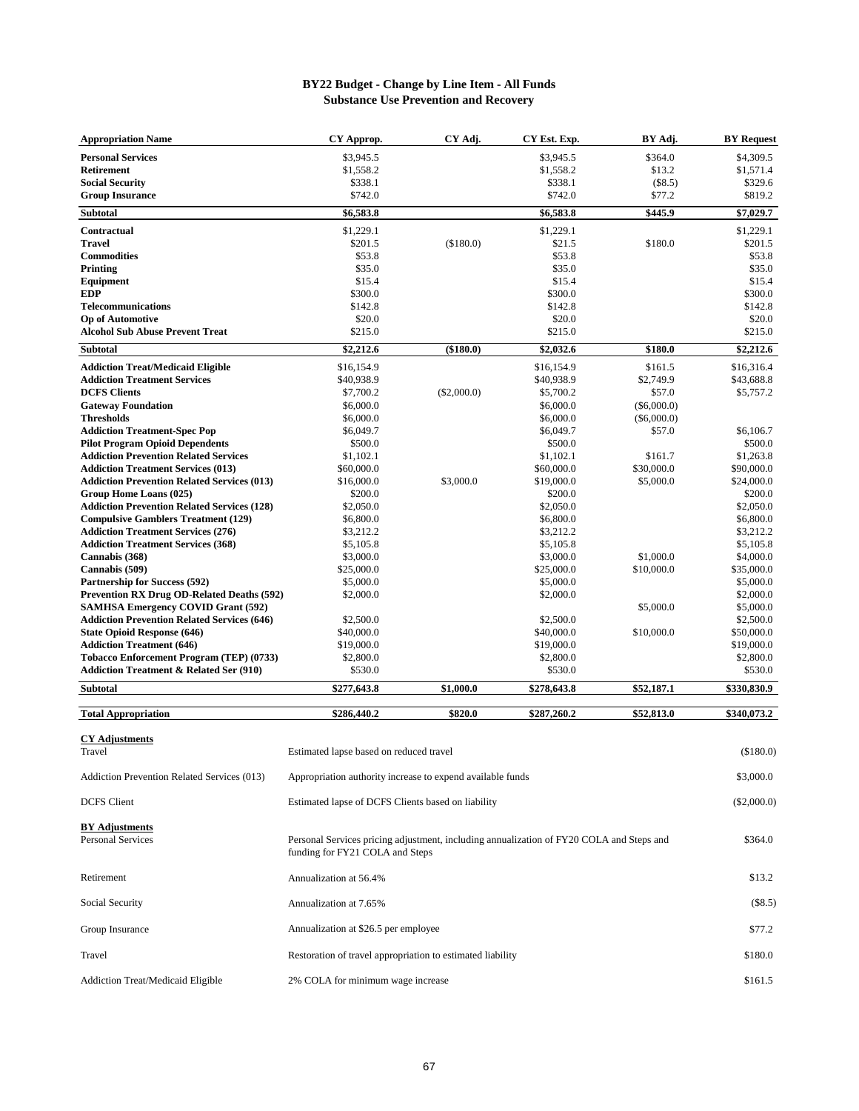### **BY22 Budget - Change by Line Item - All Funds Substance Use Prevention and Recovery**

| <b>Appropriation Name</b>                                                                 | CY Approp.                                                                               | CY Adj.       | CY Est. Exp.            | BY Adj.                 | <b>BY</b> Request       |
|-------------------------------------------------------------------------------------------|------------------------------------------------------------------------------------------|---------------|-------------------------|-------------------------|-------------------------|
| <b>Personal Services</b>                                                                  | \$3,945.5                                                                                |               | \$3,945.5               | \$364.0                 | \$4,309.5               |
| Retirement                                                                                | \$1,558.2                                                                                |               | \$1,558.2               | \$13.2                  | \$1,571.4               |
| <b>Social Security</b>                                                                    | \$338.1                                                                                  |               | \$338.1                 | $(\$8.5)$               | \$329.6                 |
| <b>Group Insurance</b>                                                                    | \$742.0                                                                                  |               | \$742.0                 | \$77.2                  | \$819.2                 |
| Subtotal                                                                                  | \$6,583.8                                                                                |               | \$6,583.8               | \$445.9                 | \$7,029.7               |
| Contractual                                                                               | \$1,229.1                                                                                |               | \$1,229.1               |                         | \$1,229.1               |
| Travel                                                                                    | \$201.5                                                                                  | (\$180.0)     | \$21.5                  | \$180.0                 | \$201.5                 |
| <b>Commodities</b>                                                                        | \$53.8                                                                                   |               | \$53.8                  |                         | \$53.8                  |
| Printing                                                                                  | \$35.0                                                                                   |               | \$35.0                  |                         | \$35.0                  |
| Equipment                                                                                 | \$15.4                                                                                   |               | \$15.4                  |                         | \$15.4                  |
| <b>EDP</b>                                                                                | \$300.0                                                                                  |               | \$300.0                 |                         | \$300.0                 |
| <b>Telecommunications</b>                                                                 | \$142.8                                                                                  |               | \$142.8                 |                         | \$142.8                 |
| <b>Op of Automotive</b>                                                                   | \$20.0                                                                                   |               | \$20.0                  |                         | \$20.0                  |
| <b>Alcohol Sub Abuse Prevent Treat</b>                                                    | \$215.0                                                                                  |               | \$215.0                 |                         | \$215.0                 |
| Subtotal                                                                                  | \$2,212.6                                                                                | (\$180.0)     | \$2,032.6               | \$180.0                 | \$2,212.6               |
| <b>Addiction Treat/Medicaid Eligible</b>                                                  | \$16,154.9                                                                               |               | \$16,154.9              | \$161.5                 | \$16,316.4              |
| <b>Addiction Treatment Services</b>                                                       | \$40,938.9                                                                               |               | \$40,938.9              | \$2,749.9               | \$43,688.8              |
| <b>DCFS Clients</b>                                                                       | \$7,700.2                                                                                | $(\$2,000.0)$ | \$5,700.2               | \$57.0                  | \$5,757.2               |
| <b>Gateway Foundation</b>                                                                 | \$6,000.0                                                                                |               | \$6,000.0               | $(\$6,000.0)$           |                         |
| <b>Thresholds</b>                                                                         | \$6,000.0                                                                                |               | \$6,000.0               | $(\$6,000.0)$           |                         |
| <b>Addiction Treatment-Spec Pop</b>                                                       | \$6,049.7                                                                                |               | \$6,049.7               | \$57.0                  | \$6,106.7               |
| <b>Pilot Program Opioid Dependents</b>                                                    | \$500.0                                                                                  |               | \$500.0                 |                         | \$500.0                 |
| <b>Addiction Prevention Related Services</b><br><b>Addiction Treatment Services (013)</b> | \$1,102.1<br>\$60,000.0                                                                  |               | \$1,102.1<br>\$60,000.0 | \$161.7                 | \$1,263.8<br>\$90,000.0 |
| <b>Addiction Prevention Related Services (013)</b>                                        | \$16,000.0                                                                               | \$3,000.0     | \$19,000.0              | \$30,000.0<br>\$5,000.0 | \$24,000.0              |
| Group Home Loans (025)                                                                    | \$200.0                                                                                  |               | \$200.0                 |                         | \$200.0                 |
| <b>Addiction Prevention Related Services (128)</b>                                        | \$2,050.0                                                                                |               | \$2,050.0               |                         | \$2,050.0               |
| <b>Compulsive Gamblers Treatment (129)</b>                                                | \$6,800.0                                                                                |               | \$6,800.0               |                         | \$6,800.0               |
| <b>Addiction Treatment Services (276)</b>                                                 | \$3,212.2                                                                                |               | \$3,212.2               |                         | \$3,212.2               |
| <b>Addiction Treatment Services (368)</b>                                                 | \$5,105.8                                                                                |               | \$5,105.8               |                         | \$5,105.8               |
| Cannabis (368)                                                                            | \$3,000.0                                                                                |               | \$3,000.0               | \$1,000.0               | \$4,000.0               |
| Cannabis (509)                                                                            | \$25,000.0                                                                               |               | \$25,000.0              | \$10,000.0              | \$35,000.0              |
| <b>Partnership for Success (592)</b>                                                      | \$5,000.0                                                                                |               | \$5,000.0               |                         | \$5,000.0               |
| <b>Prevention RX Drug OD-Related Deaths (592)</b>                                         | \$2,000.0                                                                                |               | \$2,000.0               |                         | \$2,000.0               |
| <b>SAMHSA Emergency COVID Grant (592)</b>                                                 |                                                                                          |               |                         | \$5,000.0               | \$5,000.0               |
| <b>Addiction Prevention Related Services (646)</b>                                        | \$2,500.0                                                                                |               | \$2,500.0               |                         | \$2,500.0               |
| <b>State Opioid Response (646)</b>                                                        | \$40,000.0                                                                               |               | \$40,000.0              | \$10,000.0              | \$50,000.0              |
| <b>Addiction Treatment (646)</b>                                                          | \$19,000.0                                                                               |               | \$19,000.0              |                         | \$19,000.0              |
| Tobacco Enforcement Program (TEP) (0733)                                                  | \$2,800.0                                                                                |               | \$2,800.0               |                         | \$2,800.0               |
| <b>Addiction Treatment &amp; Related Ser (910)</b>                                        | \$530.0                                                                                  |               | \$530.0                 |                         | \$530.0                 |
| Subtotal                                                                                  | \$277,643.8                                                                              | \$1,000.0     | \$278,643.8             | \$52,187.1              | \$330,830.9             |
| <b>Total Appropriation</b>                                                                | \$286,440.2                                                                              | \$820.0       | \$287,260.2             | \$52,813.0              | \$340,073.2             |
|                                                                                           |                                                                                          |               |                         |                         |                         |
| <b>CY Adjustments</b><br>Travel                                                           |                                                                                          |               |                         |                         | (\$180.0)               |
|                                                                                           | Estimated lapse based on reduced travel                                                  |               |                         |                         |                         |
| Addiction Prevention Related Services (013)                                               | Appropriation authority increase to expend available funds                               |               |                         |                         | \$3,000.0               |
| DCFS Client                                                                               | Estimated lapse of DCFS Clients based on liability                                       |               |                         |                         | $(\$2,000.0)$           |
|                                                                                           |                                                                                          |               |                         |                         |                         |
| <b>BY Adjustments</b>                                                                     |                                                                                          |               |                         |                         |                         |
| Personal Services                                                                         | Personal Services pricing adjustment, including annualization of FY20 COLA and Steps and |               |                         |                         | \$364.0                 |
|                                                                                           | funding for FY21 COLA and Steps                                                          |               |                         |                         |                         |
|                                                                                           |                                                                                          |               |                         |                         |                         |
| Retirement                                                                                | Annualization at 56.4%                                                                   |               |                         |                         | \$13.2                  |
| Social Security                                                                           | Annualization at 7.65%                                                                   | $(\$8.5)$     |                         |                         |                         |
|                                                                                           |                                                                                          |               |                         |                         |                         |
| Group Insurance                                                                           | Annualization at \$26.5 per employee                                                     |               |                         |                         | \$77.2                  |
| Travel                                                                                    | Restoration of travel appropriation to estimated liability                               |               |                         |                         | \$180.0                 |
| <b>Addiction Treat/Medicaid Eligible</b>                                                  | 2% COLA for minimum wage increase                                                        |               |                         |                         | \$161.5                 |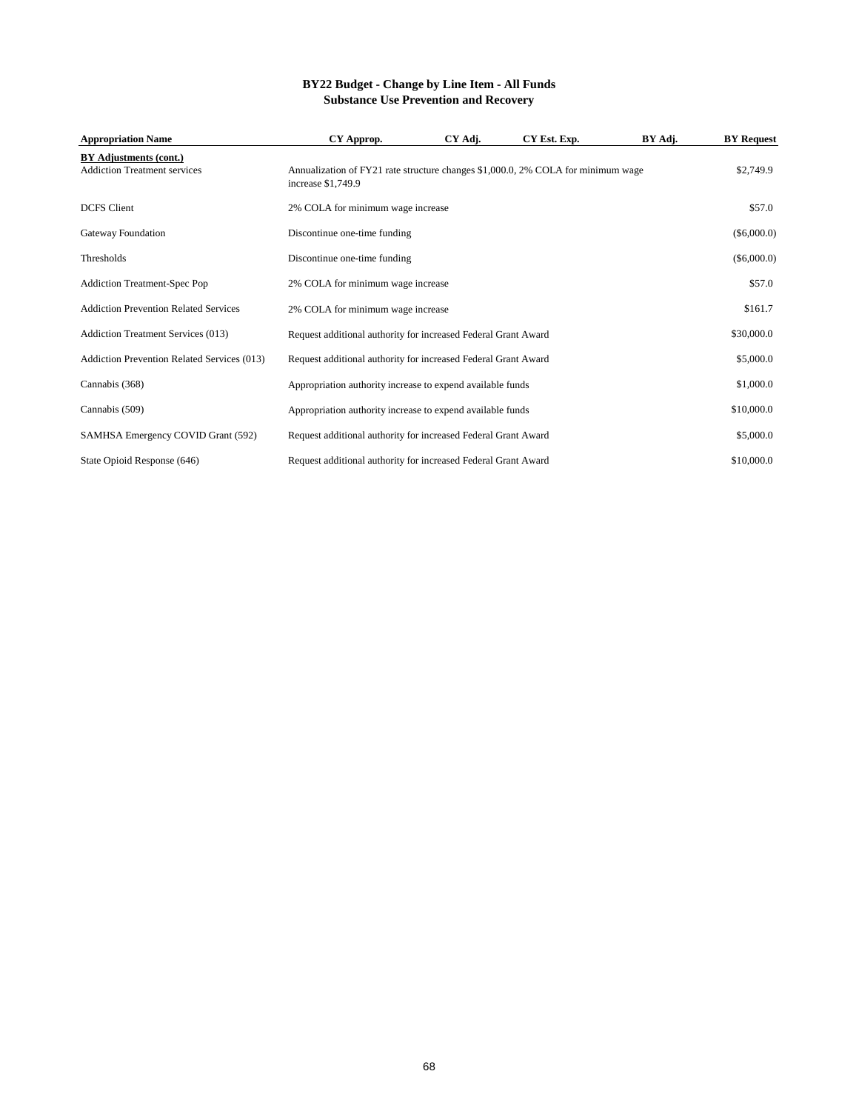### **BY22 Budget - Change by Line Item - All Funds Substance Use Prevention and Recovery**

| <b>Appropriation Name</b>                                     | CY Approp.                                                                                             | CY Adj. | CY Est. Exp. | BY Adj. | <b>BY</b> Request |
|---------------------------------------------------------------|--------------------------------------------------------------------------------------------------------|---------|--------------|---------|-------------------|
| BY Adjustments (cont.)<br><b>Addiction Treatment services</b> | Annualization of FY21 rate structure changes \$1,000.0, 2% COLA for minimum wage<br>increase \$1,749.9 |         |              |         | \$2,749.9         |
| <b>DCFS</b> Client                                            | 2% COLA for minimum wage increase                                                                      |         |              |         | \$57.0            |
| Gateway Foundation                                            | Discontinue one-time funding                                                                           |         |              |         | $(\$6,000.0)$     |
| <b>Thresholds</b>                                             | Discontinue one-time funding                                                                           |         |              |         | $(\$6,000.0)$     |
| <b>Addiction Treatment-Spec Pop</b>                           | 2% COLA for minimum wage increase                                                                      |         |              |         | \$57.0            |
| <b>Addiction Prevention Related Services</b>                  | 2% COLA for minimum wage increase                                                                      |         |              |         | \$161.7           |
| Addiction Treatment Services (013)                            | Request additional authority for increased Federal Grant Award                                         |         |              |         | \$30,000.0        |
| <b>Addiction Prevention Related Services (013)</b>            | Request additional authority for increased Federal Grant Award                                         |         |              |         | \$5,000.0         |
| Cannabis (368)                                                | Appropriation authority increase to expend available funds                                             |         |              |         | \$1,000.0         |
| Cannabis (509)                                                | Appropriation authority increase to expend available funds                                             |         |              |         | \$10,000.0        |
| SAMHSA Emergency COVID Grant (592)                            | Request additional authority for increased Federal Grant Award                                         |         |              |         | \$5,000.0         |
| State Opioid Response (646)                                   | Request additional authority for increased Federal Grant Award                                         |         |              |         | \$10,000.0        |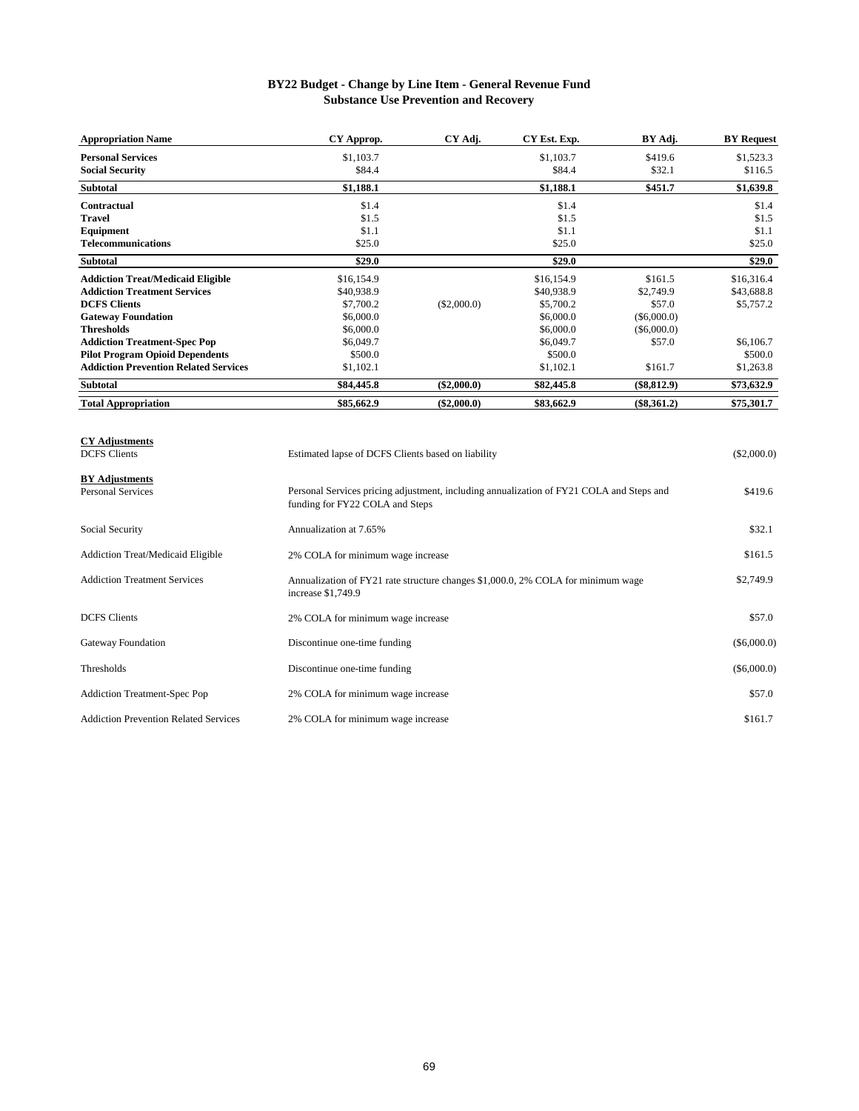### **BY22 Budget - Change by Line Item - General Revenue Fund Substance Use Prevention and Recovery**

| <b>Appropriation Name</b>                    | CY Approp.                                         | CY Adj.       | CY Est. Exp. | BY Adj.       | <b>BY</b> Request |
|----------------------------------------------|----------------------------------------------------|---------------|--------------|---------------|-------------------|
| <b>Personal Services</b>                     | \$1,103.7                                          |               | \$1,103.7    | \$419.6       | \$1,523.3         |
| <b>Social Security</b>                       | \$84.4                                             |               | \$84.4       | \$32.1        | \$116.5           |
| <b>Subtotal</b>                              | \$1,188.1                                          |               | \$1,188.1    | \$451.7       | \$1,639.8         |
| Contractual                                  | \$1.4                                              |               | \$1.4        |               | \$1.4             |
| <b>Travel</b>                                | \$1.5                                              |               | \$1.5        |               | \$1.5             |
| Equipment                                    | \$1.1                                              |               | \$1.1        |               | \$1.1             |
| <b>Telecommunications</b>                    | \$25.0                                             |               | \$25.0       |               | \$25.0            |
| <b>Subtotal</b>                              | \$29.0                                             |               | \$29.0       |               | \$29.0            |
| <b>Addiction Treat/Medicaid Eligible</b>     | \$16,154.9                                         |               | \$16,154.9   | \$161.5       | \$16,316.4        |
| <b>Addiction Treatment Services</b>          | \$40,938.9                                         |               | \$40,938.9   | \$2,749.9     | \$43,688.8        |
| <b>DCFS Clients</b>                          | \$7,700.2                                          | (\$2,000.0)   | \$5,700.2    | \$57.0        | \$5,757.2         |
| <b>Gateway Foundation</b>                    | \$6,000.0                                          |               | \$6,000.0    | $(\$6,000.0)$ |                   |
| <b>Thresholds</b>                            | \$6,000.0                                          |               | \$6,000.0    | $(\$6,000.0)$ |                   |
| <b>Addiction Treatment-Spec Pop</b>          | \$6,049.7                                          |               | \$6,049.7    | \$57.0        | \$6,106.7         |
| <b>Pilot Program Opioid Dependents</b>       | \$500.0                                            |               | \$500.0      |               | \$500.0           |
| <b>Addiction Prevention Related Services</b> | \$1,102.1                                          |               | \$1,102.1    | \$161.7       | \$1,263.8         |
| <b>Subtotal</b>                              | \$84,445.8                                         | $(\$2,000.0)$ | \$82,445.8   | (\$8,812.9)   | \$73,632.9        |
| <b>Total Appropriation</b>                   | \$85,662.9                                         | $(\$2,000.0)$ | \$83,662.9   | $(\$8,361.2)$ | \$75,301.7        |
| <b>CY Adjustments</b>                        |                                                    |               |              |               |                   |
| <b>DCFS</b> Clients                          | Estimated lapse of DCFS Clients based on liability |               |              |               | $(\$2,000.0)$     |

| <b>BY</b> Adjustments<br><b>Personal Services</b> | Personal Services pricing adjustment, including annualization of FY21 COLA and Steps and<br>funding for FY22 COLA and Steps | \$419.6       |
|---------------------------------------------------|-----------------------------------------------------------------------------------------------------------------------------|---------------|
| Social Security                                   | Annualization at 7.65%                                                                                                      | \$32.1        |
| <b>Addiction Treat/Medicaid Eligible</b>          | 2% COLA for minimum wage increase                                                                                           | \$161.5       |
| <b>Addiction Treatment Services</b>               | Annualization of FY21 rate structure changes \$1,000.0, 2% COLA for minimum wage<br>increase \$1,749.9                      | \$2,749.9     |
| <b>DCFS</b> Clients                               | 2% COLA for minimum wage increase                                                                                           | \$57.0        |
| <b>Gateway Foundation</b>                         | Discontinue one-time funding                                                                                                | $(\$6,000.0)$ |
| Thresholds                                        | Discontinue one-time funding                                                                                                | $(\$6,000.0)$ |
| <b>Addiction Treatment-Spec Pop</b>               | 2% COLA for minimum wage increase                                                                                           | \$57.0        |
| <b>Addiction Prevention Related Services</b>      | 2% COLA for minimum wage increase                                                                                           | \$161.7       |